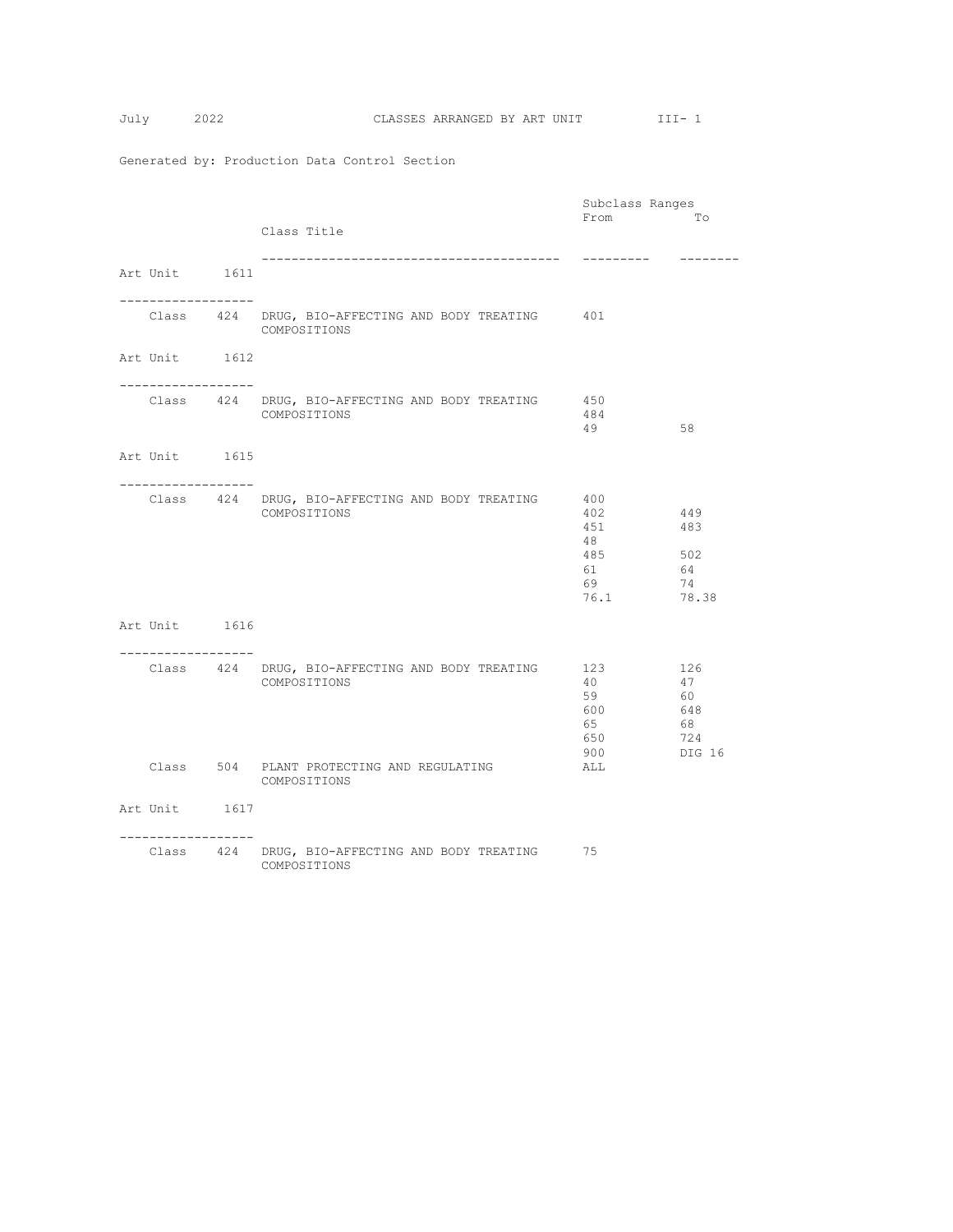|                                    | Subclass Ranges                                                     |                                                    |                                               |  |
|------------------------------------|---------------------------------------------------------------------|----------------------------------------------------|-----------------------------------------------|--|
|                                    | Class Title                                                         | From                                               | Tо                                            |  |
| Art Unit 1611                      | _____________________________________                               | ---------                                          | --------                                      |  |
| ----------------                   | Class 424 DRUG, BIO-AFFECTING AND BODY TREATING 401<br>COMPOSITIONS |                                                    |                                               |  |
| Art Unit 1612                      |                                                                     |                                                    |                                               |  |
| ----------------                   | Class 424 DRUG, BIO-AFFECTING AND BODY TREATING<br>COMPOSITIONS     | 450<br>484<br>49                                   | 58                                            |  |
| Art Unit 1615                      |                                                                     |                                                    |                                               |  |
|                                    | Class 424 DRUG, BIO-AFFECTING AND BODY TREATING<br>COMPOSITIONS     | 400<br>402<br>451<br>48<br>485<br>61<br>69<br>76.1 | 449<br>483<br>502<br>64<br>74<br>78.38        |  |
| Art Unit 1616                      |                                                                     |                                                    |                                               |  |
| -----------------                  |                                                                     |                                                    |                                               |  |
|                                    | Class 424 DRUG, BIO-AFFECTING AND BODY TREATING<br>COMPOSITIONS     | 123<br>40<br>59<br>600<br>65<br>650<br>900         | 126<br>47<br>60<br>648<br>68<br>724<br>DIG 16 |  |
|                                    | Class 504 PLANT PROTECTING AND REGULATING<br>COMPOSITIONS           | ALL                                                |                                               |  |
| Art Unit 1617<br>----------------- |                                                                     |                                                    |                                               |  |
|                                    | Class 424 DRUG, BIO-AFFECTING AND BODY TREATING 75<br>COMPOSITIONS  |                                                    |                                               |  |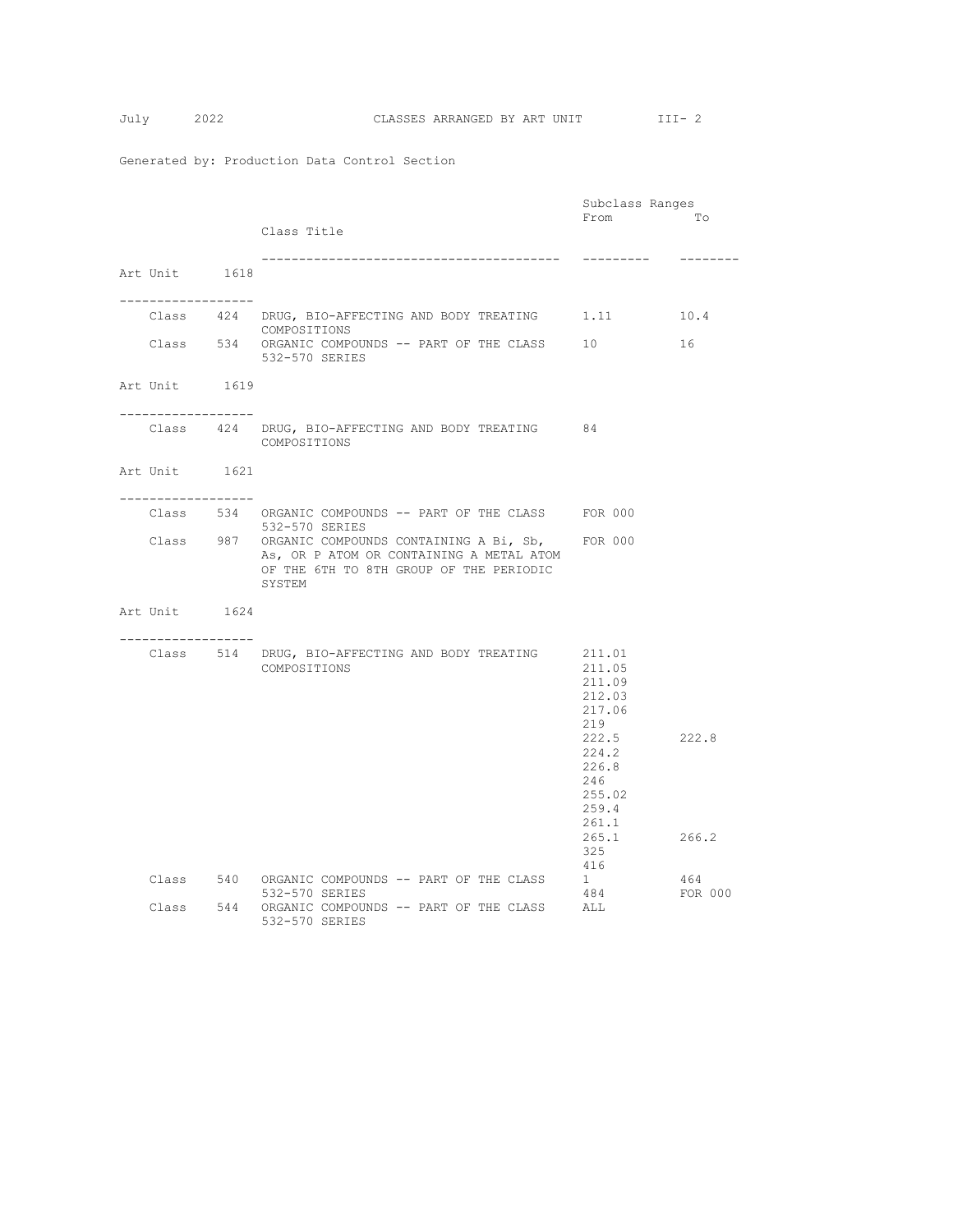|                                      |                                                                                                                                                           |                                                      | Subclass Ranges |  |
|--------------------------------------|-----------------------------------------------------------------------------------------------------------------------------------------------------------|------------------------------------------------------|-----------------|--|
|                                      |                                                                                                                                                           | From                                                 | To              |  |
|                                      | Class Title                                                                                                                                               |                                                      |                 |  |
|                                      |                                                                                                                                                           | ----------                                           | --------        |  |
| Art Unit 1618                        |                                                                                                                                                           |                                                      |                 |  |
|                                      |                                                                                                                                                           |                                                      |                 |  |
| -----------------                    |                                                                                                                                                           |                                                      |                 |  |
|                                      | Class 424 DRUG, BIO-AFFECTING AND BODY TREATING 1.11 10.4<br>COMPOSITIONS                                                                                 |                                                      |                 |  |
|                                      | Class 534 ORGANIC COMPOUNDS -- PART OF THE CLASS<br>532-570 SERIES                                                                                        | 10                                                   | 16              |  |
| Art Unit 1619<br>------------------- |                                                                                                                                                           |                                                      |                 |  |
|                                      | Class 424 DRUG, BIO-AFFECTING AND BODY TREATING 84<br>COMPOSITIONS                                                                                        |                                                      |                 |  |
| Art Unit 1621<br>-----------------   |                                                                                                                                                           |                                                      |                 |  |
|                                      | Class 534 ORGANIC COMPOUNDS -- PART OF THE CLASS FOR 000<br>532-570 SERIES                                                                                |                                                      |                 |  |
|                                      | Class 987 ORGANIC COMPOUNDS CONTAINING A Bi, Sb, FOR 000<br>As, OR P ATOM OR CONTAINING A METAL ATOM<br>OF THE 6TH TO 8TH GROUP OF THE PERIODIC<br>SYSTEM |                                                      |                 |  |
| Art Unit 1624                        |                                                                                                                                                           |                                                      |                 |  |
|                                      | Class 514 DRUG, BIO-AFFECTING AND BODY TREATING 211.01<br>COMPOSITIONS                                                                                    | 211.05<br>211.09<br>212.03<br>217.06<br>219<br>222.5 | 222.8           |  |
|                                      |                                                                                                                                                           | 224.2<br>226.8<br>246<br>255.02<br>259.4<br>261.1    |                 |  |
|                                      |                                                                                                                                                           | 265.1<br>325<br>416                                  | 266.2           |  |
|                                      | Class 540 ORGANIC COMPOUNDS -- PART OF THE CLASS<br>532-570 SERIES                                                                                        | 1<br>484                                             | 464<br>FOR 000  |  |
|                                      | Class 544 ORGANIC COMPOUNDS -- PART OF THE CLASS<br>532-570 SERIES                                                                                        | ALL                                                  |                 |  |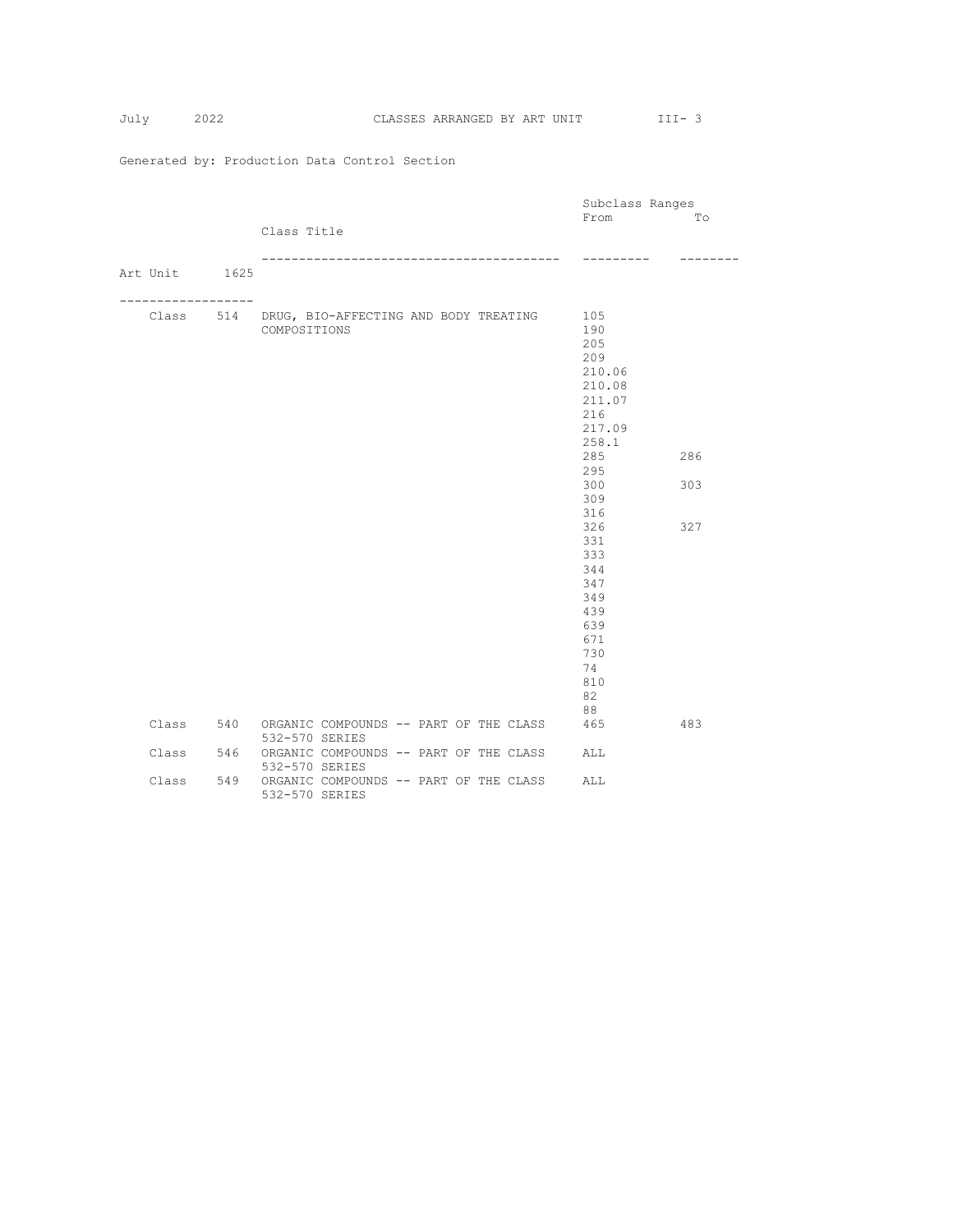|               |             | Class Title                      |                                                 |  |  | Subclass Ranges<br>From                                                                                                                                                                                      | To<br>-----       |
|---------------|-------------|----------------------------------|-------------------------------------------------|--|--|--------------------------------------------------------------------------------------------------------------------------------------------------------------------------------------------------------------|-------------------|
| Art Unit 1625 |             |                                  |                                                 |  |  |                                                                                                                                                                                                              |                   |
|               | ----------- | COMPOSITIONS                     | Class 514 DRUG, BIO-AFFECTING AND BODY TREATING |  |  | 105<br>190<br>205<br>209<br>210.06<br>210.08<br>211.07<br>216<br>217.09<br>258.1<br>285<br>295<br>300<br>309<br>316<br>326<br>331<br>333<br>344<br>347<br>349<br>439<br>639<br>671<br>730<br>74<br>810<br>82 | 286<br>303<br>327 |
| Class         |             |                                  | 540 ORGANIC COMPOUNDS -- PART OF THE CLASS      |  |  | 88<br>465                                                                                                                                                                                                    | 483               |
| Class         | 546         | 532-570 SERIES<br>532-570 SERIES | ORGANIC COMPOUNDS -- PART OF THE CLASS          |  |  | ALL                                                                                                                                                                                                          |                   |
| Class         | 549         | 532-570 SERIES                   | ORGANIC COMPOUNDS -- PART OF THE CLASS          |  |  | ALL                                                                                                                                                                                                          |                   |

July 2022 CLASSES ARRANGED BY ART UNIT III-3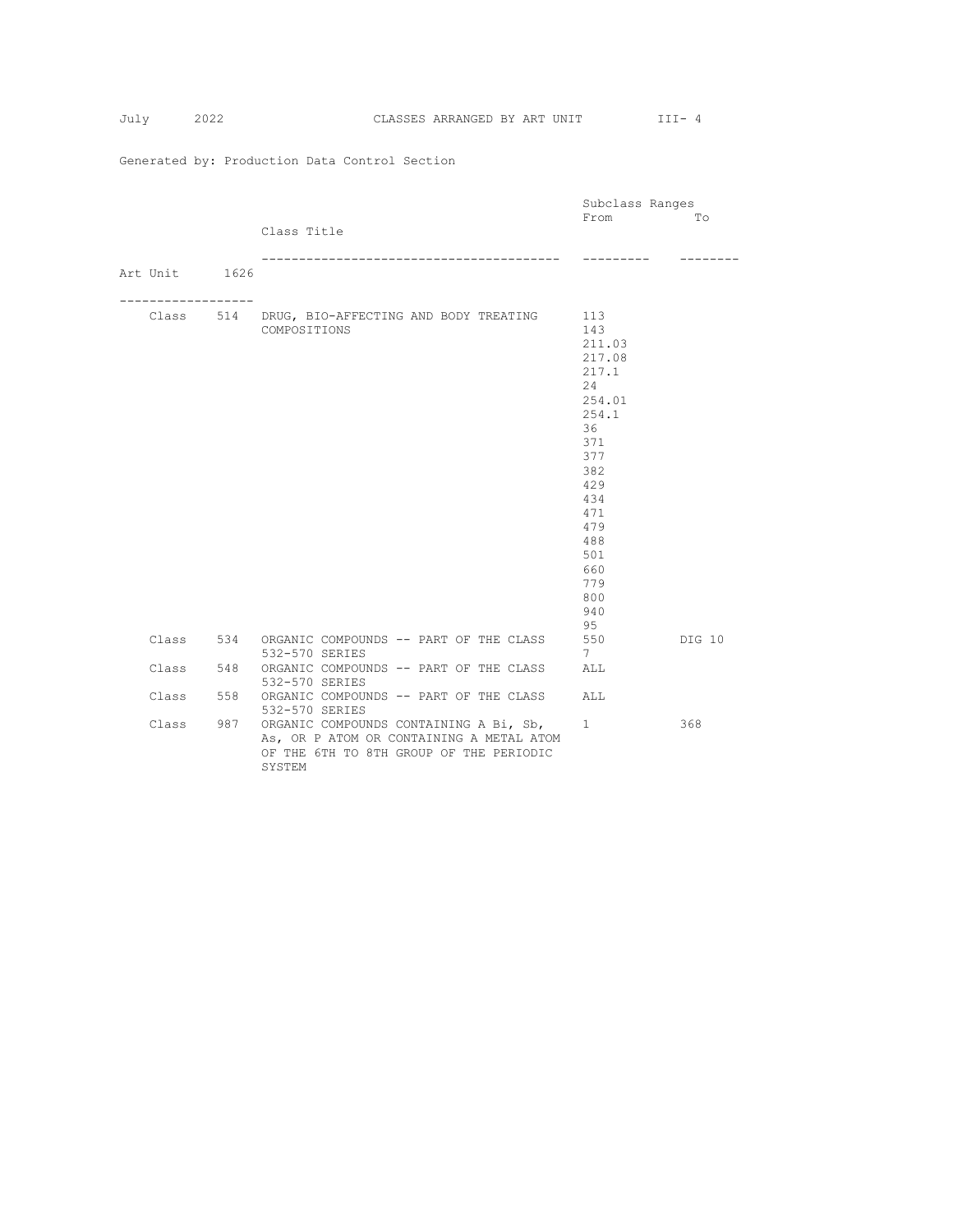| July | CLASSES ARRANGED BY ART UNIT |  |
|------|------------------------------|--|

|               |             |                                                  | Subclass Ranges |        |
|---------------|-------------|--------------------------------------------------|-----------------|--------|
|               |             |                                                  | From            | Tо     |
|               |             | Class Title                                      |                 |        |
|               |             |                                                  |                 |        |
|               |             |                                                  |                 |        |
| Art Unit 1626 |             |                                                  |                 |        |
|               | ----------- |                                                  |                 |        |
|               |             | Class 514 DRUG, BIO-AFFECTING AND BODY TREATING  | 113             |        |
|               |             | COMPOSITIONS                                     | 143             |        |
|               |             |                                                  | 211.03          |        |
|               |             |                                                  | 217.08          |        |
|               |             |                                                  | 217.1           |        |
|               |             |                                                  | 24              |        |
|               |             |                                                  | 254.01          |        |
|               |             |                                                  | 254.1           |        |
|               |             |                                                  | 36              |        |
|               |             |                                                  | 371<br>377      |        |
|               |             |                                                  | 382             |        |
|               |             |                                                  | 429             |        |
|               |             |                                                  | 434             |        |
|               |             |                                                  | 471             |        |
|               |             |                                                  | 479             |        |
|               |             |                                                  | 488             |        |
|               |             |                                                  | 501             |        |
|               |             |                                                  | 660             |        |
|               |             |                                                  | 779             |        |
|               |             |                                                  | 800             |        |
|               |             |                                                  | 940             |        |
|               |             | Class 534 ORGANIC COMPOUNDS -- PART OF THE CLASS | 95<br>550       | DIG 10 |
|               |             | 532-570 SERIES                                   | $7^{\circ}$     |        |
| Class         |             | 548 ORGANIC COMPOUNDS -- PART OF THE CLASS       | ALL             |        |
|               |             | 532-570 SERIES                                   |                 |        |
| Class         |             | 558 ORGANIC COMPOUNDS -- PART OF THE CLASS       | ALL             |        |
|               |             | 532-570 SERIES                                   |                 |        |
| Class         |             | 987 ORGANIC COMPOUNDS CONTAINING A Bi, Sb,       | 1               | 368    |
|               |             | As, OR P ATOM OR CONTAINING A METAL ATOM         |                 |        |
|               |             | OF THE 6TH TO 8TH GROUP OF THE PERIODIC          |                 |        |
|               |             | SYSTEM                                           |                 |        |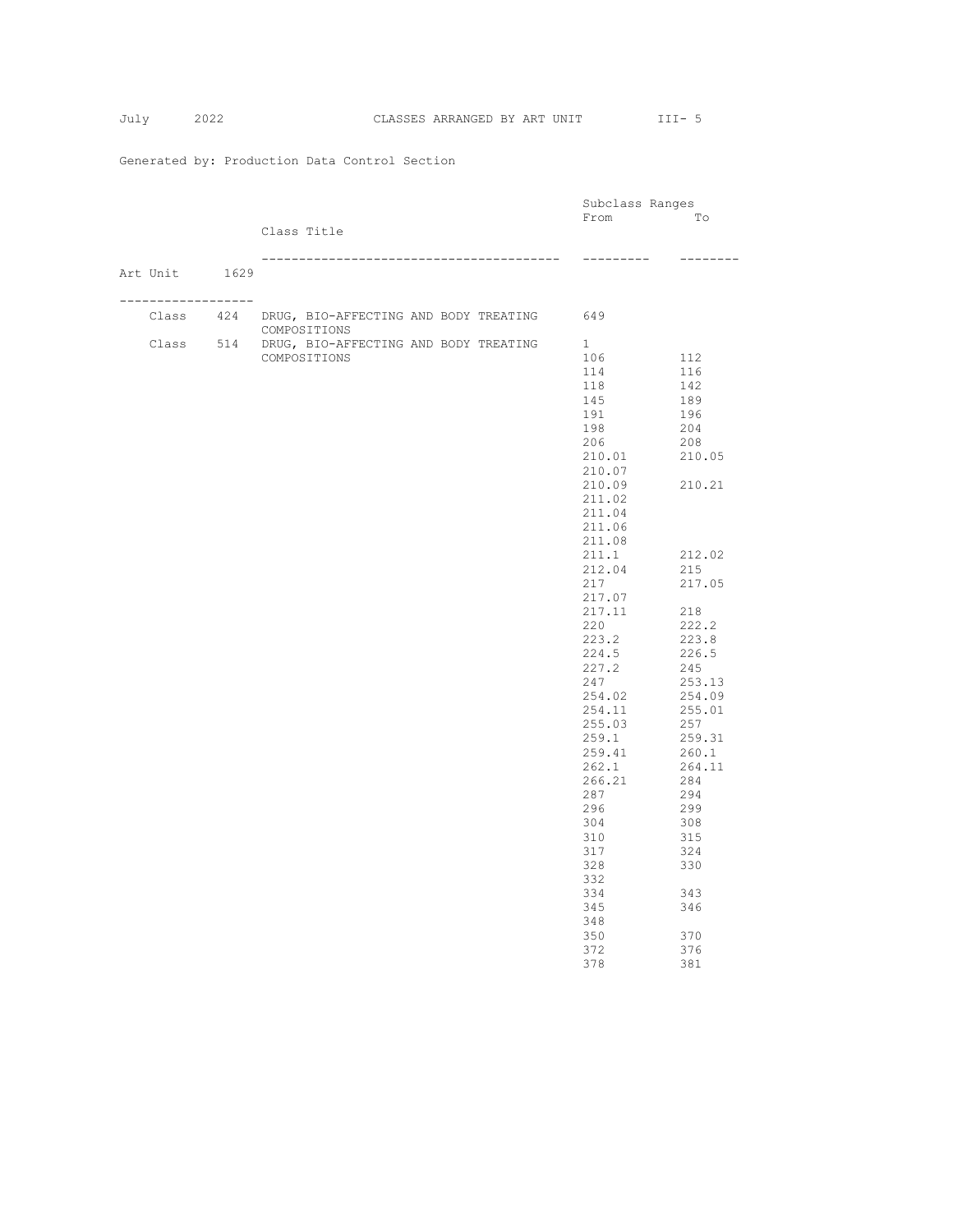July 2022 CLASSES ARRANGED BY ART UNIT III- 5

|                    |                                                     | Subclass Ranges |          |
|--------------------|-----------------------------------------------------|-----------------|----------|
|                    |                                                     | From            | To       |
|                    | Class Title                                         |                 |          |
|                    |                                                     |                 |          |
|                    |                                                     | ---------       | -------- |
| Art Unit 1629      |                                                     |                 |          |
| ------------------ |                                                     |                 |          |
|                    | Class 424 DRUG, BIO-AFFECTING AND BODY TREATING 649 |                 |          |
|                    | COMPOSITIONS                                        |                 |          |
|                    | Class 514 DRUG, BIO-AFFECTING AND BODY TREATING     | $\mathbf{1}$    |          |
|                    | COMPOSITIONS                                        | 106             | 112      |
|                    |                                                     | 114             | 116      |
|                    |                                                     | 118             | 142      |
|                    |                                                     | 145             | 189      |
|                    |                                                     | 191             | 196      |
|                    |                                                     | 198             | 204      |
|                    |                                                     | 206             | 208      |
|                    |                                                     | 210.01          | 210.05   |
|                    |                                                     | 210.07          |          |
|                    |                                                     | 210.09          | 210.21   |
|                    |                                                     | 211.02          |          |
|                    |                                                     | 211.04          |          |
|                    |                                                     | 211.06          |          |
|                    |                                                     | 211.08          |          |
|                    |                                                     | 211.1           | 212.02   |
|                    |                                                     | 212.04          | 215      |
|                    |                                                     | 217             | 217.05   |
|                    |                                                     | 217.07          |          |
|                    |                                                     | 217.11          | 218      |
|                    |                                                     | 220             | 222.2    |
|                    |                                                     | 223.2           | 223.8    |
|                    |                                                     | 224.5           | 226.5    |
|                    |                                                     | 227.2           | 245      |
|                    |                                                     | 247             | 253.13   |
|                    |                                                     | 254.02          | 254.09   |
|                    |                                                     | 254.11          | 255.01   |
|                    |                                                     | 255.03          | 257      |
|                    |                                                     | 259.1           | 259.31   |
|                    |                                                     | 259.41          | 260.1    |
|                    |                                                     | 262.1           | 264.11   |
|                    |                                                     | 266.21          | 284      |
|                    |                                                     | 287             | 294      |
|                    |                                                     | 296             | 299      |
|                    |                                                     | 304             | 308      |
|                    |                                                     | 310             | 315      |
|                    |                                                     | 317             | 324      |
|                    |                                                     | 328             | 330      |
|                    |                                                     | 332             |          |
|                    |                                                     | 334             | 343      |
|                    |                                                     | 345             | 346      |
|                    |                                                     | 348             |          |
|                    |                                                     | 350             | 370      |
|                    |                                                     | 372             | 376      |
|                    |                                                     | 378             | 381      |
|                    |                                                     |                 |          |
|                    |                                                     |                 |          |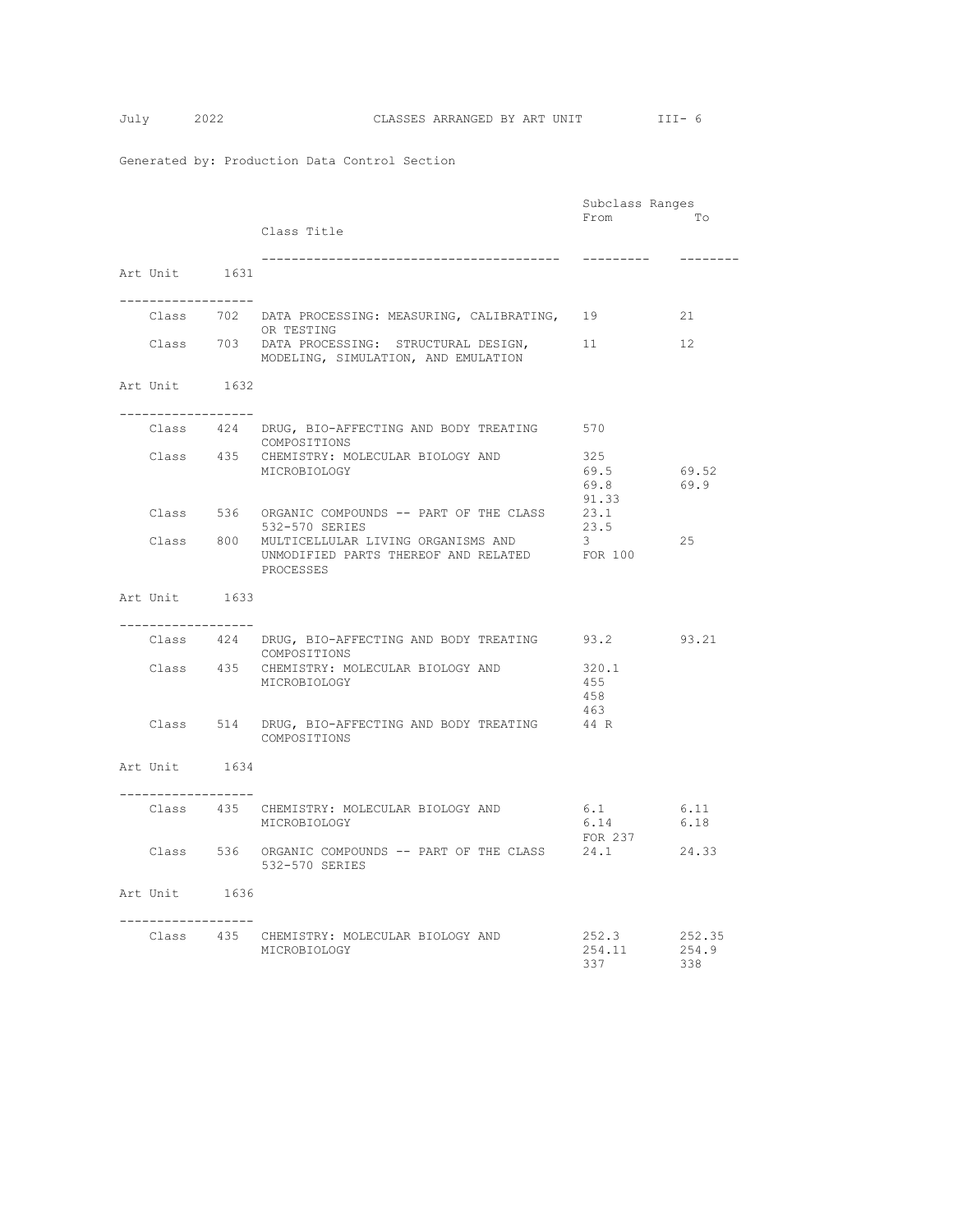|                                       |                                                                                                   | Subclass Ranges              |                        |  |
|---------------------------------------|---------------------------------------------------------------------------------------------------|------------------------------|------------------------|--|
|                                       | Class Title                                                                                       | From                         | To                     |  |
| Art Unit 1631                         |                                                                                                   | ---------                    | --------               |  |
| . _ _ _ _ _ _ _ _ _ _ _ _ _ _ _ _ _ _ | Class 702 DATA PROCESSING: MEASURING, CALIBRATING, 19<br>OR TESTING                               |                              | 21                     |  |
|                                       | Class 703 DATA PROCESSING: STRUCTURAL DESIGN,<br>MODELING, SIMULATION, AND EMULATION              | 11                           | $12 \overline{ }$      |  |
| Art Unit 1632                         |                                                                                                   |                              |                        |  |
| ----------------                      |                                                                                                   |                              |                        |  |
|                                       | Class 424 DRUG, BIO-AFFECTING AND BODY TREATING 570<br>COMPOSITIONS                               |                              |                        |  |
|                                       | Class 435 CHEMISTRY: MOLECULAR BIOLOGY AND<br>MICROBIOLOGY                                        | 325<br>69.5<br>69.8<br>91.33 | 69.52<br>69.9          |  |
|                                       | Class 536 ORGANIC COMPOUNDS -- PART OF THE CLASS<br>532-570 SERIES                                | 23.1<br>23.5                 |                        |  |
|                                       | Class 800 MULTICELLULAR LIVING ORGANISMS AND<br>UNMODIFIED PARTS THEREOF AND RELATED<br>PROCESSES | 3<br>FOR 100                 | 25                     |  |
| Art Unit 1633                         |                                                                                                   |                              |                        |  |
| -----------------                     |                                                                                                   |                              |                        |  |
|                                       | Class 424 DRUG, BIO-AFFECTING AND BODY TREATING<br>COMPOSITIONS                                   | 93.2                         | 93.21                  |  |
|                                       | Class 435 CHEMISTRY: MOLECULAR BIOLOGY AND<br>MICROBIOLOGY                                        | 320.1<br>455<br>458<br>463   |                        |  |
|                                       | Class 514 DRUG, BIO-AFFECTING AND BODY TREATING<br>COMPOSITIONS                                   | 44 R                         |                        |  |
| Art Unit 1634                         |                                                                                                   |                              |                        |  |
| -----------------                     | Class 435 CHEMISTRY: MOLECULAR BIOLOGY AND<br>MICROBIOLOGY                                        | 6.1<br>6.14<br>FOR 237       | 6.11<br>6.18           |  |
|                                       | Class 536 ORGANIC COMPOUNDS -- PART OF THE CLASS 24.1<br>532-570 SERIES                           |                              | 24.33                  |  |
| Art Unit 1636                         |                                                                                                   |                              |                        |  |
| . _ _ _ _ _ _ _ _ _ _ _ _ _ _ _ _ _   | Class 435 CHEMISTRY: MOLECULAR BIOLOGY AND<br>MICROBIOLOGY                                        | 252.3<br>254.11<br>337       | 252.35<br>254.9<br>338 |  |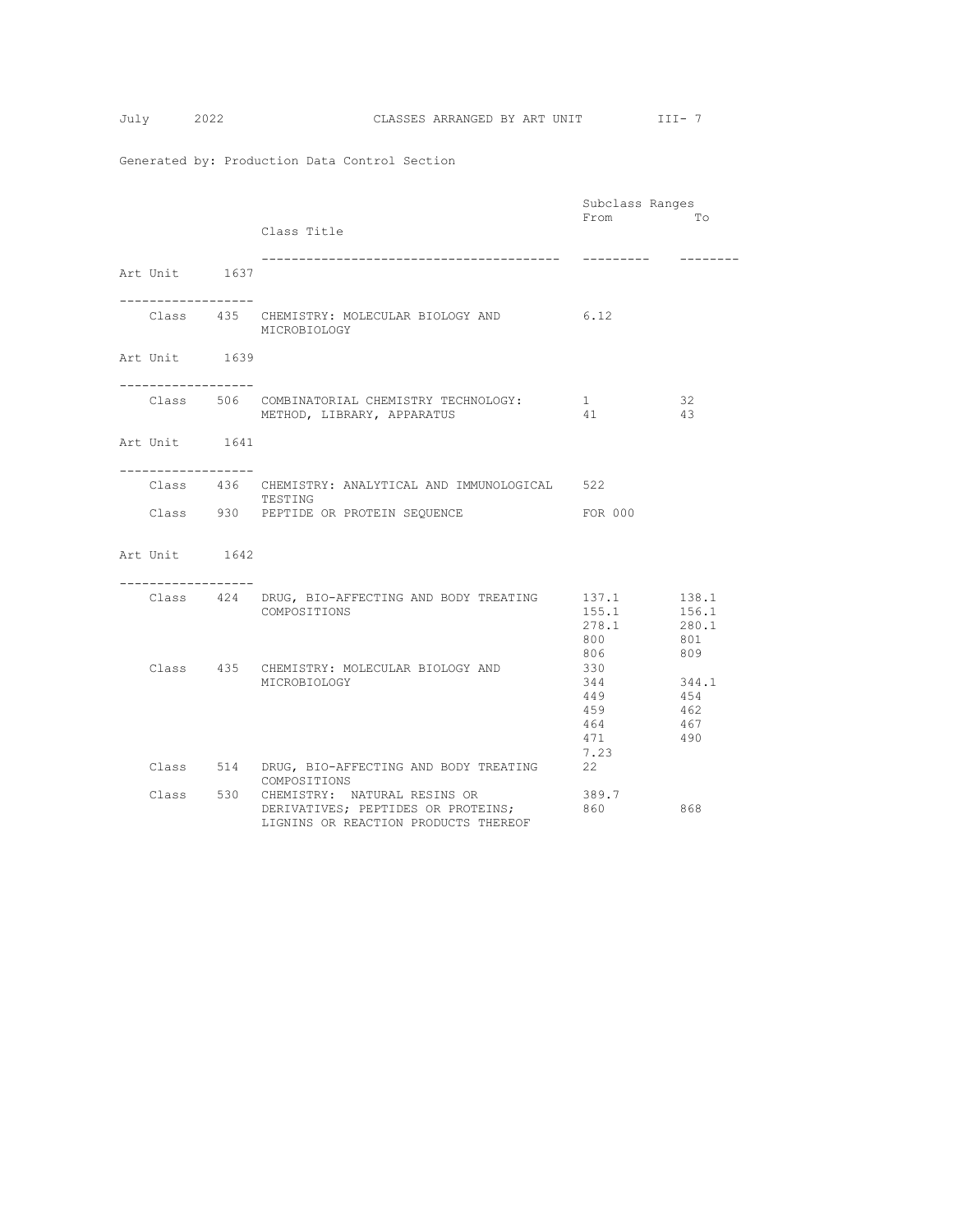|                     |  |                                                                                                                      | Subclass Ranges                                |                                       |  |
|---------------------|--|----------------------------------------------------------------------------------------------------------------------|------------------------------------------------|---------------------------------------|--|
|                     |  | Class Title                                                                                                          | From                                           | Tо                                    |  |
| Art Unit 1637       |  |                                                                                                                      |                                                |                                       |  |
| ------------------- |  | 6.12<br>Class 435 CHEMISTRY: MOLECULAR BIOLOGY AND<br>MICROBIOLOGY                                                   |                                                |                                       |  |
| Art Unit 1639       |  |                                                                                                                      |                                                |                                       |  |
| . <u>.</u>          |  | Class 506 COMBINATORIAL CHEMISTRY TECHNOLOGY:<br>METHOD, LIBRARY, APPARATUS                                          | 1<br>41                                        | 32<br>43                              |  |
| Art Unit 1641       |  |                                                                                                                      |                                                |                                       |  |
| . <u>.</u>          |  | Class 436 CHEMISTRY: ANALYTICAL AND IMMUNOLOGICAL 522                                                                |                                                |                                       |  |
|                     |  | TESTING<br>Class 930 PEPTIDE OR PROTEIN SEQUENCE                                                                     | FOR 000                                        |                                       |  |
| Art Unit 1642       |  |                                                                                                                      |                                                |                                       |  |
| --------------      |  | Class 424 DRUG, BIO-AFFECTING AND BODY TREATING 137.1<br>COMPOSITIONS                                                | 155.1<br>278.1<br>800<br>806                   | 138.1<br>156.1<br>280.1<br>801<br>809 |  |
|                     |  | Class 435 CHEMISTRY: MOLECULAR BIOLOGY AND<br>MICROBIOLOGY                                                           | 330<br>344<br>449<br>459<br>464<br>471<br>7.23 | 344.1<br>454<br>462<br>467<br>490     |  |
|                     |  | Class 514 DRUG, BIO-AFFECTING AND BODY TREATING<br>COMPOSITIONS                                                      | 22                                             |                                       |  |
|                     |  | Class 530 CHEMISTRY: NATURAL RESINS OR<br>DERIVATIVES; PEPTIDES OR PROTEINS;<br>LIGNINS OR REACTION PRODUCTS THEREOF | 389.7<br>860                                   | 868                                   |  |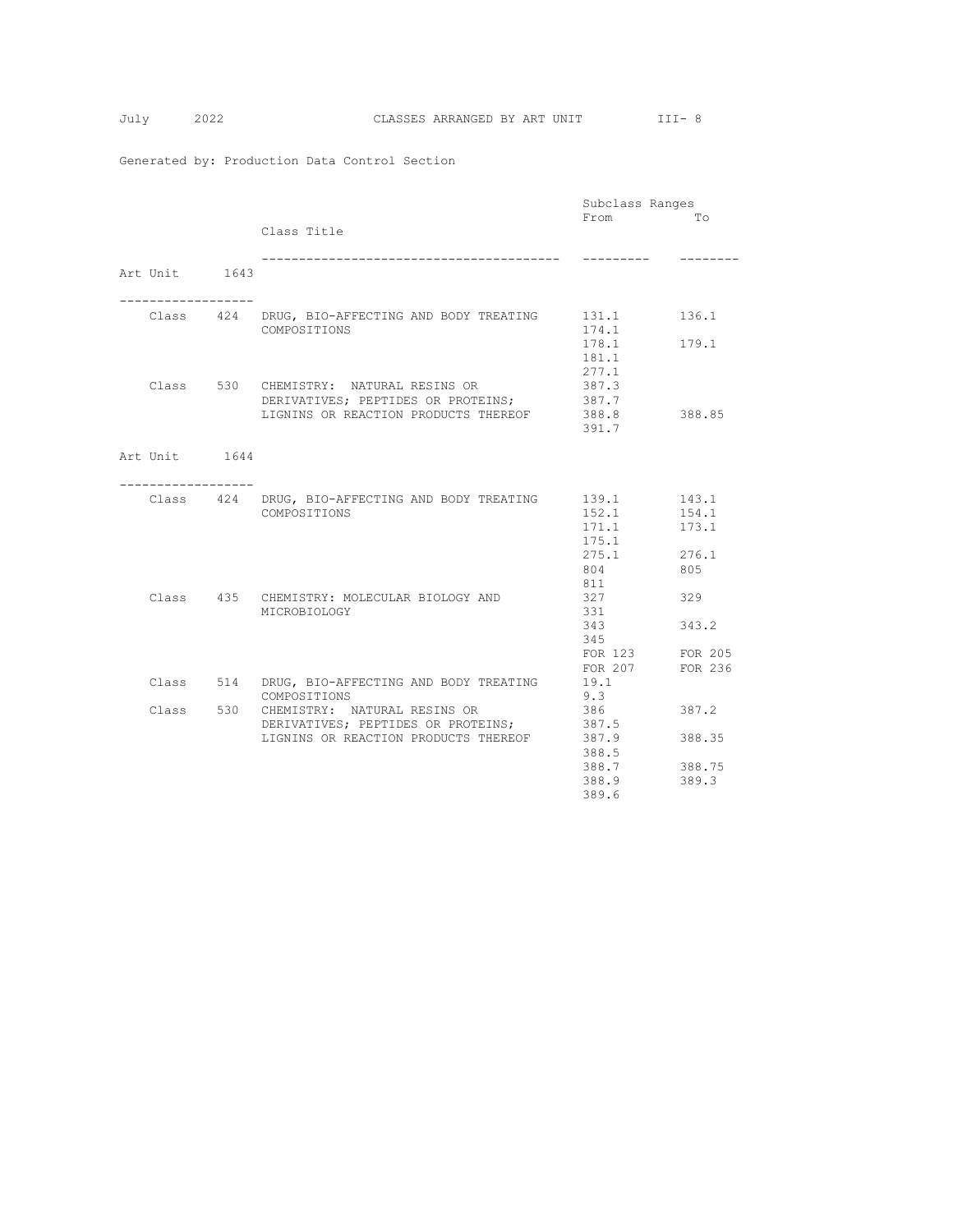|               |                                                 | Subclass Ranges |         |
|---------------|-------------------------------------------------|-----------------|---------|
|               |                                                 | From            | Tо      |
|               | Class Title                                     |                 |         |
|               |                                                 |                 |         |
|               | ___________________________________             | ----------      |         |
| Art Unit 1643 |                                                 |                 |         |
|               |                                                 |                 |         |
|               |                                                 |                 |         |
|               | Class 424 DRUG, BIO-AFFECTING AND BODY TREATING | 131.1           | 136.1   |
|               | COMPOSITIONS                                    | 174.1           |         |
|               |                                                 | 178.1           | 179.1   |
|               |                                                 | 181.1           |         |
|               |                                                 |                 |         |
|               |                                                 | 277.1           |         |
|               | Class 530 CHEMISTRY: NATURAL RESINS OR          | 387.3           |         |
|               | DERIVATIVES; PEPTIDES OR PROTEINS;              | 387.7           |         |
|               | LIGNINS OR REACTION PRODUCTS THEREOF 388.8      |                 | 388.85  |
|               |                                                 | 391.7           |         |
|               |                                                 |                 |         |
| Art Unit 1644 |                                                 |                 |         |
|               |                                                 |                 |         |
|               |                                                 |                 |         |
|               | Class 424 DRUG, BIO-AFFECTING AND BODY TREATING | 139.1           | 143.1   |
|               | COMPOSITIONS                                    | 152.1           | 154.1   |
|               |                                                 | 171.1           | 173.1   |
|               |                                                 | 175.1           |         |
|               |                                                 | 275.1           | 276.1   |
|               |                                                 | 804             | 805     |
|               |                                                 | 811             |         |
|               | Class 435 CHEMISTRY: MOLECULAR BIOLOGY AND      | 327             | 329     |
|               | MICROBIOLOGY                                    | 331             |         |
|               |                                                 | 343             | 343.2   |
|               |                                                 |                 |         |
|               |                                                 | 345             |         |
|               |                                                 | FOR 123 FOR 205 |         |
|               |                                                 | FOR 207         | FOR 236 |
|               | Class 514 DRUG, BIO-AFFECTING AND BODY TREATING | 19.1            |         |
|               | COMPOSITIONS                                    | 9.3             |         |
|               | Class 530 CHEMISTRY: NATURAL RESINS OR          | 386             | 387.2   |
|               | DERIVATIVES; PEPTIDES OR PROTEINS;              | 387.5           |         |
|               | LIGNINS OR REACTION PRODUCTS THEREOF            | 387.9           | 388.35  |
|               |                                                 | 388.5           |         |
|               |                                                 | 388.7           | 388.75  |
|               |                                                 | 388.9           | 389.3   |
|               |                                                 | 389.6           |         |
|               |                                                 |                 |         |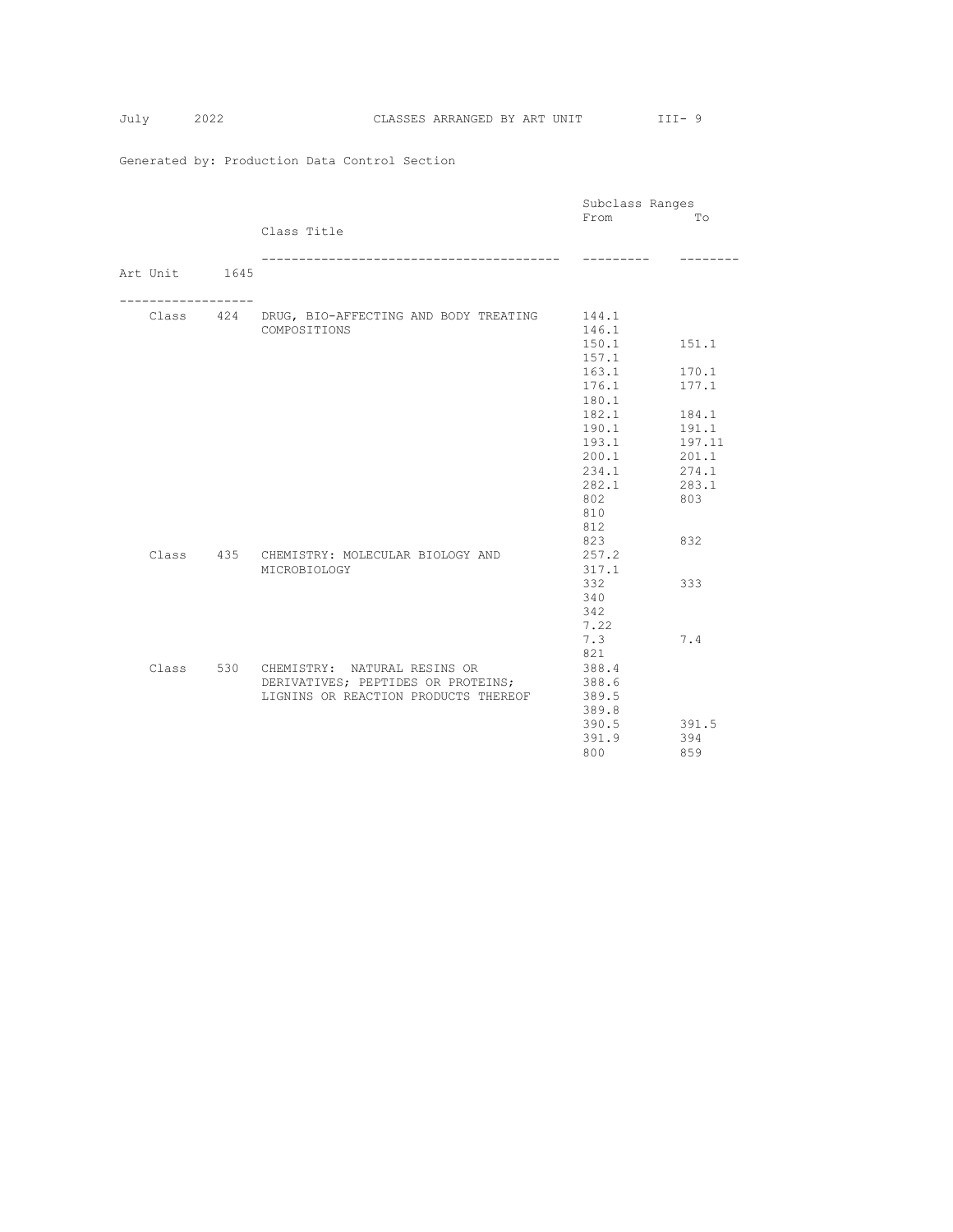|  |               |                                                 | Subclass Ranges |        |
|--|---------------|-------------------------------------------------|-----------------|--------|
|  |               |                                                 | From            | Tо     |
|  |               | Class Title                                     |                 |        |
|  |               |                                                 |                 |        |
|  |               |                                                 |                 |        |
|  | Art Unit 1645 |                                                 |                 |        |
|  |               |                                                 |                 |        |
|  |               | Class 424 DRUG, BIO-AFFECTING AND BODY TREATING | 144.1           |        |
|  |               | COMPOSITIONS                                    | 146.1           |        |
|  |               |                                                 | 150.1           | 151.1  |
|  |               |                                                 | 157.1           |        |
|  |               |                                                 | 163.1           | 170.1  |
|  |               |                                                 | 176.1           | 177.1  |
|  |               |                                                 | 180.1           |        |
|  |               |                                                 | 182.1           | 184.1  |
|  |               |                                                 | 190.1           | 191.1  |
|  |               |                                                 | 193.1           | 197.11 |
|  |               |                                                 | 200.1           | 201.1  |
|  |               |                                                 | 234.1           | 274.1  |
|  |               |                                                 | 282.1           | 283.1  |
|  |               |                                                 | 802             | 803    |
|  |               |                                                 | 810             |        |
|  |               |                                                 | 812             |        |
|  |               |                                                 | 823             | 832    |
|  |               | Class 435 CHEMISTRY: MOLECULAR BIOLOGY AND      | 257.2           |        |
|  |               | MICROBIOLOGY                                    | 317.1           |        |
|  |               |                                                 | 332             | 333    |
|  |               |                                                 | 340             |        |
|  |               |                                                 | 342             |        |
|  |               |                                                 | 7.22            |        |
|  |               |                                                 | 7.3             | 7.4    |
|  |               |                                                 | 821             |        |
|  |               | Class 530 CHEMISTRY: NATURAL RESINS OR          | 388.4           |        |
|  |               | DERIVATIVES; PEPTIDES OR PROTEINS;              | 388.6           |        |
|  |               | LIGNINS OR REACTION PRODUCTS THEREOF            | 389.5           |        |
|  |               |                                                 | 389.8           |        |
|  |               |                                                 | 390.5           | 391.5  |
|  |               |                                                 | 391.9           | 394    |
|  |               |                                                 | 800             | 859    |
|  |               |                                                 |                 |        |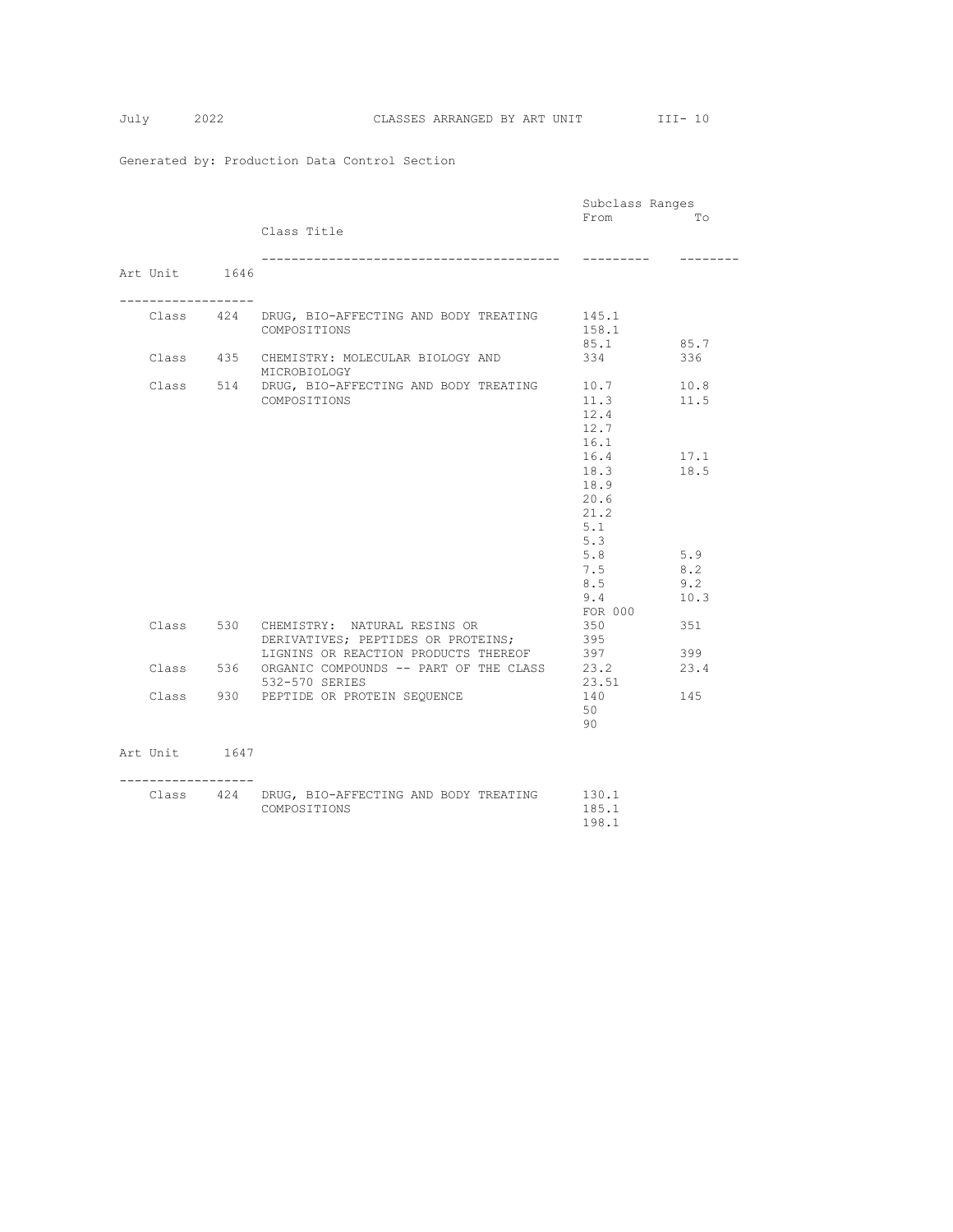|                   |     |                                                 | Subclass Ranges |      |
|-------------------|-----|-------------------------------------------------|-----------------|------|
|                   |     |                                                 | From            | Tо   |
|                   |     | Class Title                                     |                 |      |
|                   |     |                                                 |                 |      |
|                   |     | ---------------------------------               | ----------      | .    |
| Art Unit 1646     |     |                                                 |                 |      |
|                   |     |                                                 |                 |      |
| ----------------- |     |                                                 |                 |      |
|                   |     | Class 424 DRUG, BIO-AFFECTING AND BODY TREATING | 145.1           |      |
|                   |     | COMPOSITIONS                                    | 158.1           |      |
|                   |     |                                                 | 85.1            | 85.7 |
|                   |     | Class 435 CHEMISTRY: MOLECULAR BIOLOGY AND      | 334             | 336  |
|                   |     |                                                 |                 |      |
|                   |     | MICROBIOLOGY                                    |                 |      |
|                   |     | Class 514 DRUG, BIO-AFFECTING AND BODY TREATING | 10.7            | 10.8 |
|                   |     | COMPOSITIONS                                    | 11.3            | 11.5 |
|                   |     |                                                 | 12.4            |      |
|                   |     |                                                 | 12.7            |      |
|                   |     |                                                 | 16.1            |      |
|                   |     |                                                 | 16.4            | 17.1 |
|                   |     |                                                 | 18.3            | 18.5 |
|                   |     |                                                 | 18.9            |      |
|                   |     |                                                 | 20.6            |      |
|                   |     |                                                 | 21.2            |      |
|                   |     |                                                 | 5.1             |      |
|                   |     |                                                 | 5.3             |      |
|                   |     |                                                 | 5.8             | 5.9  |
|                   |     |                                                 | 7.5             | 8.2  |
|                   |     |                                                 | 8.5             | 9.2  |
|                   |     |                                                 | 9.4             | 10.3 |
|                   |     |                                                 | FOR 000         |      |
|                   |     | Class 530 CHEMISTRY: NATURAL RESINS OR          | 350             | 351  |
|                   |     | DERIVATIVES; PEPTIDES OR PROTEINS;              | 395             |      |
|                   |     | LIGNINS OR REACTION PRODUCTS THEREOF            | 397             | 399  |
| Class             | 536 | ORGANIC COMPOUNDS -- PART OF THE CLASS          | 23.2            | 23.4 |
|                   |     | 532-570 SERIES                                  | 23.51           |      |
|                   |     | Class 930 PEPTIDE OR PROTEIN SEQUENCE           | 140             | 145  |
|                   |     |                                                 | 50              |      |
|                   |     |                                                 | 90              |      |
|                   |     |                                                 |                 |      |
| Art Unit 1647     |     |                                                 |                 |      |
|                   |     |                                                 |                 |      |
| ----------------- |     |                                                 |                 |      |
|                   |     | Class 424 DRUG, BIO-AFFECTING AND BODY TREATING | 130.1           |      |
|                   |     | COMPOSITIONS                                    | 185.1           |      |
|                   |     |                                                 | 198.1           |      |
|                   |     |                                                 |                 |      |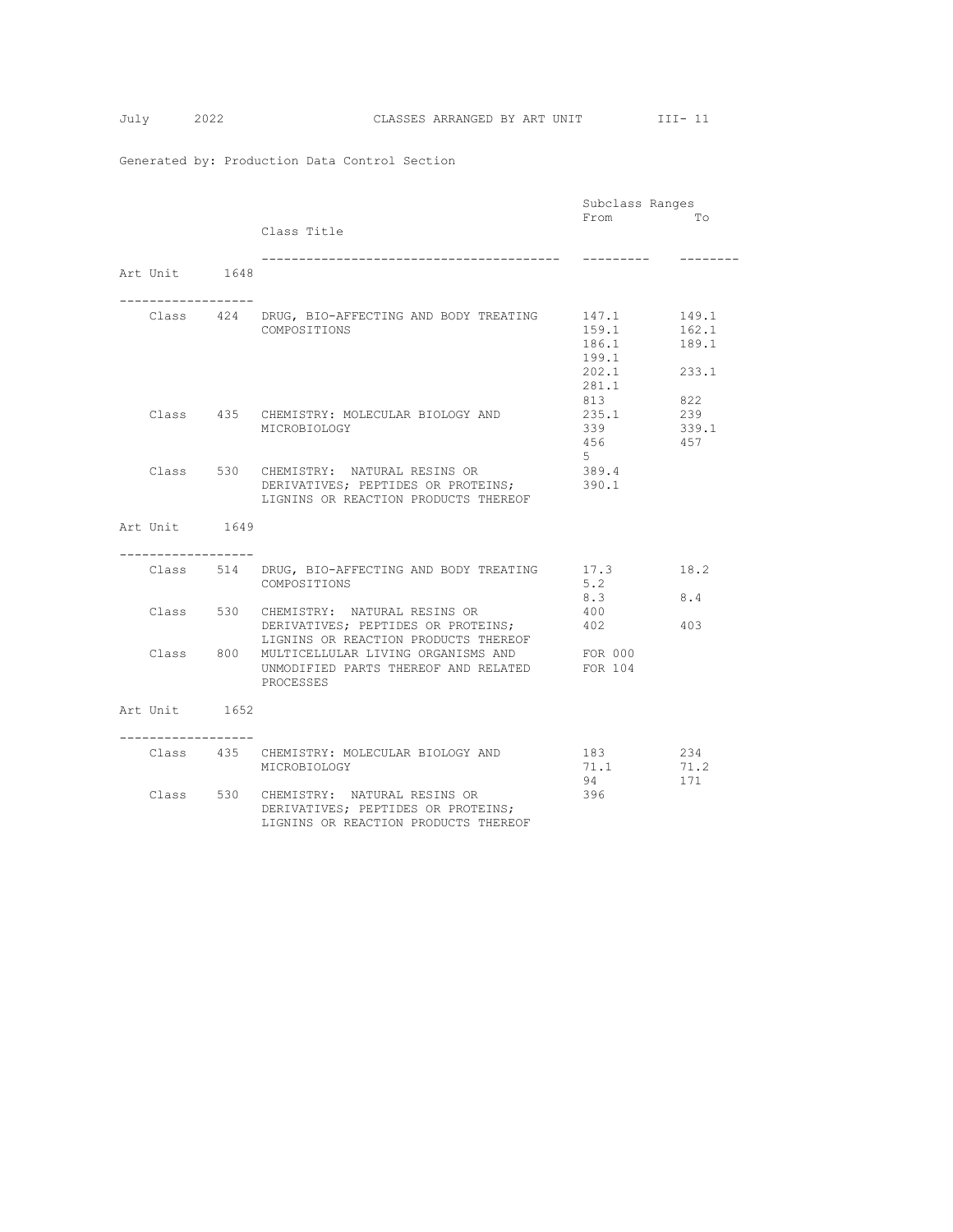|                  |  |                                                 | Subclass Ranges |       |  |
|------------------|--|-------------------------------------------------|-----------------|-------|--|
|                  |  |                                                 | From            | TΟ    |  |
|                  |  | Class Title                                     |                 |       |  |
|                  |  |                                                 |                 |       |  |
|                  |  | ------------------------------------            | ----------      |       |  |
| Art Unit 1648    |  |                                                 |                 |       |  |
|                  |  |                                                 |                 |       |  |
|                  |  |                                                 |                 |       |  |
|                  |  | Class 424 DRUG, BIO-AFFECTING AND BODY TREATING | 147.1           | 149.1 |  |
|                  |  | COMPOSITIONS                                    | 159.1           | 162.1 |  |
|                  |  |                                                 | 186.1           | 189.1 |  |
|                  |  |                                                 | 199.1           |       |  |
|                  |  |                                                 | 202.1           | 233.1 |  |
|                  |  |                                                 | 281.1           |       |  |
|                  |  |                                                 | 813             | 822   |  |
|                  |  | Class 435 CHEMISTRY: MOLECULAR BIOLOGY AND      | 235.1           | 239   |  |
|                  |  | MICROBIOLOGY                                    | 339             | 339.1 |  |
|                  |  |                                                 | 456             | 457   |  |
|                  |  |                                                 | 5               |       |  |
|                  |  | Class 530 CHEMISTRY: NATURAL RESINS OR          | 389.4           |       |  |
|                  |  | DERIVATIVES; PEPTIDES OR PROTEINS;              | 390.1           |       |  |
|                  |  | LIGNINS OR REACTION PRODUCTS THEREOF            |                 |       |  |
|                  |  |                                                 |                 |       |  |
| Art Unit 1649    |  |                                                 |                 |       |  |
|                  |  |                                                 |                 |       |  |
|                  |  |                                                 |                 |       |  |
|                  |  | Class 514 DRUG, BIO-AFFECTING AND BODY TREATING | 17.3            | 18.2  |  |
|                  |  | COMPOSITIONS                                    | 5.2             |       |  |
|                  |  |                                                 | 8.3             | 8.4   |  |
|                  |  | Class 530 CHEMISTRY: NATURAL RESINS OR          | 400             |       |  |
|                  |  | DERIVATIVES; PEPTIDES OR PROTEINS;              | 402             | 403   |  |
|                  |  | LIGNINS OR REACTION PRODUCTS THEREOF            |                 |       |  |
| Class 800        |  | MULTICELLULAR LIVING ORGANISMS AND              | FOR 000         |       |  |
|                  |  | UNMODIFIED PARTS THEREOF AND RELATED            | FOR 104         |       |  |
|                  |  | PROCESSES                                       |                 |       |  |
|                  |  |                                                 |                 |       |  |
| Art Unit 1652    |  |                                                 |                 |       |  |
| ---------------- |  |                                                 |                 |       |  |
|                  |  | Class 435 CHEMISTRY: MOLECULAR BIOLOGY AND      | 183             | 234   |  |
|                  |  | MICROBIOLOGY                                    | 71.1            | 71.2  |  |
|                  |  |                                                 | 94              | 171   |  |
|                  |  |                                                 |                 |       |  |
|                  |  | Class 530 CHEMISTRY: NATURAL RESINS OR          | 396             |       |  |
|                  |  | DERIVATIVES; PEPTIDES OR PROTEINS;              |                 |       |  |
|                  |  | LIGNINS OR REACTION PRODUCTS THEREOF            |                 |       |  |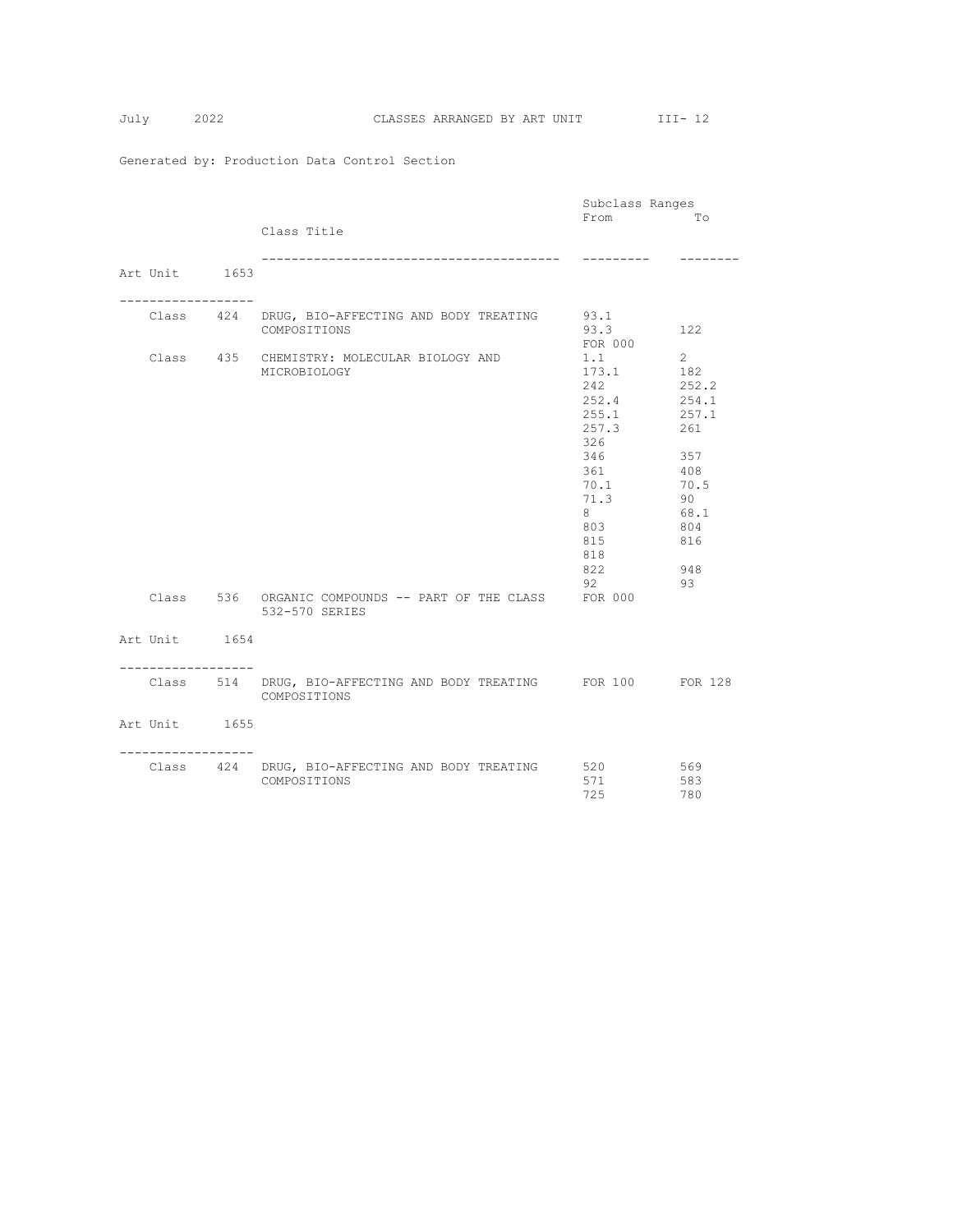|                                    |                                                                                 | Subclass Ranges                                                                                                             |                                                                                                                     |
|------------------------------------|---------------------------------------------------------------------------------|-----------------------------------------------------------------------------------------------------------------------------|---------------------------------------------------------------------------------------------------------------------|
|                                    | Class Title                                                                     | From                                                                                                                        | Tо                                                                                                                  |
| Art Unit 1653                      | --------------------------------                                                | ---------                                                                                                                   |                                                                                                                     |
|                                    | Class 424 DRUG, BIO-AFFECTING AND BODY TREATING<br>COMPOSITIONS                 | 93.1<br>93.3<br>FOR 000                                                                                                     | 122                                                                                                                 |
|                                    | Class 435 CHEMISTRY: MOLECULAR BIOLOGY AND<br>MICROBIOLOGY                      | 1.1<br>173.1<br>2.42<br>252.4<br>255.1<br>257.3<br>326<br>346<br>361<br>70.1<br>71.3<br>8<br>803<br>815<br>818<br>822<br>92 | $2^{\circ}$<br>182<br>252.2<br>254.1<br>257.1<br>261<br>357<br>408<br>70.5<br>90<br>68.1<br>804<br>816<br>948<br>93 |
|                                    | Class 536 ORGANIC COMPOUNDS -- PART OF THE CLASS<br>532-570 SERIES              | FOR 000                                                                                                                     |                                                                                                                     |
| Art Unit 1654<br>----------------- |                                                                                 |                                                                                                                             |                                                                                                                     |
|                                    | Class 514 DRUG, BIO-AFFECTING AND BODY TREATING FOR 100 FOR 128<br>COMPOSITIONS |                                                                                                                             |                                                                                                                     |
| Art Unit 1655                      |                                                                                 |                                                                                                                             |                                                                                                                     |
| ----------------                   | Class 424 DRUG, BIO-AFFECTING AND BODY TREATING 520<br>COMPOSITIONS             | 571<br>725                                                                                                                  | 569<br>583<br>780                                                                                                   |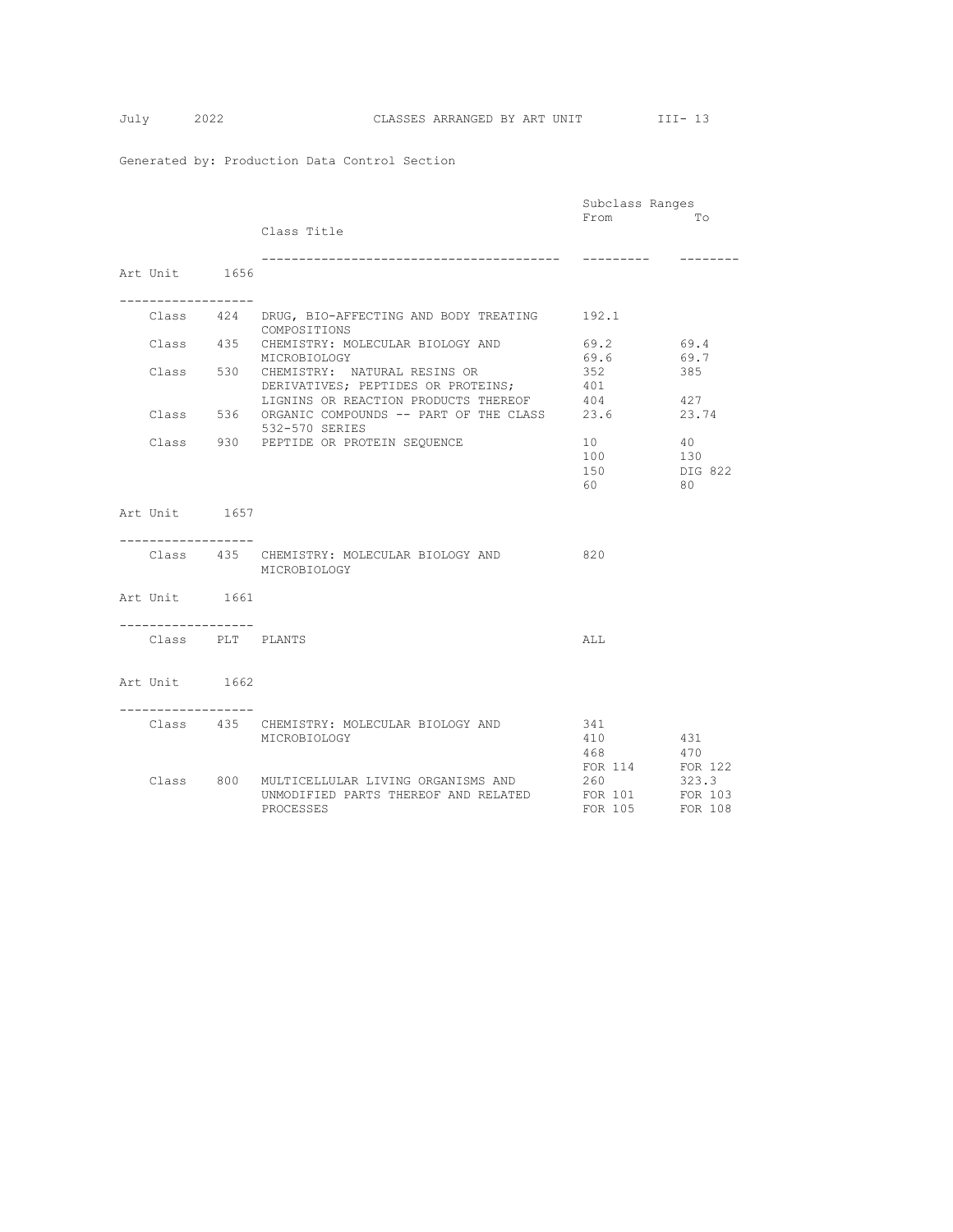|                   |                                                       | Subclass Ranges |         |
|-------------------|-------------------------------------------------------|-----------------|---------|
|                   |                                                       | From            | Tо      |
|                   | Class Title                                           |                 |         |
|                   |                                                       |                 |         |
|                   | __________________________________                    | ----------      |         |
|                   |                                                       |                 |         |
| Art Unit 1656     |                                                       |                 |         |
|                   |                                                       |                 |         |
|                   |                                                       |                 |         |
|                   | Class 424 DRUG, BIO-AFFECTING AND BODY TREATING 192.1 |                 |         |
|                   | COMPOSITIONS                                          |                 |         |
|                   | Class 435 CHEMISTRY: MOLECULAR BIOLOGY AND            | 69.2            | 69.4    |
|                   | MICROBIOLOGY                                          | 69.6            | 69.7    |
|                   | Class 530 CHEMISTRY: NATURAL RESINS OR                |                 |         |
|                   |                                                       | 352             | 385     |
|                   | DERIVATIVES; PEPTIDES OR PROTEINS;                    | 401             |         |
|                   | LIGNINS OR REACTION PRODUCTS THEREOF                  | 404             | 427     |
| Class             | 536 ORGANIC COMPOUNDS -- PART OF THE CLASS            | 23.6            | 23.74   |
|                   | 532-570 SERIES                                        |                 |         |
|                   | Class 930 PEPTIDE OR PROTEIN SEQUENCE                 | 10              | 40      |
|                   |                                                       | 100             | 130     |
|                   |                                                       | 150             | DIG 822 |
|                   |                                                       | 60              | 80      |
|                   |                                                       |                 |         |
|                   |                                                       |                 |         |
| Art Unit 1657     |                                                       |                 |         |
|                   |                                                       |                 |         |
|                   |                                                       |                 |         |
|                   | Class 435 CHEMISTRY: MOLECULAR BIOLOGY AND            | 820             |         |
|                   | MICROBIOLOGY                                          |                 |         |
|                   |                                                       |                 |         |
| Art Unit 1661     |                                                       |                 |         |
|                   |                                                       |                 |         |
| ----------------- |                                                       |                 |         |
|                   |                                                       |                 |         |
| Class PLT PLANTS  |                                                       | ALL             |         |
|                   |                                                       |                 |         |
|                   |                                                       |                 |         |
| Art Unit 1662     |                                                       |                 |         |
|                   |                                                       |                 |         |
|                   |                                                       |                 |         |
|                   | Class 435 CHEMISTRY: MOLECULAR BIOLOGY AND            | 341             |         |
|                   |                                                       | 410             |         |
|                   | MICROBIOLOGY                                          |                 | 431     |
|                   |                                                       | 468 — 168       | 470     |
|                   |                                                       | FOR 114         | FOR 122 |
|                   | Class 800 MULTICELLULAR LIVING ORGANISMS AND          | 260             | 323.3   |
|                   | UNMODIFIED PARTS THEREOF AND RELATED                  | FOR 101         | FOR 103 |
|                   | PROCESSES                                             | FOR 105 FOR 108 |         |
|                   |                                                       |                 |         |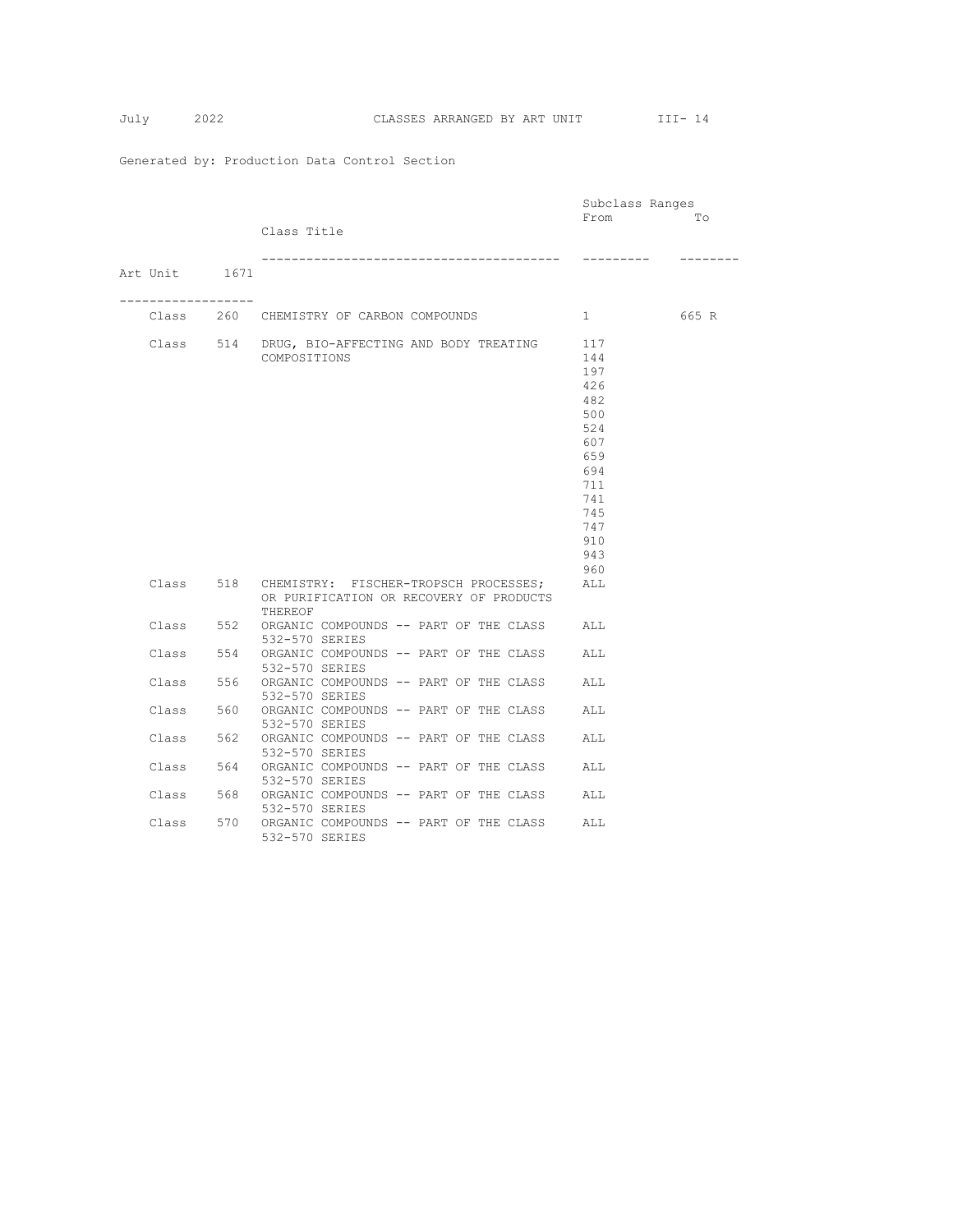|                 |     |                                                                                                       | Subclass Ranges                                                                                              |       |
|-----------------|-----|-------------------------------------------------------------------------------------------------------|--------------------------------------------------------------------------------------------------------------|-------|
|                 |     | Class Title                                                                                           | From                                                                                                         | Tо    |
| Art Unit 1671   |     |                                                                                                       |                                                                                                              |       |
| --------------- |     | Class 260 CHEMISTRY OF CARBON COMPOUNDS                                                               | $1 \quad$                                                                                                    | 665 R |
|                 |     | Class 514 DRUG, BIO-AFFECTING AND BODY TREATING<br>COMPOSITIONS                                       | 117<br>144<br>197<br>426<br>482<br>500<br>524<br>607<br>659<br>694<br>711<br>741<br>745<br>747<br>910<br>943 |       |
|                 |     | Class 518 CHEMISTRY: FISCHER-TROPSCH PROCESSES;<br>OR PURIFICATION OR RECOVERY OF PRODUCTS<br>THEREOF | 960<br>ALL                                                                                                   |       |
| Class           | 552 | ORGANIC COMPOUNDS -- PART OF THE CLASS<br>532-570 SERIES                                              | ALL                                                                                                          |       |
| Class           | 554 | ORGANIC COMPOUNDS -- PART OF THE CLASS<br>532-570 SERIES                                              | ALL                                                                                                          |       |
| Class           | 556 | ORGANIC COMPOUNDS -- PART OF THE CLASS<br>532-570 SERIES                                              | ALL                                                                                                          |       |
| Class           | 560 | ORGANIC COMPOUNDS -- PART OF THE CLASS<br>532-570 SERIES                                              | ALL                                                                                                          |       |
| Class           | 562 | ORGANIC COMPOUNDS -- PART OF THE CLASS<br>532-570 SERIES                                              | ALL                                                                                                          |       |
| Class           | 564 | ORGANIC COMPOUNDS -- PART OF THE CLASS<br>532-570 SERIES                                              | ALL                                                                                                          |       |
| Class           | 568 | ORGANIC COMPOUNDS -- PART OF THE CLASS<br>532-570 SERIES                                              | ALL                                                                                                          |       |
| Class           | 570 | ORGANIC COMPOUNDS -- PART OF THE CLASS<br>532-570 SERIES                                              | ALL                                                                                                          |       |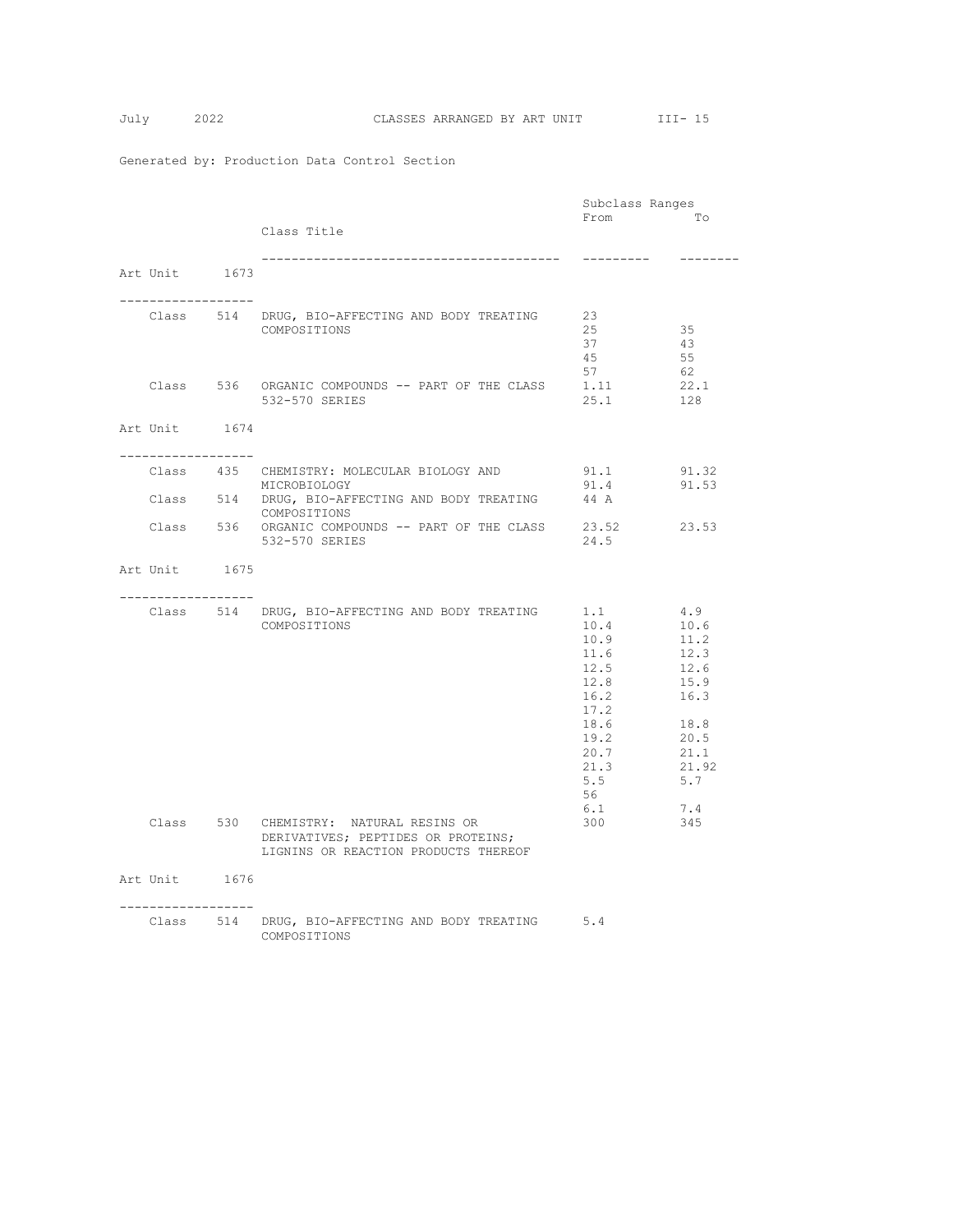|                    |                                                                     | Subclass Ranges |              |
|--------------------|---------------------------------------------------------------------|-----------------|--------------|
|                    |                                                                     | From            | Tо           |
|                    | Class Title                                                         |                 |              |
|                    |                                                                     | ----------      | -------      |
| Art Unit 1673      |                                                                     |                 |              |
|                    |                                                                     |                 |              |
|                    |                                                                     |                 |              |
|                    | Class 514 DRUG, BIO-AFFECTING AND BODY TREATING                     | 23<br>25        | 35           |
|                    | COMPOSITIONS                                                        | 37              | 43           |
|                    |                                                                     | 45              | 55           |
|                    |                                                                     | 57              | 62           |
|                    | Class 536 ORGANIC COMPOUNDS -- PART OF THE CLASS                    | 1.11            | 22.1         |
|                    | 532-570 SERIES                                                      | 25.1            | 128          |
|                    |                                                                     |                 |              |
| Art Unit 1674      |                                                                     |                 |              |
| -----------------  |                                                                     |                 |              |
|                    | Class 435 CHEMISTRY: MOLECULAR BIOLOGY AND                          | 91.1            | 91.32        |
|                    | MICROBIOLOGY                                                        | 91.4            | 91.53        |
|                    | Class 514 DRUG, BIO-AFFECTING AND BODY TREATING                     | 44 A            |              |
|                    | COMPOSITIONS<br>Class 536 ORGANIC COMPOUNDS -- PART OF THE CLASS    | 23.52           | 23.53        |
|                    | 532-570 SERIES                                                      | 24.5            |              |
|                    |                                                                     |                 |              |
| Art Unit 1675      |                                                                     |                 |              |
|                    |                                                                     |                 |              |
| __________________ |                                                                     |                 | 4.9          |
|                    | Class 514 DRUG, BIO-AFFECTING AND BODY TREATING 1.1<br>COMPOSITIONS | 10.4            | 10.6         |
|                    |                                                                     | 10.9            | 11.2         |
|                    |                                                                     | 11.6            | 12.3         |
|                    |                                                                     | 12.5            | 12.6         |
|                    |                                                                     | 12.8            | 15.9         |
|                    |                                                                     | 16.2            | 16.3         |
|                    |                                                                     | 17.2            |              |
|                    |                                                                     | 18.6            | 18.8         |
|                    |                                                                     | 19.2<br>20.7    | 20.5<br>21.1 |
|                    |                                                                     | 21.3            | 21.92        |
|                    |                                                                     | 5.5             | 5.7          |
|                    |                                                                     | 56              |              |
|                    |                                                                     | 6.1             | 7.4          |
|                    | Class 530 CHEMISTRY: NATURAL RESINS OR                              | 300             | 345          |
|                    | DERIVATIVES; PEPTIDES OR PROTEINS;                                  |                 |              |
|                    | LIGNINS OR REACTION PRODUCTS THEREOF                                |                 |              |
| Art Unit 1676      |                                                                     |                 |              |
|                    |                                                                     |                 |              |
| -----------------  |                                                                     |                 |              |
|                    | Class 514 DRUG, BIO-AFFECTING AND BODY TREATING 5.4                 |                 |              |
|                    | COMPOSITIONS                                                        |                 |              |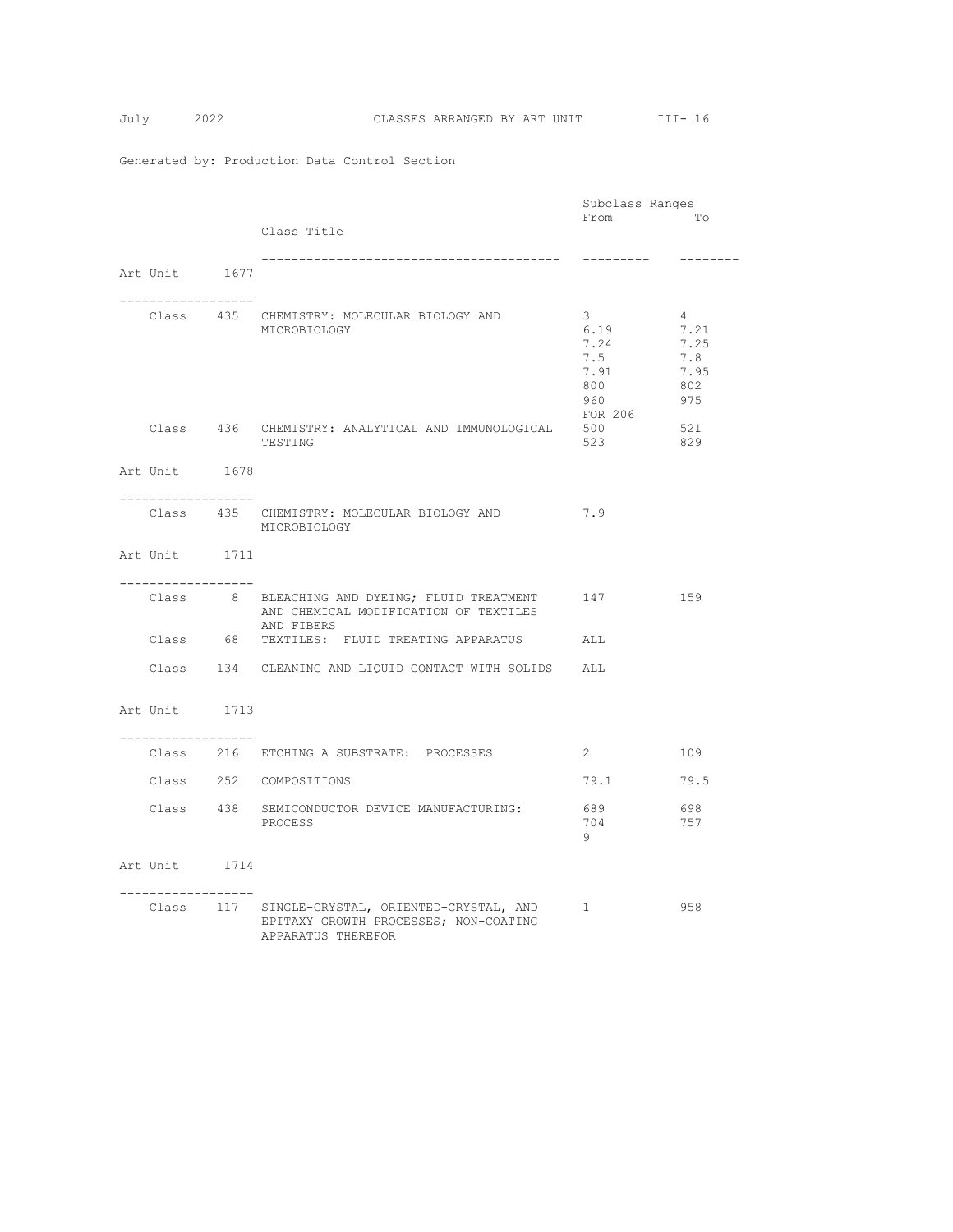|                                     |                                                       | Subclass Ranges |          |
|-------------------------------------|-------------------------------------------------------|-----------------|----------|
|                                     |                                                       | From            | Tо       |
|                                     | Class Title                                           |                 |          |
|                                     |                                                       | ----------      | -------- |
| Art Unit 1677                       |                                                       |                 |          |
|                                     |                                                       |                 |          |
| -----------------                   | Class 435 CHEMISTRY: MOLECULAR BIOLOGY AND            | $\mathbf{3}$    | $4 -$    |
|                                     | MICROBIOLOGY                                          | 6.19            | 7.21     |
|                                     |                                                       | 7.24            | 7.25     |
|                                     |                                                       | 7.5             | 7.8      |
|                                     |                                                       | 7.91            | 7.95     |
|                                     |                                                       | 800             | 802      |
|                                     |                                                       | 960             | 975      |
|                                     | Class 436 CHEMISTRY: ANALYTICAL AND IMMUNOLOGICAL     | FOR 206<br>500  | 521      |
|                                     | TESTING                                               | 523             | 829      |
|                                     |                                                       |                 |          |
| Art Unit 1678                       |                                                       |                 |          |
| -------------------                 |                                                       |                 |          |
|                                     | Class 435 CHEMISTRY: MOLECULAR BIOLOGY AND            | 7.9             |          |
|                                     | MICROBIOLOGY                                          |                 |          |
|                                     |                                                       |                 |          |
| Art Unit 1711                       |                                                       |                 |          |
| ------------------                  |                                                       |                 |          |
|                                     | Class 8 BLEACHING AND DYEING; FLUID TREATMENT 147 159 |                 |          |
|                                     | AND CHEMICAL MODIFICATION OF TEXTILES                 |                 |          |
|                                     | AND FIBERS                                            |                 |          |
|                                     | Class 68 TEXTILES: FLUID TREATING APPARATUS           | ALL             |          |
|                                     |                                                       |                 |          |
|                                     | Class 134 CLEANING AND LIQUID CONTACT WITH SOLIDS ALL |                 |          |
|                                     |                                                       |                 |          |
| Art Unit 1713                       |                                                       |                 |          |
|                                     |                                                       |                 |          |
| . _ _ _ _ _ _ _ _ _ _ _ _ _ _ _ _ _ |                                                       |                 |          |
|                                     | Class 216 ETCHING A SUBSTRATE: PROCESSES              | $2^{\circ}$     | 109      |
|                                     | Class 252 COMPOSITIONS                                | 79.1            | 79.5     |
|                                     |                                                       |                 |          |
|                                     | Class 438 SEMICONDUCTOR DEVICE MANUFACTURING:         | 689             | 698      |
|                                     | PROCESS                                               | 704             | 757      |
|                                     |                                                       | 9               |          |
| Art Unit 1714                       |                                                       |                 |          |
|                                     |                                                       |                 |          |
| -----------------                   |                                                       |                 |          |
|                                     | Class 117 SINGLE-CRYSTAL, ORIENTED-CRYSTAL, AND 1     |                 | 958      |
|                                     | EPITAXY GROWTH PROCESSES; NON-COATING                 |                 |          |
|                                     | APPARATUS THEREFOR                                    |                 |          |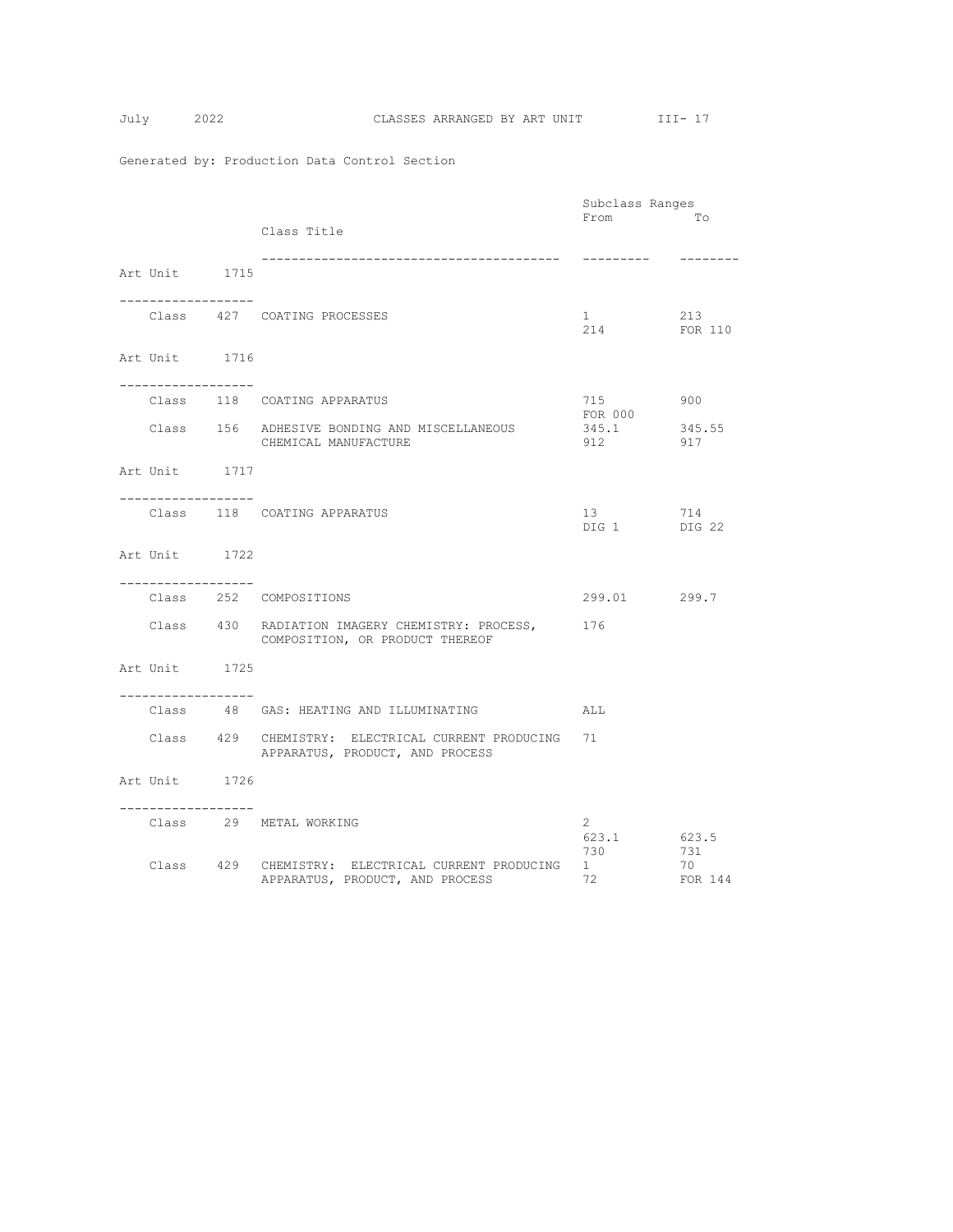$$
July 2
$$

|                                                      |                                                                                        | Subclass Ranges                       |                      |
|------------------------------------------------------|----------------------------------------------------------------------------------------|---------------------------------------|----------------------|
|                                                      | Class Title                                                                            | From                                  | Tо                   |
| Art Unit 1715                                        | --------------------------------------                                                 |                                       |                      |
| . _ _ _ _ _ _ _ _ _ _ _ _ _ _ _ _ _ _                | Class 427 COATING PROCESSES                                                            | $1 \quad \blacksquare$<br>214 FOR 110 | 213                  |
| Art Unit 1716<br>. <u>.</u>                          |                                                                                        |                                       |                      |
|                                                      | Class 118 COATING APPARATUS                                                            | 715<br>FOR 000                        | 900                  |
|                                                      | Class 156 ADHESIVE BONDING AND MISCELLANEOUS<br>CHEMICAL MANUFACTURE                   | 345.1<br>912                          | 345.55<br>917        |
| Art Unit 1717                                        |                                                                                        |                                       |                      |
| . _ _ _ _ _ _ _ _ _ _ _ _ _ _ _ _ _                  | Class 118 COATING APPARATUS                                                            | 13<br>DIG 1 DIG 22                    | 714                  |
| Art Unit 1722                                        |                                                                                        |                                       |                      |
| . _ _ _ _ _ _ _ _ _ _ _ _ _ _ _ _ _                  | Class 252 COMPOSITIONS                                                                 | 299.01 299.7                          |                      |
|                                                      | Class 430 RADIATION IMAGERY CHEMISTRY: PROCESS, 176<br>COMPOSITION, OR PRODUCT THEREOF |                                       |                      |
| Art Unit 1725<br>. _ _ _ _ _ _ _ _ _ _ _ _ _ _ _ _ _ |                                                                                        |                                       |                      |
|                                                      | Class 48 GAS: HEATING AND ILLUMINATING                                                 | ALL                                   |                      |
|                                                      | Class 429 CHEMISTRY: ELECTRICAL CURRENT PRODUCING<br>APPARATUS, PRODUCT, AND PROCESS   | 71                                    |                      |
| Art Unit 1726                                        |                                                                                        |                                       |                      |
| -----------------                                    | Class 29 METAL WORKING                                                                 | $\mathbf{2}$<br>623.1                 | 623.5                |
|                                                      | Class 429 CHEMISTRY: ELECTRICAL CURRENT PRODUCING<br>APPARATUS, PRODUCT, AND PROCESS   | 730<br>1<br>72                        | 731<br>70<br>FOR 144 |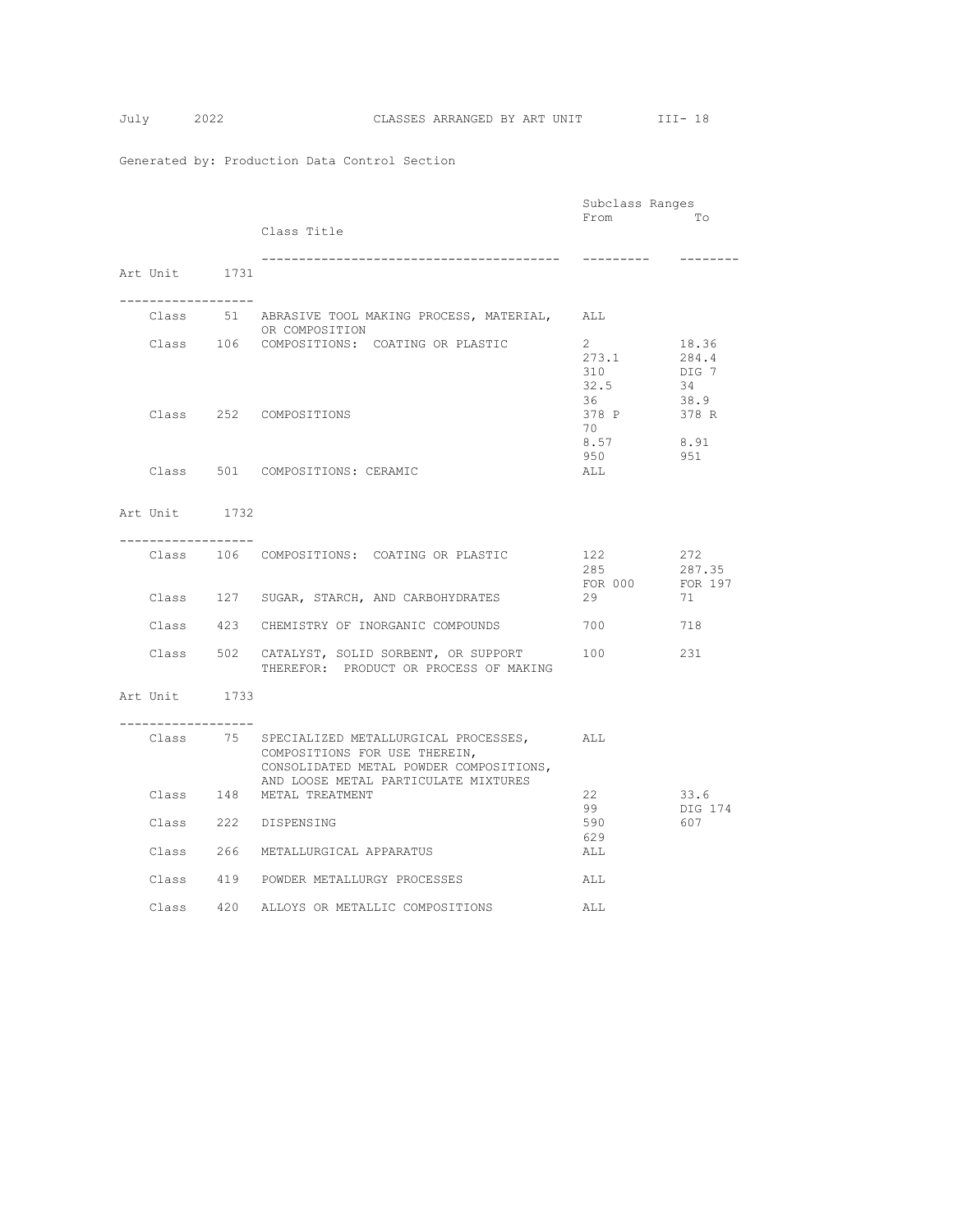|                   |                                                              | Subclass Ranges |          |
|-------------------|--------------------------------------------------------------|-----------------|----------|
|                   |                                                              | From            | Tо       |
|                   | Class Title                                                  |                 |          |
|                   |                                                              | ----------      | -------- |
| Art Unit 1731     |                                                              |                 |          |
|                   |                                                              |                 |          |
| ----------------- |                                                              |                 |          |
|                   | Class 51 ABRASIVE TOOL MAKING PROCESS, MATERIAL,             | ALL             |          |
|                   | OR COMPOSITION<br>Class 106 COMPOSITIONS: COATING OR PLASTIC | $2^{\circ}$     | 18.36    |
|                   |                                                              | 273.1           | 284.4    |
|                   |                                                              | 310             | DIG 7    |
|                   |                                                              | 32.5            | - 34     |
|                   |                                                              | 36              | 38.9     |
|                   | Class 252 COMPOSITIONS                                       | 378 P           | 378 R    |
|                   |                                                              | 70              |          |
|                   |                                                              | 8.57            | 8.91     |
|                   |                                                              | 950             | 951      |
|                   | Class 501 COMPOSITIONS: CERAMIC                              | ALL             |          |
|                   |                                                              |                 |          |
| Art Unit 1732     |                                                              |                 |          |
|                   |                                                              |                 |          |
| ----------------- |                                                              |                 |          |
|                   | Class 106 COMPOSITIONS: COATING OR PLASTIC                   | 122             | 272      |
|                   |                                                              | 285             | 287.35   |
|                   |                                                              | FOR 000 FOR 197 |          |
|                   | Class 127 SUGAR, STARCH, AND CARBOHYDRATES                   | 29              | 71       |
|                   | Class 423 CHEMISTRY OF INORGANIC COMPOUNDS                   | 700             | 718      |
|                   |                                                              |                 |          |
|                   | Class 502 CATALYST, SOLID SORBENT, OR SUPPORT                | 100             | 231      |
|                   | THEREFOR: PRODUCT OR PROCESS OF MAKING                       |                 |          |
|                   |                                                              |                 |          |
| Art Unit 1733     |                                                              |                 |          |
| ---------------   |                                                              |                 |          |
|                   | Class 75 SPECIALIZED METALLURGICAL PROCESSES,                | ALL             |          |
|                   | COMPOSITIONS FOR USE THEREIN,                                |                 |          |
|                   | CONSOLIDATED METAL POWDER COMPOSITIONS,                      |                 |          |
|                   | AND LOOSE METAL PARTICULATE MIXTURES                         |                 |          |
|                   | Class 148 METAL TREATMENT                                    | 22              | 33.6     |
|                   |                                                              | 99              | DIG 174  |
|                   | Class 222 DISPENSING                                         | 590             | 607      |
|                   | Class 266 METALLURGICAL APPARATUS                            | 629             |          |
|                   |                                                              | ALL             |          |
|                   | Class 419 POWDER METALLURGY PROCESSES                        | ALL             |          |
|                   |                                                              |                 |          |
|                   | Class 420 ALLOYS OR METALLIC COMPOSITIONS                    | ALL             |          |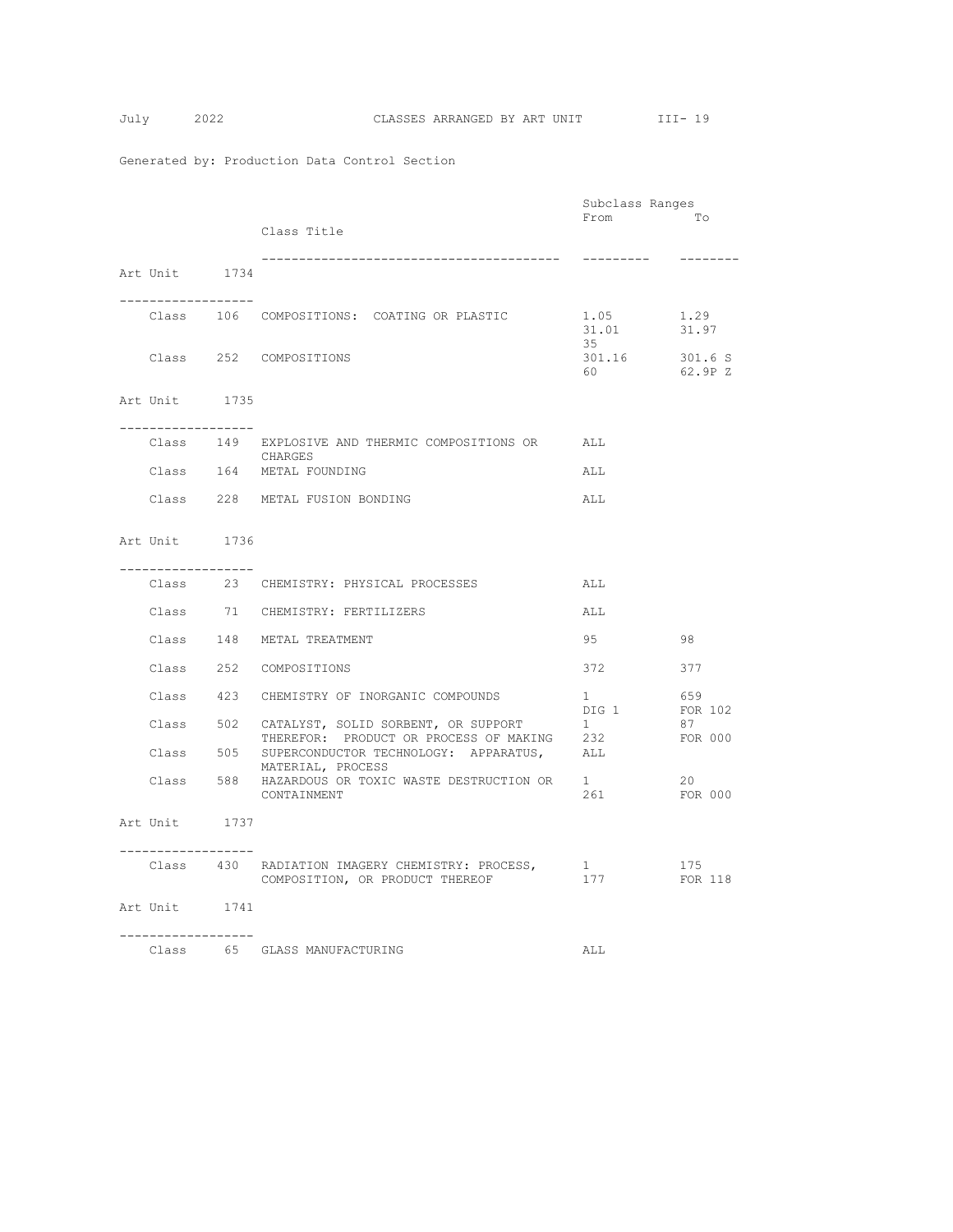$$
Tuly \qquad \qquad 2
$$

|                                     |                                                                                                                        | Subclass Ranges               |                    |
|-------------------------------------|------------------------------------------------------------------------------------------------------------------------|-------------------------------|--------------------|
|                                     | Class Title                                                                                                            | From                          | To                 |
| Art Unit 1734                       |                                                                                                                        | ----------                    | ---------          |
| . <u>.</u> .                        |                                                                                                                        |                               |                    |
|                                     | Class 106 COMPOSITIONS: COATING OR PLASTIC                                                                             | 1.05<br>31.01<br>35           | 1.29<br>31.97      |
|                                     | Class 252 COMPOSITIONS                                                                                                 | 301.16<br>60 000              | 301.6 S<br>62.9P Z |
| Art Unit 1735                       |                                                                                                                        |                               |                    |
| . _ _ _ _ _ _ _ _ _ _ _ _ _ _ _ _ _ | Class 149 EXPLOSIVE AND THERMIC COMPOSITIONS OR ALL<br>CHARGES                                                         |                               |                    |
|                                     | Class 164 METAL FOUNDING                                                                                               | ALL                           |                    |
|                                     | Class 228 METAL FUSION BONDING                                                                                         | ALL                           |                    |
| Art Unit 1736                       |                                                                                                                        |                               |                    |
| -----------------                   | Class 23 CHEMISTRY: PHYSICAL PROCESSES                                                                                 | ALL                           |                    |
|                                     | Class 71 CHEMISTRY: FERTILIZERS                                                                                        | ALL                           |                    |
|                                     | Class 148 METAL TREATMENT                                                                                              | 95<br>98                      |                    |
|                                     | Class 252 COMPOSITIONS                                                                                                 | 372                           | 377                |
|                                     | Class 423 CHEMISTRY OF INORGANIC COMPOUNDS                                                                             | $1 \qquad \qquad$             | 659                |
|                                     | Class 502 CATALYST, SOLID SORBENT, OR SUPPORT                                                                          | DIG 1<br>1                    | FOR 102<br>87      |
|                                     | THEREFOR: PRODUCT OR PROCESS OF MAKING 232<br>Class 505 SUPERCONDUCTOR TECHNOLOGY: APPARATUS, ALL<br>MATERIAL, PROCESS |                               | FOR 000            |
|                                     | Class 588 HAZARDOUS OR TOXIC WASTE DESTRUCTION OR 1<br>CONTAINMENT                                                     | 261                           | 20<br>FOR 000      |
| Art Unit 1737                       |                                                                                                                        |                               |                    |
| ------------------                  | Class 430 RADIATION IMAGERY CHEMISTRY: PROCESS,<br>COMPOSITION, OR PRODUCT THEREOF                                     | $1 \quad \blacksquare$<br>177 | 175<br>FOR 118     |
| Art Unit 1741                       |                                                                                                                        |                               |                    |
| . <u>.</u>                          | Class 65 GLASS MANUFACTURING                                                                                           | ALL                           |                    |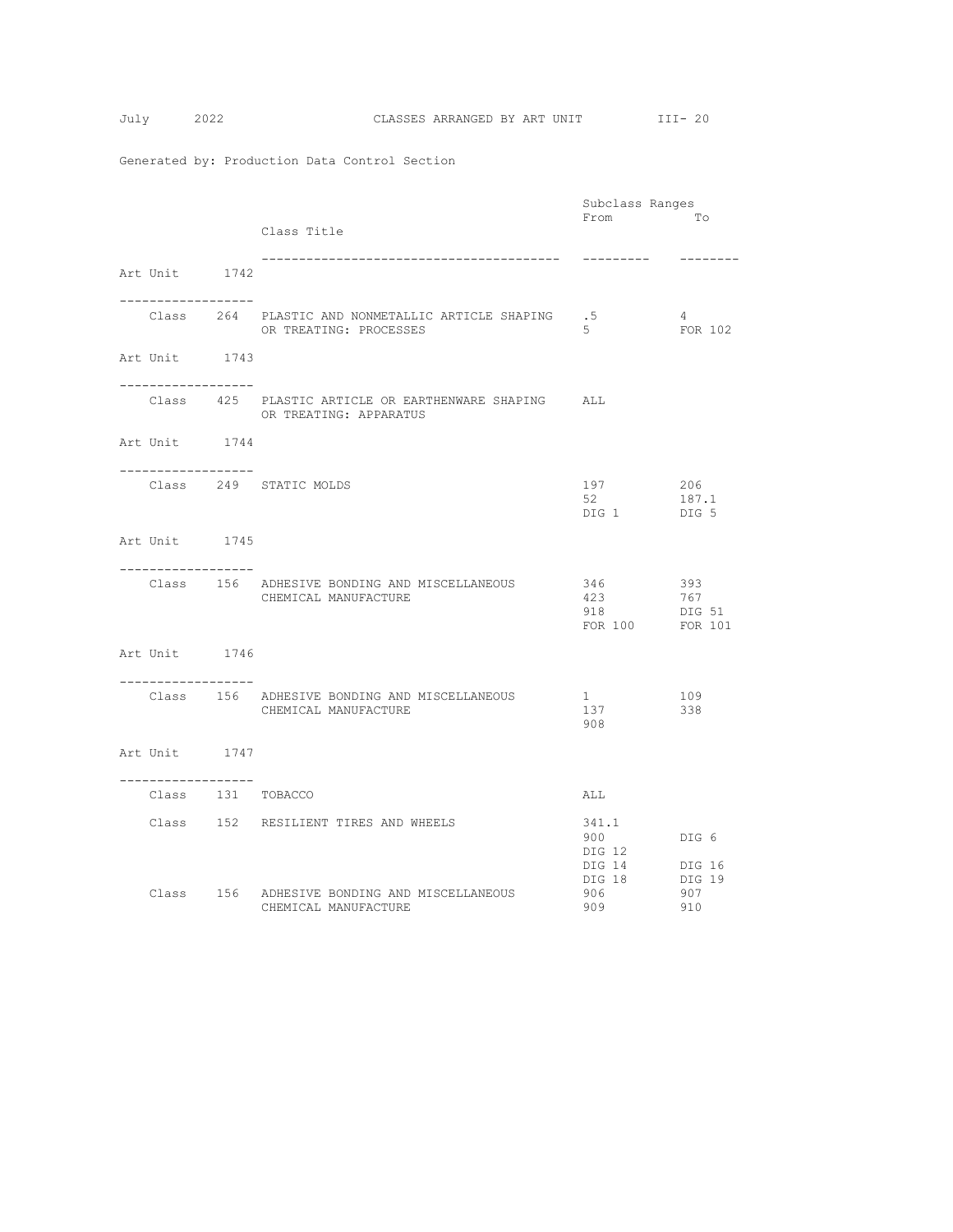|                                        |                                                                      | Subclass Ranges         |            |
|----------------------------------------|----------------------------------------------------------------------|-------------------------|------------|
|                                        |                                                                      | From                    | To         |
|                                        | Class Title                                                          |                         |            |
|                                        | ______________________________________                               | ----------              |            |
| Art Unit 1742                          |                                                                      |                         |            |
|                                        |                                                                      |                         |            |
| -----------------                      |                                                                      |                         |            |
|                                        | Class 264 PLASTIC AND NONMETALLIC ARTICLE SHAPING .5                 |                         | 4          |
|                                        | OR TREATING: PROCESSES                                               | 5                       | FOR 102    |
| Art Unit 1743                          |                                                                      |                         |            |
|                                        |                                                                      |                         |            |
| . _ _ _ _ _ _ _ _ _ _ _ _ _ _ _ _ _    |                                                                      |                         |            |
|                                        | Class 425 PLASTIC ARTICLE OR EARTHENWARE SHAPING ALL                 |                         |            |
|                                        | OR TREATING: APPARATUS                                               |                         |            |
| Art Unit 1744                          |                                                                      |                         |            |
|                                        |                                                                      |                         |            |
| -----------------                      |                                                                      |                         |            |
|                                        | Class 249 STATIC MOLDS                                               | 197                     | 206        |
|                                        |                                                                      |                         | 187.1      |
|                                        |                                                                      | DIG 1                   | DIG 5      |
| Art Unit 1745                          |                                                                      |                         |            |
|                                        |                                                                      |                         |            |
| -----------------                      |                                                                      |                         |            |
|                                        | Class 156 ADHESIVE BONDING AND MISCELLANEOUS                         | 346                     | 393        |
|                                        | CHEMICAL MANUFACTURE                                                 | 423<br>918              | 767        |
|                                        |                                                                      | FOR 100 FOR 101         | DIG 51     |
|                                        |                                                                      |                         |            |
| Art Unit 1746                          |                                                                      |                         |            |
|                                        |                                                                      |                         |            |
| . _ _ _ _ _ _ _ _ _ _ _ _ _ _ _ _      |                                                                      |                         |            |
|                                        | Class 156 ADHESIVE BONDING AND MISCELLANEOUS<br>CHEMICAL MANUFACTURE | 1<br>137                | 109<br>338 |
|                                        |                                                                      | 908                     |            |
|                                        |                                                                      |                         |            |
| Art Unit 1747                          |                                                                      |                         |            |
|                                        |                                                                      |                         |            |
| -----------------<br>Class 131 TOBACCO |                                                                      | ALL                     |            |
|                                        |                                                                      |                         |            |
|                                        | Class 152 RESILIENT TIRES AND WHEELS                                 | 341.1                   |            |
|                                        |                                                                      | 900 - 100               | DIG 6      |
|                                        |                                                                      | DIG 12                  |            |
|                                        |                                                                      | DIG 14 DIG 16<br>DIG 18 | DIG 19     |
|                                        | Class 156 ADHESIVE BONDING AND MISCELLANEOUS                         | 906 -                   | 907        |
|                                        | CHEMICAL MANUFACTURE                                                 | 909                     | 910        |
|                                        |                                                                      |                         |            |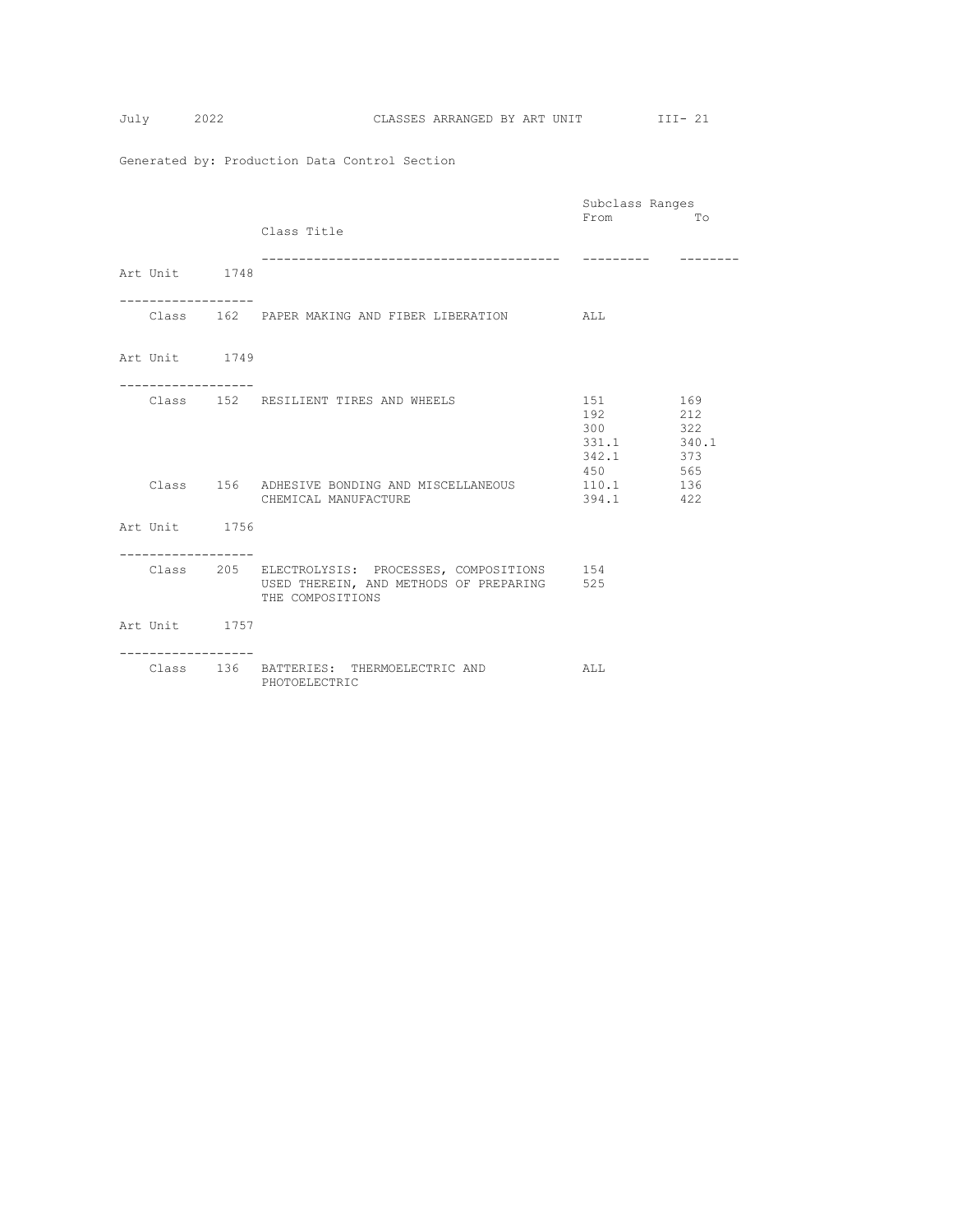|                                  |                                                                                                                       | Subclass Ranges                                                 |                                 |
|----------------------------------|-----------------------------------------------------------------------------------------------------------------------|-----------------------------------------------------------------|---------------------------------|
|                                  | Class Title<br>----------------------------                                                                           | From                                                            | To                              |
| Art Unit 1748                    |                                                                                                                       |                                                                 |                                 |
|                                  | Class 162 PAPER MAKING AND FIBER LIBERATION ALL                                                                       |                                                                 |                                 |
| Art Unit 1749<br>-------------   |                                                                                                                       |                                                                 |                                 |
|                                  | Class 152 RESILIENT TIRES AND WHEELS                                                                                  | 151 000<br>192 and $\sim$<br>300<br>331.1 340.1<br>342.1<br>450 | 169<br>212<br>322<br>373<br>565 |
|                                  | Class 156 ADHESIVE BONDING AND MISCELLANEOUS<br>CHEMICAL MANUFACTURE                                                  | 110.1<br>394.1                                                  | 136<br>422                      |
| Art Unit 1756<br>--------------- |                                                                                                                       |                                                                 |                                 |
|                                  | Class 205 ELECTROLYSIS: PROCESSES, COMPOSITIONS 154<br>USED THEREIN, AND METHODS OF PREPARING 525<br>THE COMPOSITIONS |                                                                 |                                 |
| Art Unit 1757                    |                                                                                                                       |                                                                 |                                 |
|                                  | Class 136 BATTERIES: THERMOELECTRIC AND<br>PHOTOELECTRIC                                                              | ALL                                                             |                                 |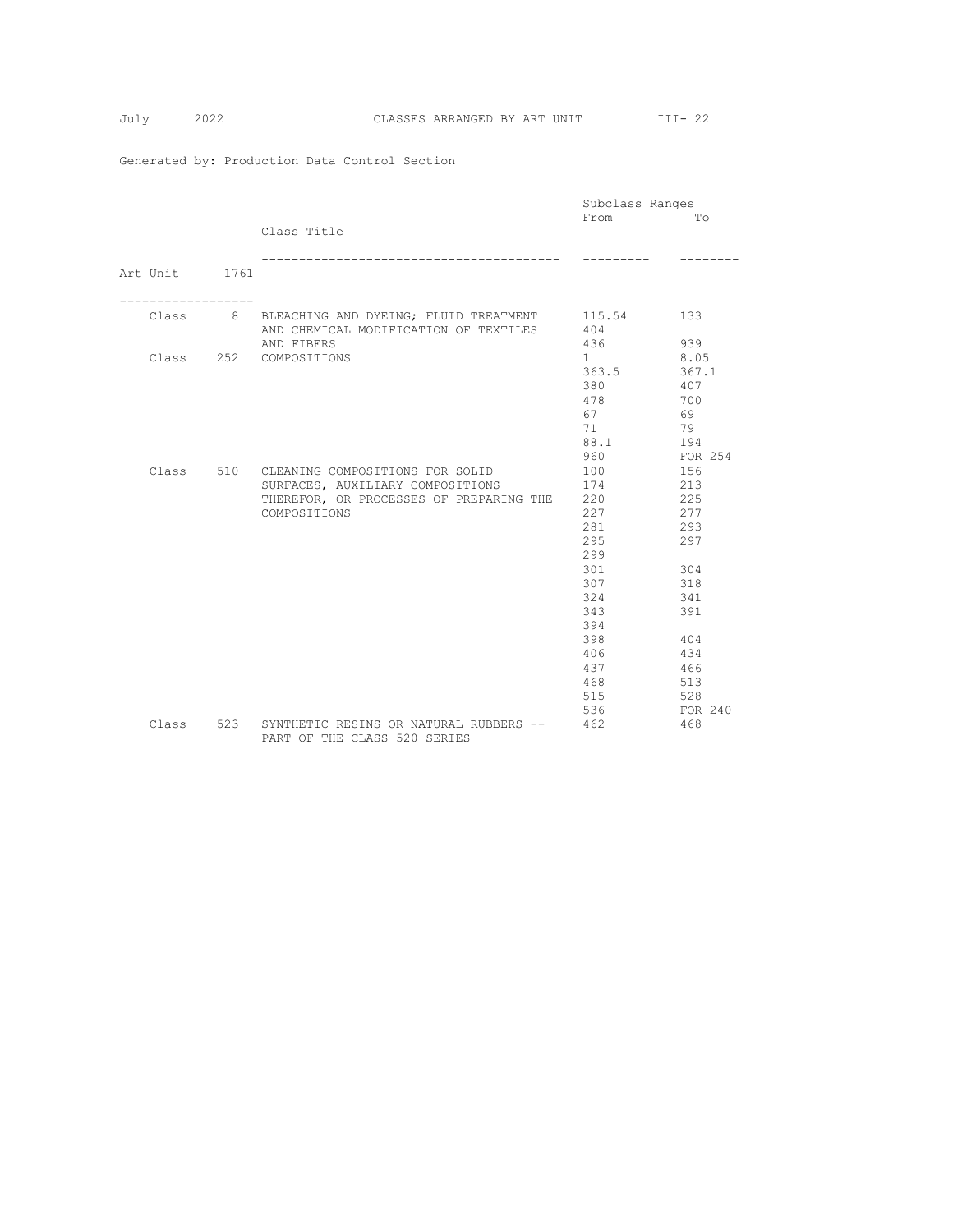|               |                                                                            | Subclass Ranges        |         |
|---------------|----------------------------------------------------------------------------|------------------------|---------|
|               |                                                                            | From                   | Tо      |
|               | Class Title                                                                |                        |         |
|               |                                                                            |                        |         |
|               | _________________________________                                          |                        |         |
| Art Unit 1761 |                                                                            |                        |         |
|               |                                                                            |                        |         |
|               | Class 8 BLEACHING AND DYEING; FLUID TREATMENT                              | 115.54                 | 133     |
|               | AND CHEMICAL MODIFICATION OF TEXTILES                                      | 404                    |         |
|               | AND FIBERS                                                                 | 436                    | 939     |
|               | Class 252 COMPOSITIONS                                                     | $1 \quad \blacksquare$ | 8.05    |
|               |                                                                            | 363.5                  | 367.1   |
|               |                                                                            | 380                    | 407     |
|               |                                                                            | 478                    | 700     |
|               |                                                                            | 67                     | 69      |
|               |                                                                            | 71                     | 79      |
|               |                                                                            | 88.1                   | 194     |
|               |                                                                            | 960                    | FOR 254 |
|               | Class 510 CLEANING COMPOSITIONS FOR SOLID                                  | 100                    | 156     |
|               | SURFACES, AUXILIARY COMPOSITIONS                                           | 174                    | 213     |
|               | THEREFOR, OR PROCESSES OF PREPARING THE 220                                |                        | 225     |
|               | COMPOSITIONS                                                               | 227                    | 277     |
|               |                                                                            | 281                    | 293     |
|               |                                                                            | 295                    | 297     |
|               |                                                                            | 299                    |         |
|               |                                                                            | 301                    | 304     |
|               |                                                                            | 307                    | 318     |
|               |                                                                            | 324                    | 341     |
|               |                                                                            | 343                    | 391     |
|               |                                                                            | 394                    |         |
|               |                                                                            | 398                    | 404     |
|               |                                                                            | 406                    | 434     |
|               |                                                                            | 437                    | 466     |
|               |                                                                            | 468                    | 513     |
|               |                                                                            | 515                    | 528     |
|               |                                                                            | 536                    | FOR 240 |
| Class         | 523 SYNTHETIC RESINS OR NATURAL RUBBERS --<br>PART OF THE CLASS 520 SERIES | 462                    | 468     |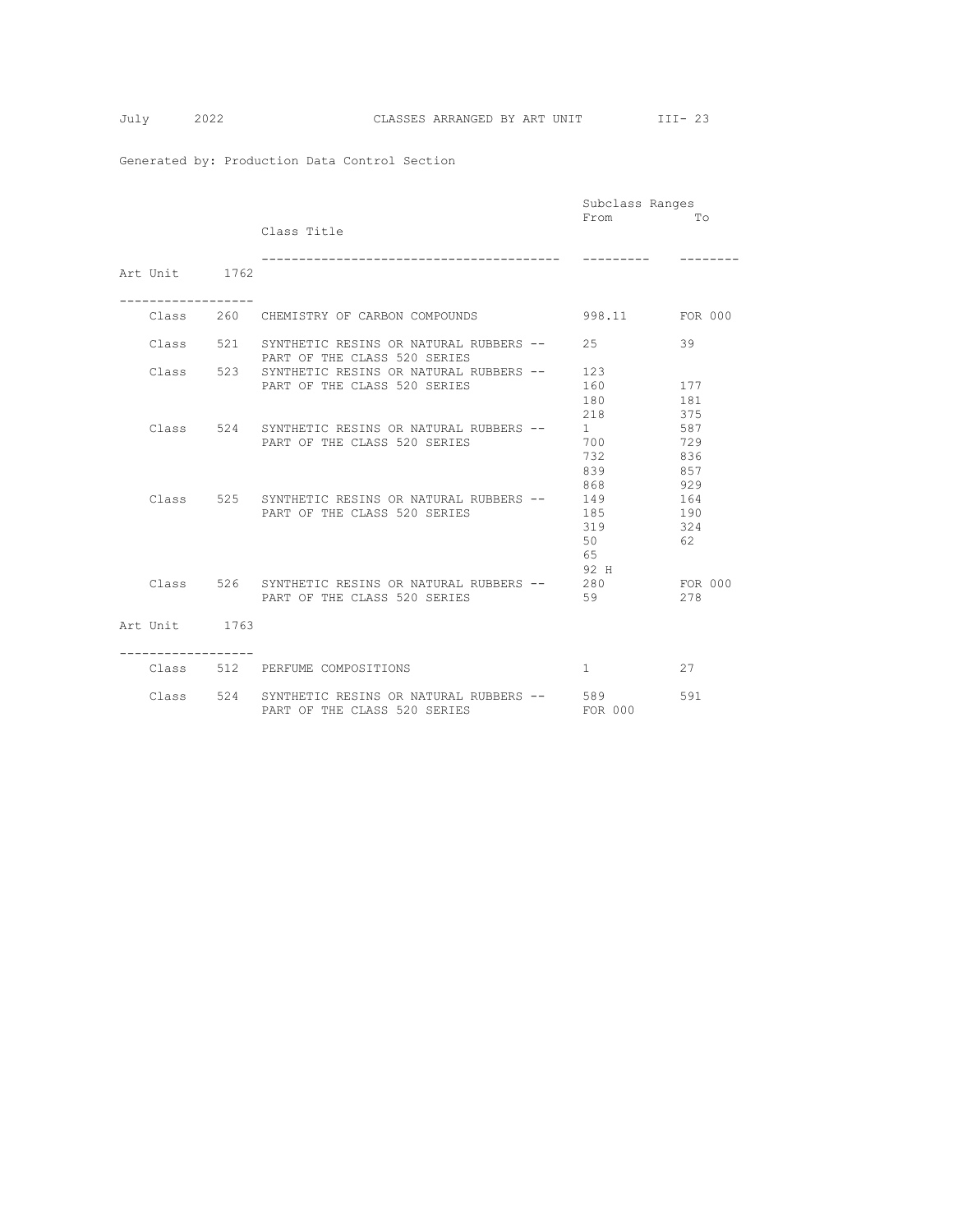|               |                                                      | Subclass Ranges |         |
|---------------|------------------------------------------------------|-----------------|---------|
|               |                                                      | From            | Tо      |
|               | Class Title                                          |                 |         |
|               |                                                      |                 |         |
|               |                                                      |                 |         |
| Art Unit 1762 |                                                      |                 |         |
|               |                                                      |                 |         |
|               |                                                      |                 |         |
|               | Class 260 CHEMISTRY OF CARBON COMPOUNDS              | 998.11 FOR 000  |         |
|               | Class 521 SYNTHETIC RESINS OR NATURAL RUBBERS --     | 2.5             | 39      |
|               | PART OF THE CLASS 520 SERIES                         |                 |         |
| Class         | 523 SYNTHETIC RESINS OR NATURAL RUBBERS --           | 123             |         |
|               | PART OF THE CLASS 520 SERIES                         | 160             | 177     |
|               |                                                      | 180             | 181     |
|               |                                                      | 218             | 375     |
|               | Class 524 SYNTHETIC RESINS OR NATURAL RUBBERS --     | 1               | 587     |
|               | PART OF THE CLASS 520 SERIES                         | 700             | 729     |
|               |                                                      | 732             | 836     |
|               |                                                      | 839             | 857     |
|               |                                                      | 868             | 929     |
|               | Class 525 SYNTHETIC RESINS OR NATURAL RUBBERS --     | 149             | 164     |
|               | PART OF THE CLASS 520 SERIES                         | 185             | 190     |
|               |                                                      | 319             | 324     |
|               |                                                      | 50              | 62      |
|               |                                                      | 65              |         |
|               |                                                      | 92 H            |         |
|               | Class 526 SYNTHETIC RESINS OR NATURAL RUBBERS -- 280 |                 | FOR 000 |
|               | PART OF THE CLASS 520 SERIES                         | 59              | 278     |
|               |                                                      |                 |         |
| Art Unit 1763 |                                                      |                 |         |
|               |                                                      |                 |         |
|               |                                                      |                 |         |
|               | Class 512 PERFUME COMPOSITIONS                       | $1 \quad$       | 27      |
|               |                                                      |                 |         |
|               | Class 524 SYNTHETIC RESINS OR NATURAL RUBBERS --     | 589             | 591     |
|               | PART OF THE CLASS 520 SERIES                         | FOR 000         |         |
|               |                                                      |                 |         |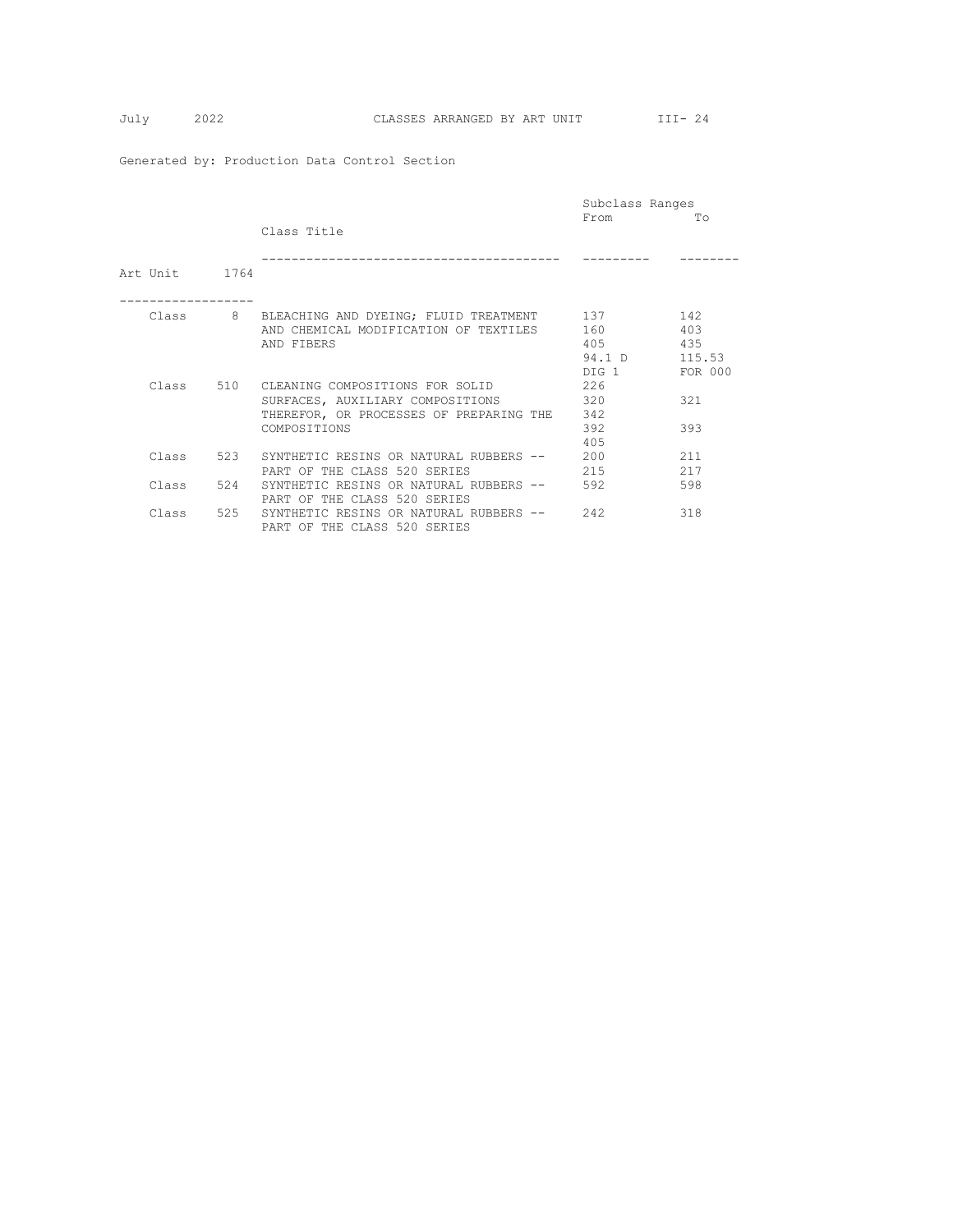|                |     |                                           | Subclass Ranges |         |
|----------------|-----|-------------------------------------------|-----------------|---------|
|                |     |                                           | From            | Tо      |
|                |     | Class Title                               |                 |         |
|                |     |                                           |                 |         |
|                |     |                                           |                 |         |
| Art Unit. 1764 |     |                                           |                 |         |
|                |     |                                           |                 |         |
| Class          |     | 8 BLEACHING AND DYEING; FLUID TREATMENT   | 137             | 142     |
|                |     | AND CHEMICAL MODIFICATION OF TEXTILES     | 160             | 403     |
|                |     | AND FIBERS                                | 405             | 435     |
|                |     |                                           |                 |         |
|                |     |                                           | 94.1 D          | 115.53  |
|                |     |                                           | DIG 1           | FOR 000 |
|                |     | Class 510 CLEANING COMPOSITIONS FOR SOLID | 226             |         |
|                |     | SURFACES, AUXILIARY COMPOSITIONS          | 320             | 321     |
|                |     | THEREFOR, OR PROCESSES OF PREPARING THE   | 342             |         |
|                |     | COMPOSITIONS                              | 392             | 393     |
|                |     |                                           | 405             |         |
| Class          | 523 | SYNTHETIC RESINS OR NATURAL RUBBERS --    | 200             | 211     |
|                |     |                                           |                 |         |
|                |     | PART OF THE CLASS 520 SERIES              | 215             | 217     |
| Class          | 524 | SYNTHETIC RESINS OR NATURAL RUBBERS --    | 592             | 598     |
|                |     | PART OF THE CLASS 520 SERIES              |                 |         |
| Class          | 525 | SYNTHETIC RESINS OR NATURAL RUBBERS --    | 2.42            | 318     |
|                |     | PART OF THE CLASS 520 SERIES              |                 |         |
|                |     |                                           |                 |         |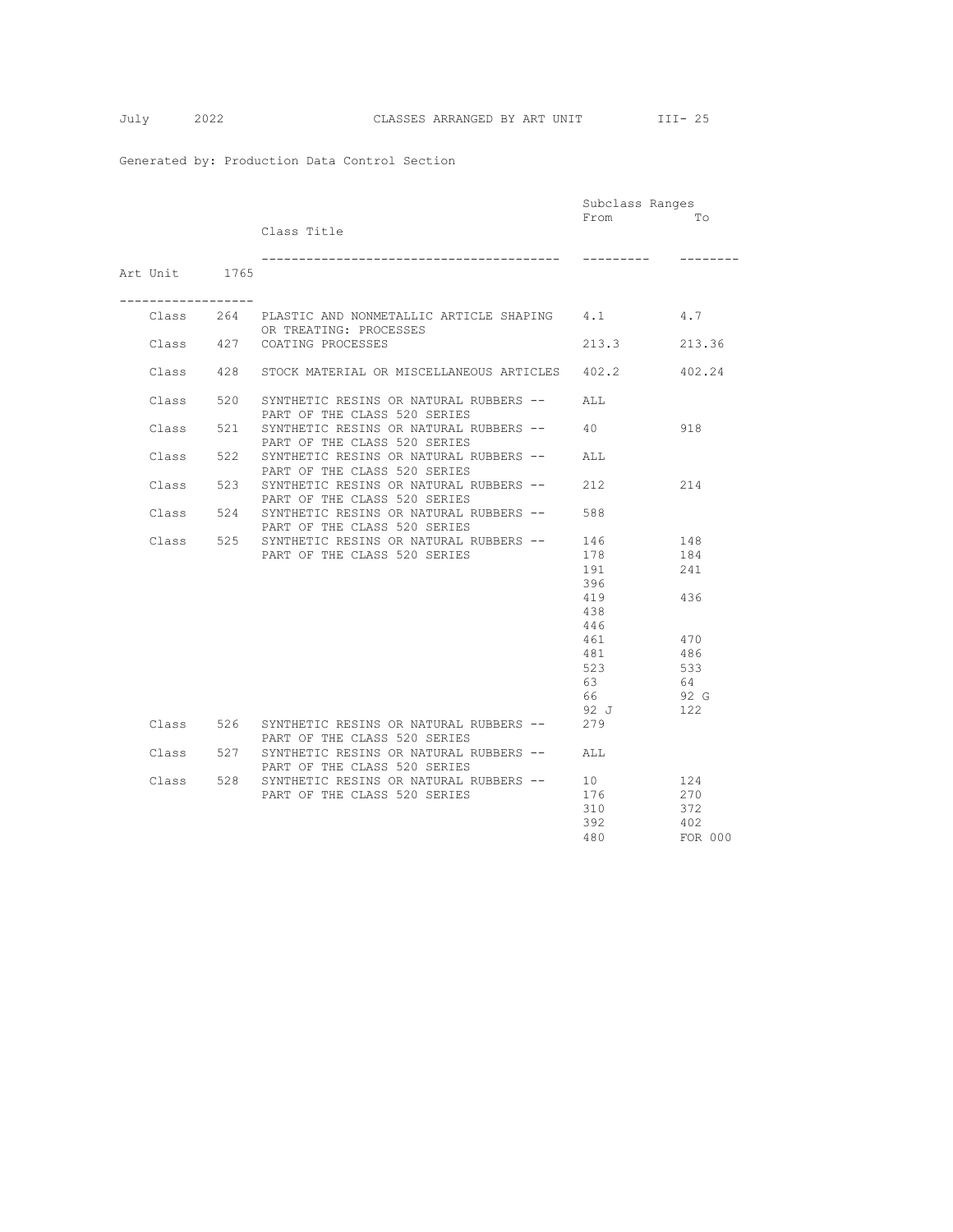|                                   |     |                                                                        | Subclass Ranges |         |
|-----------------------------------|-----|------------------------------------------------------------------------|-----------------|---------|
|                                   |     |                                                                        | From            | Tо      |
|                                   |     | Class Title                                                            |                 |         |
|                                   |     |                                                                        |                 |         |
|                                   |     |                                                                        |                 |         |
| Art Unit 1765                     |     |                                                                        |                 |         |
| . _ _ _ _ _ _ _ _ _ _ _ _ _ _ _ _ |     |                                                                        |                 |         |
|                                   |     | Class 264 PLASTIC AND NONMETALLIC ARTICLE SHAPING 4.1                  |                 | 4.7     |
|                                   |     | OR TREATING: PROCESSES                                                 |                 |         |
| Class 427                         |     | COATING PROCESSES                                                      | 213.3           | 213.36  |
|                                   |     |                                                                        |                 |         |
| Class                             | 428 | STOCK MATERIAL OR MISCELLANEOUS ARTICLES                               | 402.2           | 402.24  |
|                                   |     |                                                                        |                 |         |
| Class                             | 520 | SYNTHETIC RESINS OR NATURAL RUBBERS --                                 | ALL             |         |
|                                   |     | PART OF THE CLASS 520 SERIES                                           |                 |         |
| Class                             | 521 | SYNTHETIC RESINS OR NATURAL RUBBERS --                                 | 40              | 918     |
|                                   |     | PART OF THE CLASS 520 SERIES                                           |                 |         |
| Class                             | 522 | SYNTHETIC RESINS OR NATURAL RUBBERS --                                 | AT.T.           |         |
|                                   |     | PART OF THE CLASS 520 SERIES                                           |                 |         |
| Class                             | 523 | SYNTHETIC RESINS OR NATURAL RUBBERS --                                 | 212             | 214     |
| Class                             | 524 | PART OF THE CLASS 520 SERIES<br>SYNTHETIC RESINS OR NATURAL RUBBERS -- | 588             |         |
|                                   |     | PART OF THE CLASS 520 SERIES                                           |                 |         |
| Class                             |     | 525 SYNTHETIC RESINS OR NATURAL RUBBERS --                             | 146             | 148     |
|                                   |     | PART OF THE CLASS 520 SERIES                                           | 178             | 184     |
|                                   |     |                                                                        | 191             | 241     |
|                                   |     |                                                                        | 396             |         |
|                                   |     |                                                                        | 419             | 436     |
|                                   |     |                                                                        | 438             |         |
|                                   |     |                                                                        | 446             |         |
|                                   |     |                                                                        | 461             | 470     |
|                                   |     |                                                                        | 481             | 486     |
|                                   |     |                                                                        | 523             | 533     |
|                                   |     |                                                                        | 63              | 64      |
|                                   |     |                                                                        | 66              | 92 G    |
|                                   |     |                                                                        | 92 J            | 122     |
| Class                             | 526 | SYNTHETIC RESINS OR NATURAL RUBBERS --                                 | 279             |         |
|                                   |     | PART OF THE CLASS 520 SERIES                                           |                 |         |
| Class                             | 527 | SYNTHETIC RESINS OR NATURAL RUBBERS --                                 | ALL             |         |
|                                   |     | PART OF THE CLASS 520 SERIES                                           |                 |         |
| Class                             | 528 | SYNTHETIC RESINS OR NATURAL RUBBERS --                                 | 10 <sup>1</sup> | 124     |
|                                   |     | PART OF THE CLASS 520 SERIES                                           | 176             | 270     |
|                                   |     |                                                                        | 310             | 372     |
|                                   |     |                                                                        | 392             | 402     |
|                                   |     |                                                                        | 480             | FOR 000 |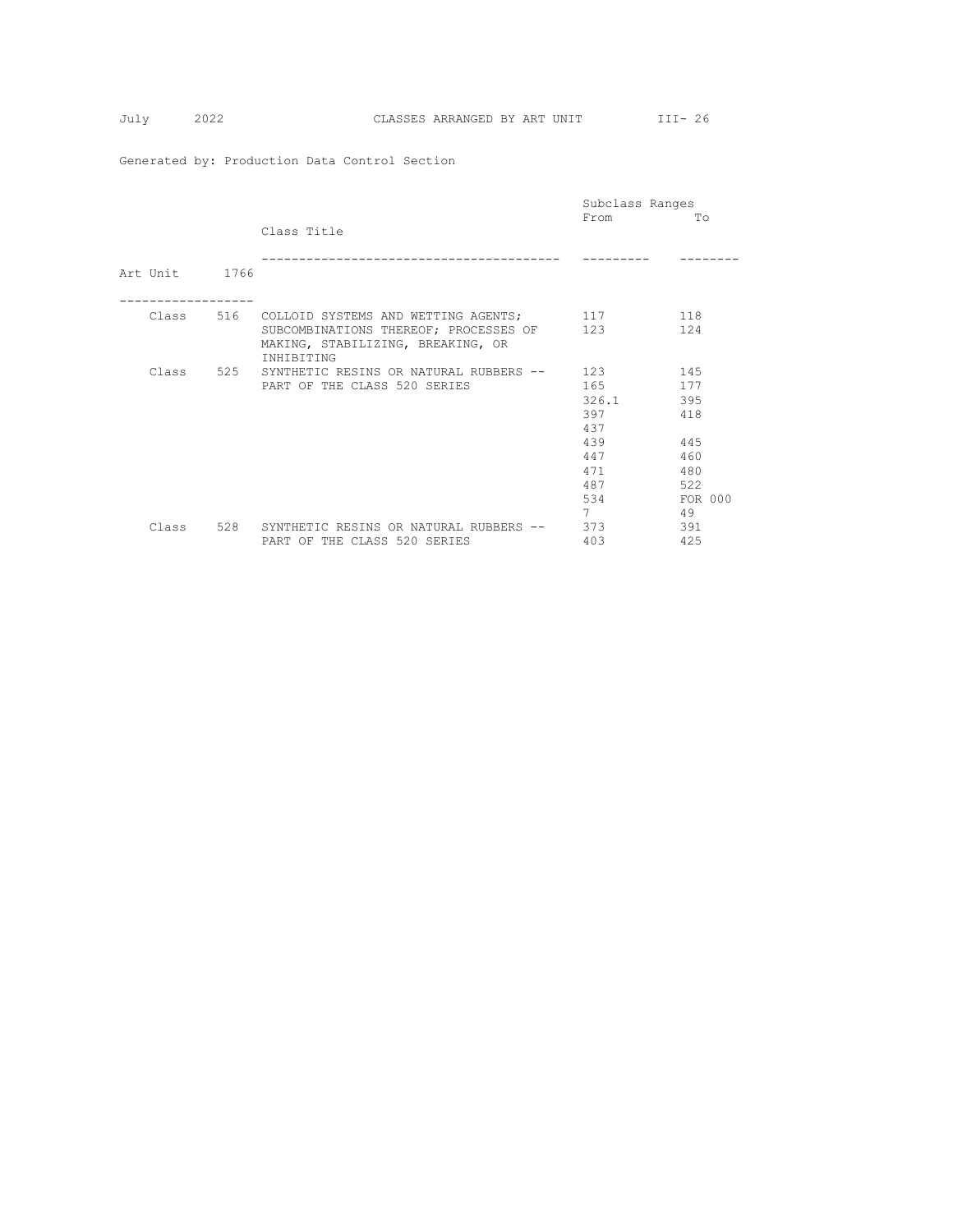|               |     |                                                                                                 | Subclass Ranges |         |
|---------------|-----|-------------------------------------------------------------------------------------------------|-----------------|---------|
|               |     |                                                                                                 | From            | To      |
|               |     | Class Title                                                                                     |                 |         |
| Art Unit 1766 |     |                                                                                                 |                 |         |
|               |     |                                                                                                 |                 |         |
|               |     | Class 516 COLLOID SYSTEMS AND WETTING AGENTS;                                                   | 117             | 118     |
|               |     | SUBCOMBINATIONS THEREOF; PROCESSES OF<br>MAKING, STABILIZING, BREAKING, OR<br><b>INHIBITING</b> | 123             | 124     |
| Class         | 525 | SYNTHETIC RESINS OR NATURAL RUBBERS --                                                          | 123             | 145     |
|               |     | PART OF THE CLASS 520 SERIES                                                                    | 165             | 177     |
|               |     |                                                                                                 | 326.1           | 395     |
|               |     |                                                                                                 | 397             | 418     |
|               |     |                                                                                                 | 437             |         |
|               |     |                                                                                                 | 439             | 445     |
|               |     |                                                                                                 | 447             | 460     |
|               |     |                                                                                                 | 471             | 480     |
|               |     |                                                                                                 | 487             | 522     |
|               |     |                                                                                                 | 534             | FOR 000 |
|               |     |                                                                                                 | 7               | 49      |
| Class         | 528 | SYNTHETIC RESINS OR NATURAL RUBBERS --                                                          | 373             | 391     |
|               |     | PART OF THE CLASS 520 SERIES                                                                    | 403             | 425     |
|               |     |                                                                                                 |                 |         |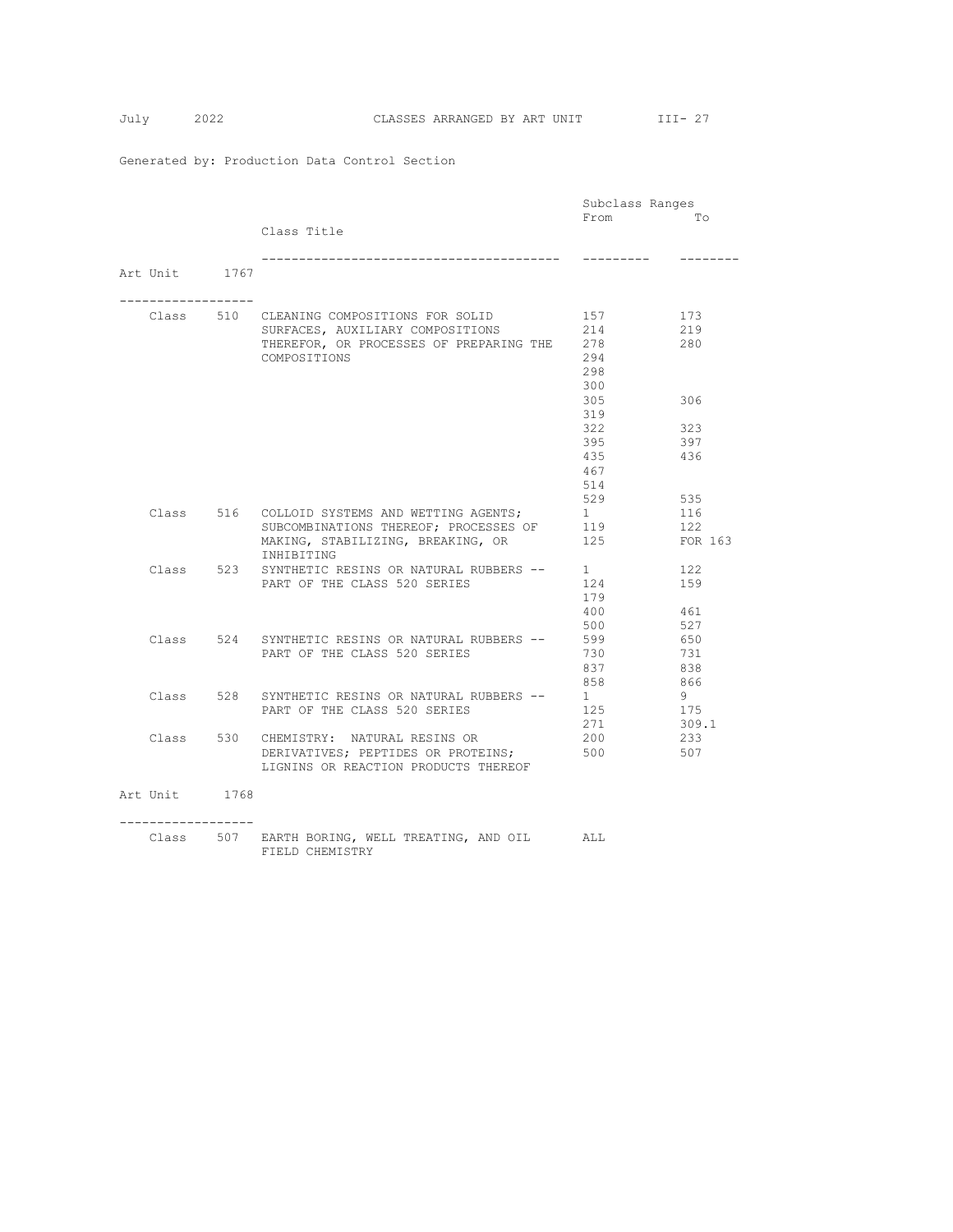|  |                  |     |                                                  | Subclass Ranges |         |
|--|------------------|-----|--------------------------------------------------|-----------------|---------|
|  |                  |     |                                                  | From            | TΟ      |
|  |                  |     | Class Title                                      |                 |         |
|  |                  |     | --------------------------------                 |                 |         |
|  | Art Unit 1767    |     |                                                  |                 |         |
|  | ---------------- |     |                                                  |                 |         |
|  |                  |     | Class 510 CLEANING COMPOSITIONS FOR SOLID        | 157             | 173     |
|  |                  |     | SURFACES, AUXILIARY COMPOSITIONS                 | 214             | 219     |
|  |                  |     | THEREFOR, OR PROCESSES OF PREPARING THE 278      |                 | 280     |
|  |                  |     | COMPOSITIONS                                     | 294             |         |
|  |                  |     |                                                  | 298             |         |
|  |                  |     |                                                  | 300             |         |
|  |                  |     |                                                  | 305             | 306     |
|  |                  |     |                                                  | 319             |         |
|  |                  |     |                                                  | 322             | 323     |
|  |                  |     |                                                  | 395             | 397     |
|  |                  |     |                                                  | 435             | 436     |
|  |                  |     |                                                  | 467             |         |
|  |                  |     |                                                  | 514             |         |
|  |                  |     |                                                  | 529             | 535     |
|  |                  |     | Class 516 COLLOID SYSTEMS AND WETTING AGENTS;    | 1               | 116     |
|  |                  |     | SUBCOMBINATIONS THEREOF; PROCESSES OF            | 119             | 122     |
|  |                  |     | MAKING, STABILIZING, BREAKING, OR<br>INHIBITING  | 125             | FOR 163 |
|  | Class            | 523 | SYNTHETIC RESINS OR NATURAL RUBBERS --           | $1 \quad$       | 122     |
|  |                  |     | PART OF THE CLASS 520 SERIES                     | 124             | 159     |
|  |                  |     |                                                  | 179             |         |
|  |                  |     |                                                  | 400             | 461     |
|  |                  |     |                                                  | 500             | 527     |
|  |                  |     | Class 524 SYNTHETIC RESINS OR NATURAL RUBBERS -- | 599             | 650     |
|  |                  |     | PART OF THE CLASS 520 SERIES                     | 730             | 731     |
|  |                  |     |                                                  | 837             | 838     |
|  |                  |     |                                                  | 858             | 866     |
|  |                  |     | Class 528 SYNTHETIC RESINS OR NATURAL RUBBERS -- | $1 \quad$       | 9       |
|  |                  |     | PART OF THE CLASS 520 SERIES                     | 125             | 175     |
|  |                  |     |                                                  | 271             | 309.1   |
|  |                  |     | Class 530 CHEMISTRY: NATURAL RESINS OR           | 200             | 233     |
|  |                  |     | DERIVATIVES; PEPTIDES OR PROTEINS;               | 500             | 507     |
|  |                  |     | LIGNINS OR REACTION PRODUCTS THEREOF             |                 |         |
|  | Art Unit 1768    |     |                                                  |                 |         |
|  |                  |     |                                                  |                 |         |
|  | --------------   |     | Class 507 EARTH BORING, WELL TREATING, AND OIL   | ALL             |         |
|  |                  |     | FIELD CHEMISTRY                                  |                 |         |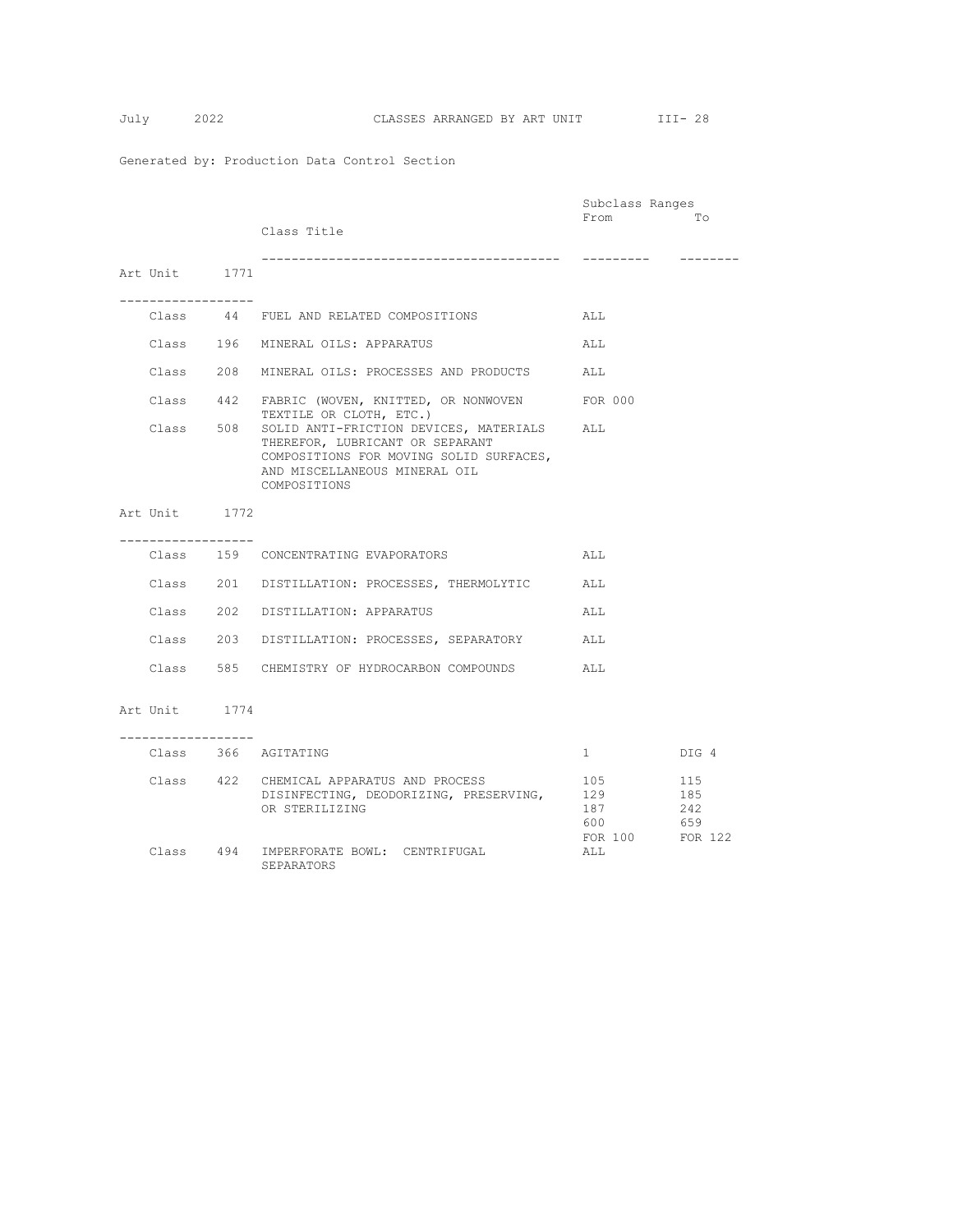|                                       |                                                | Subclass Ranges |         |
|---------------------------------------|------------------------------------------------|-----------------|---------|
|                                       |                                                | From            | To      |
|                                       | Class Title                                    |                 |         |
|                                       | ---------------------------------              |                 |         |
| Art Unit 1771                         |                                                |                 |         |
|                                       |                                                |                 |         |
| -----------------                     |                                                |                 |         |
|                                       | Class 44 FUEL AND RELATED COMPOSITIONS         | ALL             |         |
|                                       |                                                |                 |         |
|                                       | Class 196 MINERAL OILS: APPARATUS              | ALL             |         |
|                                       |                                                |                 |         |
|                                       | Class 208 MINERAL OILS: PROCESSES AND PRODUCTS | ALL             |         |
|                                       | Class 442 FABRIC (WOVEN, KNITTED, OR NONWOVEN  | FOR 000         |         |
|                                       | TEXTILE OR CLOTH, ETC.)                        |                 |         |
| Class 508                             | SOLID ANTI-FRICTION DEVICES, MATERIALS ALL     |                 |         |
|                                       | THEREFOR, LUBRICANT OR SEPARANT                |                 |         |
|                                       | COMPOSITIONS FOR MOVING SOLID SURFACES,        |                 |         |
|                                       | AND MISCELLANEOUS MINERAL OIL<br>COMPOSITIONS  |                 |         |
|                                       |                                                |                 |         |
| Art Unit 1772                         |                                                |                 |         |
|                                       |                                                |                 |         |
| . _ _ _ _ _ _ _ _ _ _ _ _ _ _ _ _ _   |                                                |                 |         |
|                                       | Class 159 CONCENTRATING EVAPORATORS            | ALL             |         |
|                                       | Class 201 DISTILLATION: PROCESSES, THERMOLYTIC | ALL             |         |
|                                       |                                                |                 |         |
|                                       | Class 202 DISTILLATION: APPARATUS              | ALL             |         |
|                                       |                                                |                 |         |
|                                       | Class 203 DISTILLATION: PROCESSES, SEPARATORY  | ALL             |         |
|                                       |                                                |                 |         |
|                                       | Class 585 CHEMISTRY OF HYDROCARBON COMPOUNDS   | ALL             |         |
|                                       |                                                |                 |         |
| Art Unit 1774                         |                                                |                 |         |
|                                       |                                                |                 |         |
| . _ _ _ _ _ _ _ _ _ _ _ _ _ _ _ _ _ _ |                                                |                 |         |
|                                       | Class 366 AGITATING                            | $1 \quad$       | DIG 4   |
|                                       | Class 422 CHEMICAL APPARATUS AND PROCESS       |                 | 115     |
|                                       | DISINFECTING, DEODORIZING, PRESERVING,         | 105<br>129      | 185     |
|                                       | OR STERILIZING                                 | 187             | 242     |
|                                       |                                                | 600             | 659     |
|                                       |                                                | FOR 100         | FOR 122 |
|                                       | Class 494 IMPERFORATE BOWL: CENTRIFUGAL        | ALL             |         |
|                                       | SEPARATORS                                     |                 |         |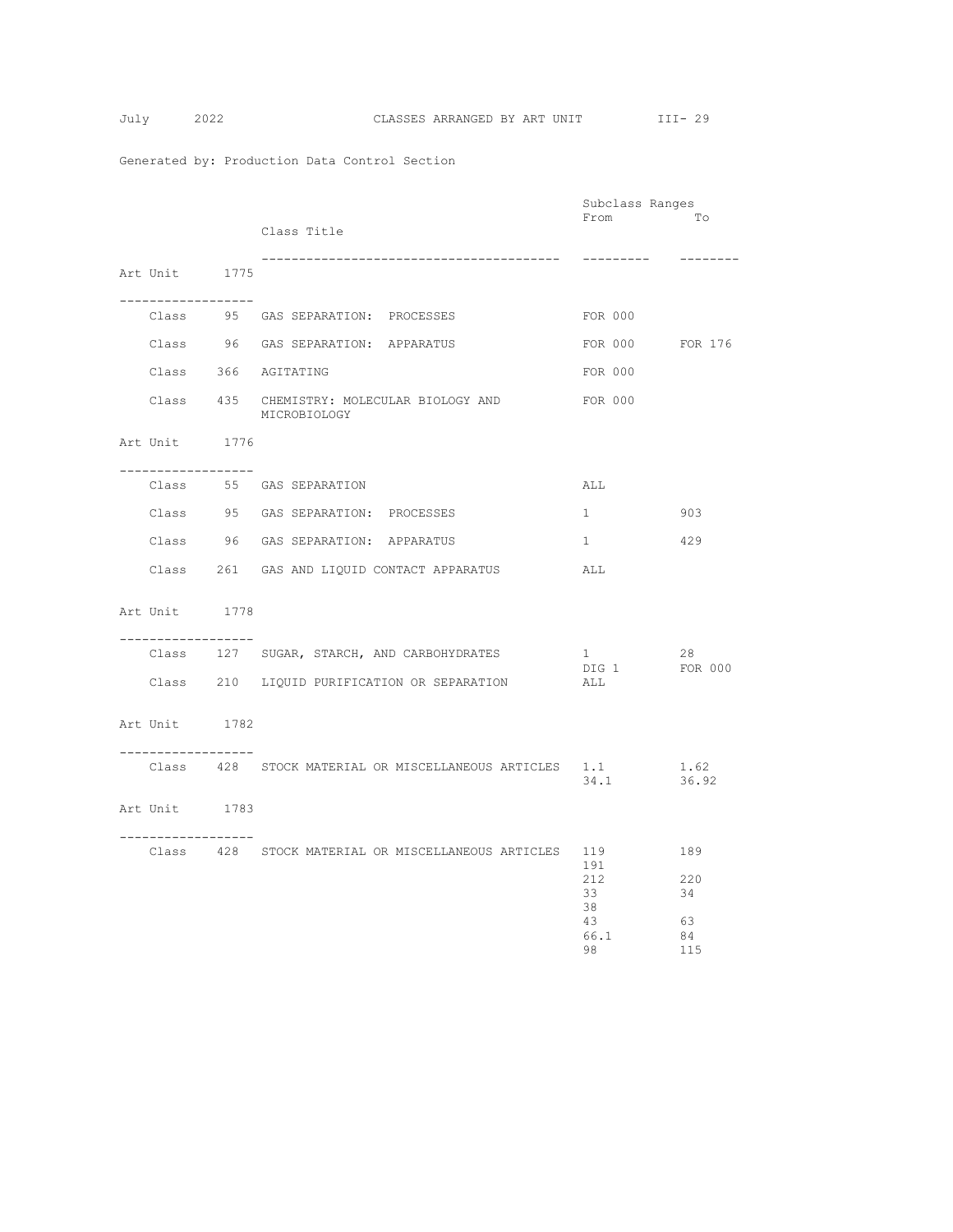$$
July \qquad 2
$$

|                                                      |                                                            | Subclass Ranges                            |                                     |
|------------------------------------------------------|------------------------------------------------------------|--------------------------------------------|-------------------------------------|
|                                                      | Class Title                                                | From                                       | Tо                                  |
|                                                      |                                                            |                                            |                                     |
| Art Unit 1775                                        |                                                            | ---------                                  | --------                            |
|                                                      |                                                            |                                            |                                     |
| __________________                                   | Class 95 GAS SEPARATION: PROCESSES                         | FOR 000                                    |                                     |
|                                                      | Class 96 GAS SEPARATION: APPARATUS                         | FOR 000 FOR 176                            |                                     |
|                                                      | Class 366 AGITATING                                        | FOR 000                                    |                                     |
|                                                      | Class 435 CHEMISTRY: MOLECULAR BIOLOGY AND<br>MICROBIOLOGY | FOR 000                                    |                                     |
| Art Unit 1776<br>. _ _ _ _ _ _ _ _ _ _ _ _ _ _ _ _ _ |                                                            |                                            |                                     |
|                                                      | Class 55 GAS SEPARATION                                    | ALL                                        |                                     |
|                                                      | Class 95 GAS SEPARATION: PROCESSES                         | $1 \quad \blacksquare$                     | 903                                 |
|                                                      | Class 96 GAS SEPARATION: APPARATUS                         | $1 \quad$                                  | 429                                 |
|                                                      | Class 261 GAS AND LIQUID CONTACT APPARATUS                 | ALL                                        |                                     |
| Art Unit 1778                                        |                                                            |                                            |                                     |
| ------------------                                   | Class 127 SUGAR, STARCH, AND CARBOHYDRATES                 | 1<br>DIG 1 FOR 000                         | 28                                  |
|                                                      | Class 210 LIQUID PURIFICATION OR SEPARATION                | ALL                                        |                                     |
| Art Unit 1782                                        |                                                            |                                            |                                     |
| ------------------                                   | Class 428 STOCK MATERIAL OR MISCELLANEOUS ARTICLES 1.1     | 34.1 36.92                                 | 1.62                                |
| Art Unit 1783                                        |                                                            |                                            |                                     |
| -------------------                                  | Class 428 STOCK MATERIAL OR MISCELLANEOUS ARTICLES 119     | 191<br>212<br>33<br>38<br>43<br>66.1<br>98 | 189<br>220<br>34<br>63<br>84<br>115 |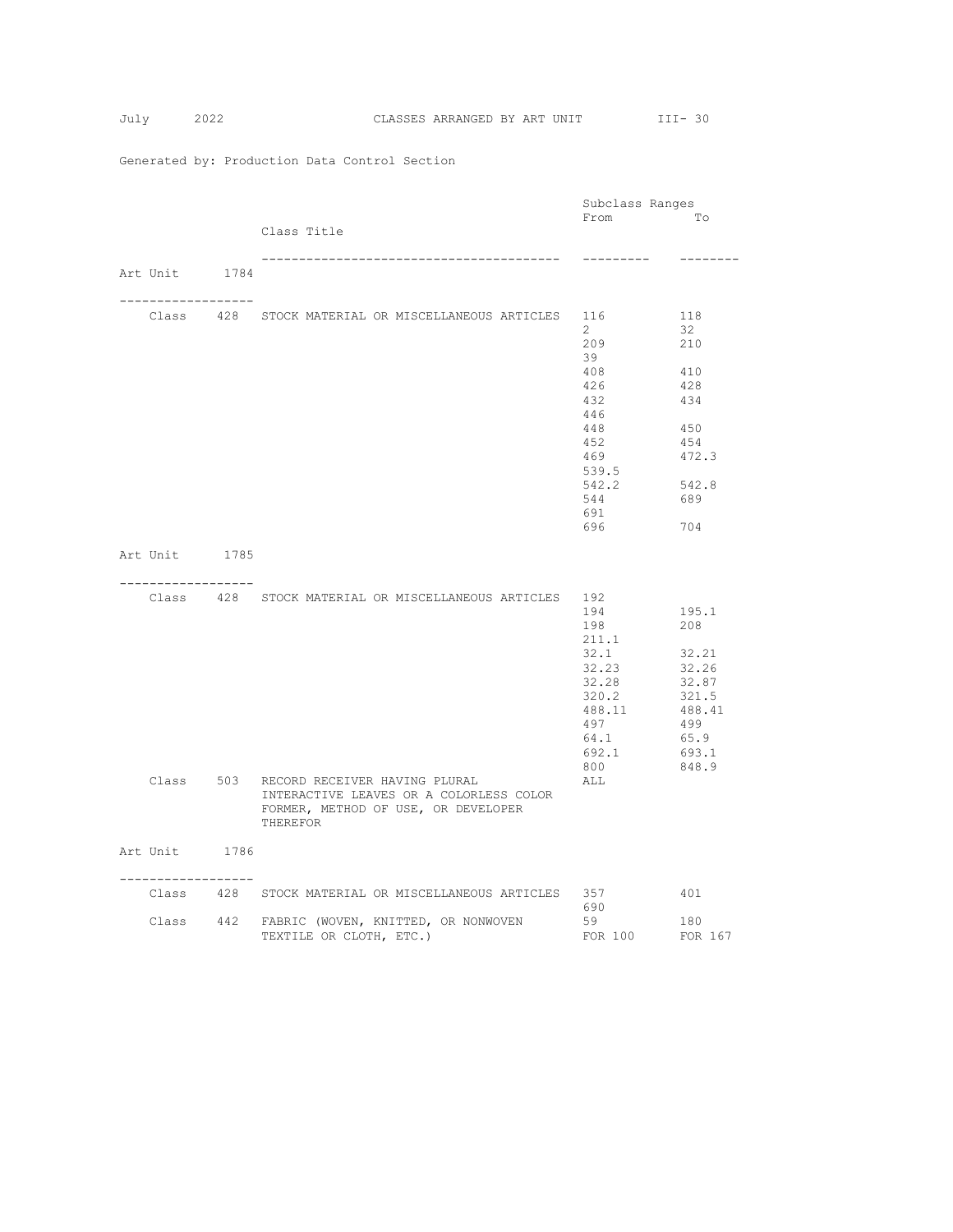|                     |  |                                                        | Subclass Ranges |              |
|---------------------|--|--------------------------------------------------------|-----------------|--------------|
|                     |  |                                                        | From            | To           |
|                     |  | Class Title                                            |                 |              |
|                     |  |                                                        | ----------      | --------     |
| Art Unit 1784       |  |                                                        |                 |              |
|                     |  |                                                        |                 |              |
| ----------------    |  | Class 428 STOCK MATERIAL OR MISCELLANEOUS ARTICLES 116 |                 | 118          |
|                     |  |                                                        | $\mathbf{2}$    | 32           |
|                     |  |                                                        | 209             | 210          |
|                     |  |                                                        | 39              |              |
|                     |  |                                                        | 408             | 410          |
|                     |  |                                                        | 426             | 428          |
|                     |  |                                                        | 432             | 434          |
|                     |  |                                                        | 446             |              |
|                     |  |                                                        | 448             | 450          |
|                     |  |                                                        | 452             | 454          |
|                     |  |                                                        | 469             | 472.3        |
|                     |  |                                                        | 539.5           |              |
|                     |  |                                                        | 542.2<br>544    | 542.8<br>689 |
|                     |  |                                                        | 691             |              |
|                     |  |                                                        | 696             | 704          |
|                     |  |                                                        |                 |              |
| Art Unit 1785       |  |                                                        |                 |              |
|                     |  |                                                        |                 |              |
| . <u>.</u> .        |  | Class 428 STOCK MATERIAL OR MISCELLANEOUS ARTICLES     | 192             |              |
|                     |  |                                                        | 194             | 195.1        |
|                     |  |                                                        | 198             | 208          |
|                     |  |                                                        | 211.1           |              |
|                     |  |                                                        | 32.1            | 32.21        |
|                     |  |                                                        | 32.23           | 32.26        |
|                     |  |                                                        | 32.28           | 32.87        |
|                     |  |                                                        | 320.2           | 321.5        |
|                     |  |                                                        | 488.11          | 488.41       |
|                     |  |                                                        | 497             | 499          |
|                     |  |                                                        | 64.1            | 65.9         |
|                     |  |                                                        | 692.1           | 693.1        |
|                     |  | Class 503 RECORD RECEIVER HAVING PLURAL                | 800<br>ALL      | 848.9        |
|                     |  | INTERACTIVE LEAVES OR A COLORLESS COLOR                |                 |              |
|                     |  | FORMER, METHOD OF USE, OR DEVELOPER                    |                 |              |
|                     |  | THEREFOR                                               |                 |              |
|                     |  |                                                        |                 |              |
| Art Unit 1786       |  |                                                        |                 |              |
|                     |  |                                                        |                 |              |
| ------------------- |  | Class 428 STOCK MATERIAL OR MISCELLANEOUS ARTICLES 357 |                 | 401          |
|                     |  |                                                        | 690             |              |
|                     |  | Class 442 FABRIC (WOVEN, KNITTED, OR NONWOVEN          | 59              | 180          |
|                     |  | TEXTILE OR CLOTH, ETC.)                                | FOR 100 FOR 167 |              |
|                     |  |                                                        |                 |              |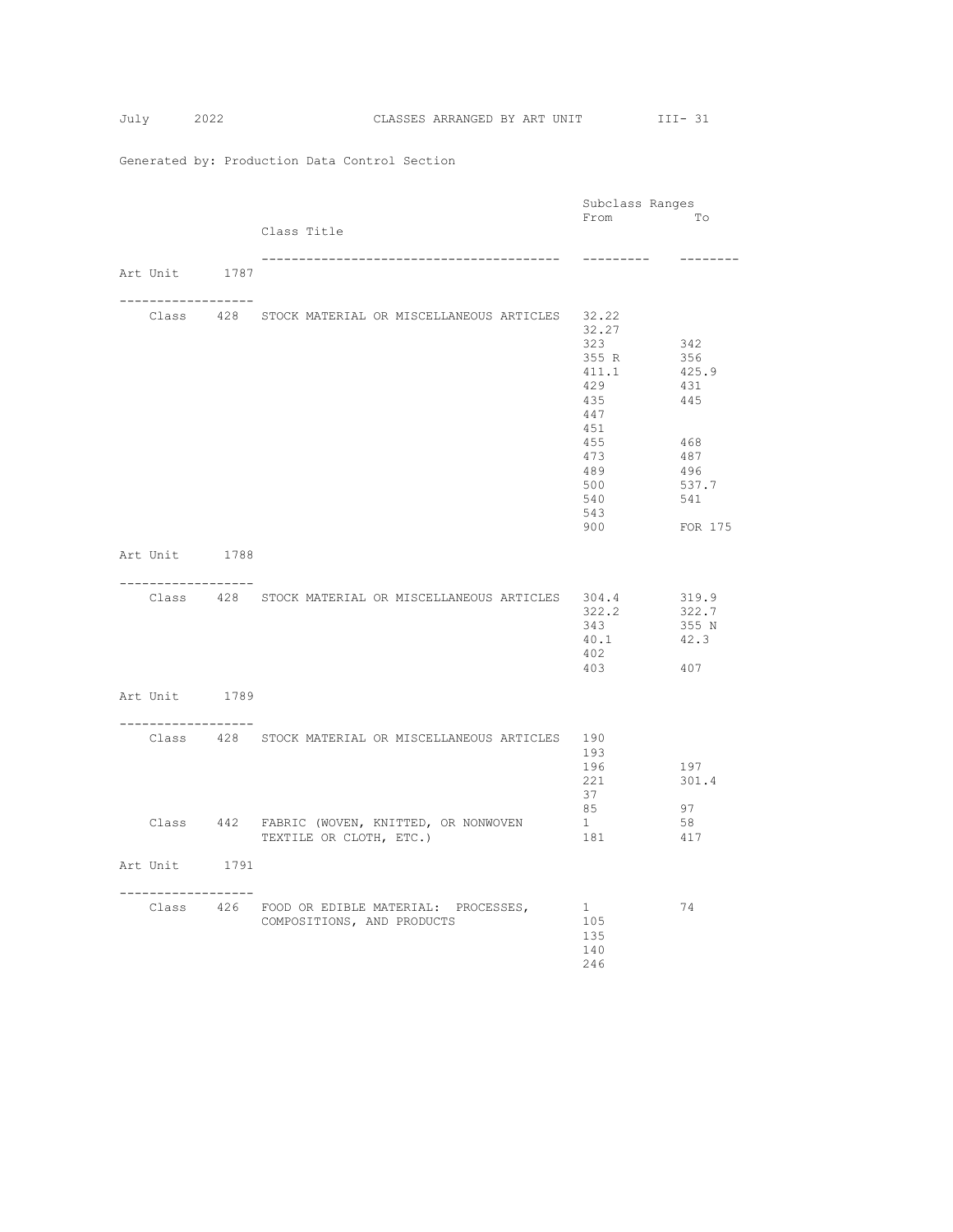|                                     |                                                                          | Subclass Ranges  |            |
|-------------------------------------|--------------------------------------------------------------------------|------------------|------------|
|                                     |                                                                          | From             | Tо         |
|                                     | Class Title                                                              |                  |            |
|                                     |                                                                          | ---------        | --------   |
| Art Unit 1787                       |                                                                          |                  |            |
| -------------------                 |                                                                          |                  |            |
|                                     | Class 428 STOCK MATERIAL OR MISCELLANEOUS ARTICLES                       | 32.22            |            |
|                                     |                                                                          | 32.27            |            |
|                                     |                                                                          | 323<br>355 R     | 342<br>356 |
|                                     |                                                                          | 411.1            | 425.9      |
|                                     |                                                                          | 429              | 431        |
|                                     |                                                                          | 435              | 445        |
|                                     |                                                                          | 447              |            |
|                                     |                                                                          | 451              |            |
|                                     |                                                                          | 455<br>473       | 468<br>487 |
|                                     |                                                                          | 489              | 496        |
|                                     |                                                                          | 500              | 537.7      |
|                                     |                                                                          | 540              | 541        |
|                                     |                                                                          | 543<br>900       | FOR 175    |
|                                     |                                                                          |                  |            |
| Art Unit 1788                       |                                                                          |                  |            |
|                                     |                                                                          |                  |            |
| . _ _ _ _ _ _ _ _ _ _ _ _ _ _ _ _ _ | Class 428 STOCK MATERIAL OR MISCELLANEOUS ARTICLES 304.4                 |                  | 319.9      |
|                                     |                                                                          | 322.2            | 322.7      |
|                                     |                                                                          | 343              | 355 N      |
|                                     |                                                                          | 40.1             | 42.3       |
|                                     |                                                                          | 402              |            |
|                                     |                                                                          | 403              | 407        |
| Art Unit 1789                       |                                                                          |                  |            |
|                                     |                                                                          |                  |            |
| . _ _ _ _ _ _ _ _ _ _ _ _ _ _ _ _ _ |                                                                          |                  |            |
|                                     | Class 428 STOCK MATERIAL OR MISCELLANEOUS ARTICLES 190                   | 193              |            |
|                                     |                                                                          | 196              | 197        |
|                                     |                                                                          | 221              | 301.4      |
|                                     |                                                                          | 37               |            |
|                                     |                                                                          | 85               | 97         |
|                                     | Class 442 FABRIC (WOVEN, KNITTED, OR NONWOVEN<br>TEXTILE OR CLOTH, ETC.) | $1 \quad$<br>181 | 58<br>417  |
|                                     |                                                                          |                  |            |
| Art Unit 1791                       |                                                                          |                  |            |
|                                     |                                                                          |                  |            |
| . <u>.</u>                          | Class 426 FOOD OR EDIBLE MATERIAL: PROCESSES,                            | 1                | 74         |
|                                     | COMPOSITIONS, AND PRODUCTS                                               | 105              |            |
|                                     |                                                                          | 135              |            |
|                                     |                                                                          | 140              |            |
|                                     |                                                                          | 246              |            |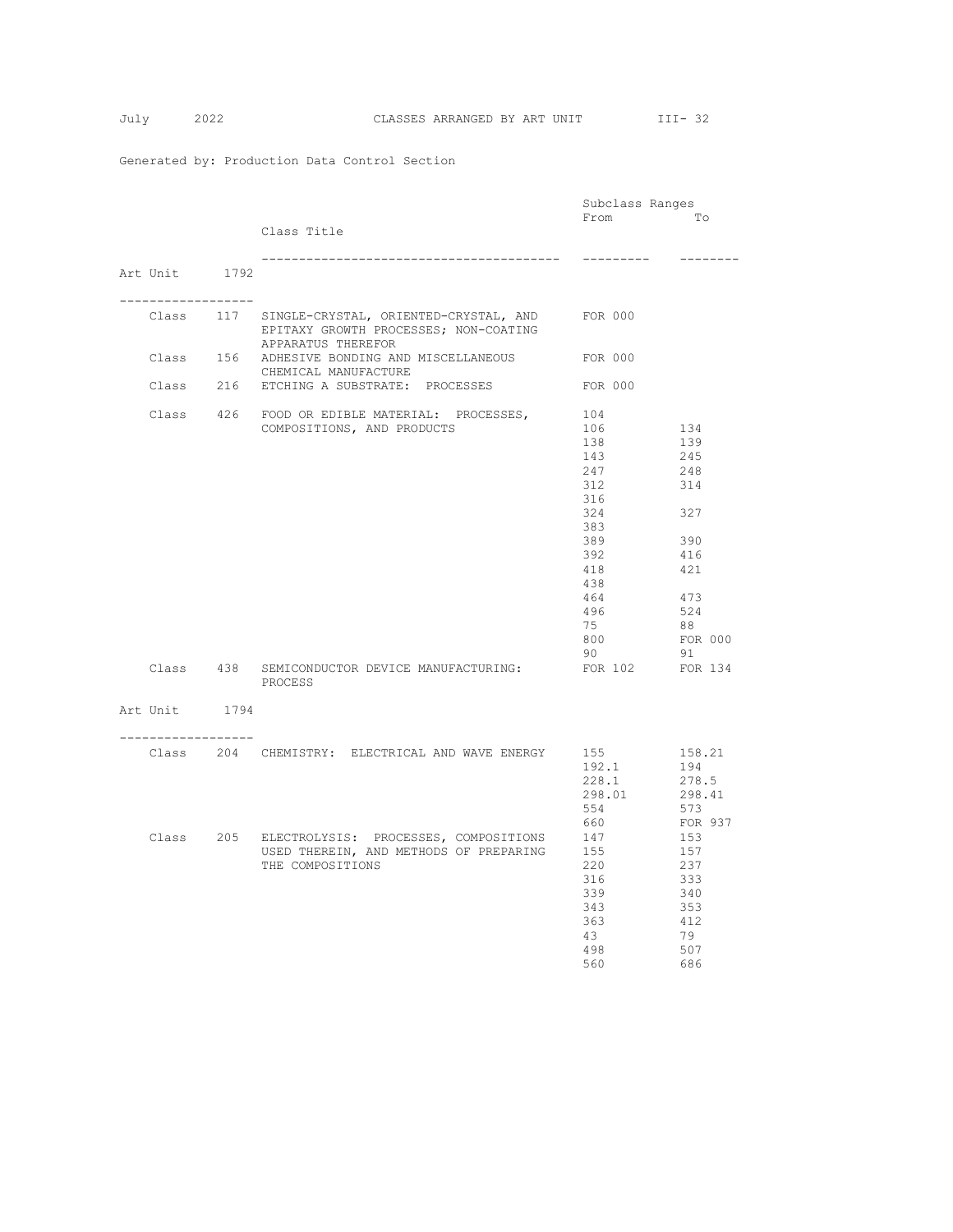|                                       |                                                                  | Subclass Ranges |          |
|---------------------------------------|------------------------------------------------------------------|-----------------|----------|
|                                       |                                                                  | From            | Tо       |
|                                       | Class Title                                                      |                 |          |
|                                       |                                                                  | ---------       | -------- |
| Art Unit 1792                         |                                                                  |                 |          |
| . _ _ _ _ _ _ _ _ _ _ _ _ _ _ _ _ _ _ | Class 117 SINGLE-CRYSTAL, ORIENTED-CRYSTAL, AND FOR 000          |                 |          |
|                                       | EPITAXY GROWTH PROCESSES; NON-COATING<br>APPARATUS THEREFOR      |                 |          |
|                                       | Class 156 ADHESIVE BONDING AND MISCELLANEOUS                     | FOR 000         |          |
|                                       | CHEMICAL MANUFACTURE<br>Class 216 ETCHING A SUBSTRATE: PROCESSES | FOR 000         |          |
|                                       | Class 426 FOOD OR EDIBLE MATERIAL: PROCESSES,                    | 104             |          |
|                                       | COMPOSITIONS, AND PRODUCTS                                       | 106             | 134      |
|                                       |                                                                  | 138             | 139      |
|                                       |                                                                  | 143             | 245      |
|                                       |                                                                  | 247             | 248      |
|                                       |                                                                  | 312             | 314      |
|                                       |                                                                  |                 |          |
|                                       |                                                                  | 316             |          |
|                                       |                                                                  | 324             | 327      |
|                                       |                                                                  | 383             |          |
|                                       |                                                                  | 389             | 390      |
|                                       |                                                                  | 392             | 416      |
|                                       |                                                                  | 418             | 421      |
|                                       |                                                                  | 438             |          |
|                                       |                                                                  | 464             | 473      |
|                                       |                                                                  | 496             | 524      |
|                                       |                                                                  | 75              | 88       |
|                                       |                                                                  | 800             | FOR 000  |
|                                       |                                                                  | 90              | 91       |
|                                       | Class 438 SEMICONDUCTOR DEVICE MANUFACTURING:<br>PROCESS         | FOR 102 FOR 134 |          |
| Art Unit 1794                         |                                                                  |                 |          |
| ----------------                      |                                                                  |                 |          |
|                                       | Class 204 CHEMISTRY: ELECTRICAL AND WAVE ENERGY                  | 155             | 158.21   |
|                                       |                                                                  | 192.1           | 194      |
|                                       |                                                                  | 228.1           | 278.5    |
|                                       |                                                                  | 298.01          | 298.41   |
|                                       |                                                                  | 554             | 573      |
|                                       |                                                                  | 660             |          |
|                                       |                                                                  |                 | FOR 937  |
|                                       | Class 205 ELECTROLYSIS: PROCESSES, COMPOSITIONS                  | 147             | 153      |
|                                       | USED THEREIN, AND METHODS OF PREPARING                           | 155             | 157      |
|                                       | THE COMPOSITIONS                                                 | 220             | 237      |
|                                       |                                                                  | 316             | 333      |
|                                       |                                                                  | 339             | 340      |
|                                       |                                                                  | 343             | 353      |
|                                       |                                                                  | 363             | 412      |
|                                       |                                                                  | 43              | 79       |
|                                       |                                                                  | 498             | 507      |
|                                       |                                                                  | 560             | 686      |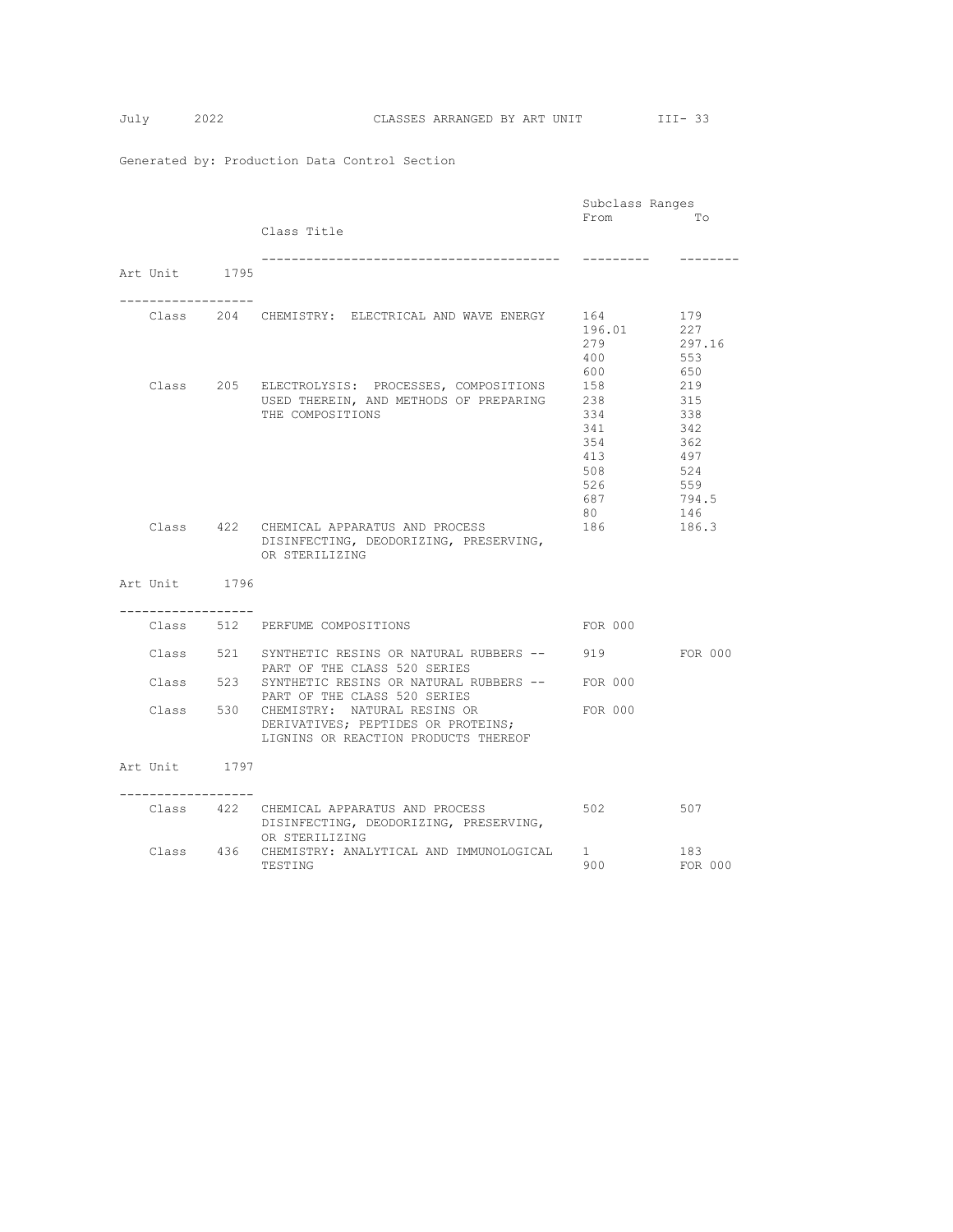|                    |  |                                                                                           | Subclass Ranges |              |
|--------------------|--|-------------------------------------------------------------------------------------------|-----------------|--------------|
|                    |  |                                                                                           | From            | To           |
|                    |  | Class Title                                                                               |                 |              |
| Art Unit 1795      |  | -----------------------------------                                                       |                 |              |
|                    |  |                                                                                           |                 |              |
|                    |  | Class 204 CHEMISTRY: ELECTRICAL AND WAVE ENERGY                                           | 164             | 179          |
|                    |  |                                                                                           | 196.01          | 227          |
|                    |  |                                                                                           | 279             | 297.16       |
|                    |  |                                                                                           | 400             | 553          |
|                    |  |                                                                                           | 600<br>158      | 650<br>219   |
|                    |  | Class 205 ELECTROLYSIS: PROCESSES, COMPOSITIONS<br>USED THEREIN, AND METHODS OF PREPARING | 238             | 315          |
|                    |  | THE COMPOSITIONS                                                                          | 334             | 338          |
|                    |  |                                                                                           | 341             | 342          |
|                    |  |                                                                                           | 354             | 362          |
|                    |  |                                                                                           | 413             | 497          |
|                    |  |                                                                                           | 508             | 524          |
|                    |  |                                                                                           | 526             | 559          |
|                    |  |                                                                                           | 687<br>80       | 794.5<br>146 |
|                    |  | Class 422 CHEMICAL APPARATUS AND PROCESS                                                  | 186             | 186.3        |
|                    |  | DISINFECTING, DEODORIZING, PRESERVING,                                                    |                 |              |
|                    |  | OR STERILIZING                                                                            |                 |              |
| Art Unit 1796      |  |                                                                                           |                 |              |
|                    |  |                                                                                           |                 |              |
| ------------------ |  | Class 512 PERFUME COMPOSITIONS                                                            | FOR 000         |              |
|                    |  |                                                                                           |                 |              |
|                    |  | Class 521 SYNTHETIC RESINS OR NATURAL RUBBERS --<br>PART OF THE CLASS 520 SERIES          | 919             | FOR 000      |
|                    |  | Class 523 SYNTHETIC RESINS OR NATURAL RUBBERS --                                          | FOR 000         |              |
|                    |  | PART OF THE CLASS 520 SERIES                                                              |                 |              |
| Class 530          |  | CHEMISTRY: NATURAL RESINS OR                                                              | FOR 000         |              |
|                    |  | DERIVATIVES; PEPTIDES OR PROTEINS;                                                        |                 |              |
|                    |  | LIGNINS OR REACTION PRODUCTS THEREOF                                                      |                 |              |
| Art Unit 1797      |  |                                                                                           |                 |              |
|                    |  |                                                                                           |                 |              |
| ----------------   |  | Class 422 CHEMICAL APPARATUS AND PROCESS                                                  | 502             | 507          |
|                    |  | DISINFECTING, DEODORIZING, PRESERVING,                                                    |                 |              |
|                    |  | OR STERILIZING                                                                            |                 |              |
|                    |  | Class 436 CHEMISTRY: ANALYTICAL AND IMMUNOLOGICAL                                         | $1 \quad$       | 183          |
|                    |  | TESTING                                                                                   | 900             | FOR 000      |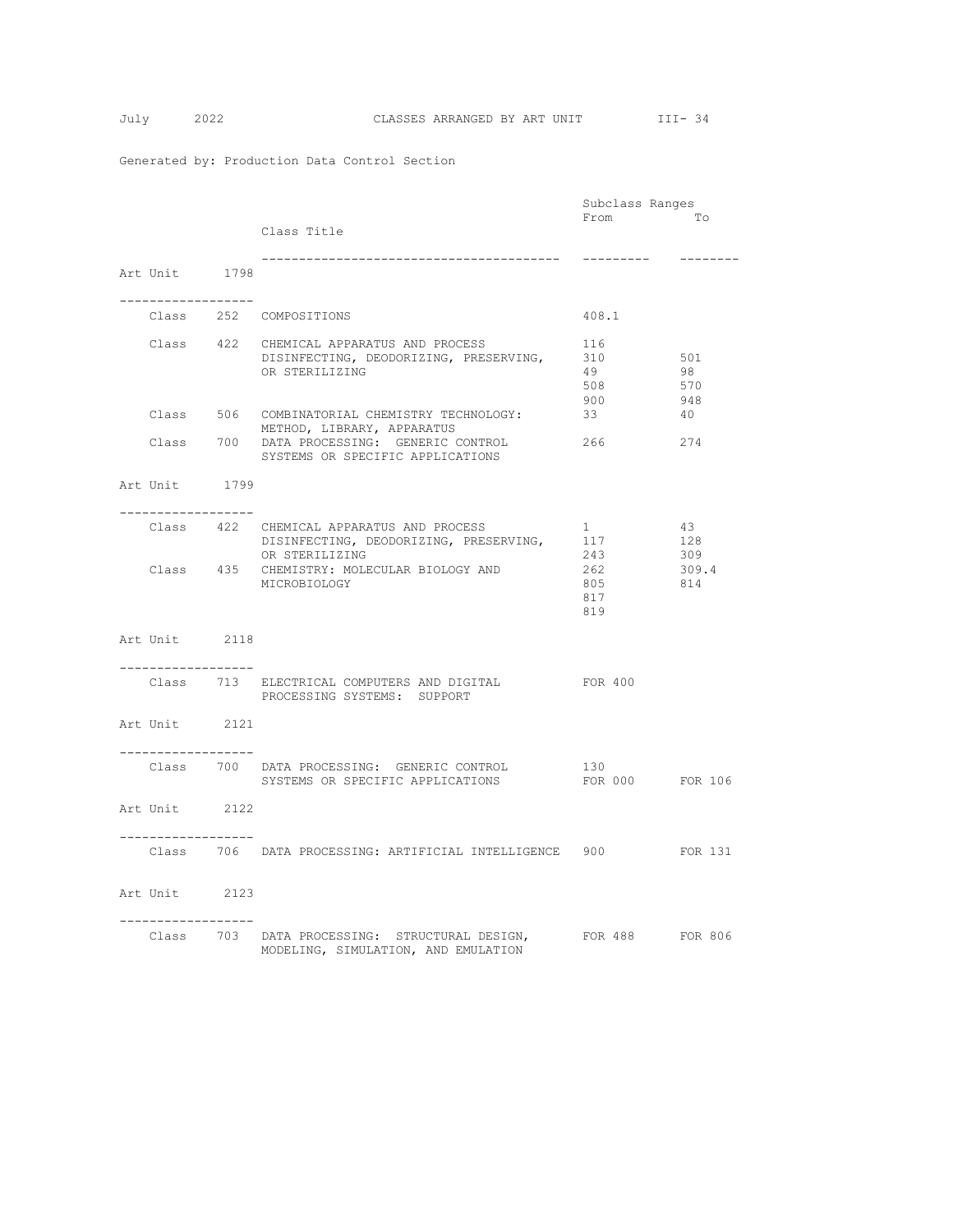|                                     |                                                                             | Subclass Ranges        |          |
|-------------------------------------|-----------------------------------------------------------------------------|------------------------|----------|
|                                     |                                                                             | From                   | To       |
|                                     | Class Title                                                                 |                        |          |
|                                     |                                                                             | ----------             | -------- |
| Art Unit 1798                       |                                                                             |                        |          |
|                                     |                                                                             |                        |          |
| -------------------                 |                                                                             |                        |          |
|                                     | Class 252 COMPOSITIONS                                                      | 408.1                  |          |
|                                     |                                                                             |                        |          |
|                                     | Class 422 CHEMICAL APPARATUS AND PROCESS                                    | 116                    |          |
|                                     | DISINFECTING, DEODORIZING, PRESERVING,                                      | 310                    | 501      |
|                                     | OR STERILIZING                                                              | 49                     | 98       |
|                                     |                                                                             | 508                    | 570      |
|                                     |                                                                             | 900                    | 948      |
|                                     | Class 506 COMBINATORIAL CHEMISTRY TECHNOLOGY:<br>METHOD, LIBRARY, APPARATUS | 33                     | 40       |
|                                     | Class 700 DATA PROCESSING: GENERIC CONTROL                                  | 266                    | 274      |
|                                     | SYSTEMS OR SPECIFIC APPLICATIONS                                            |                        |          |
|                                     |                                                                             |                        |          |
| Art Unit 1799                       |                                                                             |                        |          |
|                                     |                                                                             |                        |          |
| ---------------                     |                                                                             |                        |          |
|                                     | Class 422 CHEMICAL APPARATUS AND PROCESS                                    | $1 \quad \blacksquare$ | 43       |
|                                     | DISINFECTING, DEODORIZING, PRESERVING,                                      | 117                    | 128      |
|                                     | OR STERILIZING                                                              | 243                    | 309      |
|                                     | Class 435 CHEMISTRY: MOLECULAR BIOLOGY AND                                  | 262                    | 309.4    |
|                                     | MICROBIOLOGY                                                                | 805                    | 814      |
|                                     |                                                                             | 817                    |          |
|                                     |                                                                             | 819                    |          |
| Art Unit 2118                       |                                                                             |                        |          |
|                                     |                                                                             |                        |          |
| -----------------                   |                                                                             |                        |          |
|                                     | Class 713 ELECTRICAL COMPUTERS AND DIGITAL                                  | FOR 400                |          |
|                                     | PROCESSING SYSTEMS: SUPPORT                                                 |                        |          |
|                                     |                                                                             |                        |          |
| Art Unit 2121                       |                                                                             |                        |          |
|                                     |                                                                             |                        |          |
| . _ _ _ _ _ _ _ _ _ _ _ _ _ _ _ _ _ |                                                                             |                        |          |
|                                     | Class 700 DATA PROCESSING: GENERIC CONTROL                                  | 130                    |          |
|                                     | SYSTEMS OR SPECIFIC APPLICATIONS                                            | FOR 000 FOR 106        |          |
|                                     |                                                                             |                        |          |
| Art Unit 2122                       |                                                                             |                        |          |
|                                     |                                                                             |                        |          |
|                                     | Class 706 DATA PROCESSING: ARTIFICIAL INTELLIGENCE 900 FOR 131              |                        |          |
|                                     |                                                                             |                        |          |
|                                     |                                                                             |                        |          |
| Art Unit 2123                       |                                                                             |                        |          |
|                                     |                                                                             |                        |          |
|                                     |                                                                             |                        |          |
|                                     | Class 703 DATA PROCESSING: STRUCTURAL DESIGN,                               | FOR 488 FOR 806        |          |
|                                     | MODELING, SIMULATION, AND EMULATION                                         |                        |          |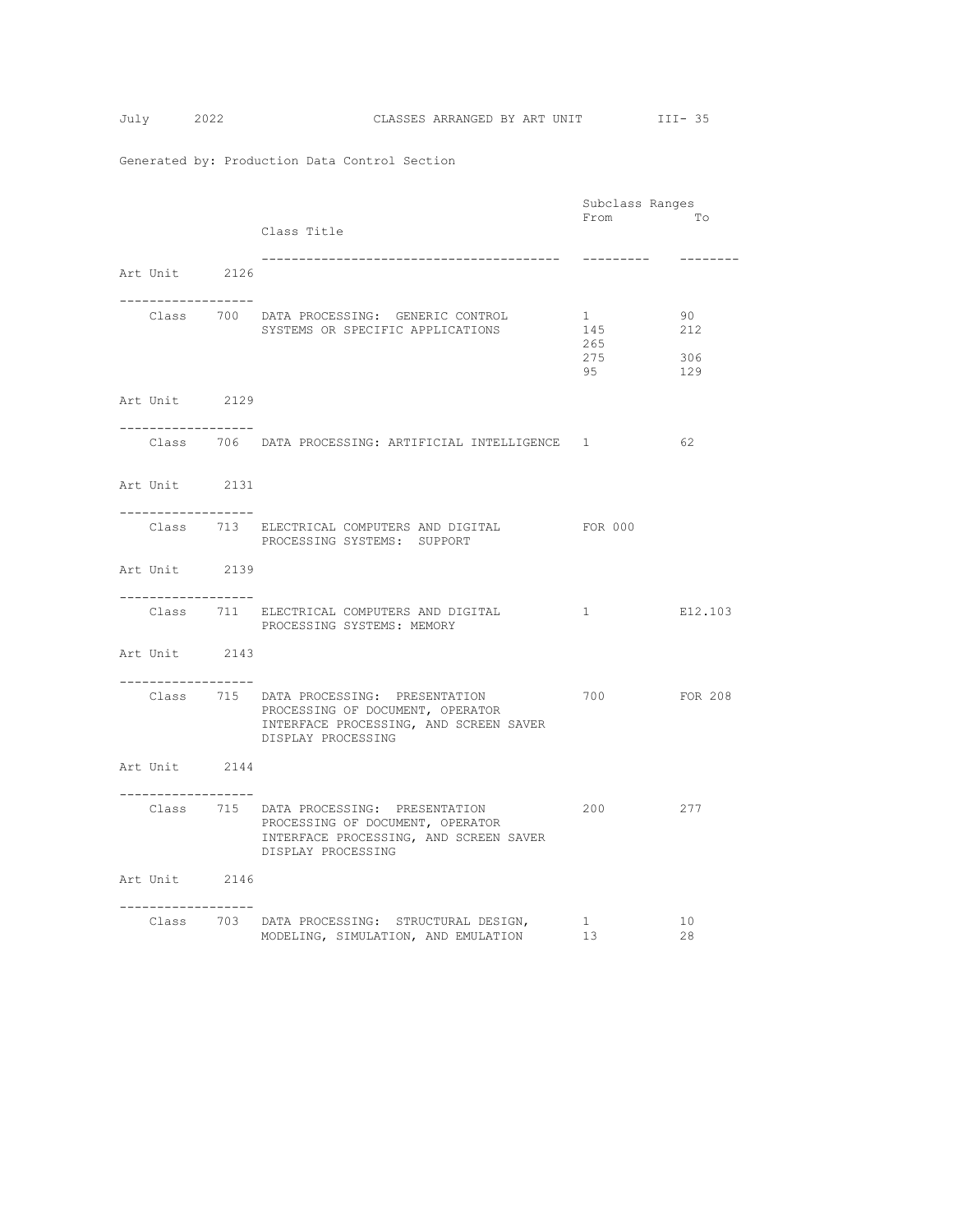|                                                      |                                                                                                                                             | Subclass Ranges              |                         |
|------------------------------------------------------|---------------------------------------------------------------------------------------------------------------------------------------------|------------------------------|-------------------------|
|                                                      | Class Title                                                                                                                                 | From                         | Tо                      |
| Art Unit 2126<br>-----------------                   |                                                                                                                                             | ----------                   | --------                |
|                                                      | Class 700 DATA PROCESSING: GENERIC CONTROL<br>SYSTEMS OR SPECIFIC APPLICATIONS                                                              | 1<br>145<br>265<br>275<br>95 | 90<br>212<br>306<br>129 |
| Art Unit 2129                                        |                                                                                                                                             |                              |                         |
|                                                      | Class 706 DATA PROCESSING: ARTIFICIAL INTELLIGENCE 1                                                                                        |                              | 62                      |
| Art Unit 2131<br>-----------------                   |                                                                                                                                             |                              |                         |
|                                                      | Class 713 ELECTRICAL COMPUTERS AND DIGITAL<br>PROCESSING SYSTEMS: SUPPORT                                                                   | FOR 000                      |                         |
| Art Unit 2139<br>. <u>.</u> .                        |                                                                                                                                             |                              |                         |
|                                                      | Class 711 ELECTRICAL COMPUTERS AND DIGITAL<br>PROCESSING SYSTEMS: MEMORY                                                                    | $1 \quad$                    | E12.103                 |
| Art Unit 2143<br>-----------------                   |                                                                                                                                             |                              |                         |
|                                                      | Class 715 DATA PROCESSING: PRESENTATION<br>PROCESSING OF DOCUMENT, OPERATOR<br>INTERFACE PROCESSING, AND SCREEN SAVER<br>DISPLAY PROCESSING | 700                          | <b>FOR 208</b>          |
| Art Unit 2144<br>. _ _ _ _ _ _ _ _ _ _ _ _ _ _ _ _ _ |                                                                                                                                             |                              |                         |
|                                                      | Class 715 DATA PROCESSING: PRESENTATION<br>PROCESSING OF DOCUMENT, OPERATOR<br>INTERFACE PROCESSING, AND SCREEN SAVER<br>DISPLAY PROCESSING | 200                          | 277                     |
| Art Unit 2146<br>-----------------                   |                                                                                                                                             |                              |                         |
|                                                      | Class 703 DATA PROCESSING: STRUCTURAL DESIGN,<br>MODELING, SIMULATION, AND EMULATION                                                        | $\mathbf{1}$<br>13           | 10<br>28                |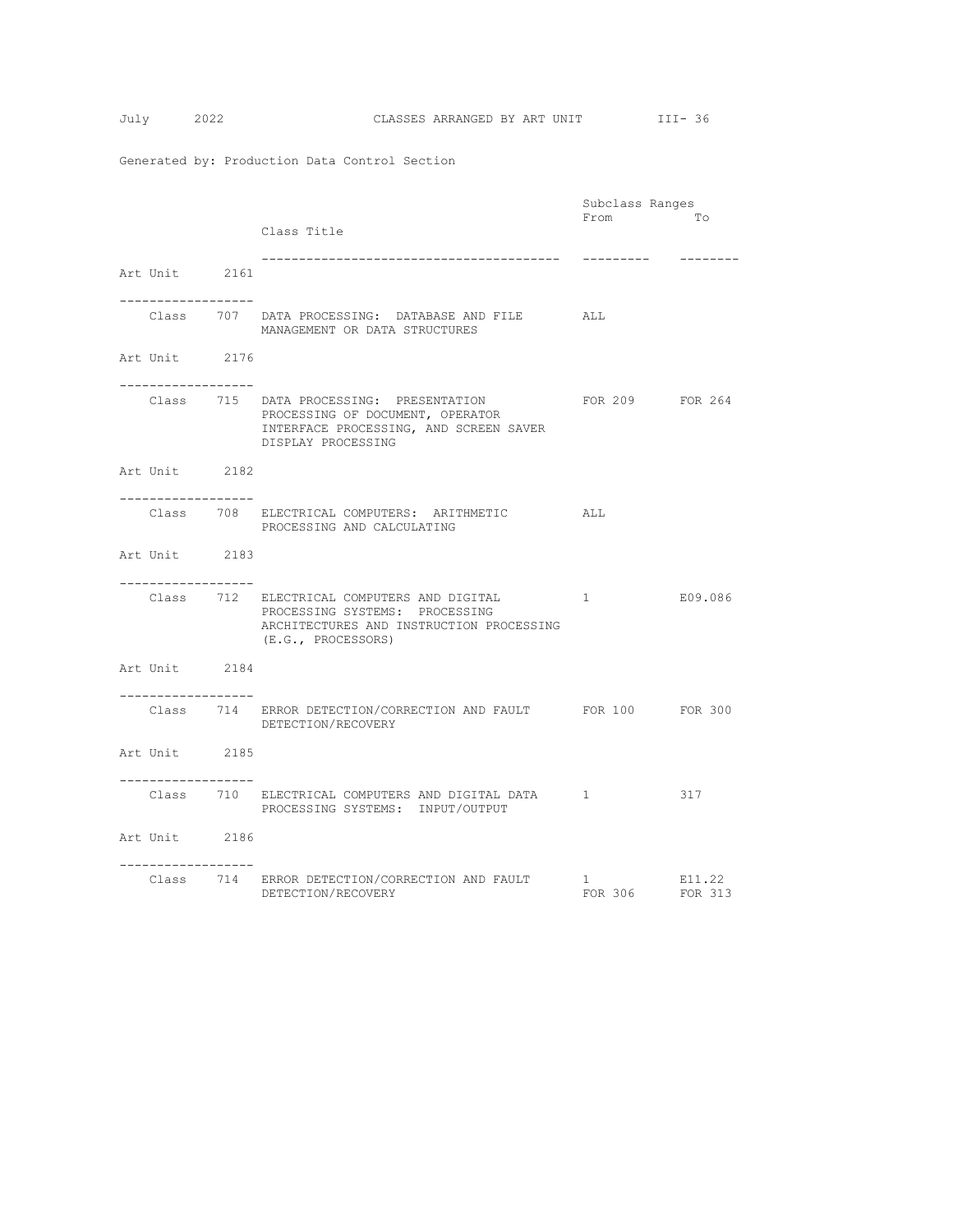|                                                      |                                                                                                                                                | Subclass Ranges              |                   |
|------------------------------------------------------|------------------------------------------------------------------------------------------------------------------------------------------------|------------------------------|-------------------|
|                                                      | Class Title                                                                                                                                    | From                         | <b>To</b>         |
| Art Unit 2161                                        |                                                                                                                                                | ----------                   | ---------         |
| _________________                                    | Class 707 DATA PROCESSING: DATABASE AND FILE ALL<br>MANAGEMENT OR DATA STRUCTURES                                                              |                              |                   |
| Art Unit 2176<br>__________________                  |                                                                                                                                                |                              |                   |
|                                                      | Class 715 DATA PROCESSING: PRESENTATION<br>PROCESSING OF DOCUMENT, OPERATOR<br>INTERFACE PROCESSING, AND SCREEN SAVER<br>DISPLAY PROCESSING    | FOR 209 FOR 264              |                   |
| Art Unit 2182<br>. _ _ _ _ _ _ _ _ _ _ _ _ _ _ _ _ _ |                                                                                                                                                |                              |                   |
|                                                      | Class 708 ELECTRICAL COMPUTERS: ARITHMETIC<br>PROCESSING AND CALCULATING                                                                       | ALL                          |                   |
| Art Unit 2183                                        |                                                                                                                                                |                              |                   |
| -----------------                                    | Class 712 ELECTRICAL COMPUTERS AND DIGITAL<br>PROCESSING SYSTEMS: PROCESSING<br>ARCHITECTURES AND INSTRUCTION PROCESSING<br>(E.G., PROCESSORS) | $1 \quad$                    | E09.086           |
| Art Unit 2184                                        |                                                                                                                                                |                              |                   |
| ------------------                                   | Class 714 ERROR DETECTION/CORRECTION AND FAULT FOR 100 FOR 300<br>DETECTION/RECOVERY                                                           |                              |                   |
| Art Unit 2185                                        |                                                                                                                                                |                              |                   |
|                                                      | Class 5710 ELECTRICAL COMPUTERS AND DIGITAL DATA 1<br>PROCESSING SYSTEMS: INPUT/OUTPUT                                                         | 317                          |                   |
| Art Unit 2186<br>. <u>.</u>                          |                                                                                                                                                |                              |                   |
|                                                      | Class 714 ERROR DETECTION/CORRECTION AND FAULT<br>DETECTION/RECOVERY                                                                           | $1 \qquad \qquad$<br>FOR 306 | E11.22<br>FOR 313 |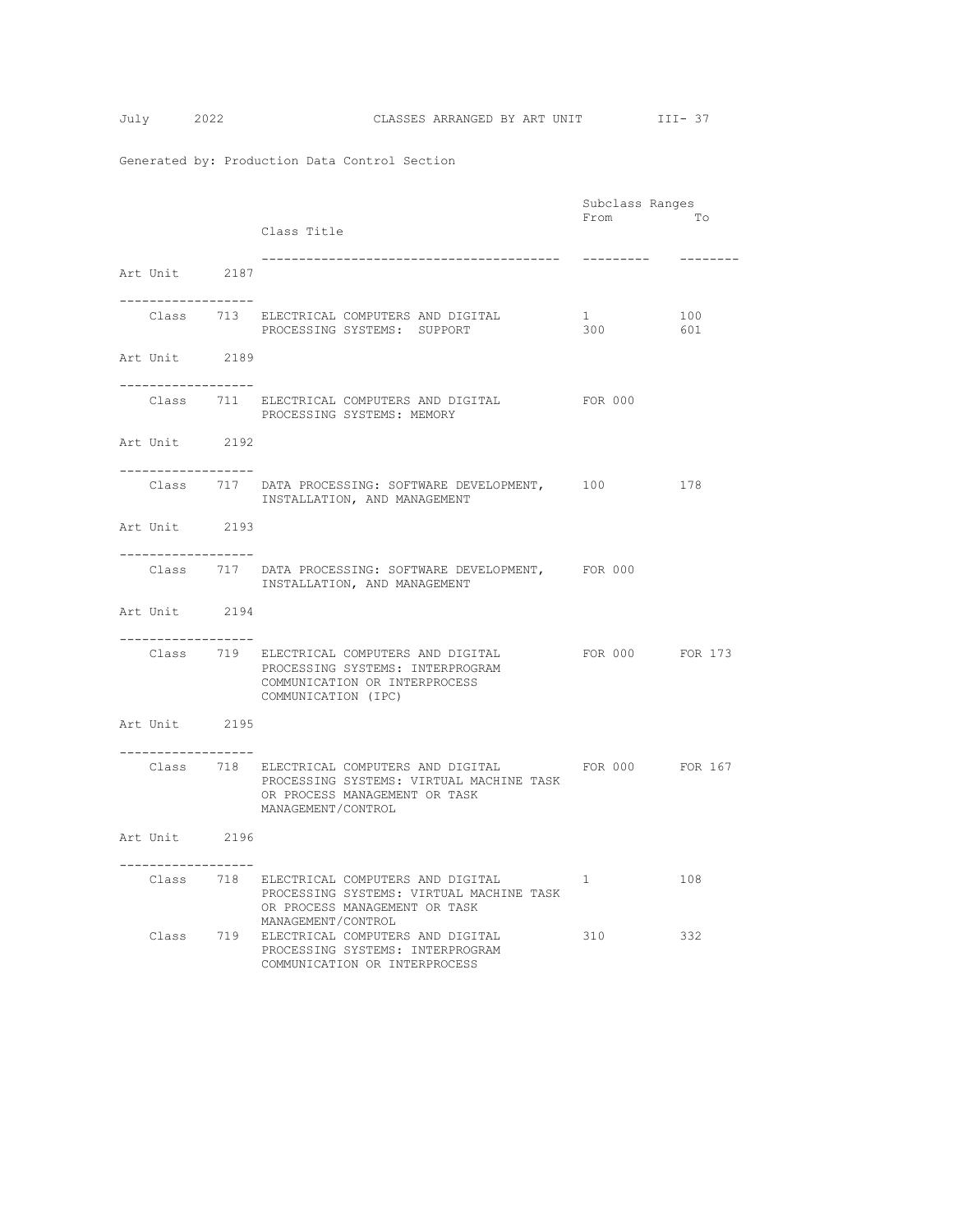|                                                      |                                                                                                                                                         |                               | Subclass Ranges |            |
|------------------------------------------------------|---------------------------------------------------------------------------------------------------------------------------------------------------------|-------------------------------|-----------------|------------|
|                                                      | Class Title                                                                                                                                             | From                          |                 | To         |
| Art Unit 2187                                        |                                                                                                                                                         |                               | ----------      | --------   |
| -------------------                                  | Class 713 ELECTRICAL COMPUTERS AND DIGITAL<br>PROCESSING SYSTEMS: SUPPORT                                                                               | $1 \quad \blacksquare$<br>300 |                 | 100<br>601 |
| Art Unit 2189<br>-------------------                 |                                                                                                                                                         |                               |                 |            |
|                                                      | Class 711 ELECTRICAL COMPUTERS AND DIGITAL 600 FOR 000<br>PROCESSING SYSTEMS: MEMORY                                                                    |                               |                 |            |
| Art Unit 2192                                        |                                                                                                                                                         |                               |                 |            |
| -----------------                                    | Class 717 DATA PROCESSING: SOFTWARE DEVELOPMENT, 100<br>INSTALLATION, AND MANAGEMENT                                                                    |                               | 178             |            |
| Art Unit 2193<br>. _ _ _ _ _ _ _ _ _ _ _ _ _ _ _ _ _ |                                                                                                                                                         |                               |                 |            |
|                                                      | Class 717 DATA PROCESSING: SOFTWARE DEVELOPMENT, FOR 000<br>INSTALLATION, AND MANAGEMENT                                                                |                               |                 |            |
| Art Unit 2194<br>-----------------                   |                                                                                                                                                         |                               |                 |            |
|                                                      | Class         719       ELECTRICAL  COMPUTERS  AND  DIGITAL<br>PROCESSING SYSTEMS: INTERPROGRAM<br>COMMUNICATION OR INTERPROCESS<br>COMMUNICATION (IPC) |                               | FOR 000 FOR 173 |            |
| Art Unit 2195<br>. _ _ _ _ _ _ _ _ _ _ _ _ _ _ _ _ _ |                                                                                                                                                         |                               |                 |            |
|                                                      | Class 718 ELECTRICAL COMPUTERS AND DIGITAL<br>PROCESSING SYSTEMS: VIRTUAL MACHINE TASK<br>OR PROCESS MANAGEMENT OR TASK<br>MANAGEMENT/CONTROL           |                               | FOR 000 FOR 167 |            |
| Art Unit 2196<br>-----------------                   |                                                                                                                                                         |                               |                 |            |
|                                                      | Class 718 ELECTRICAL COMPUTERS AND DIGITAL<br>PROCESSING SYSTEMS: VIRTUAL MACHINE TASK<br>OR PROCESS MANAGEMENT OR TASK<br>MANAGEMENT/CONTROL           | 1                             |                 | 108        |
|                                                      | Class 719 ELECTRICAL COMPUTERS AND DIGITAL<br>PROCESSING SYSTEMS: INTERPROGRAM<br>COMMUNICATION OR INTERPROCESS                                         | 310                           |                 | 332        |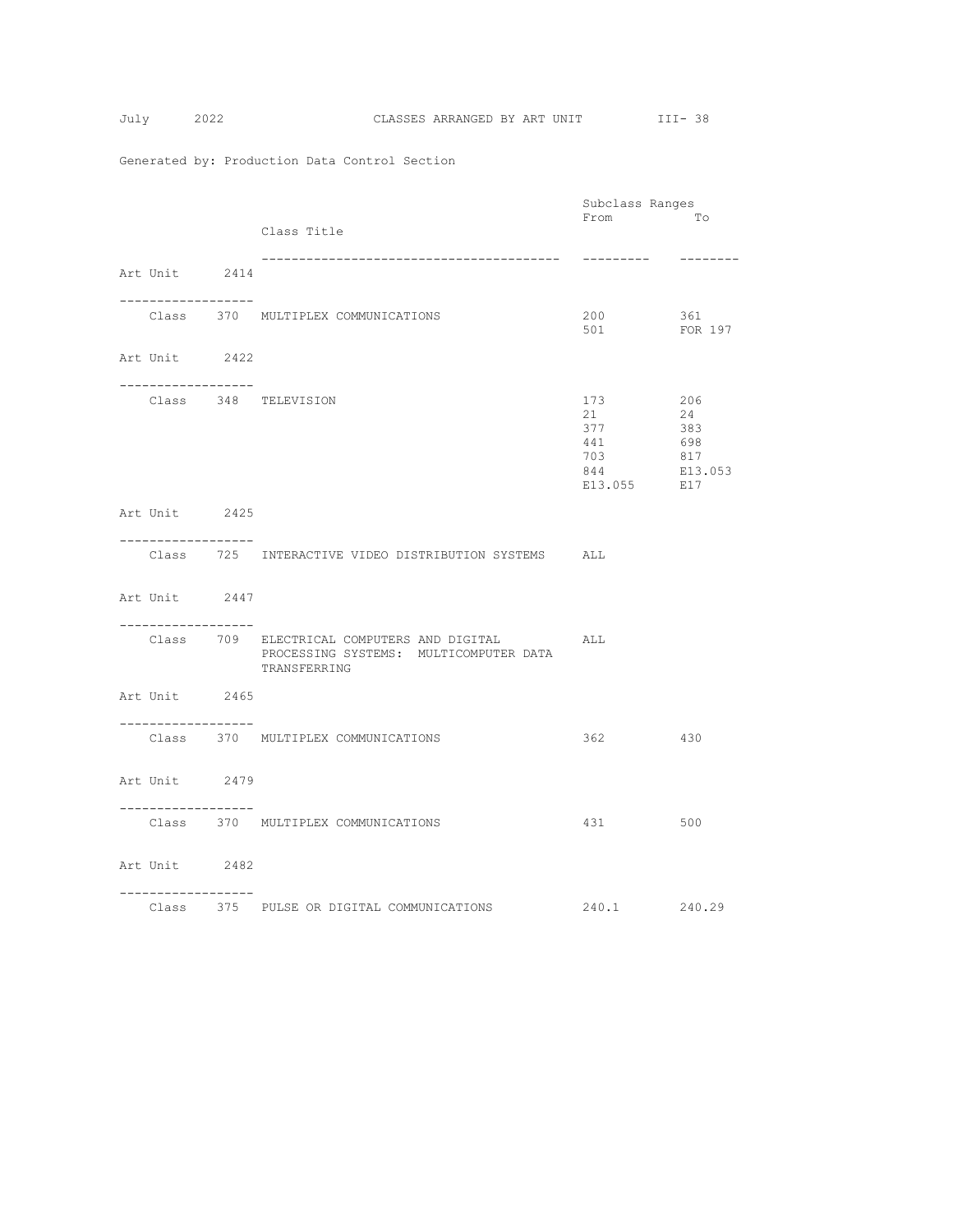|                                       |                                                                                                      | Subclass Ranges                                      |                                           |
|---------------------------------------|------------------------------------------------------------------------------------------------------|------------------------------------------------------|-------------------------------------------|
|                                       | Class Title                                                                                          | From                                                 | To                                        |
| Art Unit 2414                         |                                                                                                      | ---------                                            | --------                                  |
| . _ _ _ _ _ _ _ _ _ _ _ _ _ _ _ _ _ _ | Class 370 MULTIPLEX COMMUNICATIONS                                                                   | 200<br>200 361<br>501 FOR 197                        | 361                                       |
| Art Unit 2422                         |                                                                                                      |                                                      |                                           |
| . _ _ _ _ _ _ _ _ _ _ _ _ _ _ _ _ _   | Class 348 TELEVISION                                                                                 | 173<br>21<br>377<br>441<br>703<br>844<br>E13.055 E17 | 206<br>24<br>383<br>698<br>817<br>E13.053 |
| Art Unit 2425                         |                                                                                                      |                                                      |                                           |
| ------------------                    | Class 725 INTERACTIVE VIDEO DISTRIBUTION SYSTEMS ALL                                                 |                                                      |                                           |
| Art Unit 2447                         |                                                                                                      |                                                      |                                           |
| . _ _ _ _ _ _ _ _ _ _ _ _ _ _ _ _ _ _ | Class 709 ELECTRICAL COMPUTERS AND DIGITAL<br>PROCESSING SYSTEMS: MULTICOMPUTER DATA<br>TRANSFERRING | ALL                                                  |                                           |
| Art Unit 2465                         |                                                                                                      |                                                      |                                           |
| -----------------                     | Class 370 MULTIPLEX COMMUNICATIONS                                                                   | 362 430                                              |                                           |
| Art Unit 2479                         |                                                                                                      |                                                      |                                           |
| ------------------                    | Class 370 MULTIPLEX COMMUNICATIONS                                                                   | 431 \                                                | 500                                       |
| Art Unit 2482                         |                                                                                                      |                                                      |                                           |
| ------------------                    |                                                                                                      | 240.1 240.29                                         |                                           |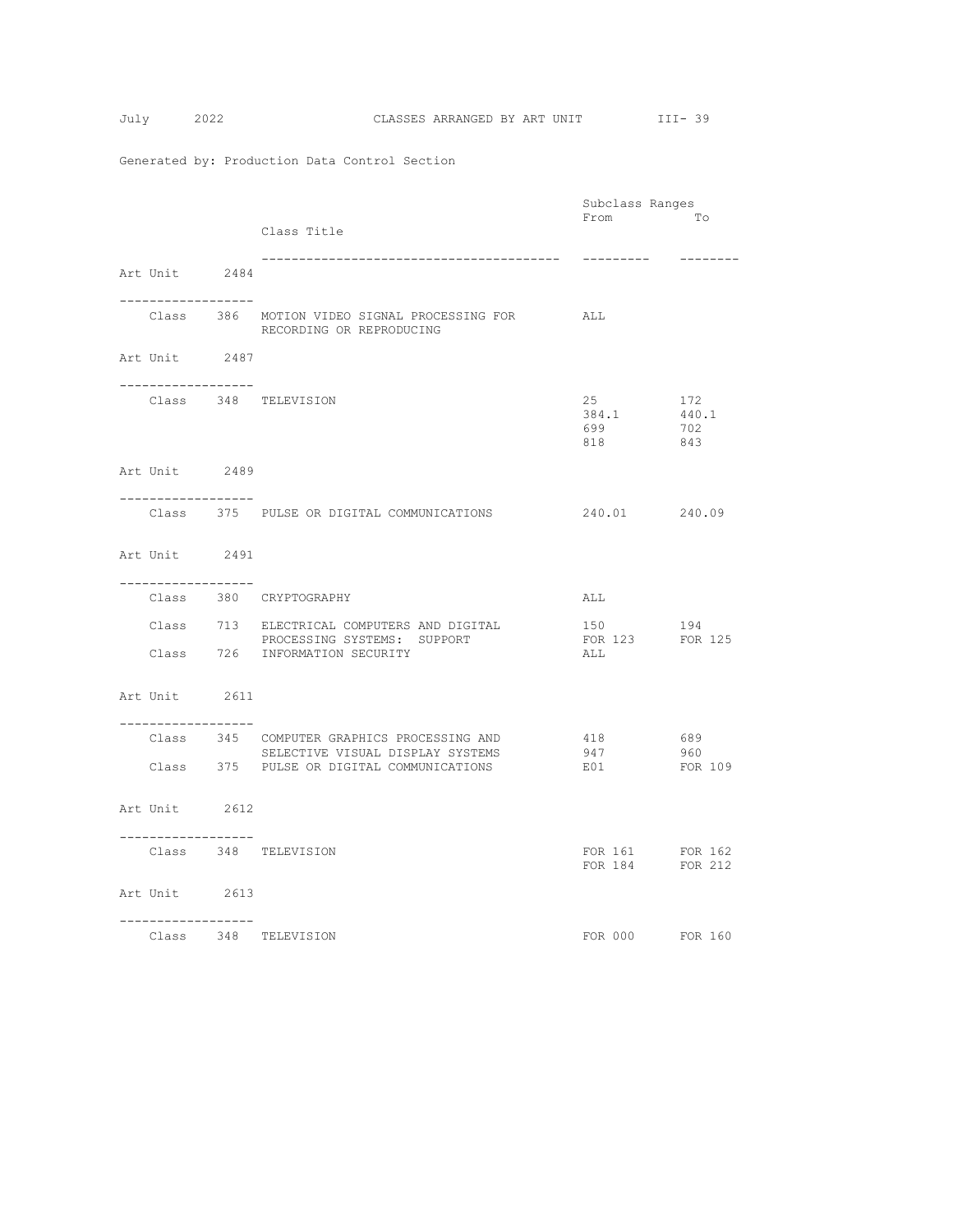|  |                    |                                                                               |                        | Subclass Ranges |  |  |
|--|--------------------|-------------------------------------------------------------------------------|------------------------|-----------------|--|--|
|  |                    | Class Title                                                                   | From                   | <b>To</b>       |  |  |
|  |                    |                                                                               |                        |                 |  |  |
|  | Art Unit 2484      |                                                                               | ----------             | --------        |  |  |
|  |                    |                                                                               |                        |                 |  |  |
|  |                    | Class 386 MOTION VIDEO SIGNAL PROCESSING FOR ALL                              |                        |                 |  |  |
|  |                    | RECORDING OR REPRODUCING                                                      |                        |                 |  |  |
|  | Art Unit 2487      |                                                                               |                        |                 |  |  |
|  | ------------------ |                                                                               |                        |                 |  |  |
|  |                    | Class 348 TELEVISION                                                          | 25<br>384.1            | 172             |  |  |
|  |                    |                                                                               | 699                    | 440.1<br>702    |  |  |
|  |                    |                                                                               | 818 843                |                 |  |  |
|  | Art Unit 2489      |                                                                               |                        |                 |  |  |
|  | ------------------ |                                                                               |                        |                 |  |  |
|  |                    | Class 375 PULSE OR DIGITAL COMMUNICATIONS                                     | 240.01 240.09          |                 |  |  |
|  |                    |                                                                               |                        |                 |  |  |
|  | Art Unit 2491      |                                                                               |                        |                 |  |  |
|  |                    |                                                                               |                        |                 |  |  |
|  |                    | Class 380 CRYPTOGRAPHY                                                        | ALL                    |                 |  |  |
|  |                    | Class 713 ELECTRICAL COMPUTERS AND DIGITAL                                    | 150                    | 194             |  |  |
|  |                    | PROCESSING SYSTEMS: SUPPORT<br>Class 726 INFORMATION SECURITY                 | FOR 123 FOR 125<br>ALL |                 |  |  |
|  |                    |                                                                               |                        |                 |  |  |
|  | Art Unit 2611      |                                                                               |                        |                 |  |  |
|  | . <u>.</u>         |                                                                               |                        |                 |  |  |
|  |                    | Class 345 COMPUTER GRAPHICS PROCESSING AND                                    | $418$<br>947           | 689             |  |  |
|  |                    | SELECTIVE VISUAL DISPLAY SYSTEMS<br>Class 375 PULSE OR DIGITAL COMMUNICATIONS | 947<br>E01             | 960<br>FOR 109  |  |  |
|  |                    |                                                                               |                        |                 |  |  |
|  | Art Unit 2612      |                                                                               |                        |                 |  |  |
|  | ------------------ |                                                                               |                        |                 |  |  |
|  |                    | Class 348 TELEVISION                                                          |                        | FOR 161 FOR 162 |  |  |
|  |                    |                                                                               |                        | FOR 184 FOR 212 |  |  |
|  | Art Unit 2613      |                                                                               |                        |                 |  |  |
|  | ------------------ |                                                                               |                        |                 |  |  |
|  |                    | Class 348 TELEVISION                                                          |                        | FOR 000 FOR 160 |  |  |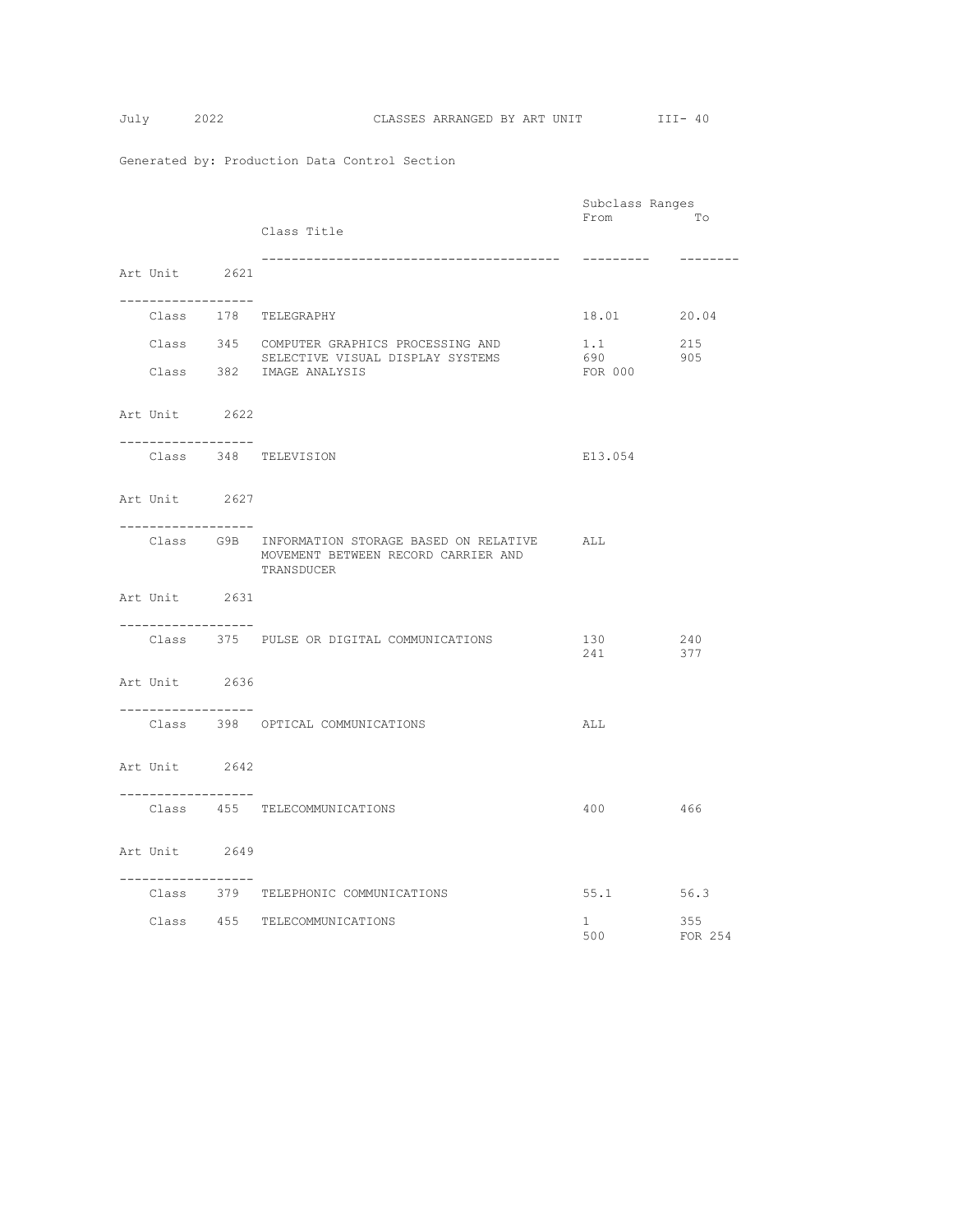|                                     |                                                                                                          | Subclass Ranges                                    |                |
|-------------------------------------|----------------------------------------------------------------------------------------------------------|----------------------------------------------------|----------------|
|                                     | Class Title                                                                                              | From                                               | Tо             |
| Art Unit 2621                       |                                                                                                          | ----------                                         | --------       |
| -------------------                 | Class 178 TELEGRAPHY                                                                                     | 18.01 20.04                                        |                |
|                                     | Class 345 COMPUTER GRAPHICS PROCESSING AND<br>SELECTIVE VISUAL DISPLAY SYSTEMS                           | 1.1<br>690                                         | 215<br>905     |
|                                     | Class 382 IMAGE ANALYSIS                                                                                 | FOR 000                                            |                |
| Art Unit 2622                       |                                                                                                          |                                                    |                |
| . _ _ _ _ _ _ _ _ _ _ _ _ _ _ _ _ _ | Class 348 TELEVISION                                                                                     | E13.054                                            |                |
| Art Unit 2627<br>------------------ |                                                                                                          |                                                    |                |
|                                     | Class G9B INFORMATION STORAGE BASED ON RELATIVE ALL<br>MOVEMENT BETWEEN RECORD CARRIER AND<br>TRANSDUCER |                                                    |                |
| Art Unit 2631                       |                                                                                                          |                                                    |                |
| . <u>.</u>                          | Class 375 PULSE OR DIGITAL COMMUNICATIONS                                                                | $\begin{array}{c}\n130 \\ 241\n\end{array}$<br>241 | 240<br>377     |
| Art Unit 2636                       |                                                                                                          |                                                    |                |
| ------------------                  | Class 398 OPTICAL COMMUNICATIONS                                                                         | ALL                                                |                |
| Art Unit 2642                       |                                                                                                          |                                                    |                |
| ------------------                  | Class 455 TELECOMMUNICATIONS                                                                             | 400 466                                            |                |
| Art Unit 2649<br>. <u>.</u>         |                                                                                                          |                                                    |                |
| Class                               | 379 TELEPHONIC COMMUNICATIONS                                                                            | 55.1 56.3                                          |                |
|                                     | Class 455 TELECOMMUNICATIONS                                                                             | $1 \quad$<br>500                                   | 355<br>FOR 254 |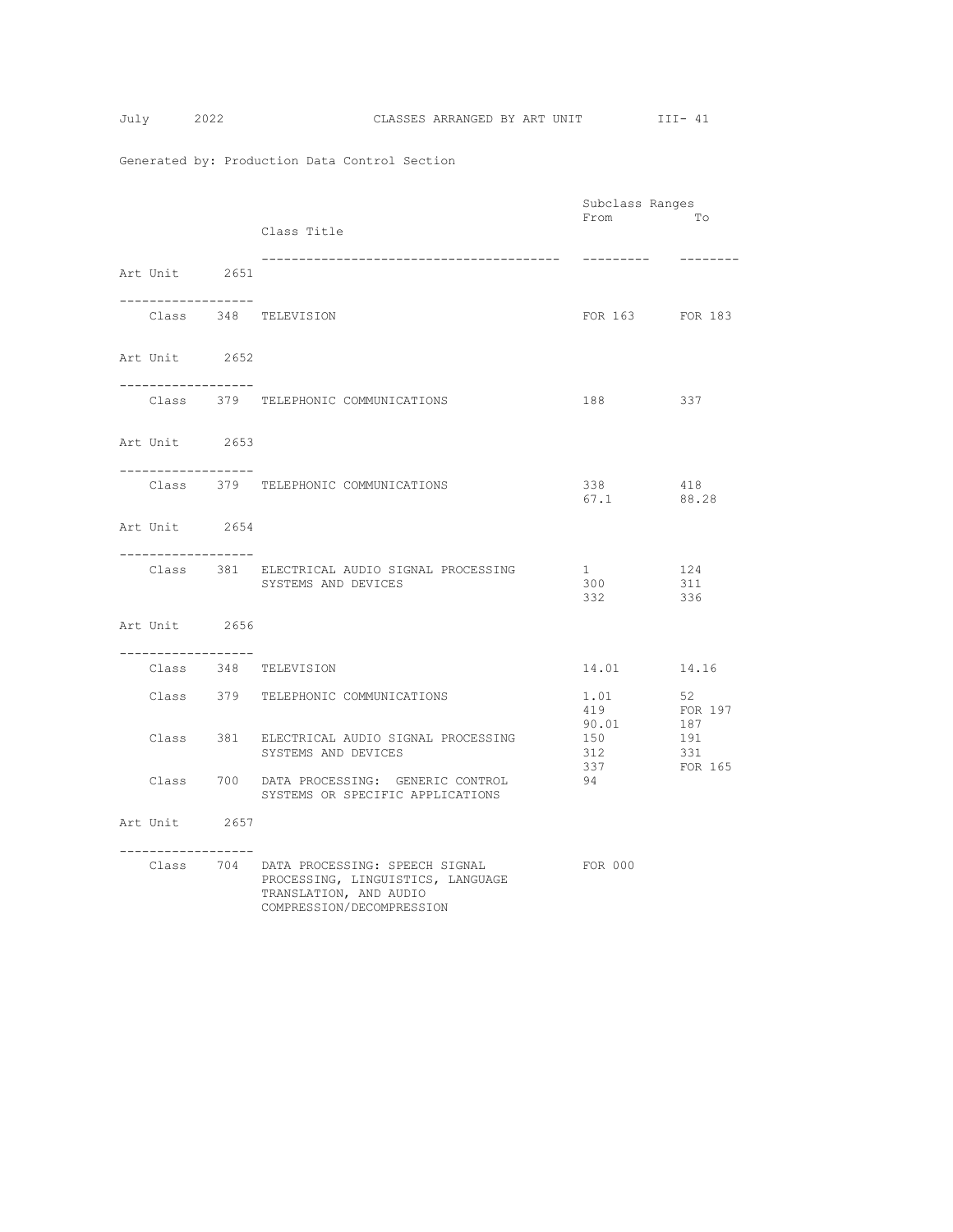$$
July 2
$$

|                                     |                                                                                                                                      | Subclass Ranges                 |                    |
|-------------------------------------|--------------------------------------------------------------------------------------------------------------------------------------|---------------------------------|--------------------|
|                                     | Class Title                                                                                                                          | From                            | To                 |
| Art Unit 2651                       |                                                                                                                                      | ----------                      | --------           |
| . _ _ _ _ _ _ _ _ _ _ _ _ _ _ _ _ _ | Class 348 TELEVISION                                                                                                                 | FOR 163 FOR 183                 |                    |
| Art Unit 2652                       |                                                                                                                                      |                                 |                    |
| ------------------                  | Class 379 TELEPHONIC COMMUNICATIONS                                                                                                  | 188<br>337                      |                    |
| Art Unit 2653                       |                                                                                                                                      |                                 |                    |
| -----------------                   | Class 379 TELEPHONIC COMMUNICATIONS                                                                                                  | 338<br>67.1 88.28               | 418                |
| Art Unit 2654                       |                                                                                                                                      |                                 |                    |
| -----------------                   | Class 381 ELECTRICAL AUDIO SIGNAL PROCESSING<br>SYSTEMS AND DEVICES                                                                  | $1 \qquad \qquad$<br>300<br>332 | 124<br>311<br>336  |
| Art Unit 2656                       |                                                                                                                                      |                                 |                    |
| . <u>.</u>                          | Class 348 TELEVISION                                                                                                                 | 14.01                           | 14.16              |
|                                     | Class 379 TELEPHONIC COMMUNICATIONS                                                                                                  | 1.01<br>419                     | 52<br>FOR 197      |
|                                     | Class 381 ELECTRICAL AUDIO SIGNAL PROCESSING<br>SYSTEMS AND DEVICES                                                                  | 90.01<br>150<br>312             | 187<br>191<br>-331 |
|                                     | Class 700 DATA PROCESSING: GENERIC CONTROL<br>SYSTEMS OR SPECIFIC APPLICATIONS                                                       | 337<br>94                       | FOR 165            |
| Art Unit 2657                       |                                                                                                                                      |                                 |                    |
| -----------------                   | Class 704 DATA PROCESSING: SPEECH SIGNAL<br>PROCESSING, LINGUISTICS, LANGUAGE<br>TRANSLATION, AND AUDIO<br>COMPRESSION/DECOMPRESSION | FOR 000                         |                    |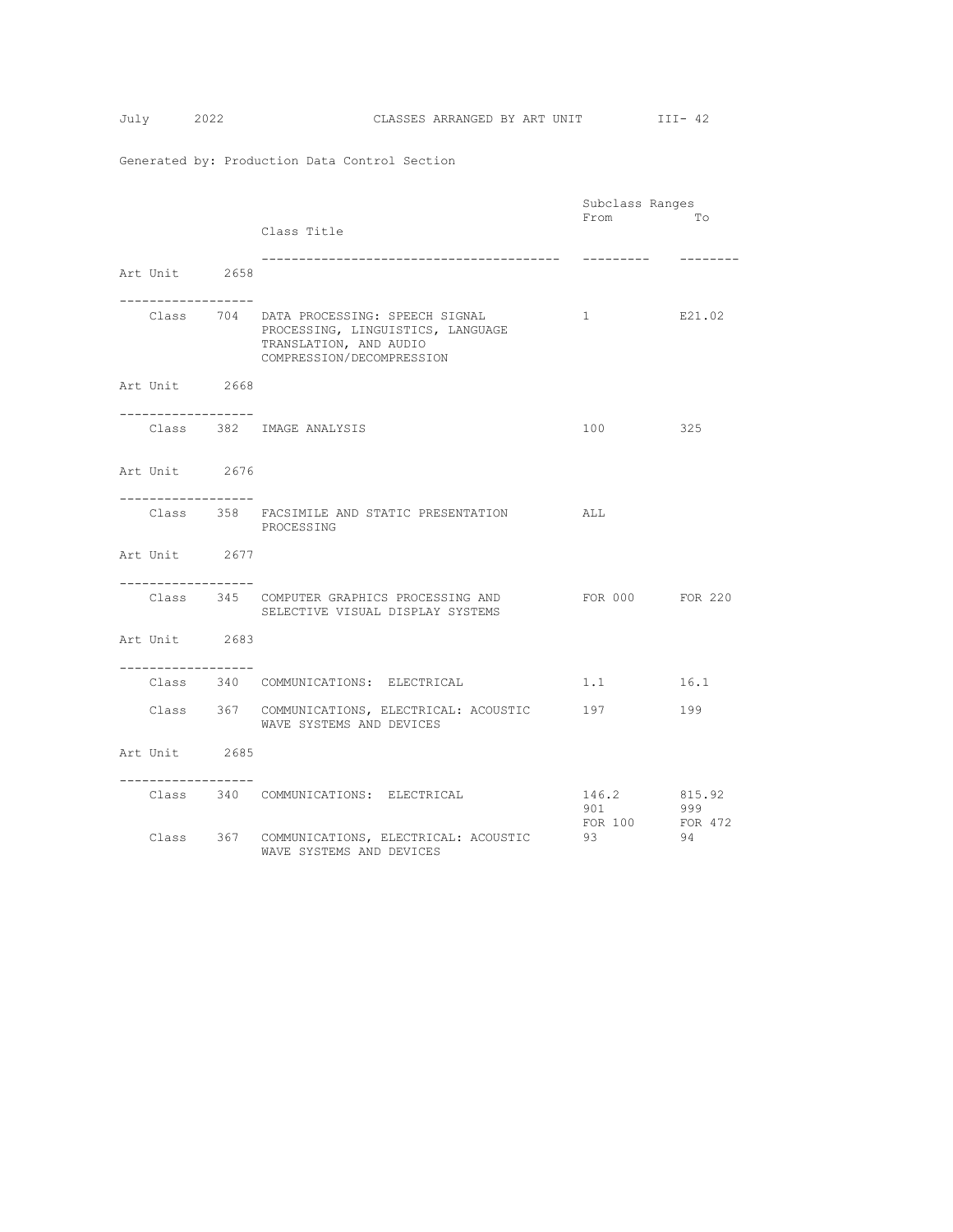|                                     |                                                                                                                                      | Subclass Ranges                |                |
|-------------------------------------|--------------------------------------------------------------------------------------------------------------------------------------|--------------------------------|----------------|
|                                     | Class Title                                                                                                                          | From                           | Tо             |
| Art Unit 2658                       | ------------------------------------                                                                                                 |                                |                |
| -----------------                   | Class 704 DATA PROCESSING: SPEECH SIGNAL<br>PROCESSING, LINGUISTICS, LANGUAGE<br>TRANSLATION, AND AUDIO<br>COMPRESSION/DECOMPRESSION | $1 \quad$                      | E21.02         |
| Art Unit 2668                       |                                                                                                                                      |                                |                |
| . _ _ _ _ _ _ _ _ _ _ _ _ _ _ _ _ _ | Class 382 IMAGE ANALYSIS                                                                                                             | 100                            | 325            |
| Art Unit 2676                       |                                                                                                                                      |                                |                |
| -----------------                   | Class 358 FACSIMILE AND STATIC PRESENTATION<br>PROCESSING                                                                            | ALL                            |                |
| Art Unit 2677                       |                                                                                                                                      |                                |                |
| . <u>.</u>                          | Class 345 COMPUTER GRAPHICS PROCESSING AND<br>SELECTIVE VISUAL DISPLAY SYSTEMS                                                       | FOR 000 FOR 220                |                |
| Art Unit 2683                       |                                                                                                                                      |                                |                |
| . _ _ _ _ _ _ _ _ _ _ _ _ _ _ _ _ _ | Class 340 COMMUNICATIONS: ELECTRICAL                                                                                                 | 1.1                            | 16.1           |
|                                     | Class 367 COMMUNICATIONS, ELECTRICAL: ACOUSTIC 197<br>WAVE SYSTEMS AND DEVICES                                                       |                                | 199            |
| Art Unit 2685                       |                                                                                                                                      |                                |                |
| . <u>.</u> .                        | Class 340 COMMUNICATIONS: ELECTRICAL                                                                                                 | 146.2 815.92<br>901<br>FOR 100 | 999<br>FOR 472 |
|                                     | Class 367 COMMUNICATIONS, ELECTRICAL: ACOUSTIC<br>WAVE SYSTEMS AND DEVICES                                                           | 93                             | 94             |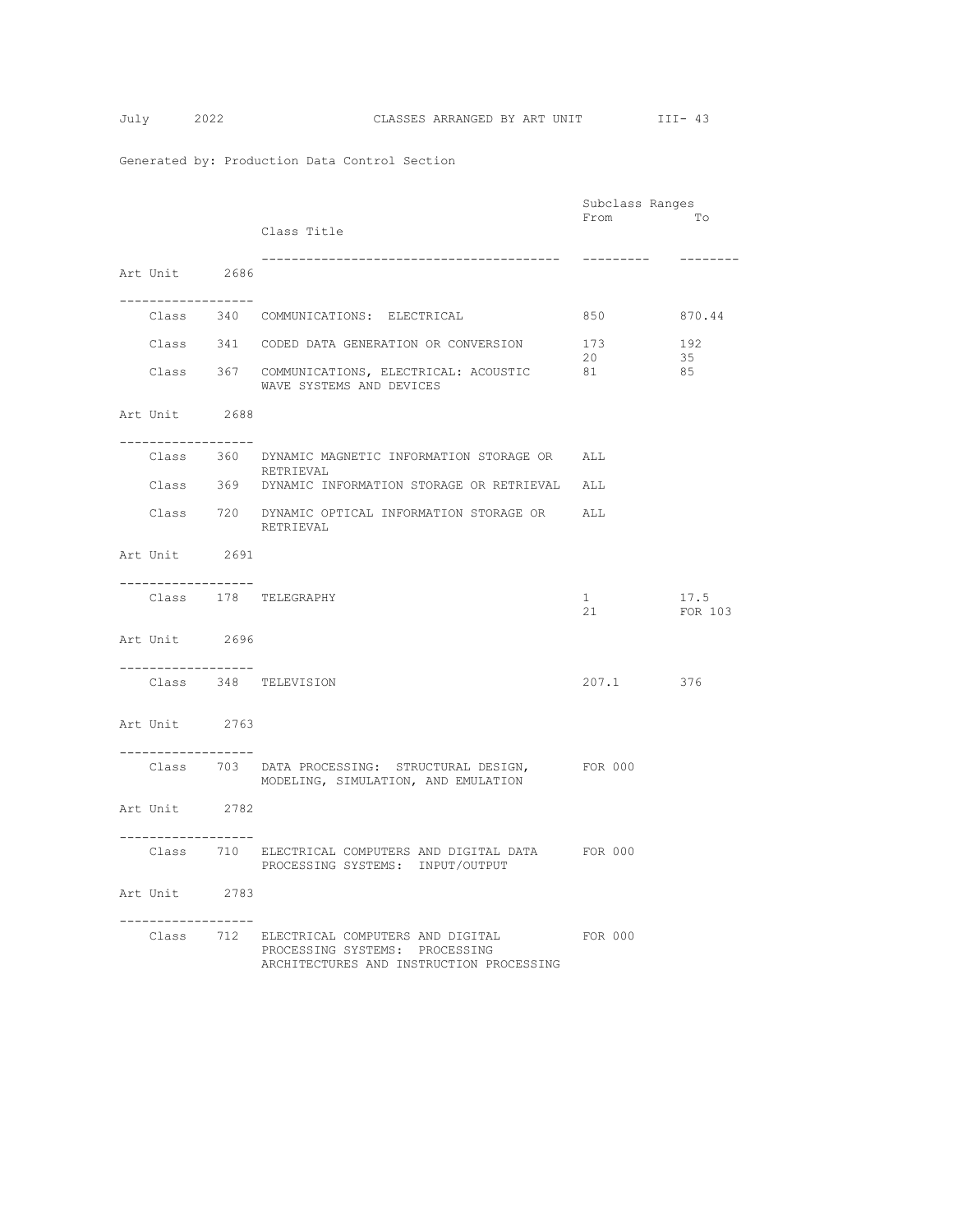|                                       |                                                                                                                                  | Subclass Ranges |                 |
|---------------------------------------|----------------------------------------------------------------------------------------------------------------------------------|-----------------|-----------------|
|                                       | Class Title                                                                                                                      | From            | To              |
| Art Unit 2686                         |                                                                                                                                  | ----------      | --------        |
| . _ _ _ _ _ _ _ _ _ _ _ _ _ _ _ _ _ _ | Class 340 COMMUNICATIONS: ELECTRICAL                                                                                             | 850 000         | 870.44          |
|                                       | Class 341 CODED DATA GENERATION OR CONVERSION                                                                                    | 173<br>20       | 192<br>35       |
|                                       | Class 367 COMMUNICATIONS, ELECTRICAL: ACOUSTIC<br>WAVE SYSTEMS AND DEVICES                                                       | 81              | 85              |
| Art Unit 2688                         |                                                                                                                                  |                 |                 |
| -----------------                     | Class 360 DYNAMIC MAGNETIC INFORMATION STORAGE OR<br>RETRIEVAL                                                                   | ALL             |                 |
|                                       | Class 369 DYNAMIC INFORMATION STORAGE OR RETRIEVAL ALL                                                                           |                 |                 |
|                                       | Class 720 DYNAMIC OPTICAL INFORMATION STORAGE OR ALL<br>RETRIEVAL                                                                |                 |                 |
| Art Unit 2691                         |                                                                                                                                  |                 |                 |
| -------------------                   | Class 178 TELEGRAPHY                                                                                                             | 1<br>21         | 17.5<br>FOR 103 |
| Art Unit 2696                         |                                                                                                                                  |                 |                 |
| ------------------                    | Class 348 TELEVISION                                                                                                             | 207.1 376       |                 |
| Art Unit 2763                         |                                                                                                                                  |                 |                 |
| . _ _ _ _ _ _ _ _ _ _ _ _ _ _ _ _ _   | Class 703 DATA PROCESSING: STRUCTURAL DESIGN, FOR 000<br>MODELING, SIMULATION, AND EMULATION                                     |                 |                 |
| Art Unit 2782<br>.                    |                                                                                                                                  |                 |                 |
|                                       | Class 710 ELECTRICAL COMPUTERS AND DIGITAL DATA FOR 000<br>PROCESSING SYSTEMS: INPUT/OUTPUT                                      |                 |                 |
| Art Unit 2783<br>------------------   |                                                                                                                                  |                 |                 |
|                                       | Class 712 ELECTRICAL COMPUTERS AND DIGITAL FOR 000<br>PROCESSING SYSTEMS: PROCESSING<br>ARCHITECTURES AND INSTRUCTION PROCESSING |                 |                 |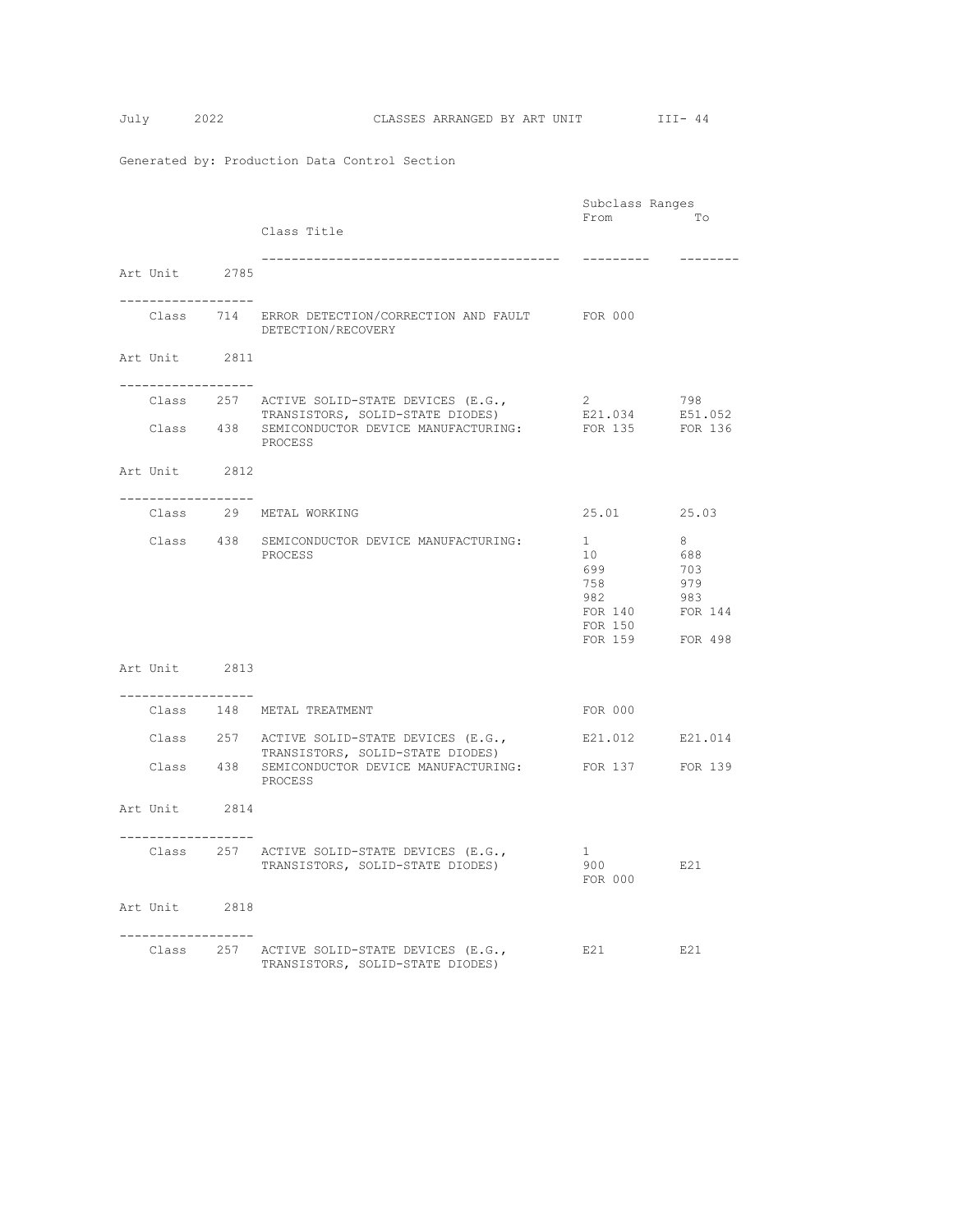|                                       |                                                                                                   | Subclass Ranges            |          |
|---------------------------------------|---------------------------------------------------------------------------------------------------|----------------------------|----------|
|                                       |                                                                                                   | From                       | To       |
|                                       | Class Title                                                                                       |                            |          |
|                                       |                                                                                                   | ----------                 | -------- |
| Art Unit 2785                         |                                                                                                   |                            |          |
|                                       |                                                                                                   |                            |          |
| -------------------                   |                                                                                                   |                            |          |
|                                       | Class 714 ERROR DETECTION/CORRECTION AND FAULT FOR 000                                            |                            |          |
|                                       | DETECTION/RECOVERY                                                                                |                            |          |
| Art Unit 2811                         |                                                                                                   |                            |          |
|                                       |                                                                                                   |                            |          |
| . _ _ _ _ _ _ _ _ _ _ _ _ _ _ _ _ _   |                                                                                                   |                            |          |
|                                       | Class 257 ACTIVE SOLID-STATE DEVICES (E.G.,                                                       | 2                          | 798      |
|                                       | TRANSISTORS, SOLID-STATE DIODES)<br>Class 438 SEMICONDUCTOR DEVICE MANUFACTURING: FOR 135 FOR 136 | E21.034                    | E51.052  |
|                                       | PROCESS                                                                                           |                            |          |
|                                       |                                                                                                   |                            |          |
| Art Unit 2812                         |                                                                                                   |                            |          |
|                                       |                                                                                                   |                            |          |
|                                       |                                                                                                   |                            |          |
|                                       | Class 29 METAL WORKING                                                                            | 25.01 25.03                |          |
|                                       | Class 438 SEMICONDUCTOR DEVICE MANUFACTURING:                                                     | $1 \quad$                  | 8        |
|                                       | PROCESS                                                                                           | 10                         | 688      |
|                                       |                                                                                                   | 699                        | 703      |
|                                       |                                                                                                   | 758                        | 979      |
|                                       |                                                                                                   | 982                        | 983      |
|                                       |                                                                                                   | FOR 140                    | FOR 144  |
|                                       |                                                                                                   | FOR 150<br>FOR 159 FOR 498 |          |
|                                       |                                                                                                   |                            |          |
| Art Unit 2813                         |                                                                                                   |                            |          |
|                                       |                                                                                                   |                            |          |
| . _ _ _ _ _ _ _ _ _ _ _ _ _ _ _ _ _   |                                                                                                   |                            |          |
|                                       | Class 148 METAL TREATMENT                                                                         | FOR 000                    |          |
|                                       | Class 257 ACTIVE SOLID-STATE DEVICES (E.G.,                                                       | E21.012 E21.014            |          |
|                                       | TRANSISTORS, SOLID-STATE DIODES)                                                                  |                            |          |
|                                       | Class 438 SEMICONDUCTOR DEVICE MANUFACTURING:                                                     | FOR 137 FOR 139            |          |
|                                       | PROCESS                                                                                           |                            |          |
|                                       |                                                                                                   |                            |          |
| Art Unit 2814                         |                                                                                                   |                            |          |
| .                                     |                                                                                                   |                            |          |
|                                       | Class 257 ACTIVE SOLID-STATE DEVICES (E.G.,                                                       | 1                          |          |
|                                       | TRANSISTORS, SOLID-STATE DIODES)                                                                  | 900                        | E21      |
|                                       |                                                                                                   | FOR 000                    |          |
|                                       |                                                                                                   |                            |          |
| Art Unit 2818                         |                                                                                                   |                            |          |
| . _ _ _ _ _ _ _ _ _ _ _ _ _ _ _ _ _ _ |                                                                                                   |                            |          |
|                                       | Class 257 ACTIVE SOLID-STATE DEVICES (E.G.,                                                       | E21                        | E21      |
|                                       | TRANSISTORS, SOLID-STATE DIODES)                                                                  |                            |          |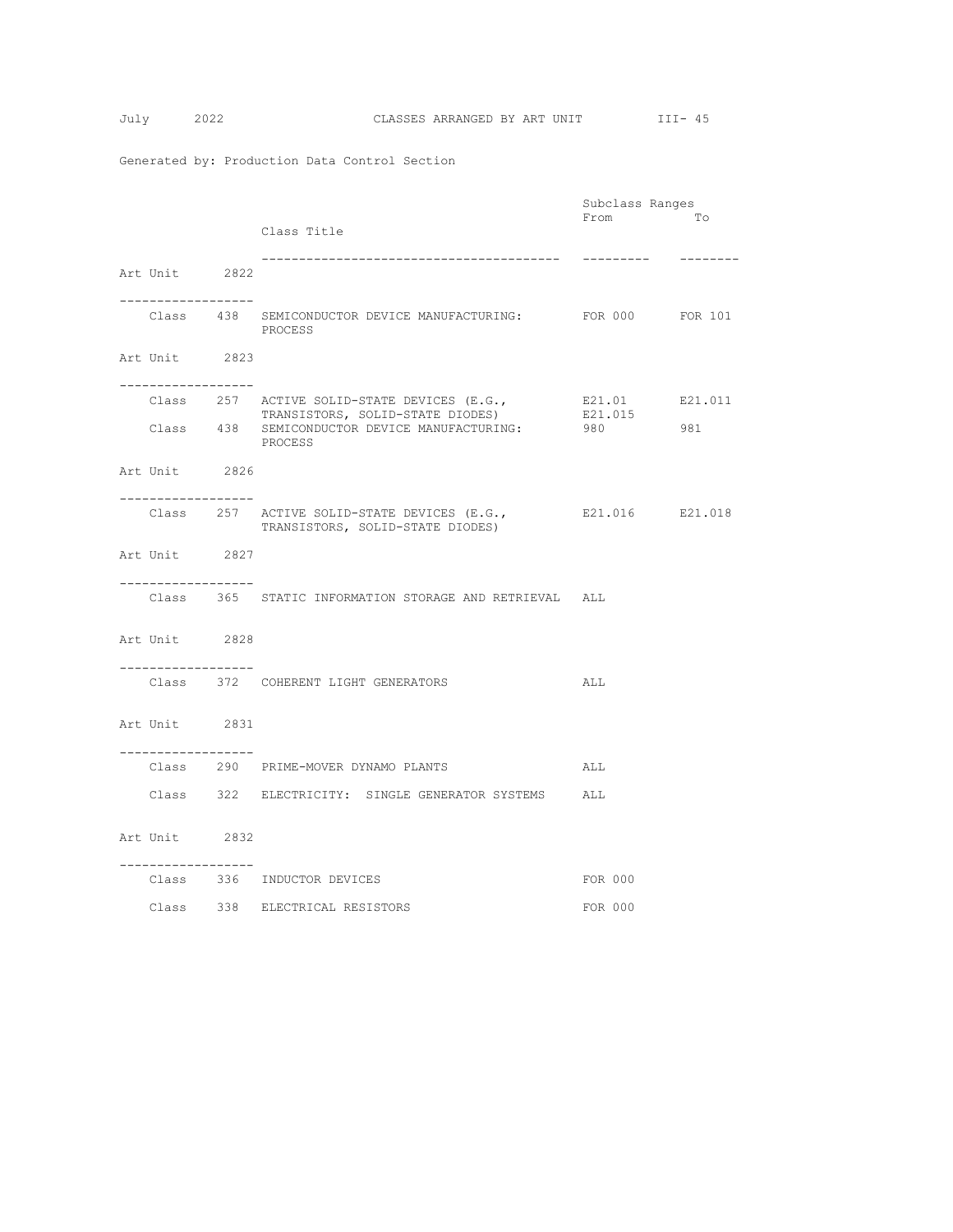$$
Tuly \qquad \qquad 20
$$

|                                       |                                                               | Subclass Ranges |           |
|---------------------------------------|---------------------------------------------------------------|-----------------|-----------|
|                                       |                                                               | From            | Tо        |
|                                       | Class Title                                                   |                 |           |
|                                       |                                                               | ----------      | --------- |
| Art Unit 2822                         |                                                               |                 |           |
| -----------------                     |                                                               |                 |           |
|                                       | Class 438 SEMICONDUCTOR DEVICE MANUFACTURING: FOR 000 FOR 101 |                 |           |
|                                       | PROCESS                                                       |                 |           |
|                                       |                                                               |                 |           |
| Art Unit 2823                         |                                                               |                 |           |
| . _ _ _ _ _ _ _ _ _ _ _ _ _ _ _ _ _   |                                                               |                 |           |
|                                       | Class 257 ACTIVE SOLID-STATE DEVICES (E.G.,                   | E21.01 E21.011  |           |
|                                       | TRANSISTORS, SOLID-STATE DIODES)                              | E21.015         |           |
|                                       | Class 438 SEMICONDUCTOR DEVICE MANUFACTURING:<br>PROCESS      | 980 000         | 981       |
|                                       |                                                               |                 |           |
| Art Unit 2826                         |                                                               |                 |           |
| .                                     |                                                               |                 |           |
|                                       | Class 257 ACTIVE SOLID-STATE DEVICES (E.G.,                   | E21.016 E21.018 |           |
|                                       | TRANSISTORS, SOLID-STATE DIODES)                              |                 |           |
|                                       |                                                               |                 |           |
| Art Unit 2827                         |                                                               |                 |           |
| ------------------                    |                                                               |                 |           |
|                                       | Class 365 STATIC INFORMATION STORAGE AND RETRIEVAL ALL        |                 |           |
|                                       |                                                               |                 |           |
| Art Unit 2828                         |                                                               |                 |           |
|                                       |                                                               |                 |           |
|                                       |                                                               |                 |           |
|                                       | Class 372 COHERENT LIGHT GENERATORS                           | ALL             |           |
|                                       |                                                               |                 |           |
| Art Unit 2831                         |                                                               |                 |           |
|                                       |                                                               |                 |           |
| . _ _ _ _ _ _ _ _ _ _ _ _ _ _ _ _ _ _ | Class 290 PRIME-MOVER DYNAMO PLANTS                           | ALL             |           |
|                                       |                                                               |                 |           |
|                                       | Class 322 ELECTRICITY: SINGLE GENERATOR SYSTEMS ALL           |                 |           |
|                                       |                                                               |                 |           |
| Art Unit 2832                         |                                                               |                 |           |
|                                       |                                                               |                 |           |
| . <u>.</u>                            |                                                               |                 |           |
|                                       | Class 336 INDUCTOR DEVICES                                    | FOR 000         |           |
|                                       | Class 338 ELECTRICAL RESISTORS                                | FOR 000         |           |
|                                       |                                                               |                 |           |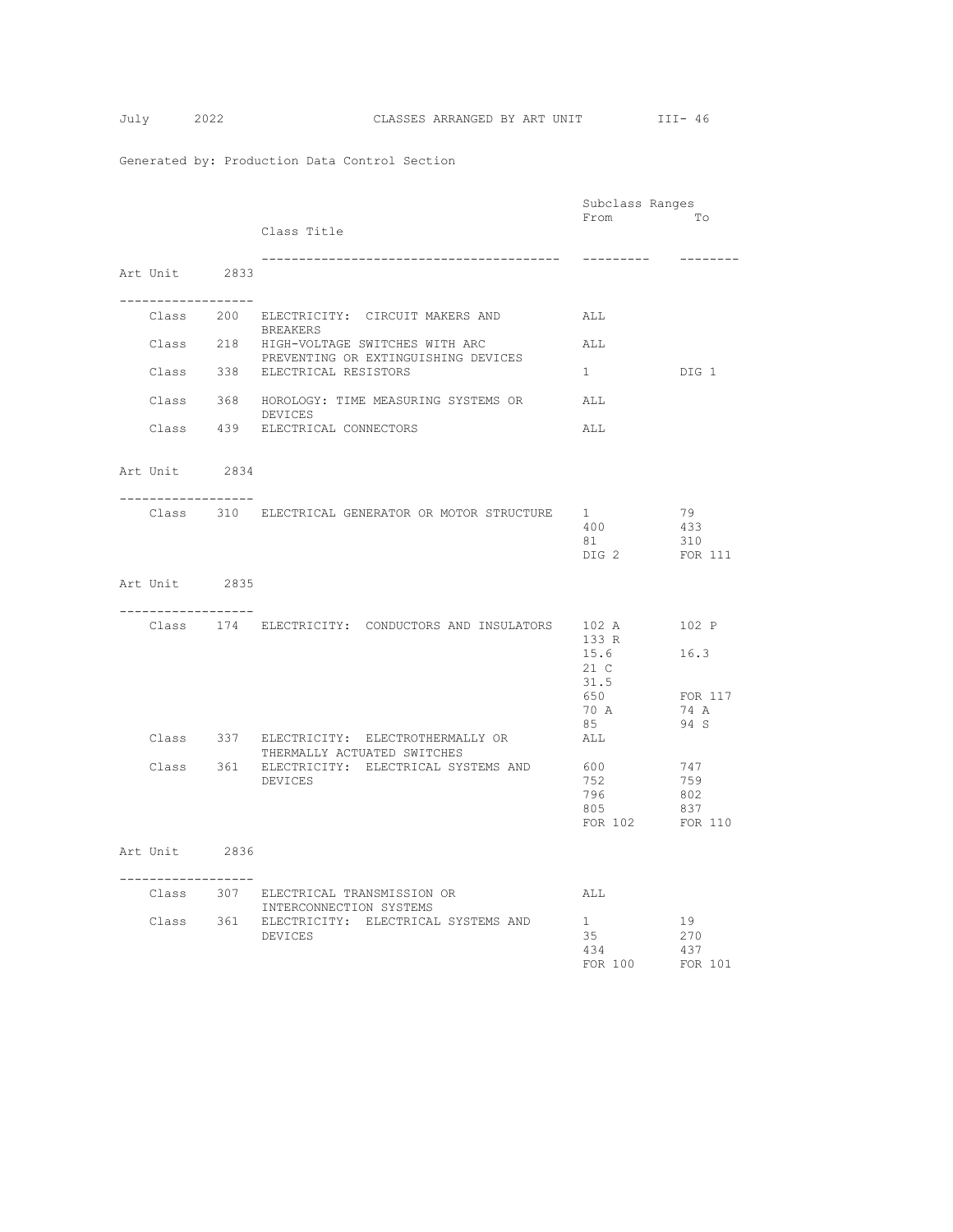|                                     |                                                                          | Subclass Ranges |                 |
|-------------------------------------|--------------------------------------------------------------------------|-----------------|-----------------|
|                                     |                                                                          | From            | To              |
|                                     | Class Title                                                              |                 |                 |
|                                     |                                                                          | ----------      | --------        |
| Art Unit 2833                       |                                                                          |                 |                 |
|                                     |                                                                          |                 |                 |
| . _ _ _ _ _ _ _ _ _ _ _ _ _ _ _ _ _ |                                                                          |                 |                 |
|                                     | Class 200 ELECTRICITY: CIRCUIT MAKERS AND<br>BREAKERS                    | ALL             |                 |
|                                     | Class 218 HIGH-VOLTAGE SWITCHES WITH ARC                                 | ALL             |                 |
|                                     | PREVENTING OR EXTINGUISHING DEVICES                                      |                 |                 |
|                                     | Class 338 ELECTRICAL RESISTORS                                           | $1 \quad$       | DIG 1           |
|                                     | Class 368 HOROLOGY: TIME MEASURING SYSTEMS OR                            | ALL             |                 |
|                                     | DEVICES                                                                  |                 |                 |
|                                     | Class 439 ELECTRICAL CONNECTORS                                          | ALL             |                 |
|                                     |                                                                          |                 |                 |
| Art Unit 2834                       |                                                                          |                 |                 |
|                                     |                                                                          |                 |                 |
| -----------------                   | Class 310 ELECTRICAL GENERATOR OR MOTOR STRUCTURE 1                      |                 | 79              |
|                                     |                                                                          | 400             | 433             |
|                                     |                                                                          | 81              | 310             |
|                                     |                                                                          | DIG 2           | FOR 111         |
| Art Unit 2835                       |                                                                          |                 |                 |
|                                     |                                                                          |                 |                 |
| -----------------                   |                                                                          |                 |                 |
|                                     | Class 174 ELECTRICITY: CONDUCTORS AND INSULATORS 102 A 102 P             |                 |                 |
|                                     |                                                                          | 133 R<br>15.6   | 16.3            |
|                                     |                                                                          | 21 C            |                 |
|                                     |                                                                          | 31.5            |                 |
|                                     |                                                                          | 650             | FOR 117<br>74 A |
|                                     |                                                                          | 70 A<br>85      | 94 S            |
|                                     | Class 337 ELECTRICITY: ELECTROTHERMALLY OR                               | ALL             |                 |
|                                     | THERMALLY ACTUATED SWITCHES                                              |                 |                 |
|                                     | Class 361 ELECTRICITY: ELECTRICAL SYSTEMS AND<br>DEVICES                 | 600<br>752      | 747<br>759      |
|                                     |                                                                          | 796             | 802             |
|                                     |                                                                          | 805             | 837             |
|                                     |                                                                          | FOR 102 FOR 110 |                 |
| Art Unit 2836                       |                                                                          |                 |                 |
|                                     |                                                                          |                 |                 |
| __________________                  |                                                                          |                 |                 |
|                                     | Class 307 ELECTRICAL TRANSMISSION OR                                     | ALL             |                 |
|                                     | INTERCONNECTION SYSTEMS<br>Class 361 ELECTRICITY: ELECTRICAL SYSTEMS AND | 1               | 19              |
|                                     | DEVICES                                                                  | 35              | 270             |
|                                     |                                                                          | 434             | 437             |
|                                     |                                                                          | FOR 100         | FOR 101         |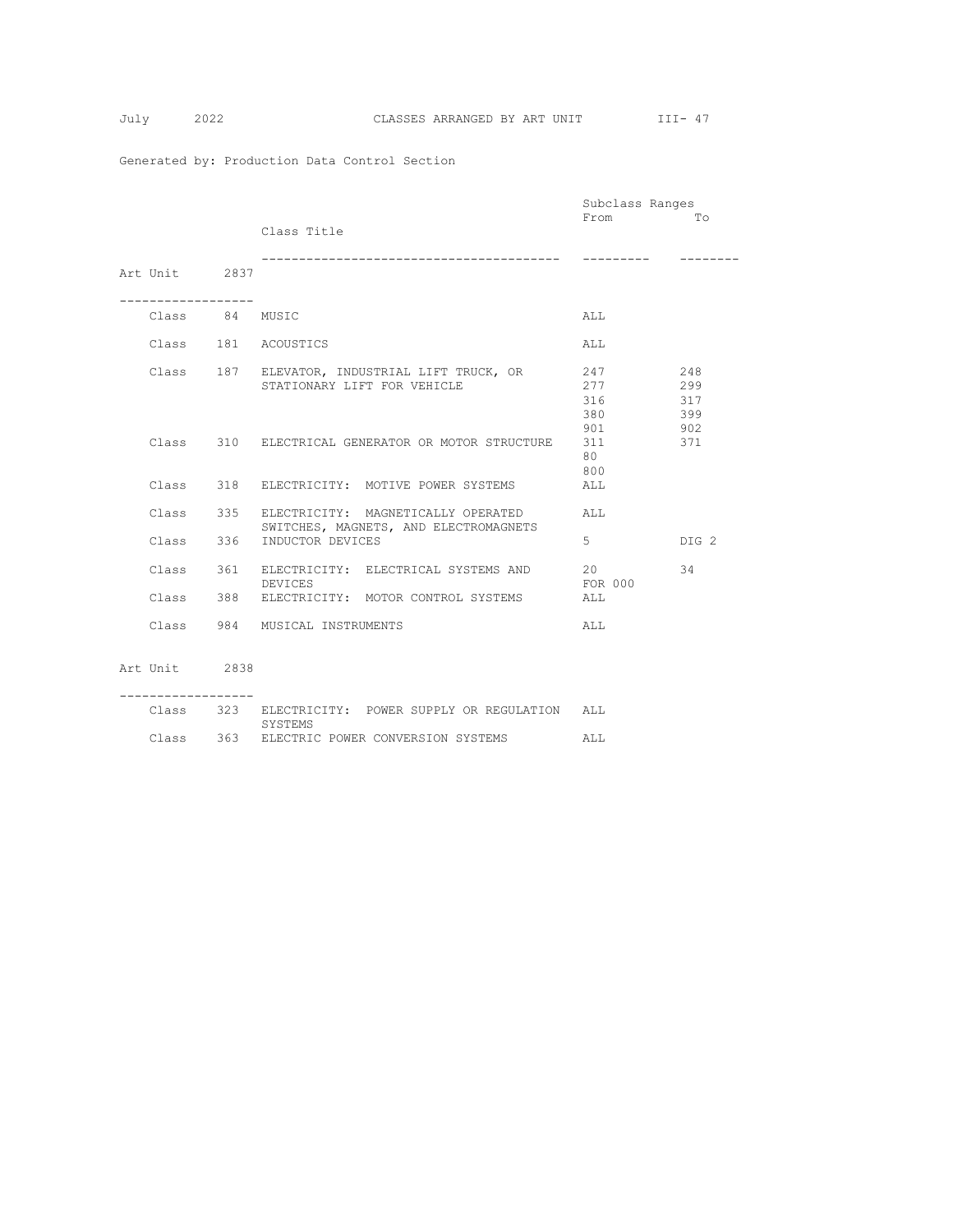SYSTEMS

Generated by: Production Data Control Section

|                |                                                       | Subclass Ranges |       |
|----------------|-------------------------------------------------------|-----------------|-------|
|                |                                                       | From            | Тο    |
|                | Class Title                                           |                 |       |
|                |                                                       |                 |       |
|                |                                                       |                 |       |
| Art Unit 2837  |                                                       |                 |       |
|                |                                                       |                 |       |
|                |                                                       |                 |       |
| Class 84 MUSIC |                                                       | ALL.            |       |
|                |                                                       |                 |       |
|                | Class 181 ACOUSTICS                                   | ALL             |       |
|                |                                                       |                 |       |
|                | Class 187 ELEVATOR, INDUSTRIAL LIFT TRUCK, OR         | 247             | 248   |
|                | STATIONARY LIFT FOR VEHICLE                           | 277             | 299   |
|                |                                                       | 316             | 317   |
|                |                                                       | 380             | 399   |
|                |                                                       | 901             | 902   |
|                | Class 310 ELECTRICAL GENERATOR OR MOTOR STRUCTURE     | 311             | 371   |
|                |                                                       | 80              |       |
|                |                                                       | 800             |       |
|                | Class 318 ELECTRICITY: MOTIVE POWER SYSTEMS           | ALL             |       |
|                |                                                       |                 |       |
|                | Class 335 ELECTRICITY: MAGNETICALLY OPERATED          | AT.T.           |       |
|                | SWITCHES, MAGNETS, AND ELECTROMAGNETS                 |                 |       |
| Class 336      | INDUCTOR DEVICES                                      | 5 <sub>1</sub>  | DIG 2 |
|                |                                                       |                 |       |
|                | Class 361 ELECTRICITY: ELECTRICAL SYSTEMS AND         | 20              | 34    |
|                | DEVICES                                               | FOR 000         |       |
|                | Class 388 ELECTRICITY: MOTOR CONTROL SYSTEMS          | ALL             |       |
|                |                                                       |                 |       |
|                | Class 984 MUSICAL INSTRUMENTS                         | ALL             |       |
|                |                                                       |                 |       |
|                |                                                       |                 |       |
| Art Unit 2838  |                                                       |                 |       |
|                |                                                       |                 |       |
|                |                                                       |                 |       |
|                | Class 323 ELECTRICITY: POWER SUPPLY OR REGULATION ALL |                 |       |

Class 363 ELECTRIC POWER CONVERSION SYSTEMS ALL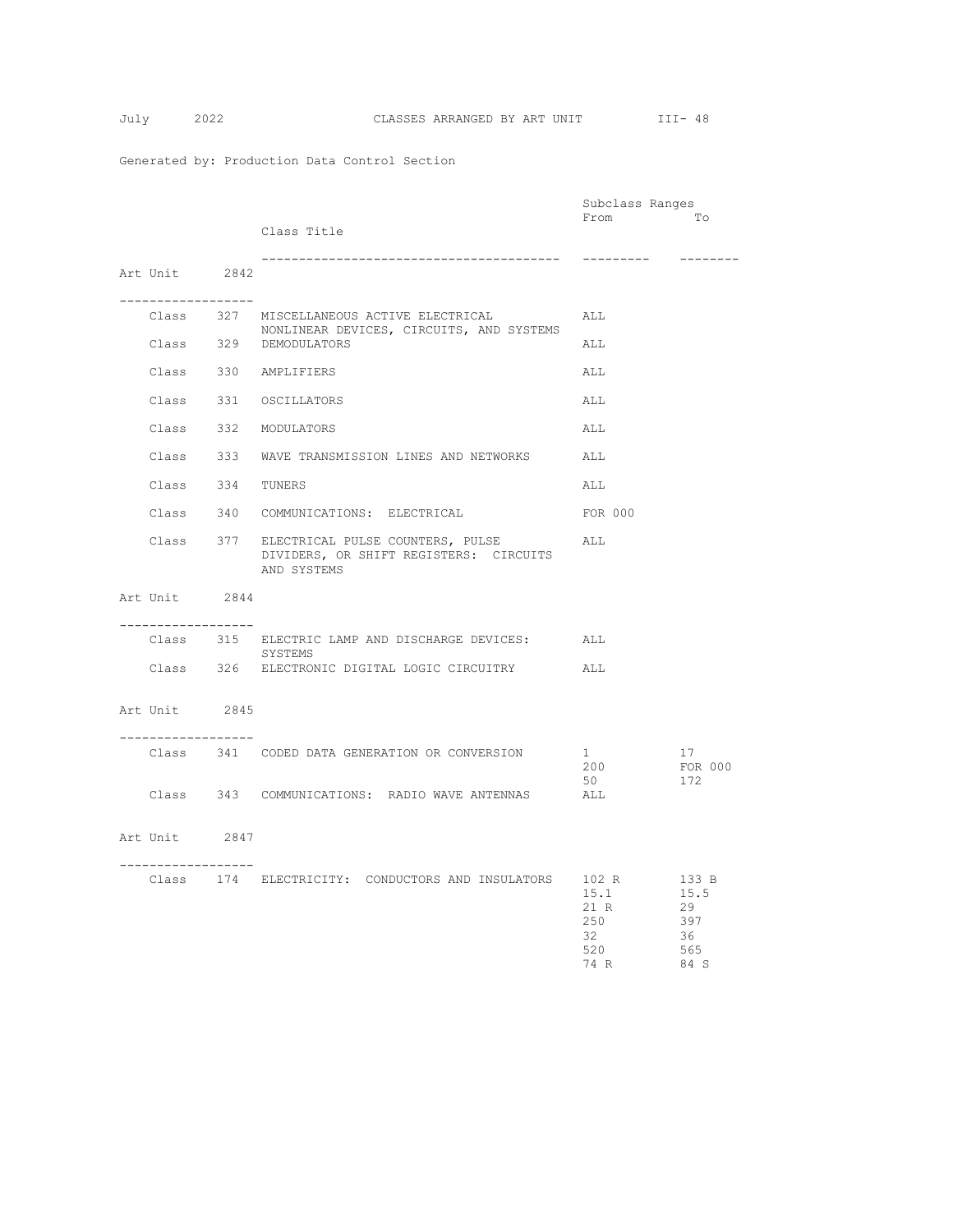|  |                    |                                                                                                     | Subclass Ranges                          |                                        |
|--|--------------------|-----------------------------------------------------------------------------------------------------|------------------------------------------|----------------------------------------|
|  |                    | Class Title                                                                                         | From                                     | To                                     |
|  |                    |                                                                                                     | ----------                               | --------                               |
|  | Art Unit 2842      |                                                                                                     |                                          |                                        |
|  | ------------------ |                                                                                                     |                                          |                                        |
|  |                    | Class 327 MISCELLANEOUS ACTIVE ELECTRICAL<br>NONLINEAR DEVICES, CIRCUITS, AND SYSTEMS               | ALL                                      |                                        |
|  |                    | Class 329 DEMODULATORS                                                                              | ALL                                      |                                        |
|  |                    | Class 330 AMPLIFIERS                                                                                | ALL                                      |                                        |
|  |                    | Class 331 OSCILLATORS                                                                               | ALL                                      |                                        |
|  |                    | Class 332 MODULATORS                                                                                | ALL                                      |                                        |
|  |                    | Class 333 WAVE TRANSMISSION LINES AND NETWORKS                                                      | ALL                                      |                                        |
|  | Class 334 TUNERS   |                                                                                                     | ALL                                      |                                        |
|  |                    | Class 340 COMMUNICATIONS: ELECTRICAL                                                                | FOR 000                                  |                                        |
|  |                    | Class 377 ELECTRICAL PULSE COUNTERS, PULSE<br>DIVIDERS, OR SHIFT REGISTERS: CIRCUITS<br>AND SYSTEMS | ALL                                      |                                        |
|  | Art Unit 2844      |                                                                                                     |                                          |                                        |
|  | ------------------ | Class 315 ELECTRIC LAMP AND DISCHARGE DEVICES: ALL                                                  |                                          |                                        |
|  |                    | SYSTEMS<br>Class 326 ELECTRONIC DIGITAL LOGIC CIRCUITRY ALL                                         |                                          |                                        |
|  | Art Unit 2845      |                                                                                                     |                                          |                                        |
|  | ------------------ | Class 341 CODED DATA GENERATION OR CONVERSION                                                       | 1<br>200<br>50                           | 17<br>FOR 000<br>172                   |
|  |                    | Class 343 COMMUNICATIONS: RADIO WAVE ANTENNAS ALL                                                   |                                          |                                        |
|  | Art Unit 2847      |                                                                                                     |                                          |                                        |
|  | ------------------ | Class 174 ELECTRICITY: CONDUCTORS AND INSULATORS 102 R 133 B                                        | 15.1<br>21 R<br>250<br>32<br>520<br>74 R | 15.5<br>29<br>397<br>36<br>565<br>84 S |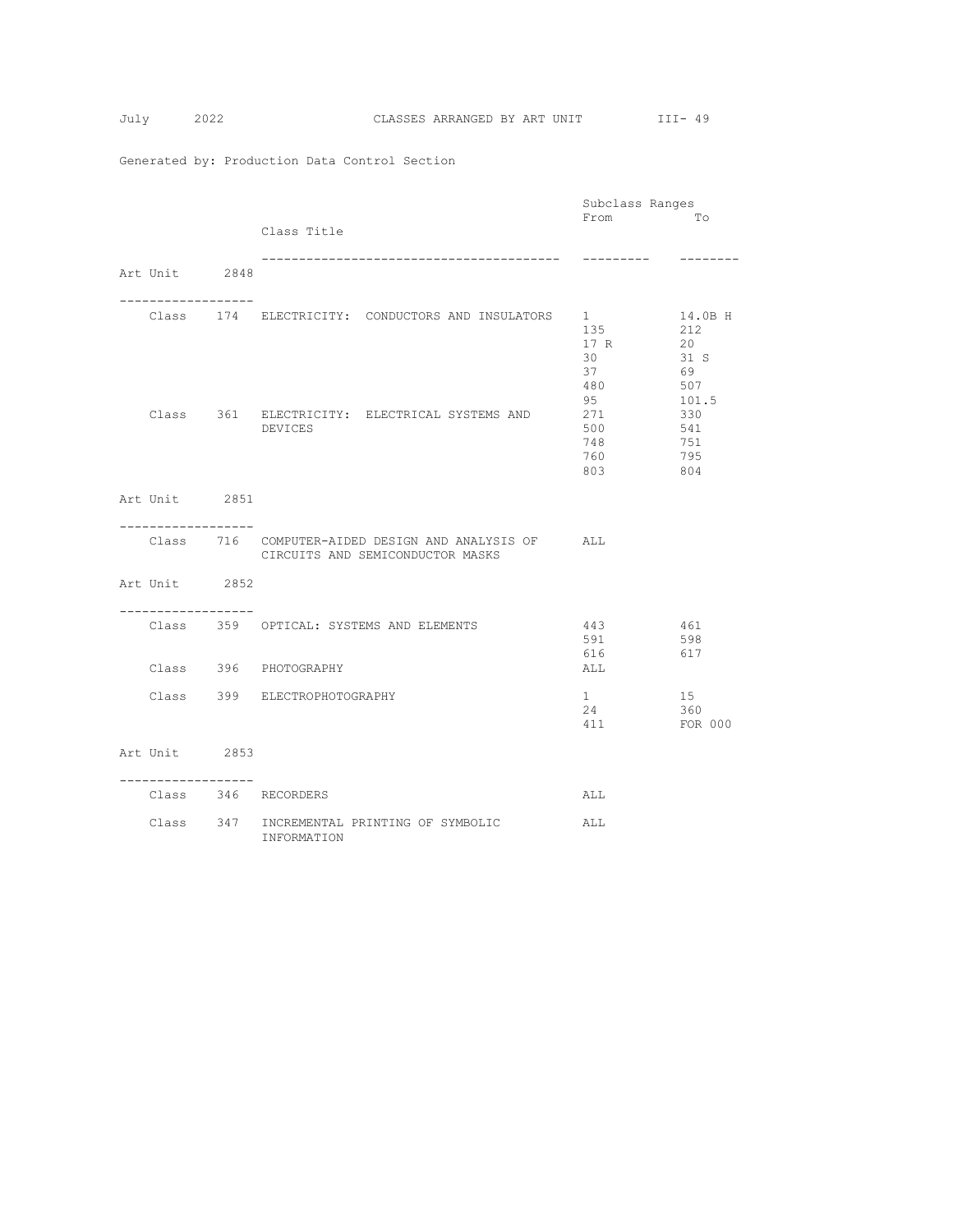|                   |                                                           | Subclass Ranges |              |
|-------------------|-----------------------------------------------------------|-----------------|--------------|
|                   |                                                           | From            | TΟ           |
|                   | Class Title                                               |                 |              |
|                   |                                                           | ---------       |              |
| Art Unit 2848     |                                                           |                 |              |
| ----------------- | Class 174 ELECTRICITY: CONDUCTORS AND INSULATORS 1        |                 | 14.0B H      |
|                   |                                                           | 135             | 212          |
|                   |                                                           | 17 R            | 20           |
|                   |                                                           | 30              | 31 S         |
|                   |                                                           | 37              | 69           |
|                   |                                                           | 480<br>95       | 507          |
|                   | Class 361 ELECTRICITY: ELECTRICAL SYSTEMS AND             | 271             | 101.5<br>330 |
|                   | DEVICES                                                   | 500             | 541          |
|                   |                                                           | 748             | 751          |
|                   |                                                           | 760             | 795          |
|                   |                                                           | 803             | 804          |
|                   |                                                           |                 |              |
| Art Unit 2851     |                                                           |                 |              |
| . <u>.</u> .      |                                                           |                 |              |
|                   | Class 716 COMPUTER-AIDED DESIGN AND ANALYSIS OF ALL       |                 |              |
|                   | CIRCUITS AND SEMICONDUCTOR MASKS                          |                 |              |
|                   |                                                           |                 |              |
| Art Unit 2852     |                                                           |                 |              |
|                   |                                                           |                 |              |
| . <u>.</u>        |                                                           |                 |              |
|                   | Class 359 OPTICAL: SYSTEMS AND ELEMENTS                   | 443<br>461      |              |
|                   |                                                           | 591<br>616      | 598<br>617   |
|                   | Class 396 PHOTOGRAPHY                                     | ALL             |              |
|                   |                                                           |                 |              |
|                   | Class 399 ELECTROPHOTOGRAPHY                              | $1 \quad$       | 15           |
|                   |                                                           | 24              | 360          |
|                   |                                                           | 411             | FOR 000      |
| Art Unit 2853     |                                                           |                 |              |
|                   |                                                           |                 |              |
| ------------      |                                                           |                 |              |
|                   | Class 346 RECORDERS                                       | ALL             |              |
|                   |                                                           |                 |              |
|                   | Class 347 INCREMENTAL PRINTING OF SYMBOLIC<br>INFORMATION | ALL             |              |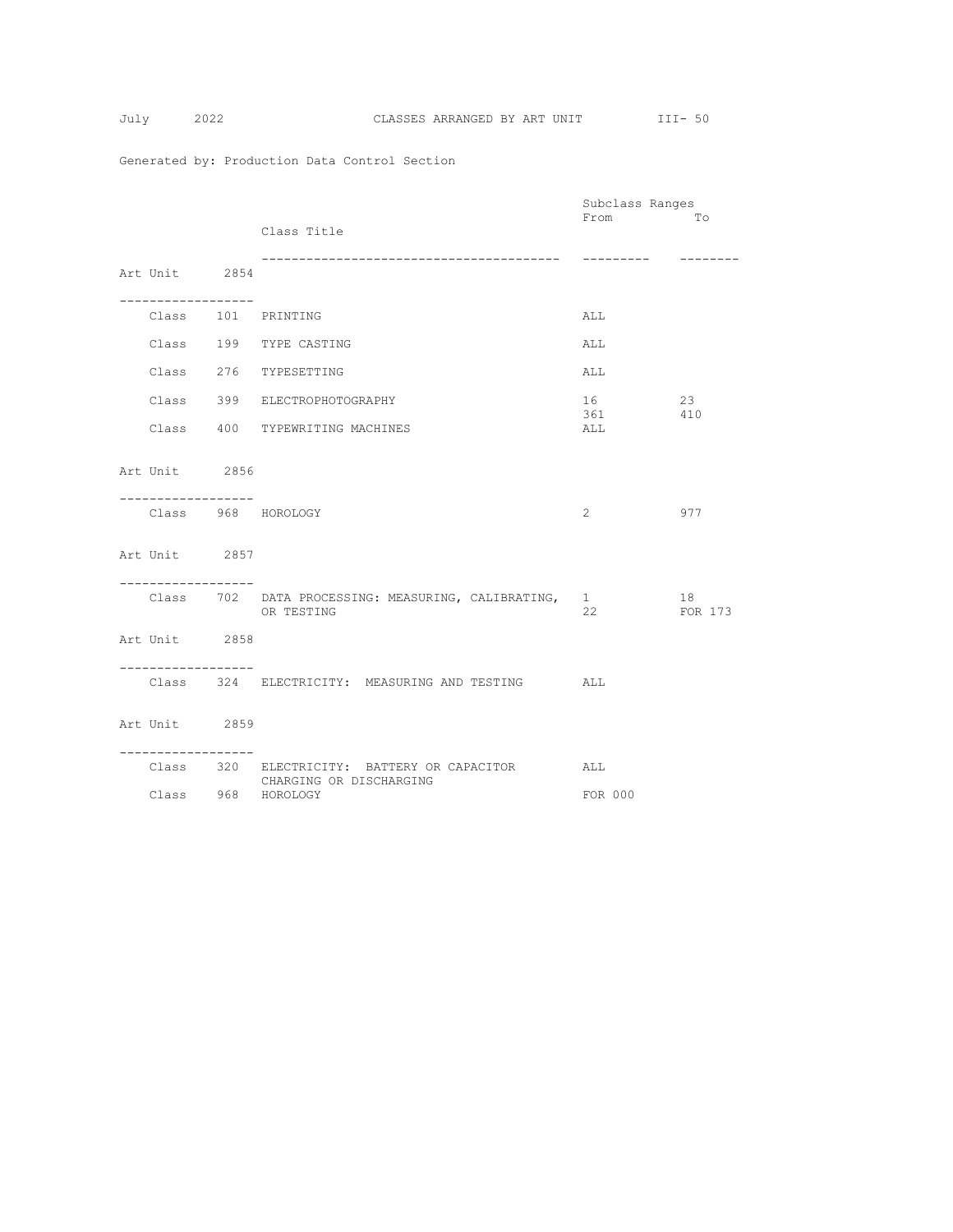$$
July 2
$$

|                                   |             |                                                                            | Subclass Ranges |               |
|-----------------------------------|-------------|----------------------------------------------------------------------------|-----------------|---------------|
|                                   |             | Class Title                                                                | From            | Tо            |
| Art Unit 2854                     |             | _________________________________                                          |                 | --------      |
| ---------------                   |             | Class 101 PRINTING                                                         | ALL             |               |
|                                   |             | Class 199 TYPE CASTING                                                     | ALL             |               |
|                                   |             | Class 276 TYPESETTING                                                      | ALL             |               |
|                                   |             | Class 399 ELECTROPHOTOGRAPHY                                               | 16<br>361 410   | 23            |
|                                   |             | Class 400 TYPEWRITING MACHINES                                             | ALL             |               |
| Art Unit 2856<br>---------------- |             |                                                                            |                 |               |
|                                   |             | Class 968 HOROLOGY                                                         | $2^{\circ}$     | 977           |
| Art Unit 2857                     |             |                                                                            |                 |               |
|                                   |             | Class 702 DATA PROCESSING: MEASURING, CALIBRATING,<br>OR TESTING           | $1 \quad$<br>22 | 18<br>FOR 173 |
| Art Unit 2858                     |             |                                                                            |                 |               |
|                                   | ----------- | Class 324 ELECTRICITY: MEASURING AND TESTING ALL                           |                 |               |
| Art Unit 2859                     |             |                                                                            |                 |               |
| ------------------                |             | Class 320 ELECTRICITY: BATTERY OR CAPACITOR ALL<br>CHARGING OR DISCHARGING |                 |               |
|                                   |             | Class 968 HOROLOGY                                                         | FOR 000         |               |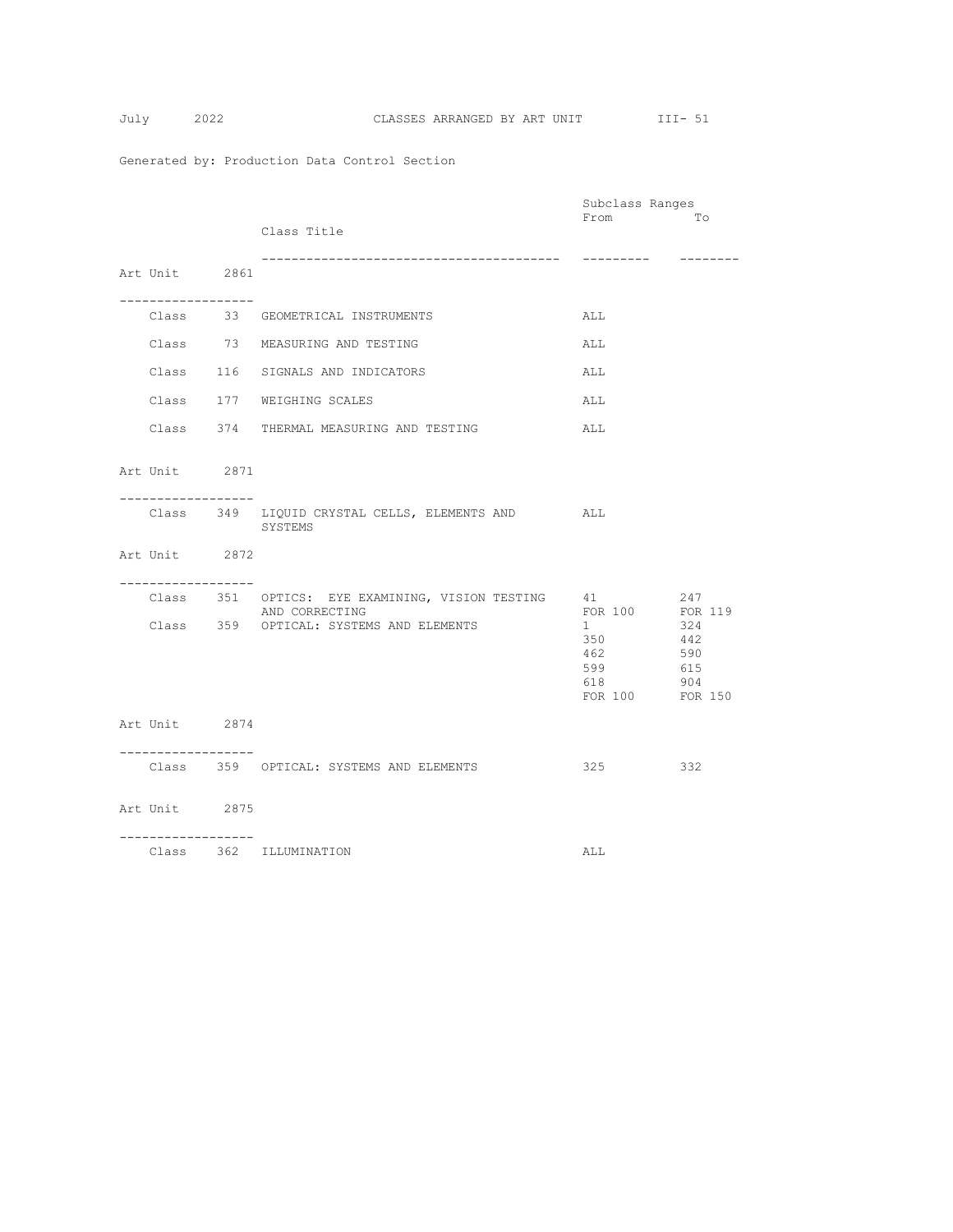$$
July 2
$$

|                                       |  |                                                                      | Subclass Ranges                                  |                                            |
|---------------------------------------|--|----------------------------------------------------------------------|--------------------------------------------------|--------------------------------------------|
|                                       |  | Class Title                                                          | From                                             | To                                         |
| Art Unit 2861                         |  |                                                                      | ----------                                       | ---------                                  |
| . <u>.</u>                            |  | Class 33 GEOMETRICAL INSTRUMENTS                                     | ALL                                              |                                            |
|                                       |  | Class 73 MEASURING AND TESTING                                       | ALL                                              |                                            |
|                                       |  | Class 116 SIGNALS AND INDICATORS                                     | ALL                                              |                                            |
|                                       |  | Class 177 WEIGHING SCALES                                            | ALL                                              |                                            |
|                                       |  | Class 374 THERMAL MEASURING AND TESTING                              | ALL                                              |                                            |
| Art Unit 2871                         |  |                                                                      |                                                  |                                            |
| __________________                    |  | Class 349 LIQUID CRYSTAL CELLS, ELEMENTS AND ALL<br>SYSTEMS          |                                                  |                                            |
| Art Unit 2872<br>------------------   |  |                                                                      |                                                  |                                            |
|                                       |  | Class 351 OPTICS: EYE EXAMINING, VISION TESTING 41<br>AND CORRECTING | FOR 100                                          | 247<br>FOR 119                             |
|                                       |  | Class 359 OPTICAL: SYSTEMS AND ELEMENTS                              | $1 \quad$<br>350<br>462<br>599<br>618<br>FOR 100 | 324<br>442<br>590<br>615<br>904<br>FOR 150 |
| Art Unit 2874                         |  |                                                                      |                                                  |                                            |
| . _ _ _ _ _ _ _ _ _ _ _ _ _ _ _ _ _ _ |  | Class 359 OPTICAL: SYSTEMS AND ELEMENTS                              | 325                                              | 332                                        |
| Art Unit 2875<br>------------------   |  |                                                                      |                                                  |                                            |
|                                       |  | Class 362 ILLUMINATION                                               | ALL                                              |                                            |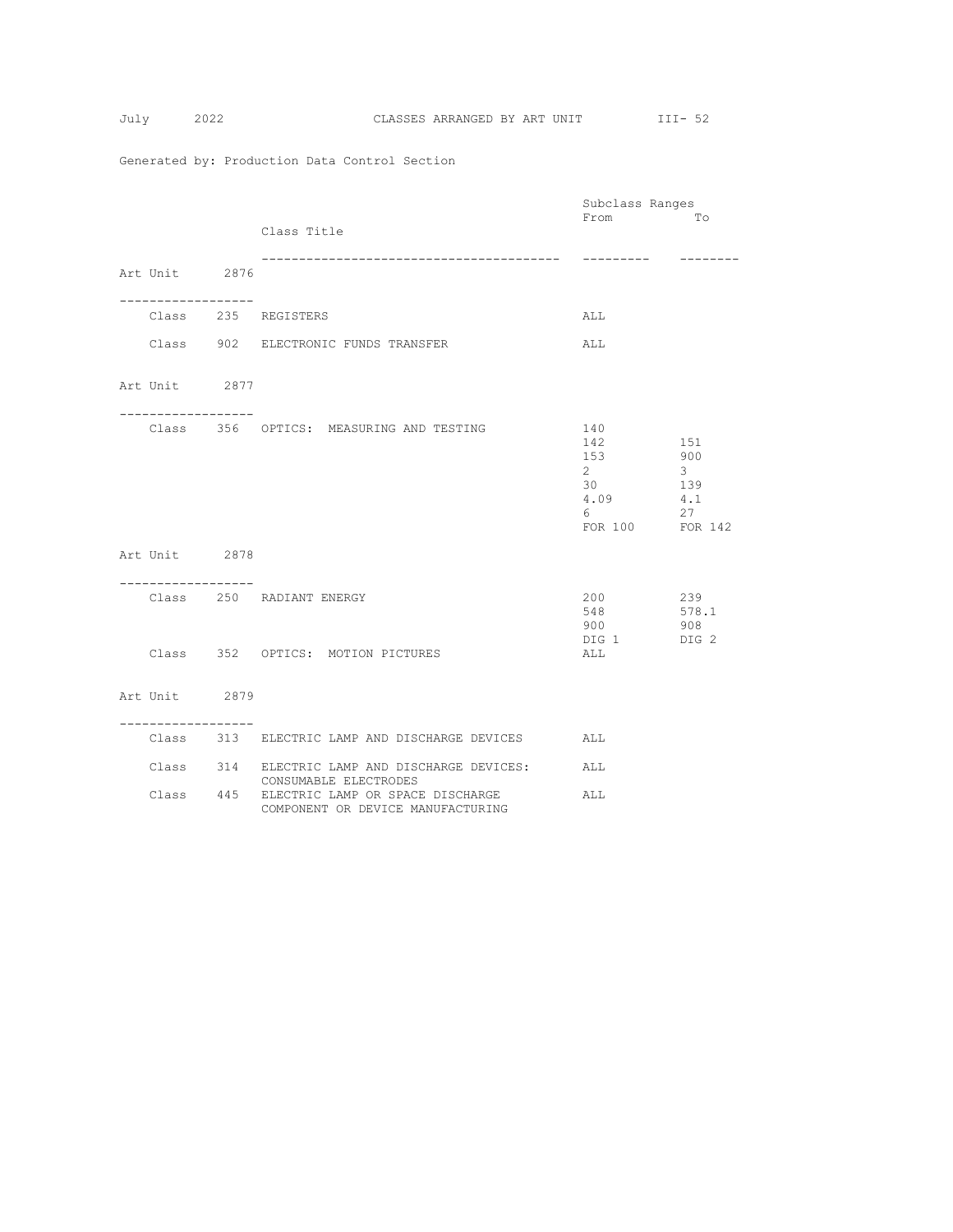$$
July 20
$$

|                                              |                                                                                 | Subclass Ranges                                                                 |                                  |
|----------------------------------------------|---------------------------------------------------------------------------------|---------------------------------------------------------------------------------|----------------------------------|
|                                              | Class Title                                                                     | From                                                                            | Tо                               |
| Art Unit 2876                                | ---------------------------------                                               | ----------                                                                      | --------                         |
| -----------------                            | Class 235 REGISTERS                                                             | ALL.                                                                            |                                  |
|                                              | Class 902 ELECTRONIC FUNDS TRANSFER                                             | ALL                                                                             |                                  |
| Art Unit 2877<br>___________________         |                                                                                 |                                                                                 |                                  |
|                                              | Class 356 OPTICS: MEASURING AND TESTING                                         | 140<br>142<br>151<br>153<br>$2^{\circ}$<br>30<br>4.09<br>6 —<br>FOR 100 FOR 142 | 900<br>$3 -$<br>139<br>4.1<br>27 |
| Art Unit 2878<br>-----------------           |                                                                                 |                                                                                 |                                  |
|                                              | Class 250 RADIANT ENERGY                                                        | 200<br>548<br>900<br>DIG 1 DIG 2                                                | 239<br>578.1<br>908              |
|                                              | Class 352 OPTICS: MOTION PICTURES                                               | ALL                                                                             |                                  |
| Art Unit 2879<br>. _ _ _ _ _ _ _ _ _ _ _ _ _ |                                                                                 |                                                                                 |                                  |
|                                              | Class 313 ELECTRIC LAMP AND DISCHARGE DEVICES                                   | ALL                                                                             |                                  |
|                                              | Class 314 ELECTRIC LAMP AND DISCHARGE DEVICES:<br>CONSUMABLE ELECTRODES         | ALL                                                                             |                                  |
|                                              | Class 445 ELECTRIC LAMP OR SPACE DISCHARGE<br>COMPONENT OR DEVICE MANUFACTURING | ALL                                                                             |                                  |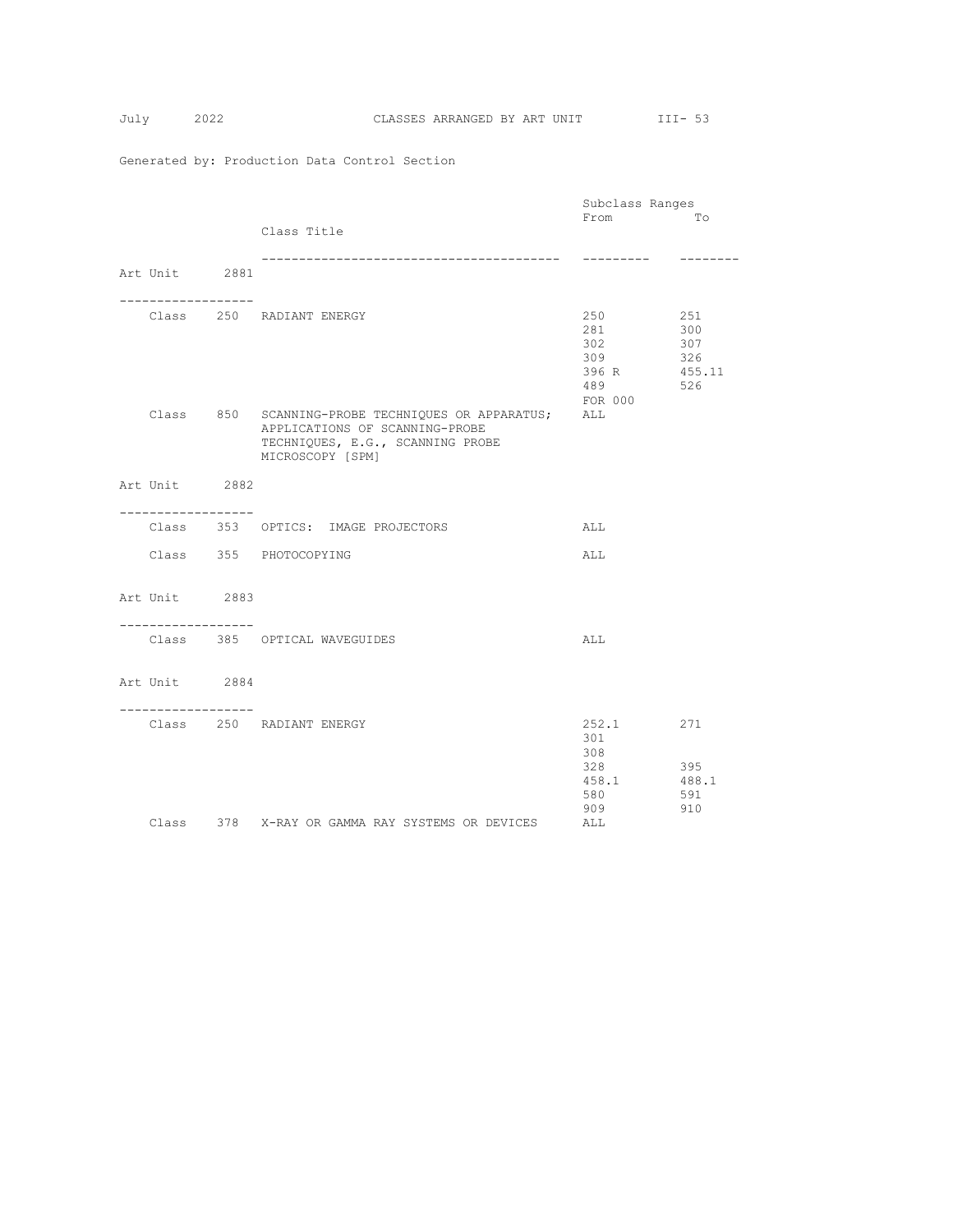|                                     |                                                       | Subclass Ranges |                   |
|-------------------------------------|-------------------------------------------------------|-----------------|-------------------|
|                                     |                                                       | From            | Tо                |
|                                     | Class Title                                           |                 |                   |
|                                     |                                                       |                 |                   |
|                                     |                                                       | ----------      | $- - - - - - - -$ |
| Art Unit 2881                       |                                                       |                 |                   |
|                                     |                                                       |                 |                   |
| . <u>.</u>                          |                                                       |                 |                   |
|                                     | Class 250 RADIANT ENERGY                              | 250             | 251               |
|                                     |                                                       | 281 28          | 300               |
|                                     |                                                       | 302             | 307               |
|                                     |                                                       | 309             | 326               |
|                                     |                                                       | 396 R 455.11    |                   |
|                                     |                                                       | 489             | 526               |
|                                     |                                                       | FOR 000         |                   |
|                                     | Class 850 SCANNING-PROBE TECHNIQUES OR APPARATUS; ALL |                 |                   |
|                                     | APPLICATIONS OF SCANNING-PROBE                        |                 |                   |
|                                     | TECHNIQUES, E.G., SCANNING PROBE                      |                 |                   |
|                                     | MICROSCOPY [SPM]                                      |                 |                   |
| Art Unit 2882                       |                                                       |                 |                   |
|                                     |                                                       |                 |                   |
| . _ _ _ _ _ _ _ _ _ _ _ _ _ _ _ _ _ |                                                       |                 |                   |
|                                     | Class 353 OPTICS: IMAGE PROJECTORS                    | ALL             |                   |
|                                     |                                                       |                 |                   |
|                                     | Class 355 PHOTOCOPYING                                | ALL             |                   |
|                                     |                                                       |                 |                   |
|                                     |                                                       |                 |                   |
| Art Unit 2883                       |                                                       |                 |                   |
|                                     |                                                       |                 |                   |
| -----------------                   |                                                       |                 |                   |
|                                     | Class 385 OPTICAL WAVEGUIDES                          | ALL             |                   |
|                                     |                                                       |                 |                   |
|                                     |                                                       |                 |                   |
| Art Unit 2884                       |                                                       |                 |                   |
| -----------------                   |                                                       |                 |                   |
|                                     | Class 250 RADIANT ENERGY                              | 252.1           | 271               |
|                                     |                                                       | 301             |                   |
|                                     |                                                       | 308             |                   |
|                                     |                                                       | 328             | 395               |
|                                     |                                                       | 458.1           | 488.1             |
|                                     |                                                       | 580             | 591               |
|                                     |                                                       | 909             | 910               |
|                                     | Class 378 X-RAY OR GAMMA RAY SYSTEMS OR DEVICES       | ALL             |                   |
|                                     |                                                       |                 |                   |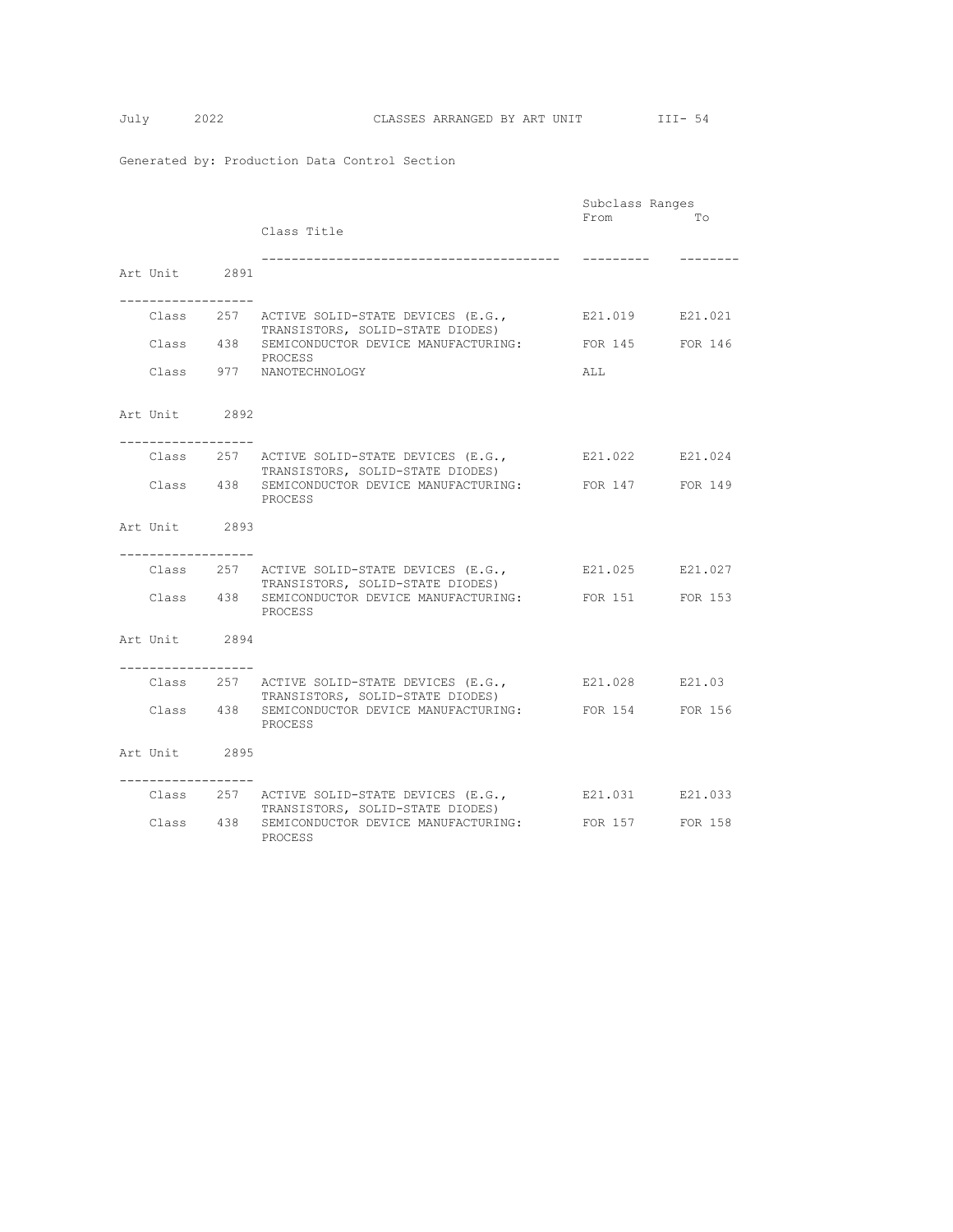|                                       |                                                               | Subclass Ranges |          |
|---------------------------------------|---------------------------------------------------------------|-----------------|----------|
|                                       |                                                               | From            | To       |
|                                       | Class Title                                                   |                 |          |
|                                       |                                                               |                 |          |
|                                       |                                                               | ----------      | -------- |
| Art Unit 2891                         |                                                               |                 |          |
|                                       |                                                               |                 |          |
|                                       |                                                               |                 |          |
|                                       | Class 257 ACTIVE SOLID-STATE DEVICES (E.G.,                   | E21.019 E21.021 |          |
|                                       | TRANSISTORS, SOLID-STATE DIODES)                              |                 |          |
|                                       | Class 438 SEMICONDUCTOR DEVICE MANUFACTURING:                 | FOR 145 FOR 146 |          |
|                                       | PROCESS                                                       |                 |          |
|                                       | Class 977 NANOTECHNOLOGY                                      | ALL.            |          |
|                                       |                                                               |                 |          |
|                                       |                                                               |                 |          |
| Art Unit 2892                         |                                                               |                 |          |
|                                       |                                                               |                 |          |
| . <u>.</u>                            |                                                               |                 |          |
|                                       | Class 257 ACTIVE SOLID-STATE DEVICES (E.G.,                   | E21.022 E21.024 |          |
|                                       | TRANSISTORS, SOLID-STATE DIODES)                              |                 |          |
|                                       | Class 438 SEMICONDUCTOR DEVICE MANUFACTURING: FOR 147 FOR 149 |                 |          |
|                                       | PROCESS                                                       |                 |          |
|                                       |                                                               |                 |          |
| Art Unit 2893                         |                                                               |                 |          |
|                                       |                                                               |                 |          |
|                                       |                                                               |                 |          |
|                                       | Class 257 ACTIVE SOLID-STATE DEVICES (E.G.,                   | E21.025 E21.027 |          |
|                                       | TRANSISTORS, SOLID-STATE DIODES)                              |                 |          |
|                                       | Class 438 SEMICONDUCTOR DEVICE MANUFACTURING: FOR 151 FOR 153 |                 |          |
|                                       | PROCESS                                                       |                 |          |
|                                       |                                                               |                 |          |
| Art Unit 2894                         |                                                               |                 |          |
| . _ _ _ _ _ _ _ _ _ _ _ _ _ _ _ _ _ _ |                                                               |                 |          |
|                                       | Class 257 ACTIVE SOLID-STATE DEVICES (E.G.,                   | E21.028 E21.03  |          |
|                                       | TRANSISTORS, SOLID-STATE DIODES)                              |                 |          |
|                                       | Class 438 SEMICONDUCTOR DEVICE MANUFACTURING:                 | FOR 154         | FOR 156  |
|                                       | PROCESS                                                       |                 |          |
|                                       |                                                               |                 |          |
| Art Unit 2895                         |                                                               |                 |          |
|                                       |                                                               |                 |          |
|                                       |                                                               |                 |          |
|                                       | Class 257 ACTIVE SOLID-STATE DEVICES (E.G.,                   | E21.031 E21.033 |          |
|                                       | TRANSISTORS, SOLID-STATE DIODES)                              |                 |          |
|                                       | Class 438 SEMICONDUCTOR DEVICE MANUFACTURING:                 | FOR 157         | FOR 158  |
|                                       | PROCESS                                                       |                 |          |
|                                       |                                                               |                 |          |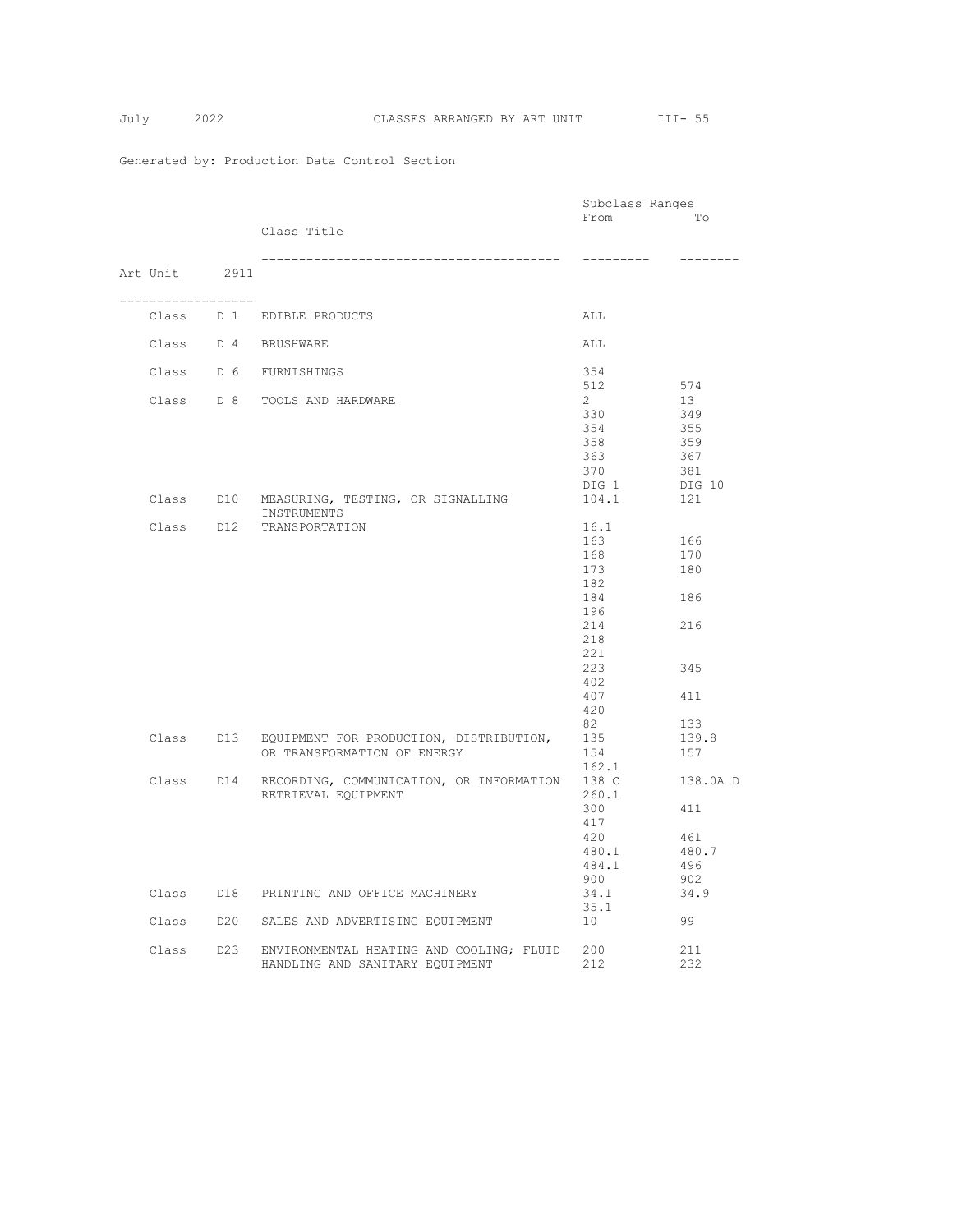|  |                   |                                                                                           | Subclass Ranges                                                                                       |                                                      |
|--|-------------------|-------------------------------------------------------------------------------------------|-------------------------------------------------------------------------------------------------------|------------------------------------------------------|
|  |                   | Class Title                                                                               | From                                                                                                  | Tо                                                   |
|  |                   |                                                                                           | ----------                                                                                            | --------                                             |
|  | Art Unit 2911     |                                                                                           |                                                                                                       |                                                      |
|  | ----------------- | Class D 1 EDIBLE PRODUCTS                                                                 | ALL                                                                                                   |                                                      |
|  |                   | Class D 4 BRUSHWARE                                                                       | ALL                                                                                                   |                                                      |
|  |                   | Class D 6 FURNISHINGS                                                                     | 354                                                                                                   |                                                      |
|  |                   | Class D 8 TOOLS AND HARDWARE                                                              | 512<br>$2^{\circ}$<br>330<br>354                                                                      | 574<br>13<br>349<br>355                              |
|  |                   |                                                                                           | 358<br>363<br>370<br>DIG 1                                                                            | 359<br>367<br>381<br>DIG 10                          |
|  |                   | Class D10 MEASURING, TESTING, OR SIGNALLING<br>INSTRUMENTS                                | 104.1                                                                                                 | 121                                                  |
|  |                   | Class D12 TRANSPORTATION                                                                  | 16.1<br>163<br>168<br>173<br>182<br>184<br>196<br>214<br>218<br>221<br>223<br>402<br>407<br>420<br>82 | 166<br>170<br>180<br>186<br>216<br>345<br>411<br>133 |
|  |                   | Class D13 EQUIPMENT FOR PRODUCTION, DISTRIBUTION,<br>OR TRANSFORMATION OF ENERGY          | 135<br>154<br>162.1                                                                                   | 139.8<br>157                                         |
|  |                   | Class D14 RECORDING, COMMUNICATION, OR INFORMATION 138 C<br>RETRIEVAL EQUIPMENT           | 260.1<br>300<br>417<br>420<br>480.1<br>484.1<br>900                                                   | 138.0A D<br>411<br>461<br>480.7<br>496<br>902        |
|  |                   | Class D18 PRINTING AND OFFICE MACHINERY                                                   | 34.1<br>35.1                                                                                          | 34.9                                                 |
|  |                   | Class D20 SALES AND ADVERTISING EQUIPMENT                                                 | 10                                                                                                    | 99                                                   |
|  |                   | Class D23 ENVIRONMENTAL HEATING AND COOLING; FLUID 200<br>HANDLING AND SANITARY EQUIPMENT | 212                                                                                                   | 211<br>232                                           |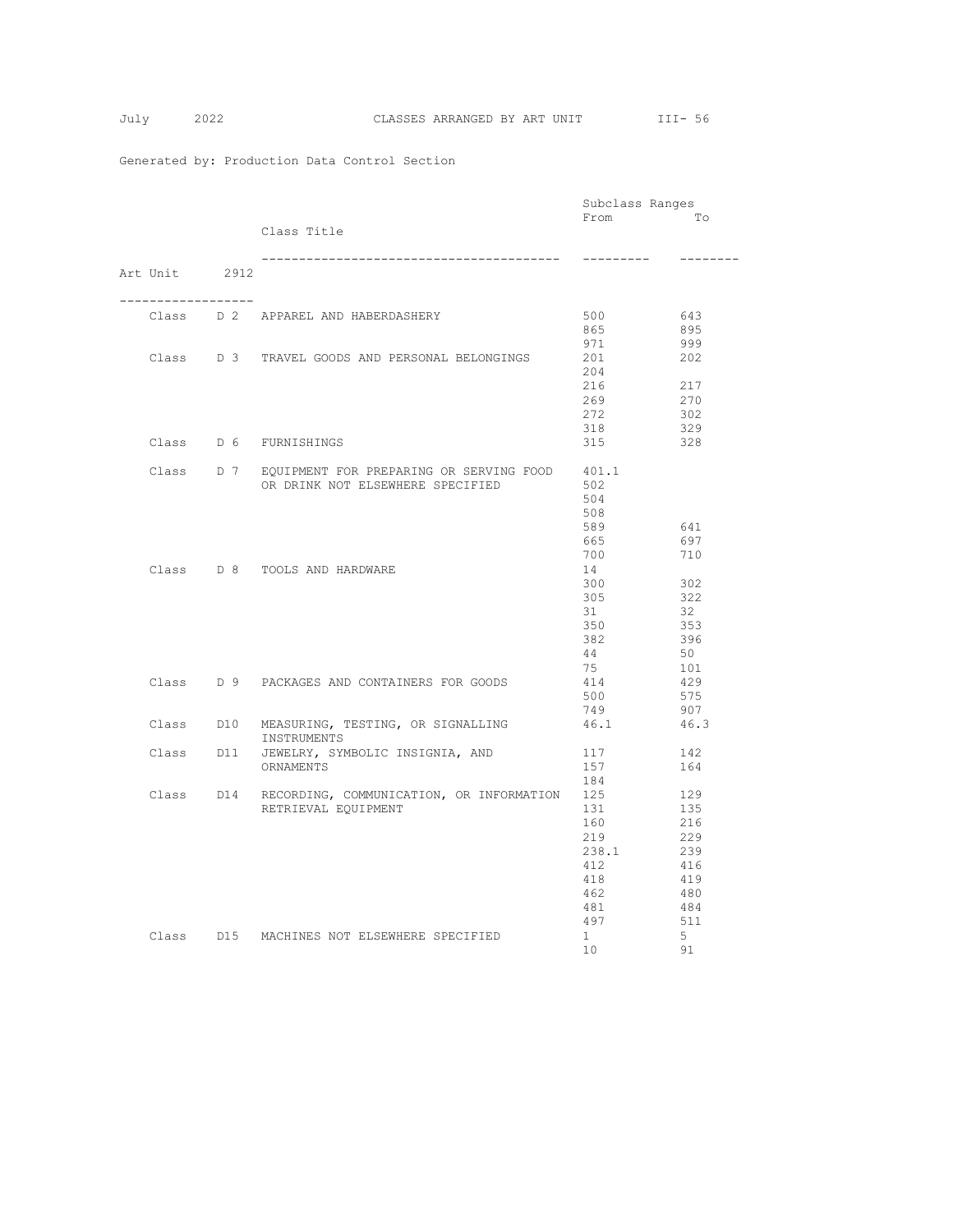|  |               |                                                          | Subclass Ranges |            |
|--|---------------|----------------------------------------------------------|-----------------|------------|
|  |               |                                                          | From            | Tо         |
|  |               | Class Title                                              |                 |            |
|  |               |                                                          |                 | --------   |
|  | Art Unit 2912 |                                                          |                 |            |
|  | . <u>.</u>    |                                                          |                 |            |
|  |               | Class D 2 APPAREL AND HABERDASHERY                       | 500             | 643        |
|  |               |                                                          | 865             | 895        |
|  |               |                                                          | 971             | 999        |
|  |               | Class D 3 TRAVEL GOODS AND PERSONAL BELONGINGS           | 201             | 202        |
|  |               |                                                          | 204             |            |
|  |               |                                                          | 216             | 217        |
|  |               |                                                          | 269             | 270        |
|  |               |                                                          | 272             | 302        |
|  |               |                                                          | 318             | 329        |
|  |               | Class D 6 FURNISHINGS                                    | 315             | 328        |
|  |               | Class D 7 EQUIPMENT FOR PREPARING OR SERVING FOOD        | 401.1           |            |
|  |               | OR DRINK NOT ELSEWHERE SPECIFIED                         | 502             |            |
|  |               |                                                          | 504             |            |
|  |               |                                                          | 508             |            |
|  |               |                                                          | 589             | 641        |
|  |               |                                                          | 665             | 697        |
|  |               |                                                          | 700             | 710        |
|  |               | Class D 8 TOOLS AND HARDWARE                             | 14              |            |
|  |               |                                                          | 300             | 302        |
|  |               |                                                          | 305             | 322        |
|  |               |                                                          | 31<br>350       | 32<br>353  |
|  |               |                                                          | 382             | 396        |
|  |               |                                                          | 44              | 50         |
|  |               |                                                          | 75              | 101        |
|  |               | Class D 9 PACKAGES AND CONTAINERS FOR GOODS              | 414             | 429        |
|  |               |                                                          | 500             | 575        |
|  |               |                                                          | 749             | 907        |
|  |               | Class D10 MEASURING, TESTING, OR SIGNALLING              | 46.1            | 46.3       |
|  |               | INSTRUMENTS<br>Class D11 JEWELRY, SYMBOLIC INSIGNIA, AND |                 |            |
|  |               | ORNAMENTS                                                | 117<br>157      | 142<br>164 |
|  |               |                                                          | 184             |            |
|  |               | Class D14 RECORDING, COMMUNICATION, OR INFORMATION       | 125             | 129        |
|  |               | RETRIEVAL EQUIPMENT                                      | 131             | 135        |
|  |               |                                                          | 160             | 216        |
|  |               |                                                          | 219             | 229        |
|  |               |                                                          | 238.1           | 239        |
|  |               |                                                          | 412             | 416        |
|  |               |                                                          | 418             | 419        |
|  |               |                                                          | 462             | 480        |
|  |               |                                                          | 481             | 484        |
|  |               |                                                          | 497             | 511        |
|  |               | Class D15 MACHINES NOT ELSEWHERE SPECIFIED               | $1 \quad$       | 5          |
|  |               |                                                          | 10 <sup>1</sup> | 91         |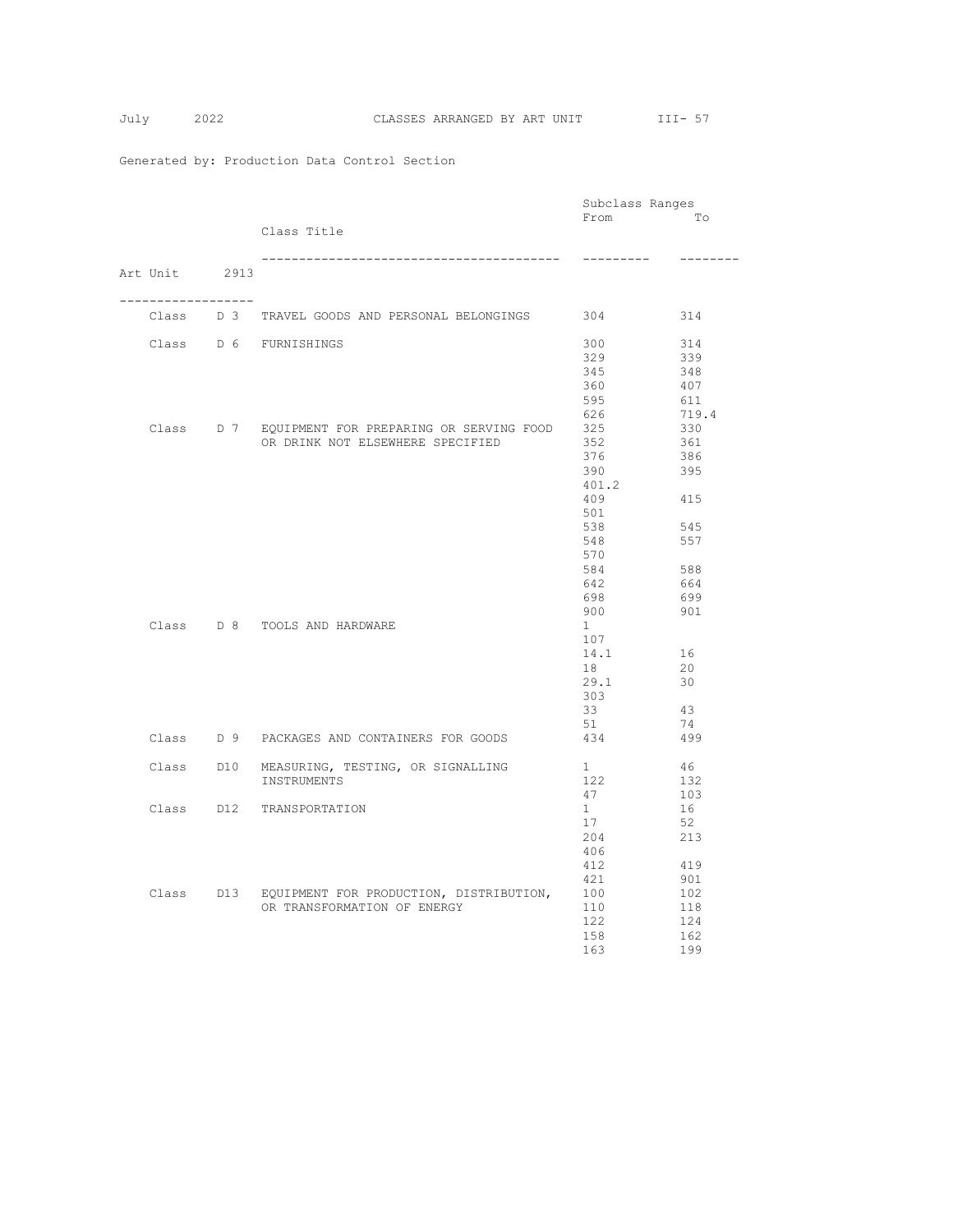|  |                     |  |                                                    | Subclass Ranges                                                                              |          |
|--|---------------------|--|----------------------------------------------------|----------------------------------------------------------------------------------------------|----------|
|  |                     |  |                                                    | From                                                                                         | Tо       |
|  |                     |  | Class Title                                        |                                                                                              |          |
|  |                     |  |                                                    | ----------                                                                                   | -------- |
|  | Art Unit 2913       |  |                                                    |                                                                                              |          |
|  | ------------------- |  |                                                    |                                                                                              |          |
|  |                     |  | Class D 3 TRAVEL GOODS AND PERSONAL BELONGINGS 304 |                                                                                              | 314      |
|  |                     |  | Class D 6 FURNISHINGS                              | 300                                                                                          | 314      |
|  |                     |  |                                                    | 329                                                                                          | 339      |
|  |                     |  |                                                    | 345                                                                                          | 348      |
|  |                     |  |                                                    | 360                                                                                          | 407      |
|  |                     |  |                                                    | 595                                                                                          | 611      |
|  |                     |  |                                                    | 626                                                                                          | 719.4    |
|  |                     |  | Class D 7 EQUIPMENT FOR PREPARING OR SERVING FOOD  | 325                                                                                          | 330      |
|  |                     |  | OR DRINK NOT ELSEWHERE SPECIFIED                   | 352                                                                                          | 361      |
|  |                     |  |                                                    | 376                                                                                          | 386      |
|  |                     |  |                                                    | 390                                                                                          |          |
|  |                     |  |                                                    |                                                                                              | 395      |
|  |                     |  |                                                    | 401.2                                                                                        |          |
|  |                     |  |                                                    | 409                                                                                          | 415      |
|  |                     |  |                                                    |                                                                                              |          |
|  |                     |  |                                                    |                                                                                              |          |
|  |                     |  |                                                    |                                                                                              |          |
|  |                     |  |                                                    | 570                                                                                          |          |
|  |                     |  |                                                    | 501<br>538<br>545<br>548<br>557<br>584<br>588<br>642<br>664<br>698<br>699<br>900<br>901<br>1 |          |
|  |                     |  |                                                    |                                                                                              |          |
|  |                     |  |                                                    |                                                                                              |          |
|  |                     |  |                                                    |                                                                                              |          |
|  |                     |  | Class D 8 TOOLS AND HARDWARE                       |                                                                                              |          |
|  |                     |  |                                                    | 107                                                                                          |          |
|  |                     |  |                                                    | 14.1                                                                                         | 16       |
|  |                     |  |                                                    | 18                                                                                           | 20       |
|  |                     |  |                                                    | 29.1                                                                                         | 30       |
|  |                     |  |                                                    | 303                                                                                          |          |
|  |                     |  |                                                    |                                                                                              |          |
|  |                     |  |                                                    | 33                                                                                           | 43       |
|  |                     |  |                                                    | 51                                                                                           | 74       |
|  |                     |  | Class D 9 PACKAGES AND CONTAINERS FOR GOODS        | 434                                                                                          | 499      |
|  |                     |  | Class D10 MEASURING, TESTING, OR SIGNALLING        | $1 -$                                                                                        | 46       |
|  |                     |  | INSTRUMENTS                                        | 122                                                                                          | 132      |
|  |                     |  |                                                    | 47                                                                                           | 103      |
|  |                     |  | Class D12 TRANSPORTATION                           | 1                                                                                            | 16       |
|  |                     |  |                                                    | 17                                                                                           | 52       |
|  |                     |  |                                                    | 204                                                                                          | 213      |
|  |                     |  |                                                    | 406                                                                                          |          |
|  |                     |  |                                                    | 412                                                                                          | 419      |
|  |                     |  |                                                    | 421                                                                                          | 901      |
|  |                     |  | Class D13 EQUIPMENT FOR PRODUCTION, DISTRIBUTION,  | 100                                                                                          | 102      |
|  |                     |  |                                                    |                                                                                              |          |
|  |                     |  | OR TRANSFORMATION OF ENERGY                        | 110                                                                                          | 118      |
|  |                     |  |                                                    | 122                                                                                          | 124      |
|  |                     |  |                                                    | 158                                                                                          | 162      |
|  |                     |  |                                                    | 163                                                                                          | 199      |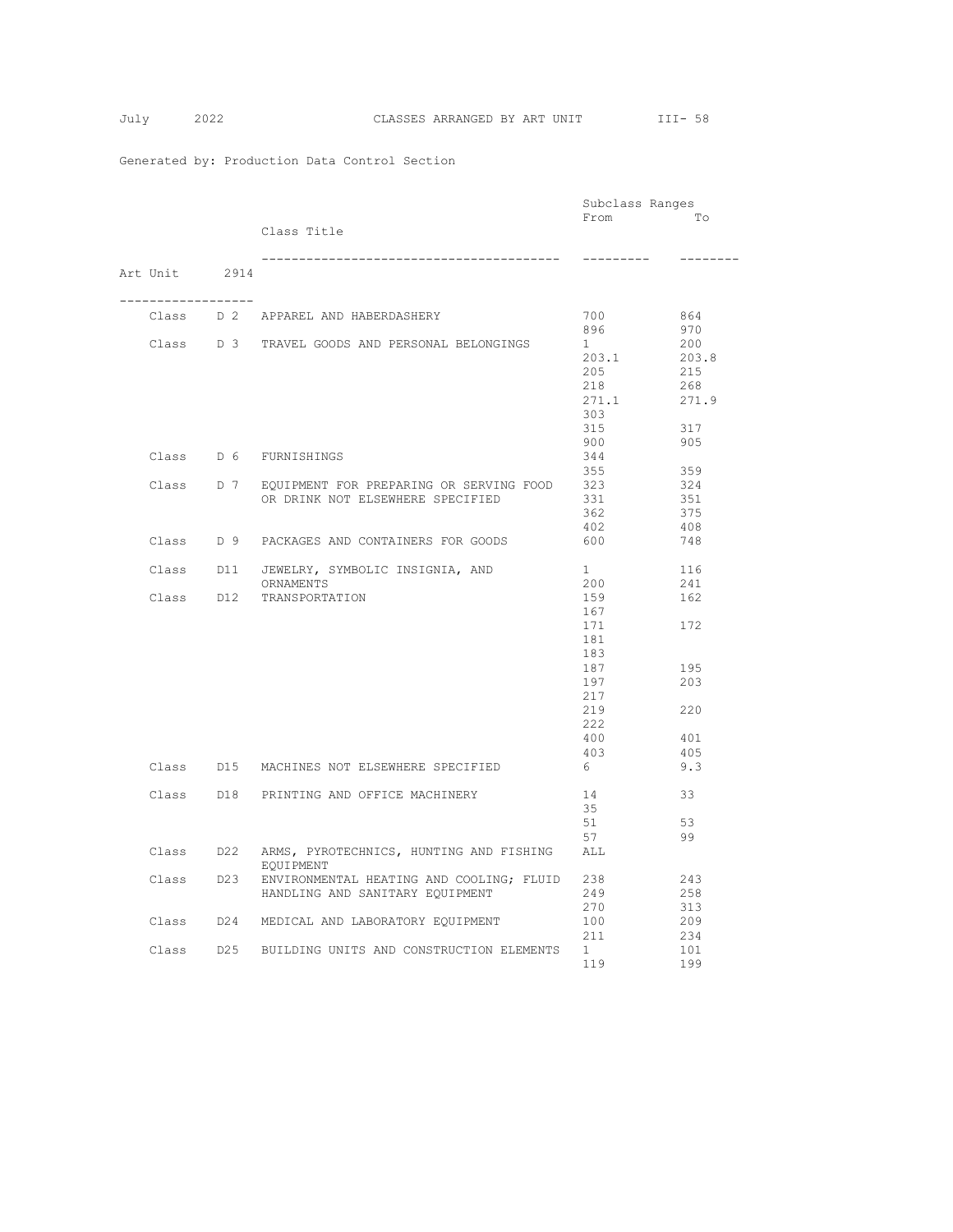|  |                    |                                                                | Subclass Ranges |          |
|--|--------------------|----------------------------------------------------------------|-----------------|----------|
|  |                    |                                                                | From            | To       |
|  |                    | Class Title                                                    |                 |          |
|  |                    |                                                                | ----------      | -------- |
|  | Art Unit 2914      |                                                                |                 |          |
|  | __________________ | Class D 2 APPAREL AND HABERDASHERY                             | 700             | 864      |
|  |                    |                                                                | 896             | 970      |
|  |                    | Class D 3 TRAVEL GOODS AND PERSONAL BELONGINGS                 | 1               | 200      |
|  |                    |                                                                | 203.1           | 203.8    |
|  |                    |                                                                | 205             | 215      |
|  |                    |                                                                | 218             | 268      |
|  |                    |                                                                | 271.1           | 271.9    |
|  |                    |                                                                | 303<br>315      | 317      |
|  |                    |                                                                | 900             | 905      |
|  |                    | Class D 6 FURNISHINGS                                          | 344             |          |
|  |                    |                                                                | 355             | 359      |
|  |                    | Class D 7 EQUIPMENT FOR PREPARING OR SERVING FOOD              | 323             | 324      |
|  |                    | OR DRINK NOT ELSEWHERE SPECIFIED                               | 331             | 351      |
|  |                    |                                                                | 362             | 375      |
|  |                    |                                                                | 402             | 408      |
|  |                    | Class D 9 PACKAGES AND CONTAINERS FOR GOODS                    | 600             | 748      |
|  |                    | Class D11 JEWELRY, SYMBOLIC INSIGNIA, AND                      | 1               | 116      |
|  |                    | ORNAMENTS                                                      | 200             | 241      |
|  |                    | Class D12 TRANSPORTATION                                       | 159             | 162      |
|  |                    |                                                                | 167             |          |
|  |                    |                                                                | 171             | 172      |
|  |                    |                                                                | 181<br>183      |          |
|  |                    |                                                                | 187             | 195      |
|  |                    |                                                                | 197             | 203      |
|  |                    |                                                                | 217             |          |
|  |                    |                                                                | 219             | 220      |
|  |                    |                                                                | 222             |          |
|  |                    |                                                                | 400             | 401      |
|  |                    |                                                                | 403             | 405      |
|  |                    | Class D15 MACHINES NOT ELSEWHERE SPECIFIED                     | 6               | 9.3      |
|  |                    | Class D18 PRINTING AND OFFICE MACHINERY                        | 14              | 33       |
|  |                    |                                                                | 35              |          |
|  |                    |                                                                | 51              | 53       |
|  |                    |                                                                | 57              | 99       |
|  |                    | Class D22 ARMS, PYROTECHNICS, HUNTING AND FISHING<br>EQUIPMENT | ALL             |          |
|  |                    | Class D23 ENVIRONMENTAL HEATING AND COOLING; FLUID 238         |                 | 243      |
|  |                    | HANDLING AND SANITARY EQUIPMENT                                | 249             | 258      |
|  |                    |                                                                | 270             | 313      |
|  |                    | Class D24 MEDICAL AND LABORATORY EQUIPMENT                     | 100             | 209      |
|  |                    |                                                                | 211             | 234      |
|  |                    | Class D25 BUILDING UNITS AND CONSTRUCTION ELEMENTS             | 1               | 101      |
|  |                    |                                                                | 119             | 199      |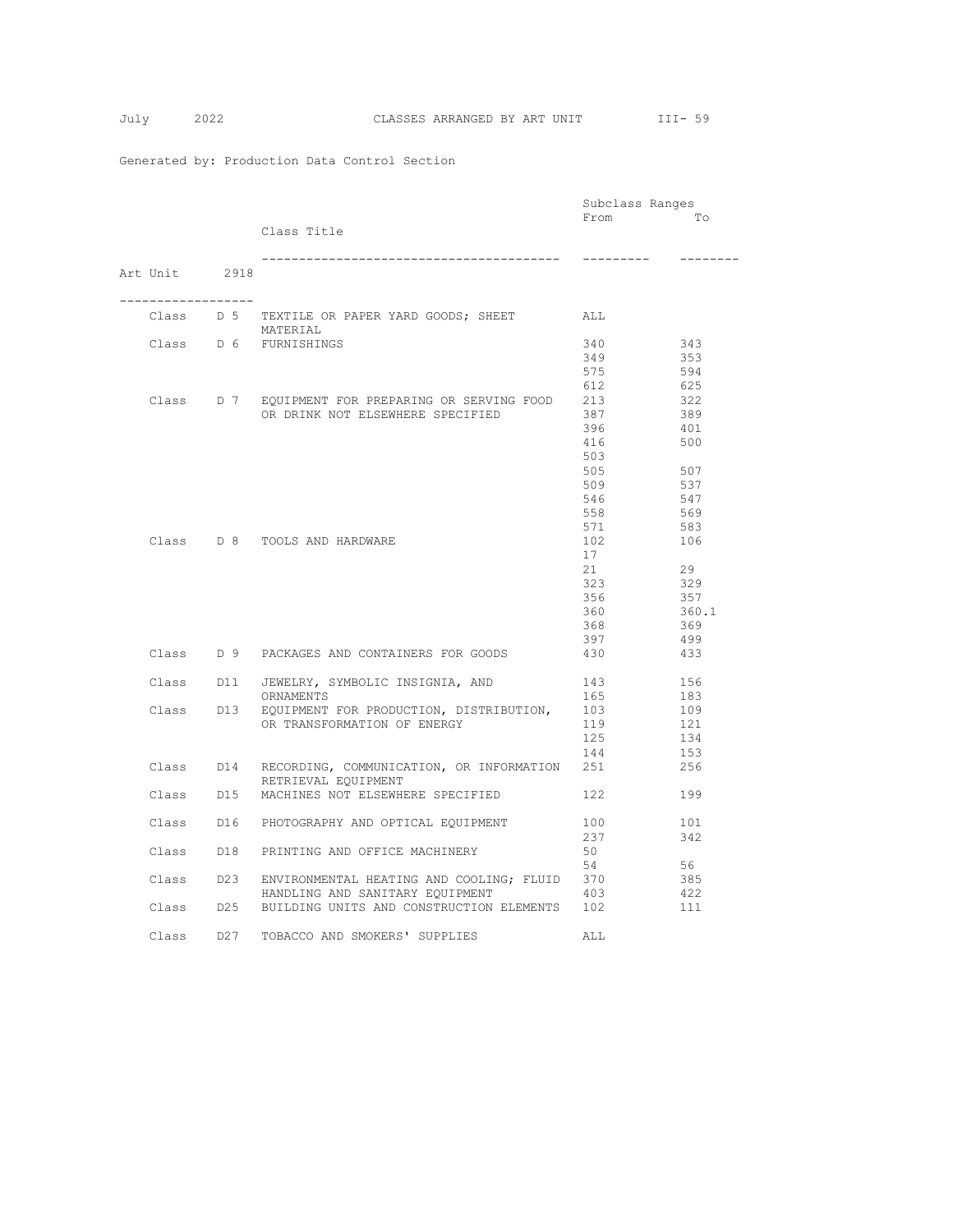|                     |                                                        | Subclass Ranges |          |
|---------------------|--------------------------------------------------------|-----------------|----------|
|                     |                                                        | From            | Tо       |
|                     | Class Title                                            |                 |          |
|                     |                                                        |                 |          |
|                     |                                                        | ---------       | -------- |
| Art Unit 2918       |                                                        |                 |          |
|                     |                                                        |                 |          |
| ------------------- |                                                        |                 |          |
|                     | Class D 5 TEXTILE OR PAPER YARD GOODS; SHEET ALL       |                 |          |
|                     | MATERIAL                                               |                 |          |
|                     | Class D 6 FURNISHINGS                                  | 340             | 343      |
|                     |                                                        | 349             | 353      |
|                     |                                                        | 575             | 594      |
|                     |                                                        | 612             | 625      |
|                     | Class D 7 EQUIPMENT FOR PREPARING OR SERVING FOOD 213  |                 | 322      |
|                     | OR DRINK NOT ELSEWHERE SPECIFIED                       | 387             | 389      |
|                     |                                                        | 396             | 401      |
|                     |                                                        | 416             | 500      |
|                     |                                                        | 503             |          |
|                     |                                                        | 505             | 507      |
|                     |                                                        | 509             | 537      |
|                     |                                                        | 546             | 547      |
|                     |                                                        | 558             | 569      |
|                     |                                                        | 571             | 583      |
|                     | Class D 8 TOOLS AND HARDWARE                           | 102             | 106      |
|                     |                                                        | 17              |          |
|                     |                                                        | 21              | 29       |
|                     |                                                        | 323             | 329      |
|                     |                                                        | 356             | 357      |
|                     |                                                        | 360             | 360.1    |
|                     |                                                        | 368             | 369      |
|                     |                                                        | 397             | 499      |
|                     | Class D 9 PACKAGES AND CONTAINERS FOR GOODS            | 430             | 433      |
|                     |                                                        |                 |          |
|                     | Class D11 JEWELRY, SYMBOLIC INSIGNIA, AND              | 143             | 156      |
|                     | ORNAMENTS                                              | 165             | 183      |
|                     | Class D13 EQUIPMENT FOR PRODUCTION, DISTRIBUTION,      | 103             | 109      |
|                     | OR TRANSFORMATION OF ENERGY                            | 119             | 121      |
|                     |                                                        | 125             | 134      |
|                     |                                                        | 144             | 153      |
|                     | Class D14 RECORDING, COMMUNICATION, OR INFORMATION 251 |                 | 256      |
|                     | RETRIEVAL EQUIPMENT                                    |                 |          |
|                     | Class D15 MACHINES NOT ELSEWHERE SPECIFIED             | 122             | 199      |
|                     |                                                        |                 |          |
|                     | Class D16 PHOTOGRAPHY AND OPTICAL EQUIPMENT            | 100             | 101      |
|                     |                                                        | 237             | 342      |
|                     | Class D18 PRINTING AND OFFICE MACHINERY                | 50              |          |
|                     |                                                        | 54              | 56       |
|                     | Class D23 ENVIRONMENTAL HEATING AND COOLING; FLUID 370 |                 | 385      |
|                     | HANDLING AND SANITARY EQUIPMENT                        | 403             | 422      |
|                     | Class D25 BUILDING UNITS AND CONSTRUCTION ELEMENTS     | 102             | 111      |
|                     |                                                        |                 |          |
|                     | Class D27 TOBACCO AND SMOKERS' SUPPLIES                | ALL             |          |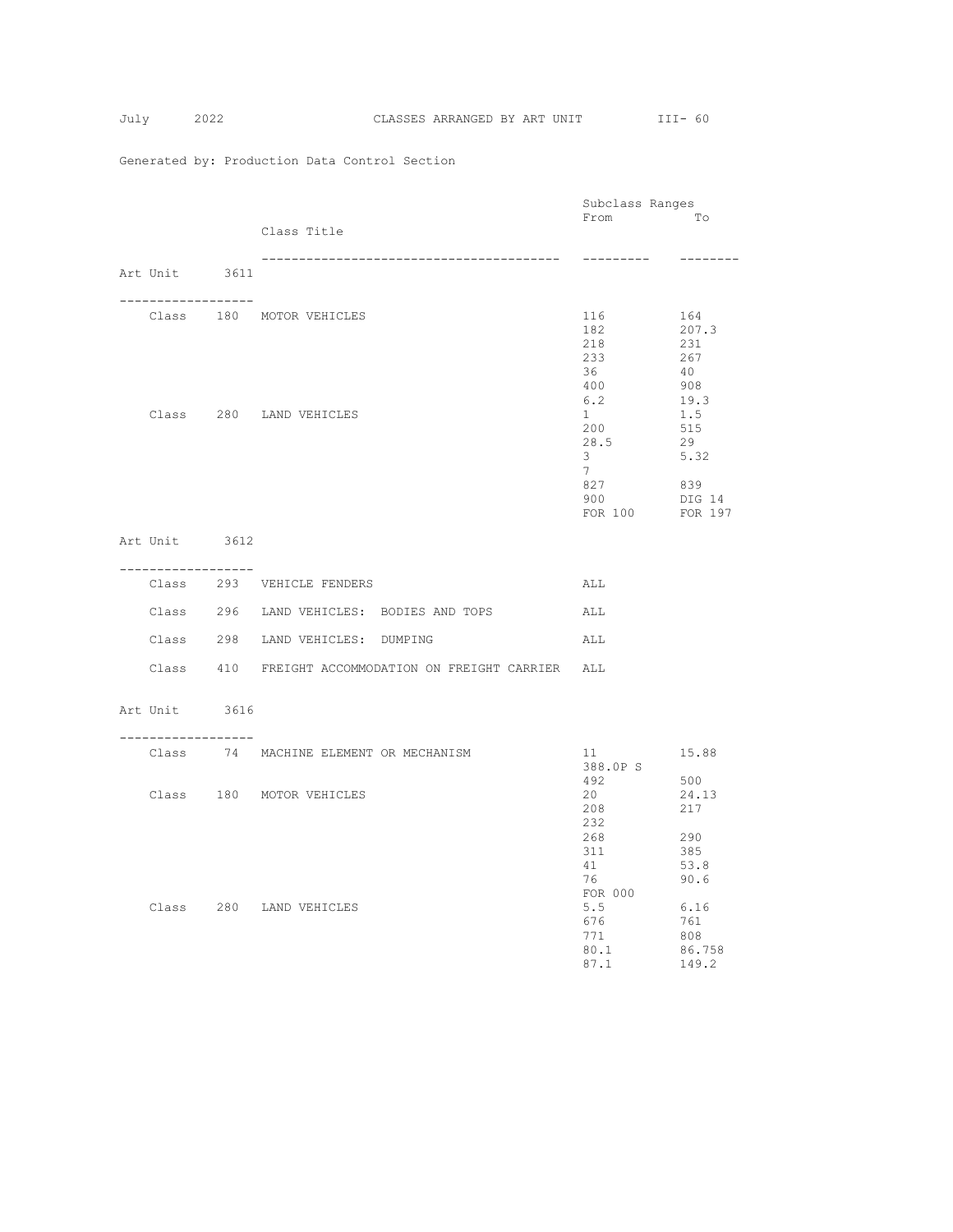|                    |                                                        | Subclass Ranges                                                        |                                                                     |
|--------------------|--------------------------------------------------------|------------------------------------------------------------------------|---------------------------------------------------------------------|
|                    | Class Title                                            | From To                                                                |                                                                     |
|                    |                                                        |                                                                        |                                                                     |
| Art Unit 3611      |                                                        | ----------                                                             | ---------                                                           |
| . <u>.</u>         |                                                        |                                                                        |                                                                     |
|                    | Class 180 MOTOR VEHICLES                               | 116<br>182<br>218<br>233<br>36<br>400<br>6.2                           | 164<br>207.3<br>231<br>267<br>40<br>908<br>19.3                     |
|                    | Class 280 LAND VEHICLES                                | $1 -$<br>200<br>28.5<br>3 <sup>7</sup><br>7                            | 1.5<br>515<br>29<br>5.32                                            |
|                    |                                                        | 827<br>900<br>FOR 100 FOR 197                                          | 839<br>DIG 14                                                       |
| Art Unit 3612      |                                                        |                                                                        |                                                                     |
| ------------------ | Class 293 VEHICLE FENDERS                              | ALL                                                                    |                                                                     |
|                    | Class 296 LAND VEHICLES: BODIES AND TOPS               | ALL                                                                    |                                                                     |
|                    | Class 298 LAND VEHICLES: DUMPING                       | ALL                                                                    |                                                                     |
|                    | Class 410 FREIGHT ACCOMMODATION ON FREIGHT CARRIER ALL |                                                                        |                                                                     |
| Art Unit 3616      |                                                        |                                                                        |                                                                     |
| ------------------ | Class 74 MACHINE ELEMENT OR MECHANISM                  | 388.0P S                                                               | 15.88                                                               |
|                    | Class 180 MOTOR VEHICLES                               | 20<br>208<br>232                                                       | 500<br>24.13<br>217                                                 |
|                    | Class 280 LAND VEHICLES                                | 268<br>311<br>41<br>76<br>FOR 000<br>5.5<br>676<br>771<br>80.1<br>87.1 | 290<br>385<br>53.8<br>90.6<br>6.16<br>761<br>808<br>86.758<br>149.2 |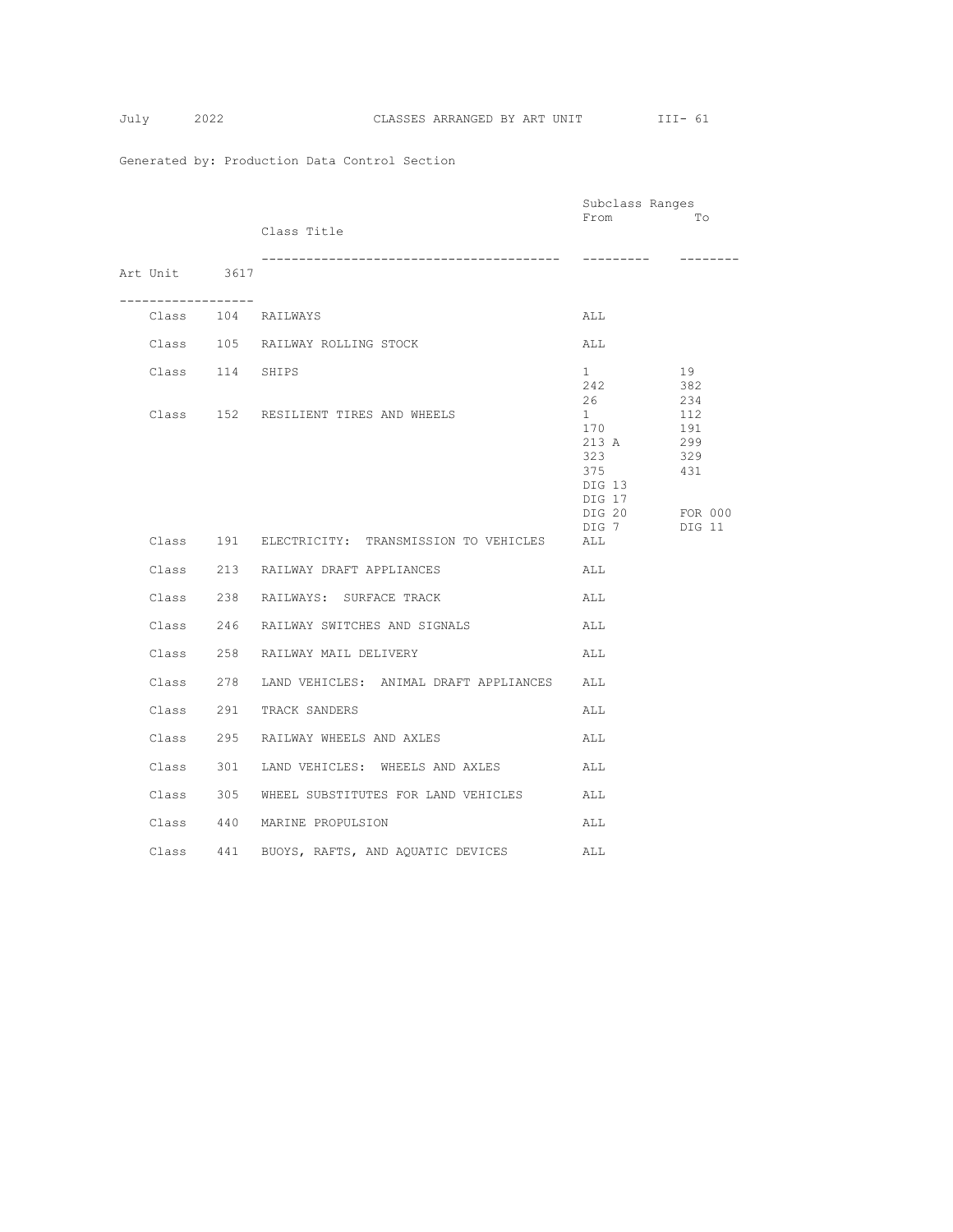$$
July 20
$$

|                 |             |                                                  | Subclass Ranges              |            |
|-----------------|-------------|--------------------------------------------------|------------------------------|------------|
|                 |             | Class Title                                      | From                         | To         |
|                 |             |                                                  |                              |            |
|                 |             | ------------------------------                   |                              |            |
| Art Unit 3617   |             |                                                  |                              |            |
|                 | ----------- |                                                  |                              |            |
|                 |             | Class 104 RAILWAYS                               | ALL                          |            |
|                 |             | Class 105 RAILWAY ROLLING STOCK                  | ALL                          |            |
| Class 114 SHIPS |             |                                                  | $1 \quad$                    | 19         |
|                 |             |                                                  | 242                          | 382        |
|                 |             | Class 152 RESILIENT TIRES AND WHEELS             | 26<br>$1 \quad \blacksquare$ | 234<br>112 |
|                 |             |                                                  | 170                          | 191        |
|                 |             |                                                  | 213 A                        | 299        |
|                 |             |                                                  | 323                          | 329        |
|                 |             |                                                  | 375                          | 431        |
|                 |             |                                                  | DIG 13                       |            |
|                 |             |                                                  | DIG 17<br>DIG 20 FOR 000     |            |
|                 |             |                                                  | DIG 7                        | DIG 11     |
|                 |             | Class 191 ELECTRICITY: TRANSMISSION TO VEHICLES  | ALL                          |            |
|                 |             | Class 213 RAILWAY DRAFT APPLIANCES               | ALL                          |            |
|                 |             | Class 238 RAILWAYS: SURFACE TRACK                | ALL                          |            |
|                 |             | Class 246 RAILWAY SWITCHES AND SIGNALS           | ALL                          |            |
|                 |             | Class 258 RAILWAY MAIL DELIVERY                  | ALL                          |            |
|                 |             | Class 278 LAND VEHICLES: ANIMAL DRAFT APPLIANCES | ALL                          |            |
|                 |             | Class 291 TRACK SANDERS                          | ALL                          |            |
|                 |             | Class 295 RAILWAY WHEELS AND AXLES               | ALL                          |            |
|                 |             | Class 301 LAND VEHICLES: WHEELS AND AXLES        | ALL                          |            |
|                 |             | Class 305 WHEEL SUBSTITUTES FOR LAND VEHICLES    | ALL                          |            |
|                 |             | Class 440 MARINE PROPULSION                      | ALL                          |            |
|                 |             | Class 441 BUOYS, RAFTS, AND AQUATIC DEVICES ALL  |                              |            |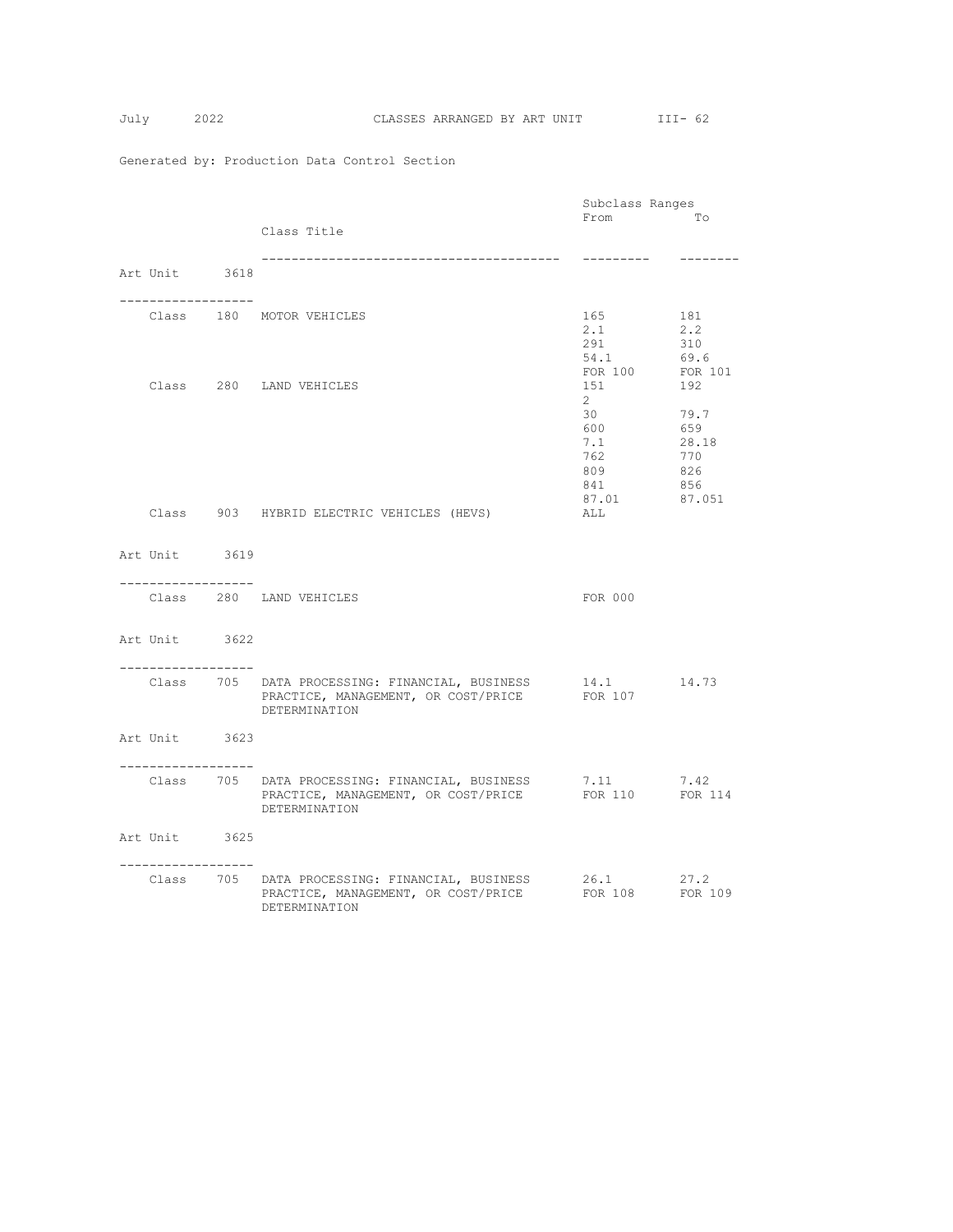|                    |  |                                                                                                                                  | Subclass Ranges                                |                                                     |  |
|--------------------|--|----------------------------------------------------------------------------------------------------------------------------------|------------------------------------------------|-----------------------------------------------------|--|
|                    |  | Class Title                                                                                                                      | From                                           | To                                                  |  |
|                    |  |                                                                                                                                  |                                                |                                                     |  |
| Art Unit 3618      |  | -------------------------------------                                                                                            | ---------                                      |                                                     |  |
| . <u>.</u> .       |  | Class 180 MOTOR VEHICLES                                                                                                         | 165<br>2.1<br>291<br>54.1                      | 181<br>2, 2<br>310<br>69.6                          |  |
|                    |  | Class 280 LAND VEHICLES                                                                                                          | FOR 100<br>151<br>$2^{\circ}$                  | FOR 101<br>192                                      |  |
|                    |  |                                                                                                                                  | 30<br>600<br>7.1<br>762<br>809<br>841<br>87.01 | 79.7<br>659<br>28.18<br>770<br>826<br>856<br>87.051 |  |
|                    |  | Class 903 HYBRID ELECTRIC VEHICLES (HEVS)                                                                                        | ALL                                            |                                                     |  |
| Art Unit 3619      |  |                                                                                                                                  |                                                |                                                     |  |
| ------------------ |  | Class 280 LAND VEHICLES                                                                                                          | FOR 000                                        |                                                     |  |
| Art Unit 3622      |  |                                                                                                                                  |                                                |                                                     |  |
| -----------------  |  | Class 705 DATA PROCESSING: FINANCIAL, BUSINESS 14.1 14.73<br>PRACTICE, MANAGEMENT, OR COST/PRICE<br>DETERMINATION                | FOR 107                                        |                                                     |  |
| Art Unit 3623      |  |                                                                                                                                  |                                                |                                                     |  |
| . <u>.</u>         |  | Class 705 DATA PROCESSING: FINANCIAL, BUSINESS 7.11 7.42<br>PRACTICE, MANAGEMENT, OR COST/PRICE FOR 110 FOR 114<br>DETERMINATION |                                                |                                                     |  |
| Art Unit 3625      |  |                                                                                                                                  |                                                |                                                     |  |
| -----------------  |  | Class 705 DATA PROCESSING: FINANCIAL, BUSINESS<br>PRACTICE, MANAGEMENT, OR COST/PRICE FOR 108 FOR 109<br>DETERMINATION           | 26.1                                           | 27.2                                                |  |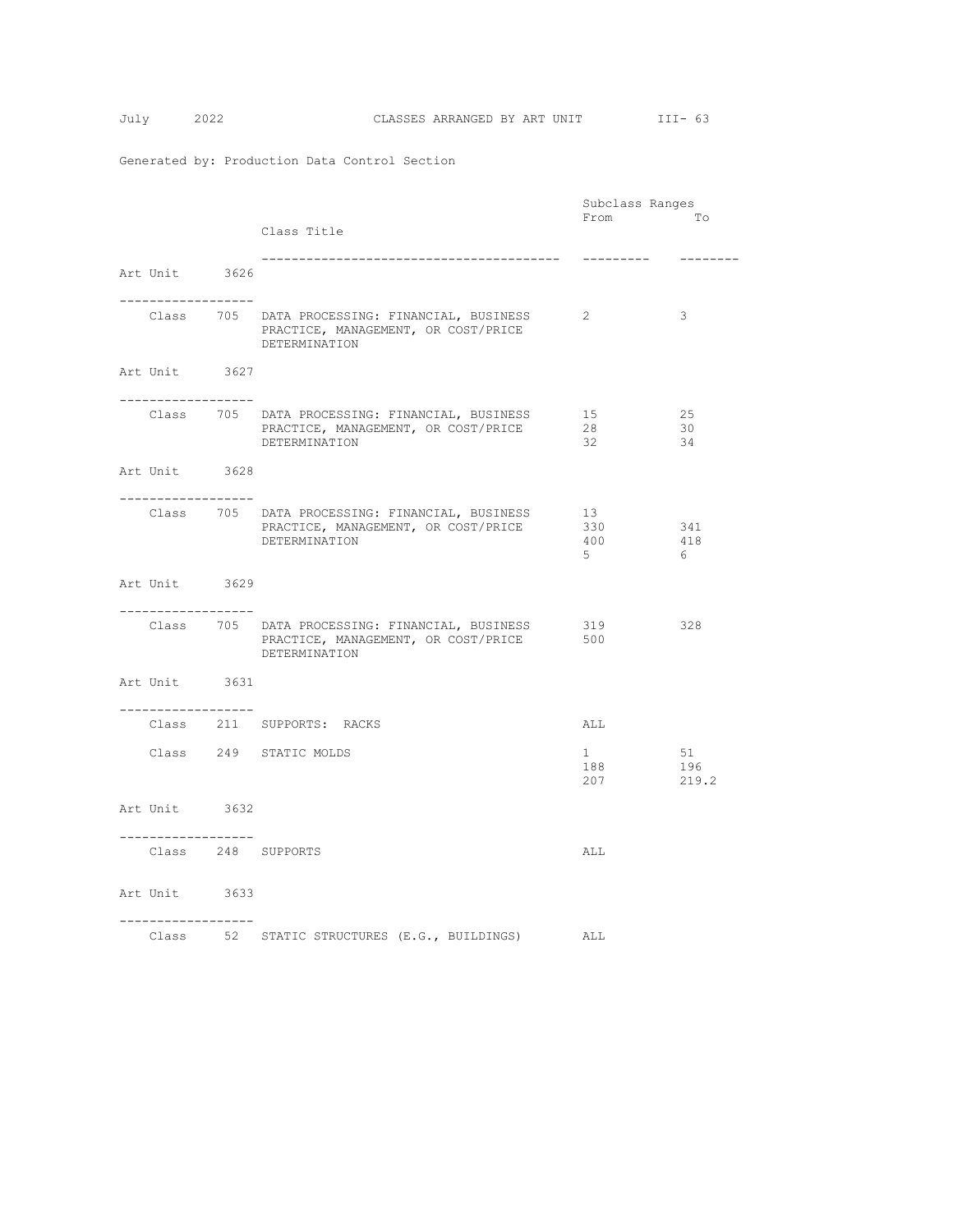|                                     |  | Subclass Ranges                                                                                        |                        |               |
|-------------------------------------|--|--------------------------------------------------------------------------------------------------------|------------------------|---------------|
|                                     |  |                                                                                                        | From                   | Tо            |
|                                     |  | Class Title                                                                                            |                        |               |
|                                     |  |                                                                                                        | ----------             | $- - - - - -$ |
| Art Unit 3626                       |  |                                                                                                        |                        |               |
|                                     |  |                                                                                                        |                        |               |
| . _ _ _ _ _ _ _ _ _ _ _ _ _ _ _ _ _ |  |                                                                                                        |                        |               |
|                                     |  | Class 705 DATA PROCESSING: FINANCIAL, BUSINESS<br>PRACTICE, MANAGEMENT, OR COST/PRICE<br>DETERMINATION | 2                      | 3             |
| Art Unit 3627                       |  |                                                                                                        |                        |               |
| -----------------                   |  |                                                                                                        |                        | 25            |
|                                     |  | Class 705 DATA PROCESSING: FINANCIAL, BUSINESS<br>PRACTICE, MANAGEMENT, OR COST/PRICE                  | 15<br>28               | 30            |
|                                     |  | DETERMINATION                                                                                          | 32                     | 34            |
|                                     |  |                                                                                                        |                        |               |
| Art Unit 3628                       |  |                                                                                                        |                        |               |
| . <u>.</u>                          |  |                                                                                                        |                        |               |
|                                     |  | Class 705 DATA PROCESSING: FINANCIAL, BUSINESS                                                         | 13                     |               |
|                                     |  | PRACTICE, MANAGEMENT, OR COST/PRICE                                                                    | 330                    | 341           |
|                                     |  | DETERMINATION                                                                                          | 400                    | 418           |
|                                     |  |                                                                                                        | 5                      | 6             |
| Art Unit 3629                       |  |                                                                                                        |                        |               |
|                                     |  |                                                                                                        |                        |               |
| -----------------                   |  |                                                                                                        |                        |               |
|                                     |  | Class 705 DATA PROCESSING: FINANCIAL, BUSINESS<br>PRACTICE, MANAGEMENT, OR COST/PRICE<br>DETERMINATION | 319<br>500             | 328           |
| Art Unit 3631                       |  |                                                                                                        |                        |               |
|                                     |  |                                                                                                        |                        |               |
| .                                   |  |                                                                                                        |                        |               |
|                                     |  | Class 211 SUPPORTS: RACKS                                                                              | ALL                    |               |
|                                     |  | Class 249 STATIC MOLDS                                                                                 | $1 \quad \blacksquare$ | 51            |
|                                     |  |                                                                                                        | 188                    | 196           |
|                                     |  |                                                                                                        | 207                    | 219.2         |
|                                     |  |                                                                                                        |                        |               |
| Art Unit 3632                       |  |                                                                                                        |                        |               |
| __________________                  |  |                                                                                                        |                        |               |
|                                     |  | Class 248 SUPPORTS                                                                                     | ALL                    |               |
|                                     |  |                                                                                                        |                        |               |
|                                     |  |                                                                                                        |                        |               |
| Art Unit 3633                       |  |                                                                                                        |                        |               |
| .                                   |  |                                                                                                        |                        |               |
|                                     |  | Class 52 STATIC STRUCTURES (E.G., BUILDINGS) ALL                                                       |                        |               |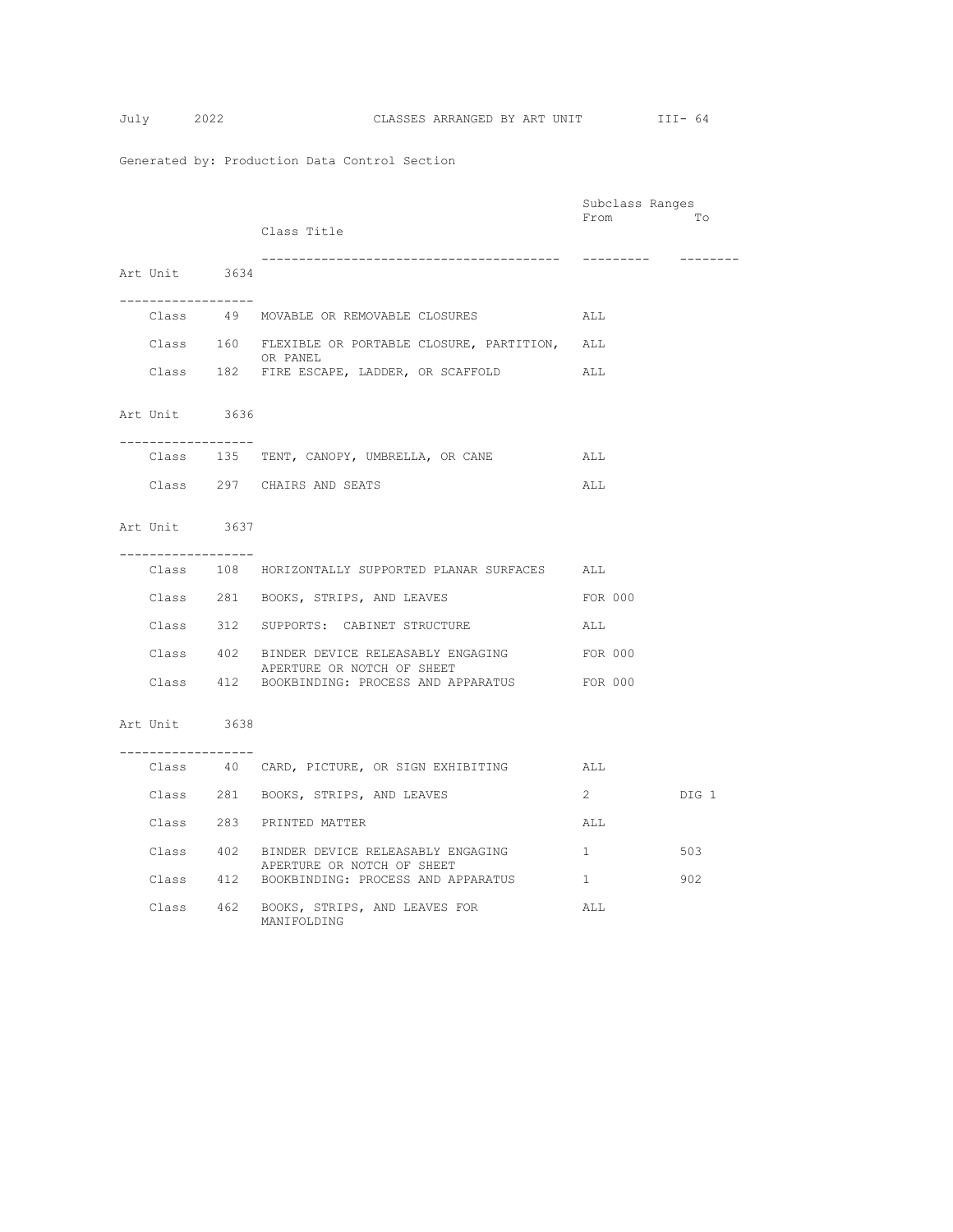|  |                                       |                                                                    | Subclass Ranges |       |
|--|---------------------------------------|--------------------------------------------------------------------|-----------------|-------|
|  |                                       |                                                                    | From            | To    |
|  |                                       | Class Title                                                        |                 |       |
|  |                                       | --------------------------------------                             |                 |       |
|  | Art Unit 3634                         |                                                                    |                 |       |
|  |                                       |                                                                    |                 |       |
|  | . <u>.</u>                            |                                                                    |                 |       |
|  |                                       | Class 49 MOVABLE OR REMOVABLE CLOSURES ALL                         |                 |       |
|  |                                       | Class 160 FLEXIBLE OR PORTABLE CLOSURE, PARTITION, ALL<br>OR PANEL |                 |       |
|  |                                       | Class 182 FIRE ESCAPE, LADDER, OR SCAFFOLD                         | ALL             |       |
|  |                                       |                                                                    |                 |       |
|  | Art Unit 3636                         |                                                                    |                 |       |
|  |                                       |                                                                    |                 |       |
|  | . _ _ _ _ _ _ _ _ _ _ _ _ _ _ _ _ _ _ |                                                                    |                 |       |
|  |                                       | Class 135 TENT, CANOPY, UMBRELLA, OR CANE                          | ALL             |       |
|  |                                       | Class 297 CHAIRS AND SEATS                                         | ALL             |       |
|  |                                       |                                                                    |                 |       |
|  |                                       |                                                                    |                 |       |
|  | Art Unit 3637                         |                                                                    |                 |       |
|  | ------------------                    |                                                                    |                 |       |
|  |                                       | Class 108 HORIZONTALLY SUPPORTED PLANAR SURFACES ALL               |                 |       |
|  |                                       |                                                                    |                 |       |
|  |                                       | Class 281 BOOKS, STRIPS, AND LEAVES                                | FOR 000         |       |
|  |                                       | Class 312 SUPPORTS: CABINET STRUCTURE                              | ALL             |       |
|  |                                       |                                                                    |                 |       |
|  |                                       | Class 402 BINDER DEVICE RELEASABLY ENGAGING                        | FOR 000         |       |
|  |                                       | APERTURE OR NOTCH OF SHEET                                         |                 |       |
|  |                                       | Class 412 BOOKBINDING: PROCESS AND APPARATUS FOR 000               |                 |       |
|  |                                       |                                                                    |                 |       |
|  | Art Unit 3638                         |                                                                    |                 |       |
|  |                                       |                                                                    |                 |       |
|  | . <u>.</u>                            | Class 40 CARD, PICTURE, OR SIGN EXHIBITING ALL                     |                 |       |
|  |                                       |                                                                    |                 |       |
|  |                                       | Class 281 BOOKS, STRIPS, AND LEAVES                                | $\mathbf{2}$    | DIG 1 |
|  |                                       |                                                                    |                 |       |
|  |                                       | Class 283 PRINTED MATTER                                           | ALL             |       |
|  |                                       | Class 402 BINDER DEVICE RELEASABLY ENGAGING                        | 1               | 503   |
|  |                                       | APERTURE OR NOTCH OF SHEET                                         |                 |       |
|  |                                       | Class 412 BOOKBINDING: PROCESS AND APPARATUS                       | $\mathbf{1}$    | 902   |
|  |                                       | Class 462 BOOKS, STRIPS, AND LEAVES FOR                            | ALL             |       |
|  |                                       | MANIFOLDING                                                        |                 |       |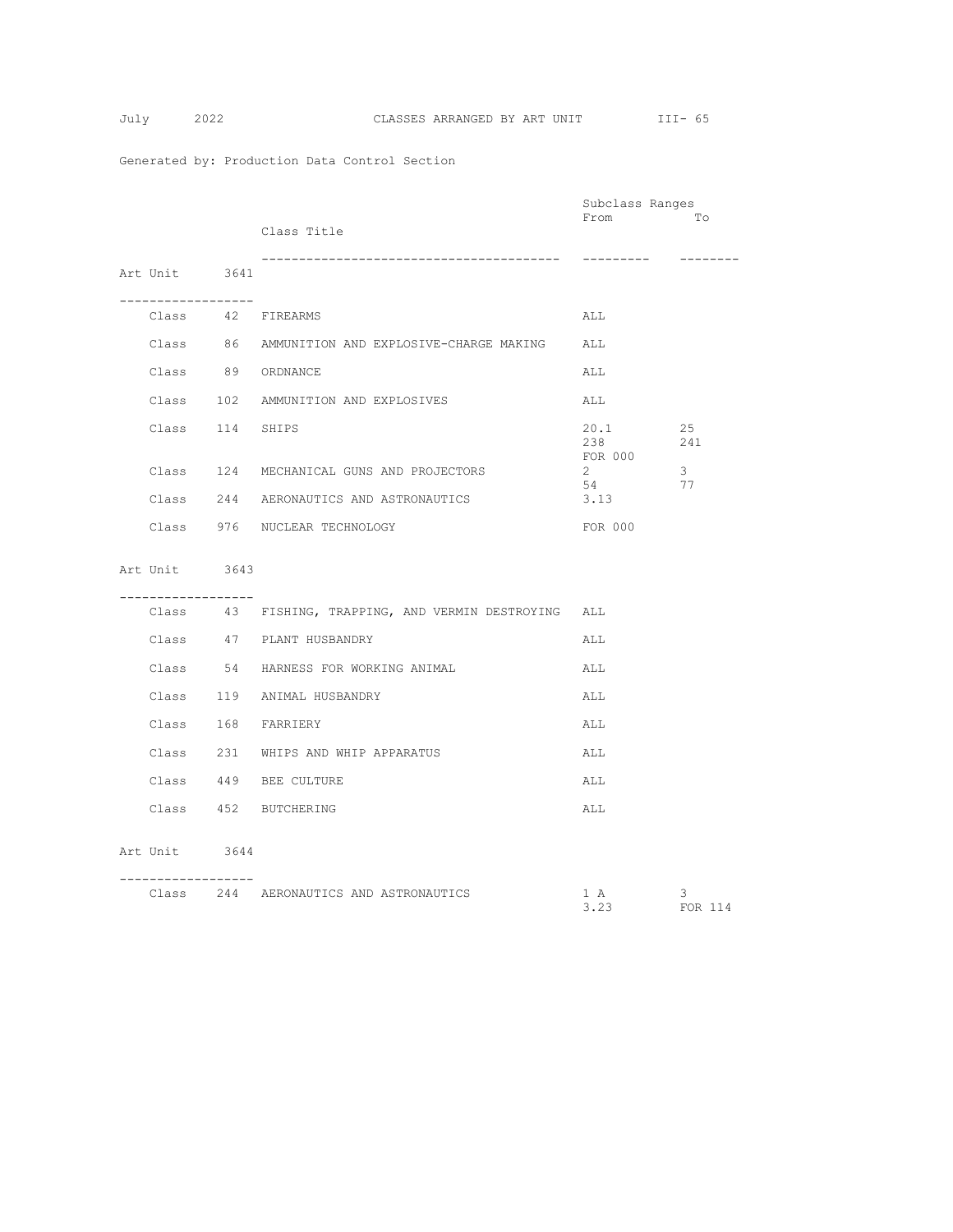$$
July \qquad 2
$$

|                    |                                                       | Subclass Ranges              |              |
|--------------------|-------------------------------------------------------|------------------------------|--------------|
|                    | Class Title                                           | From                         | Tо           |
| Art Unit 3641      |                                                       | ----------                   | ---------    |
| ------------------ | Class 42 FIREARMS                                     | ALL                          |              |
|                    | Class 86 AMMUNITION AND EXPLOSIVE-CHARGE MAKING ALL   |                              |              |
|                    | Class 89 ORDNANCE                                     | ALL                          |              |
|                    | Class 102 AMMUNITION AND EXPLOSIVES                   | ALL                          |              |
| Class 114 SHIPS    |                                                       | 20.1<br>238                  | 25<br>241    |
|                    | Class 124 MECHANICAL GUNS AND PROJECTORS              | FOR 000<br>$2^{\circ}$<br>54 | 3<br>77      |
|                    | Class 244 AERONAUTICS AND ASTRONAUTICS                | 3.13                         |              |
|                    | Class 976 NUCLEAR TECHNOLOGY                          | FOR 000                      |              |
| Art Unit 3643      |                                                       |                              |              |
| ------------------ | Class 43 FISHING, TRAPPING, AND VERMIN DESTROYING ALL |                              |              |
|                    | Class 47 PLANT HUSBANDRY                              | ALL                          |              |
|                    | Class 54 HARNESS FOR WORKING ANIMAL                   | ALL                          |              |
|                    | Class 119 ANIMAL HUSBANDRY                            | ALL                          |              |
|                    | Class 168 FARRIERY                                    | ALL                          |              |
|                    | Class 231 WHIPS AND WHIP APPARATUS                    | ALL                          |              |
|                    | Class 449 BEE CULTURE                                 | ALL                          |              |
|                    | Class 452 BUTCHERING                                  | ALL                          |              |
| Art Unit 3644      |                                                       |                              |              |
|                    | Class 244 AERONAUTICS AND ASTRONAUTICS                | 1 A<br>3.23                  | 3<br>FOR 114 |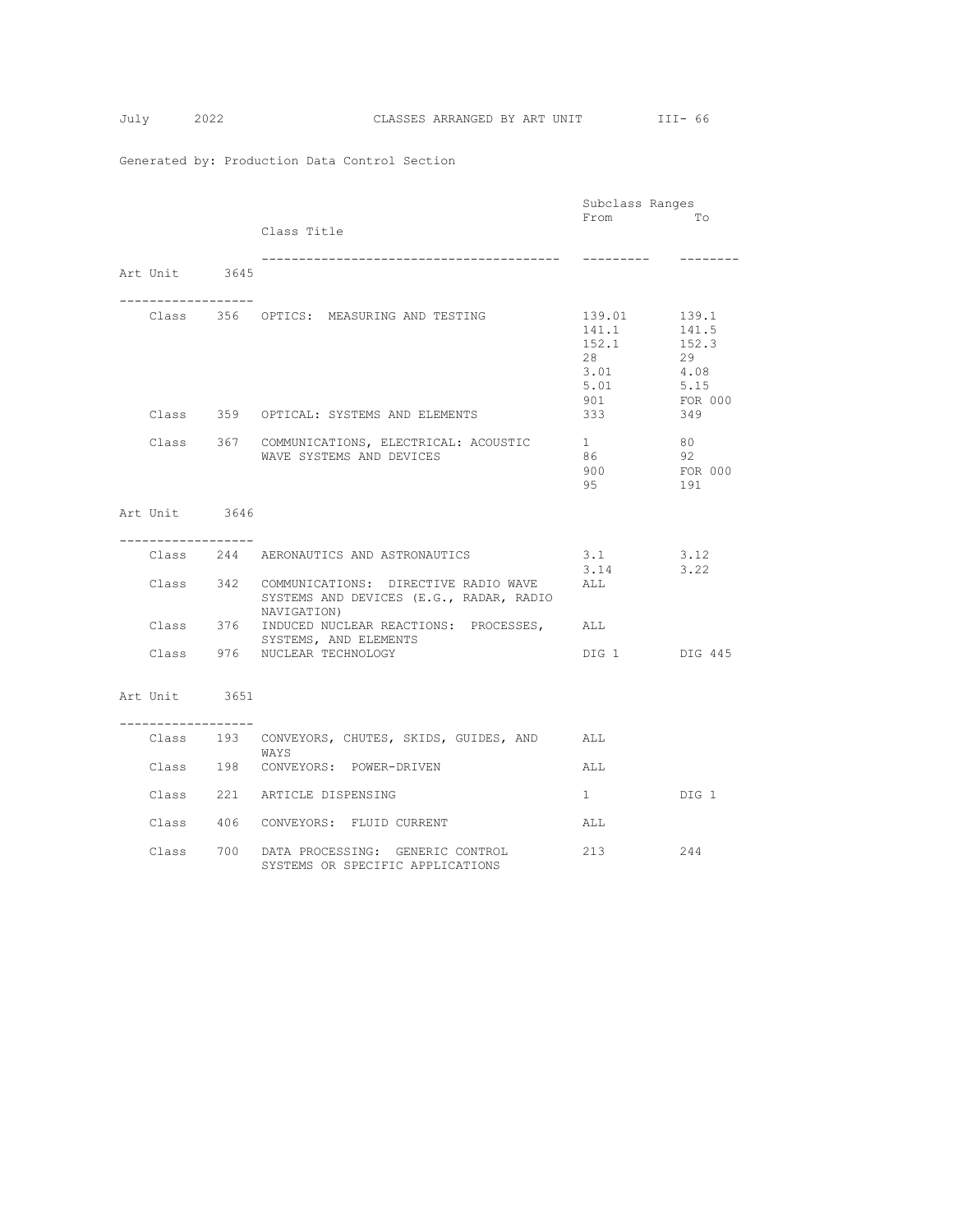|                                    |                                                                                                          | Subclass Ranges                                              |                                                                 |
|------------------------------------|----------------------------------------------------------------------------------------------------------|--------------------------------------------------------------|-----------------------------------------------------------------|
|                                    | Class Title                                                                                              | From                                                         | To                                                              |
| Art Unit 3645                      | -------------------------------------                                                                    | ---------                                                    |                                                                 |
| ---------------                    | Class 356 OPTICS: MEASURING AND TESTING<br>Class 359 OPTICAL: SYSTEMS AND ELEMENTS                       | 139.01<br>141.1<br>152.1<br>28<br>3.01<br>5.01<br>901<br>333 | 139.1<br>141.5<br>152.3<br>29<br>4.08<br>5.15<br>FOR 000<br>349 |
|                                    |                                                                                                          |                                                              |                                                                 |
|                                    | Class 367 COMMUNICATIONS, ELECTRICAL: ACOUSTIC<br>WAVE SYSTEMS AND DEVICES                               | $1 \quad$<br>86<br>900<br>95                                 | 80<br>92<br>FOR 000<br>191                                      |
| Art Unit 3646                      |                                                                                                          |                                                              |                                                                 |
| -----------------                  |                                                                                                          |                                                              |                                                                 |
|                                    | Class 244 AERONAUTICS AND ASTRONAUTICS                                                                   | 3.1                                                          | 3.12                                                            |
|                                    | Class 342 COMMUNICATIONS: DIRECTIVE RADIO WAVE<br>SYSTEMS AND DEVICES (E.G., RADAR, RADIO<br>NAVIGATION) | 3.14<br>ALL                                                  | 3.22                                                            |
|                                    | Class 376 INDUCED NUCLEAR REACTIONS: PROCESSES, ALL<br>SYSTEMS, AND ELEMENTS                             |                                                              |                                                                 |
|                                    | Class 976 NUCLEAR TECHNOLOGY                                                                             | DIG 1 DIG 445                                                |                                                                 |
| Art Unit 3651<br>----------------- |                                                                                                          |                                                              |                                                                 |
|                                    | Class 193 CONVEYORS, CHUTES, SKIDS, GUIDES, AND ALL                                                      |                                                              |                                                                 |
|                                    | WAYS                                                                                                     |                                                              |                                                                 |
|                                    | Class 198 CONVEYORS: POWER-DRIVEN                                                                        | ALL                                                          |                                                                 |
|                                    | Class 221 ARTICLE DISPENSING                                                                             | $1 \quad$                                                    | DIG 1                                                           |
|                                    | Class 406 CONVEYORS: FLUID CURRENT                                                                       | ALL                                                          |                                                                 |
|                                    | Class 700 DATA PROCESSING: GENERIC CONTROL<br>SYSTEMS OR SPECIFIC APPLICATIONS                           | 213                                                          | 244                                                             |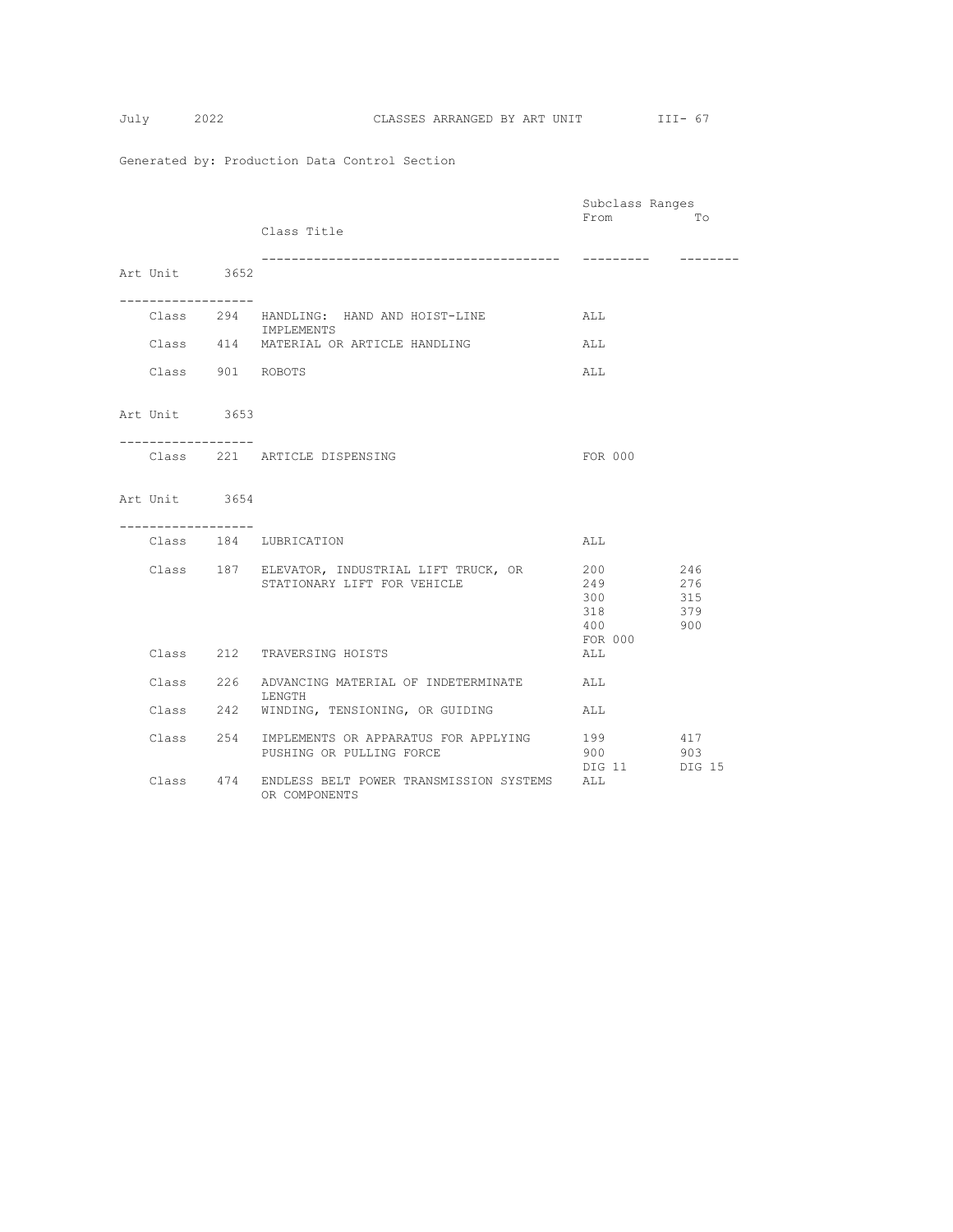|                    |                                                       | Subclass Ranges |          |
|--------------------|-------------------------------------------------------|-----------------|----------|
|                    |                                                       | From            | To       |
|                    | Class Title                                           |                 |          |
|                    |                                                       |                 |          |
|                    | ------------------------------------                  | ----------      | -------- |
| Art Unit 3652      |                                                       |                 |          |
|                    |                                                       |                 |          |
| ----------------   |                                                       |                 |          |
|                    | Class 294 HANDLING: HAND AND HOIST-LINE               | ALL             |          |
|                    | IMPLEMENTS                                            |                 |          |
|                    | Class 414 MATERIAL OR ARTICLE HANDLING                | ALL             |          |
|                    |                                                       |                 |          |
|                    |                                                       |                 |          |
| Class 901 ROBOTS   |                                                       | ALL             |          |
|                    |                                                       |                 |          |
|                    |                                                       |                 |          |
| Art Unit 3653      |                                                       |                 |          |
|                    |                                                       |                 |          |
| ------------------ |                                                       |                 |          |
|                    | Class 221 ARTICLE DISPENSING                          | FOR 000         |          |
|                    |                                                       |                 |          |
|                    |                                                       |                 |          |
| Art Unit 3654      |                                                       |                 |          |
|                    |                                                       |                 |          |
| ------------------ |                                                       |                 |          |
|                    | Class 184 LUBRICATION                                 | ALL             |          |
|                    |                                                       |                 |          |
|                    | Class 187 ELEVATOR, INDUSTRIAL LIFT TRUCK, OR         | 200             | 246      |
|                    | STATIONARY LIFT FOR VEHICLE                           | 249             | 276      |
|                    |                                                       | 300             | 315      |
|                    |                                                       | 318             | 379      |
|                    |                                                       |                 |          |
|                    |                                                       | 400             | 900      |
|                    |                                                       | FOR 000         |          |
|                    | Class 212 TRAVERSING HOISTS                           | ALL             |          |
|                    |                                                       |                 |          |
| Class 226          | ADVANCING MATERIAL OF INDETERMINATE                   | ALL             |          |
|                    | LENGTH                                                |                 |          |
|                    | Class 242 WINDING, TENSIONING, OR GUIDING             | ALL             |          |
|                    |                                                       |                 |          |
| Class 254          | IMPLEMENTS OR APPARATUS FOR APPLYING                  | 199             | 417      |
|                    | PUSHING OR PULLING FORCE                              | 900 000         | 903      |
|                    |                                                       | DIG 11          | DIG 15   |
|                    | Class 474 ENDLESS BELT POWER TRANSMISSION SYSTEMS ALL |                 |          |
|                    |                                                       |                 |          |
|                    | OR COMPONENTS                                         |                 |          |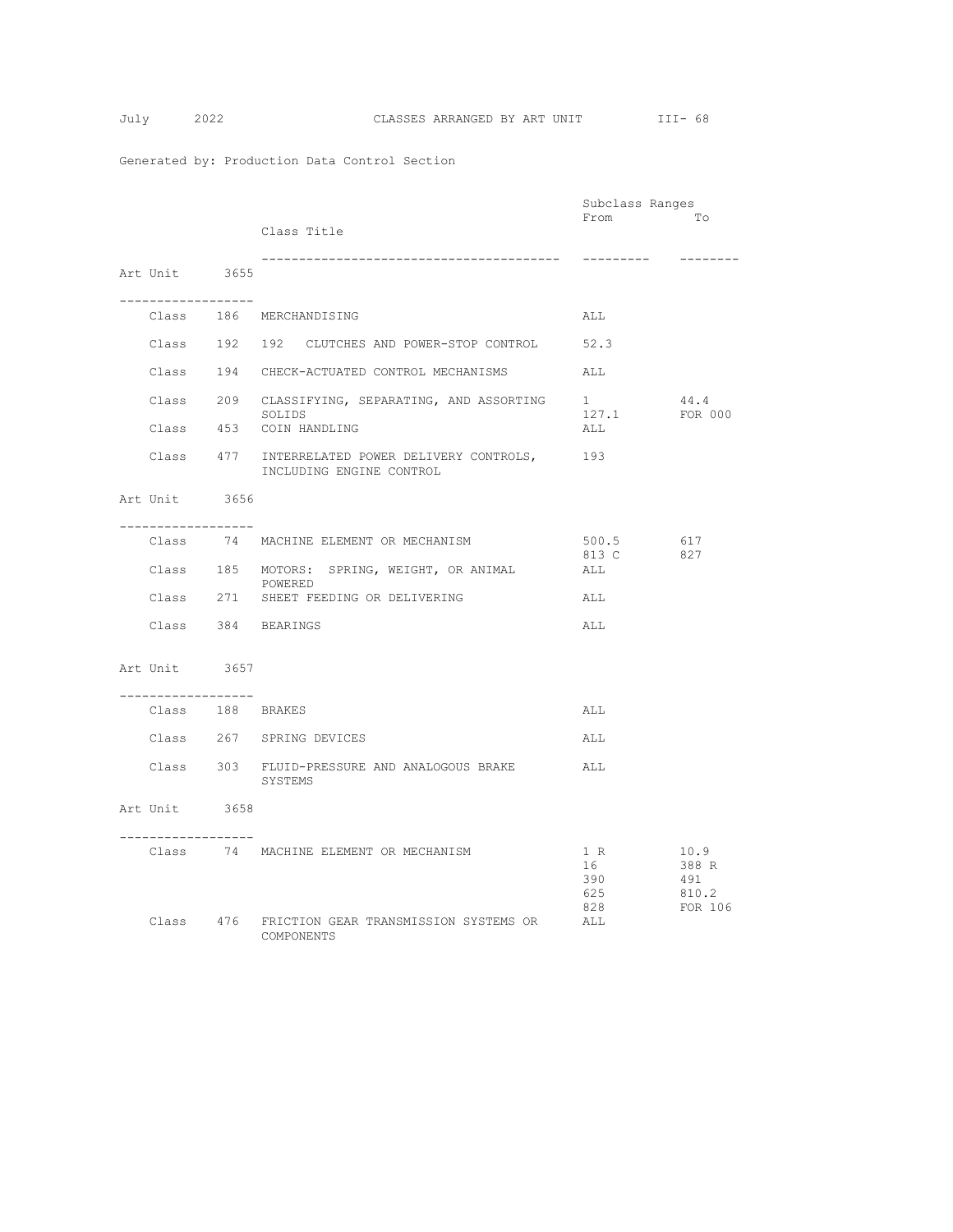|                                        |                                                                                 | Subclass Ranges                |                                          |
|----------------------------------------|---------------------------------------------------------------------------------|--------------------------------|------------------------------------------|
|                                        | Class Title                                                                     | From                           | Tо                                       |
| Art Unit 3655                          |                                                                                 | ----------                     | --------                                 |
|                                        |                                                                                 |                                |                                          |
|                                        | Class 186 MERCHANDISING                                                         | ALL                            |                                          |
|                                        | Class 192 192 CLUTCHES AND POWER-STOP CONTROL 52.3                              |                                |                                          |
|                                        | Class 194 CHECK-ACTUATED CONTROL MECHANISMS                                     | ALL                            |                                          |
|                                        | Class 209 CLASSIFYING, SEPARATING, AND ASSORTING $\frac{1}{127}$<br>SOLIDS      |                                | 44.4<br>FOR 000                          |
|                                        | Class 453 COIN HANDLING                                                         | 127.1<br>ALL                   |                                          |
|                                        | Class 477 INTERRELATED POWER DELIVERY CONTROLS, 193<br>INCLUDING ENGINE CONTROL |                                |                                          |
| Art Unit 3656                          |                                                                                 |                                |                                          |
| . <u>.</u>                             | Class 74 MACHINE ELEMENT OR MECHANISM                                           | 500.5 617                      |                                          |
|                                        | Class 185 MOTORS: SPRING, WEIGHT, OR ANIMAL<br>POWERED                          | 813 C<br>ALL                   | 827                                      |
|                                        | Class 271 SHEET FEEDING OR DELIVERING                                           | ALL                            |                                          |
|                                        | Class 384 BEARINGS                                                              | ALL                            |                                          |
| Art Unit 3657                          |                                                                                 |                                |                                          |
| __________________<br>Class 188 BRAKES |                                                                                 | ALL                            |                                          |
|                                        | Class 267 SPRING DEVICES                                                        | ALL                            |                                          |
|                                        | Class 303 FLUID-PRESSURE AND ANALOGOUS BRAKE<br>SYSTEMS                         | ALL                            |                                          |
| Art Unit 3658<br>------------------    |                                                                                 |                                |                                          |
|                                        | Class 74 MACHINE ELEMENT OR MECHANISM                                           | 1 R<br>16<br>390<br>625<br>828 | 10.9<br>388 R<br>491<br>810.2<br>FOR 106 |
|                                        | Class 476 FRICTION GEAR TRANSMISSION SYSTEMS OR<br>COMPONENTS                   | ALL                            |                                          |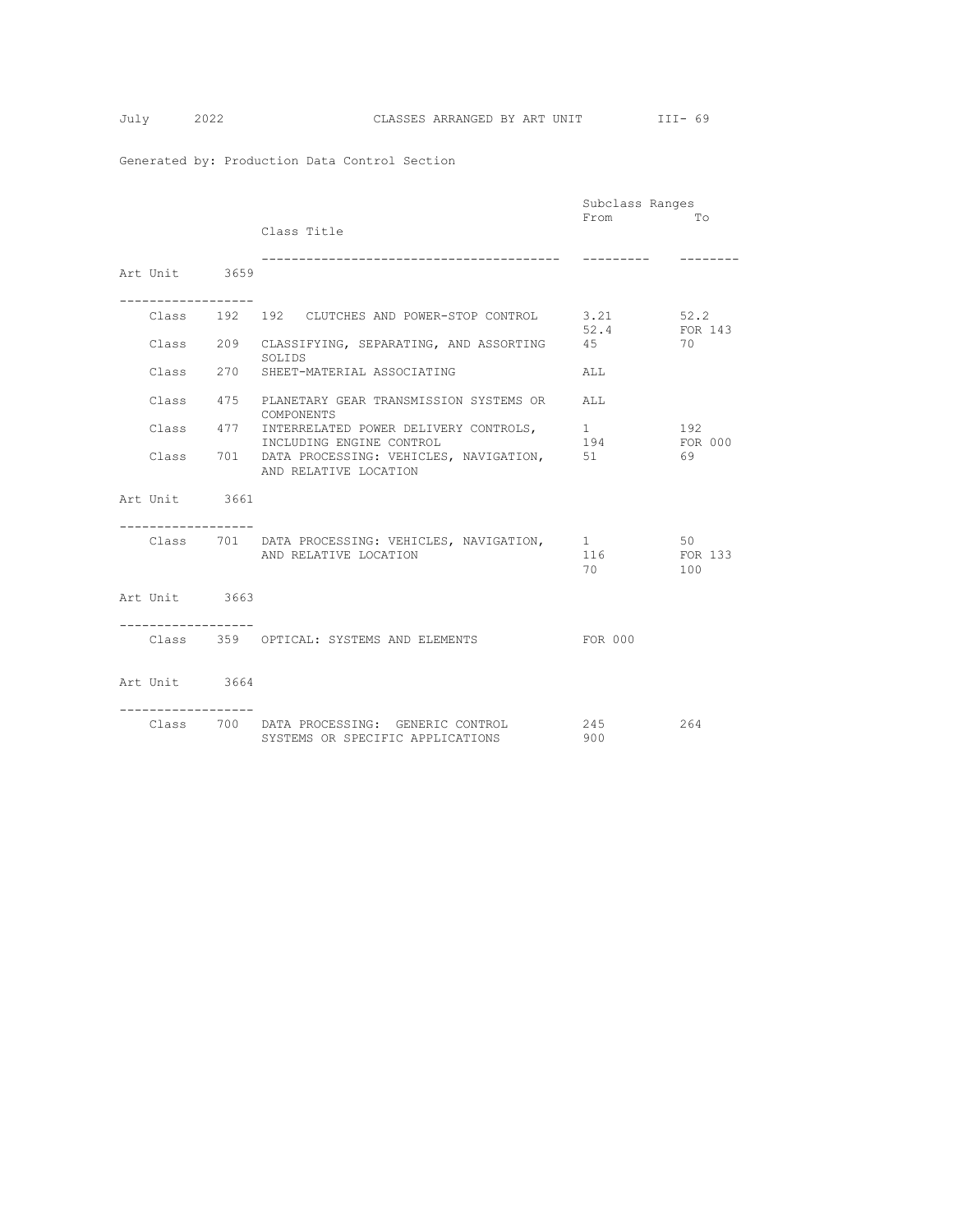|                                     |                                                     | Subclass Ranges  |         |
|-------------------------------------|-----------------------------------------------------|------------------|---------|
|                                     |                                                     | From             | TΟ      |
|                                     | Class Title                                         |                  |         |
|                                     |                                                     |                  |         |
|                                     |                                                     |                  |         |
|                                     |                                                     |                  |         |
| Art Unit 3659                       |                                                     |                  |         |
|                                     |                                                     |                  |         |
| -----------------                   |                                                     |                  |         |
|                                     | Class 192 192 CLUTCHES AND POWER-STOP CONTROL 3.21  |                  | 52.2    |
|                                     |                                                     | 52.4             | FOR 143 |
|                                     | Class 209 CLASSIFYING, SEPARATING, AND ASSORTING 45 |                  | 70      |
|                                     | SOLIDS                                              |                  |         |
|                                     |                                                     |                  |         |
|                                     | Class 270 SHEET-MATERIAL ASSOCIATING                | ALL              |         |
|                                     |                                                     |                  |         |
|                                     | Class 475 PLANETARY GEAR TRANSMISSION SYSTEMS OR    | ALL.             |         |
|                                     | COMPONENTS                                          |                  |         |
|                                     | Class 477 INTERRELATED POWER DELIVERY CONTROLS,     | $1 \quad \cdots$ | 192     |
|                                     | INCLUDING ENGINE CONTROL                            | 194              | FOR 000 |
|                                     | Class 701 DATA PROCESSING: VEHICLES, NAVIGATION,    | 51               | 69      |
|                                     |                                                     |                  |         |
|                                     | AND RELATIVE LOCATION                               |                  |         |
|                                     |                                                     |                  |         |
| Art Unit 3661                       |                                                     |                  |         |
|                                     |                                                     |                  |         |
|                                     |                                                     |                  |         |
|                                     | Class 701 DATA PROCESSING: VEHICLES, NAVIGATION, 1  |                  | 50      |
|                                     | AND RELATIVE LOCATION                               | 116 11           | FOR 133 |
|                                     |                                                     | 70 — 20          | 100     |
|                                     |                                                     |                  |         |
|                                     |                                                     |                  |         |
| Art Unit 3663                       |                                                     |                  |         |
|                                     |                                                     |                  |         |
| . _ _ _ _ _ _ _ _ _ _ _ _ _ _ _ _ _ |                                                     |                  |         |
|                                     | Class 359 OPTICAL: SYSTEMS AND ELEMENTS             | FOR 000          |         |
|                                     |                                                     |                  |         |
|                                     |                                                     |                  |         |
| Art Unit 3664                       |                                                     |                  |         |
|                                     |                                                     |                  |         |
|                                     |                                                     |                  |         |
|                                     |                                                     |                  |         |
|                                     | Class 700 DATA PROCESSING: GENERIC CONTROL          | 245              | 264     |
|                                     | SYSTEMS OR SPECIFIC APPLICATIONS                    | 900              |         |
|                                     |                                                     |                  |         |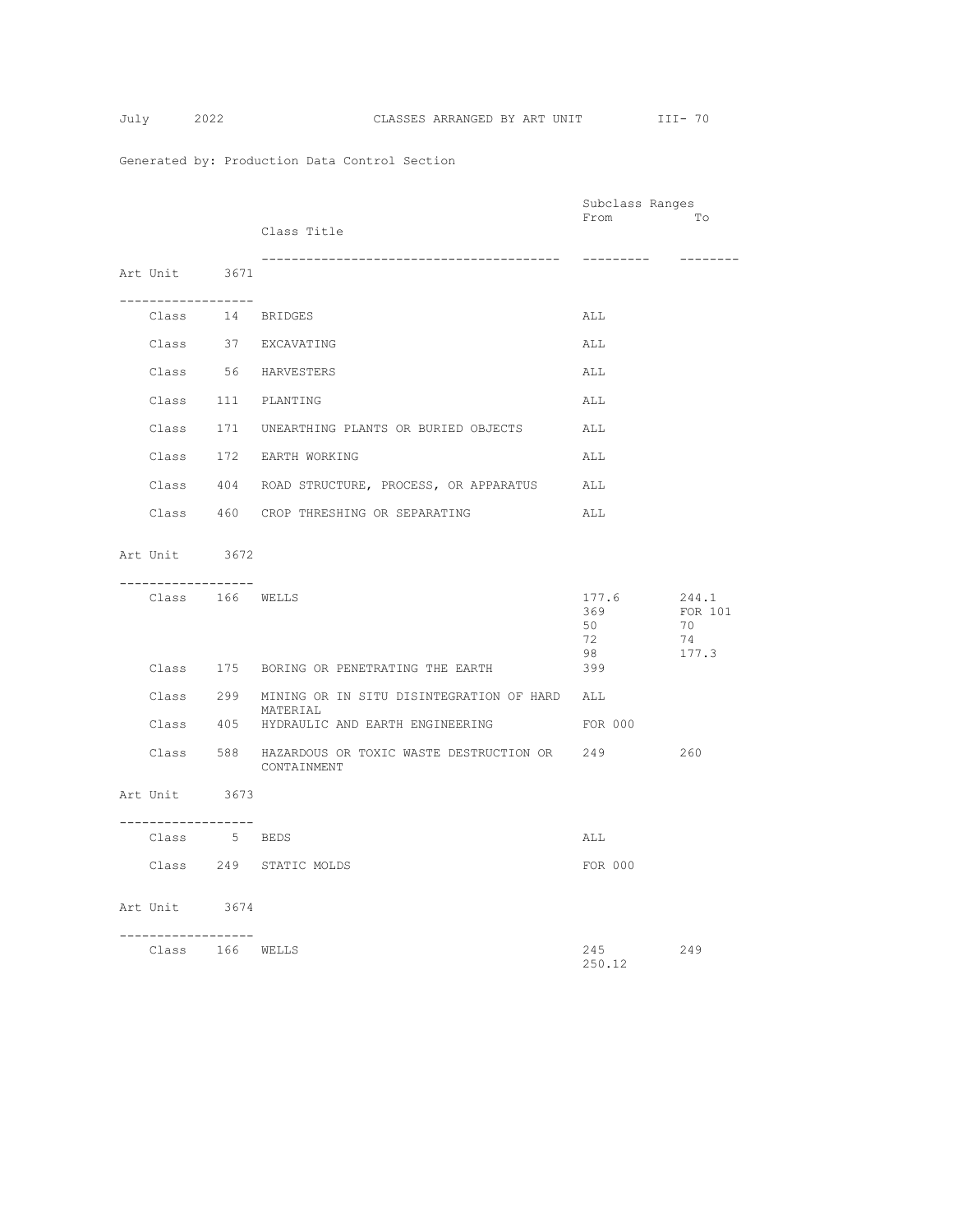|                    |                                                                      | Subclass Ranges |                  |
|--------------------|----------------------------------------------------------------------|-----------------|------------------|
|                    | Class Title                                                          | From            | To               |
|                    |                                                                      |                 |                  |
| Art Unit 3671      |                                                                      | ----------      | --------         |
| ------------------ |                                                                      |                 |                  |
| Class 14 BRIDGES   |                                                                      | ALL             |                  |
|                    | Class 37 EXCAVATING                                                  | ALL             |                  |
|                    | Class 56 HARVESTERS                                                  | ALL             |                  |
|                    | Class 111 PLANTING                                                   | ALL             |                  |
|                    | Class 171 UNEARTHING PLANTS OR BURIED OBJECTS ALL                    |                 |                  |
|                    | Class 172 EARTH WORKING                                              | ALL             |                  |
|                    | Class 404 ROAD STRUCTURE, PROCESS, OR APPARATUS                      | ALL             |                  |
|                    | Class 460 CROP THRESHING OR SEPARATING                               | ALL             |                  |
|                    |                                                                      |                 |                  |
| Art Unit 3672      |                                                                      |                 |                  |
| ----------------   |                                                                      |                 |                  |
| Class 166 WELLS    |                                                                      | 177.6<br>369    | 244.1<br>FOR 101 |
|                    |                                                                      | 50              | 70               |
|                    |                                                                      | 72<br>98        | 74<br>177.3      |
|                    | Class 175 BORING OR PENETRATING THE EARTH                            | 399             |                  |
|                    | Class 299 MINING OR IN SITU DISINTEGRATION OF HARD ALL<br>MATERIAL   |                 |                  |
|                    | Class 405 HYDRAULIC AND EARTH ENGINEERING                            | FOR 000         |                  |
|                    | Class 588 HAZARDOUS OR TOXIC WASTE DESTRUCTION OR 249<br>CONTAINMENT |                 | 260              |
| Art Unit 3673      |                                                                      |                 |                  |
| -----------------  |                                                                      |                 |                  |
| Class 5 BEDS       |                                                                      | ALL             |                  |
|                    | Class 249 STATIC MOLDS                                               | FOR 000         |                  |
| Art Unit 3674      |                                                                      |                 |                  |
|                    |                                                                      |                 |                  |
| .                  |                                                                      |                 |                  |
| Class 166 WELLS    |                                                                      | 245<br>250.12   | 249              |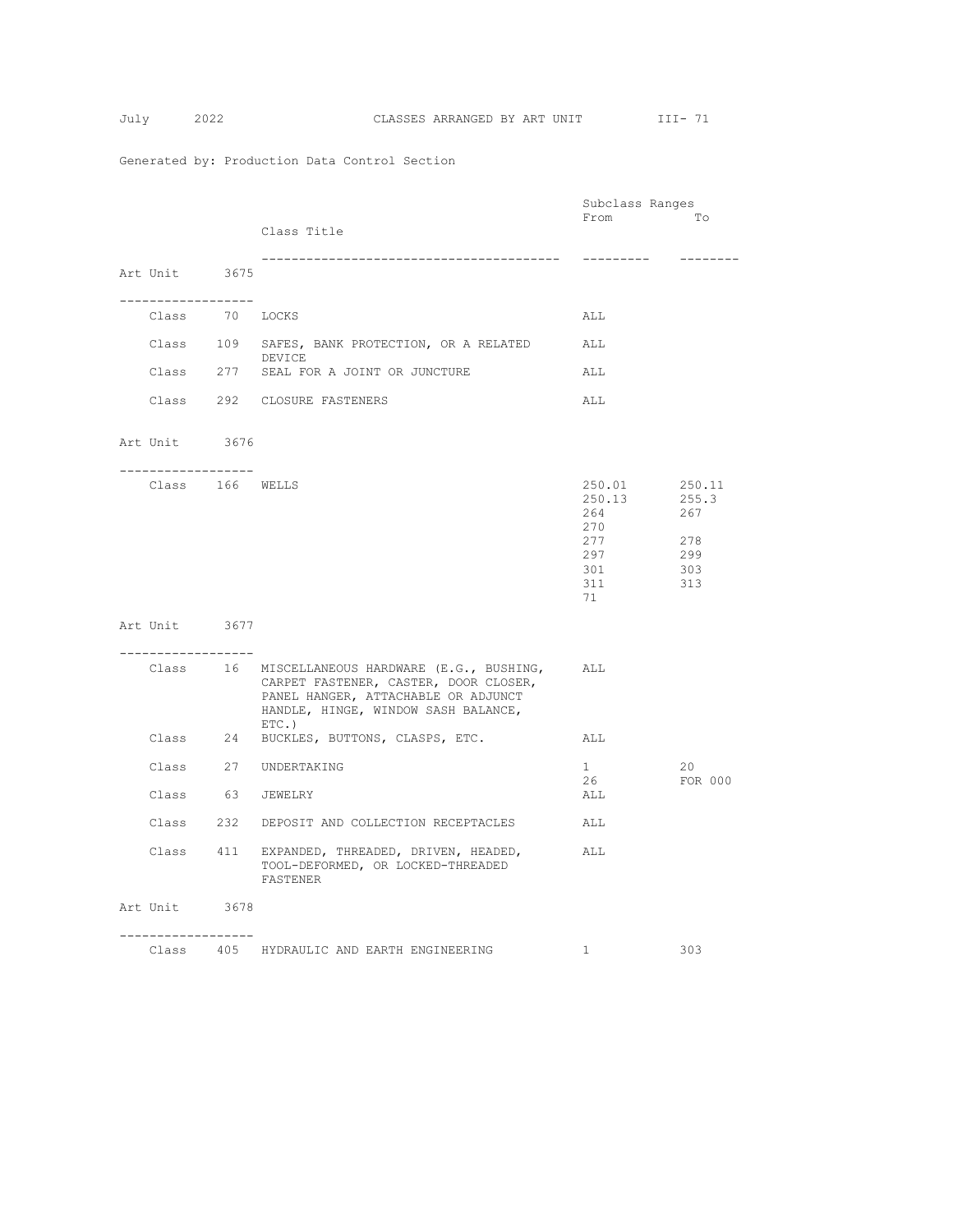|                                      |                                                                                                                                                                                | Subclass Ranges                |                        |
|--------------------------------------|--------------------------------------------------------------------------------------------------------------------------------------------------------------------------------|--------------------------------|------------------------|
|                                      | Class Title                                                                                                                                                                    | From                           | Tо                     |
|                                      |                                                                                                                                                                                |                                |                        |
| Art Unit 3675                        |                                                                                                                                                                                | ----------                     | --------               |
|                                      |                                                                                                                                                                                |                                |                        |
| ------------------<br>Class 70 LOCKS |                                                                                                                                                                                | ALL                            |                        |
|                                      | Class 109 SAFES, BANK PROTECTION, OR A RELATED<br>DEVICE                                                                                                                       | ALL                            |                        |
|                                      | Class 277 SEAL FOR A JOINT OR JUNCTURE                                                                                                                                         | ALL                            |                        |
|                                      | Class 292 CLOSURE FASTENERS                                                                                                                                                    | ALL                            |                        |
| Art Unit 3676                        |                                                                                                                                                                                |                                |                        |
| . <u>.</u>                           |                                                                                                                                                                                |                                |                        |
| Class 166 WELLS                      |                                                                                                                                                                                | 250.01<br>250.13<br>264<br>270 | 250.11<br>255.3<br>267 |
|                                      |                                                                                                                                                                                | 277                            | 278                    |
|                                      |                                                                                                                                                                                | 297                            | 299                    |
|                                      |                                                                                                                                                                                | 301                            | 303                    |
|                                      |                                                                                                                                                                                | 311                            | 313                    |
|                                      |                                                                                                                                                                                | 71                             |                        |
| Art Unit 3677                        |                                                                                                                                                                                |                                |                        |
| ------------------                   |                                                                                                                                                                                |                                |                        |
|                                      | Class 16 MISCELLANEOUS HARDWARE (E.G., BUSHING,<br>CARPET FASTENER, CASTER, DOOR CLOSER,<br>PANEL HANGER, ATTACHABLE OR ADJUNCT<br>HANDLE, HINGE, WINDOW SASH BALANCE,<br>ETC. | ALL                            |                        |
|                                      | Class 24 BUCKLES, BUTTONS, CLASPS, ETC.                                                                                                                                        | ALL                            |                        |
|                                      | Class 27 UNDERTAKING                                                                                                                                                           | $1 -$<br>26                    | 20<br>FOR 000          |
| Class 63 JEWELRY                     |                                                                                                                                                                                | ALL                            |                        |
|                                      | Class 232 DEPOSIT AND COLLECTION RECEPTACLES                                                                                                                                   | ALL                            |                        |
|                                      | Class 411 EXPANDED, THREADED, DRIVEN, HEADED,<br>TOOL-DEFORMED, OR LOCKED-THREADED<br>FASTENER                                                                                 | ALL                            |                        |
| Art Unit 3678                        |                                                                                                                                                                                |                                |                        |
| ------------------                   |                                                                                                                                                                                |                                |                        |
|                                      | Class 405 HYDRAULIC AND EARTH ENGINEERING                                                                                                                                      | $\mathbf{1}$                   | 303                    |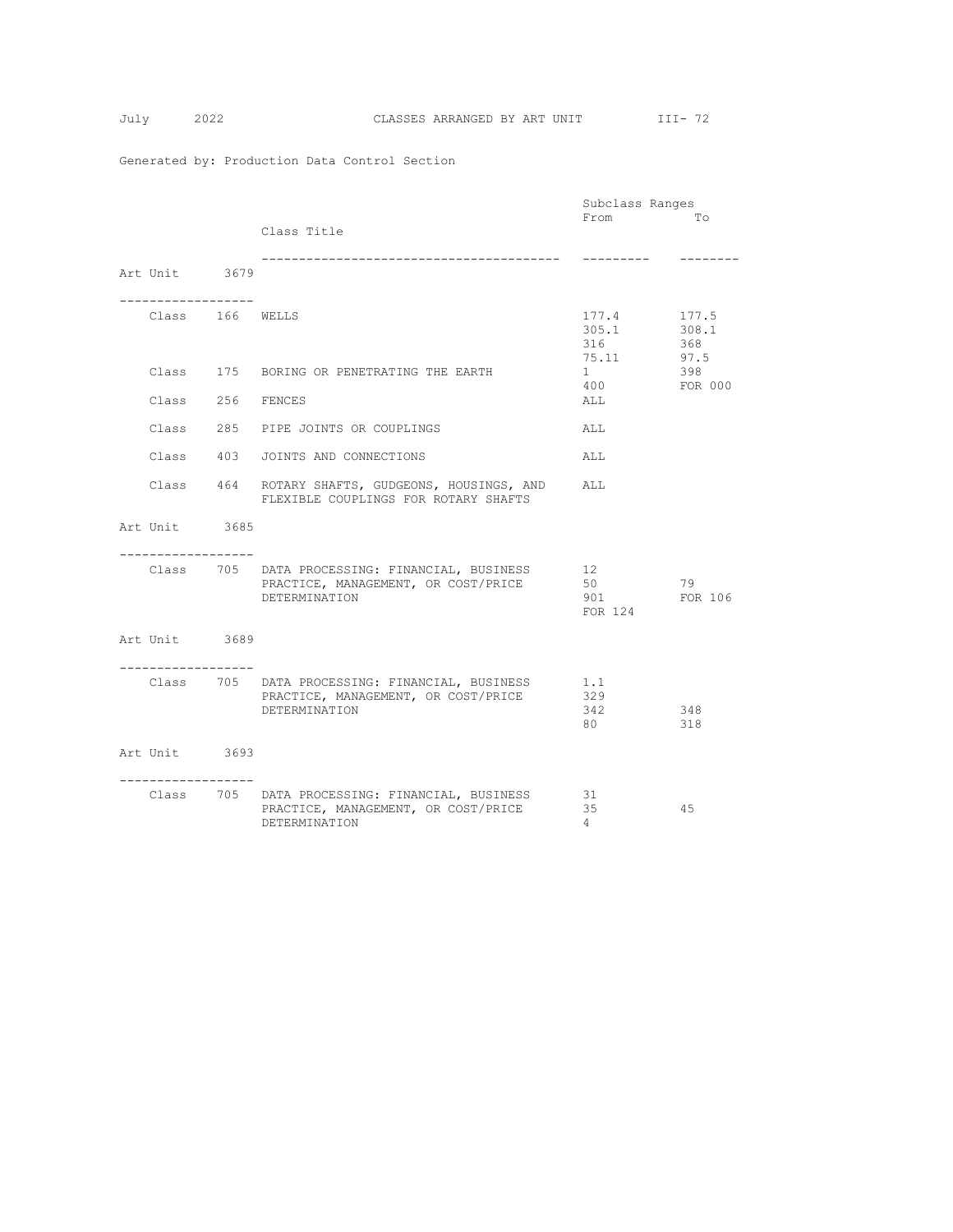|                                       |                                                                                                        | Subclass Ranges                |                               |
|---------------------------------------|--------------------------------------------------------------------------------------------------------|--------------------------------|-------------------------------|
|                                       | Class Title                                                                                            | From                           | TΟ                            |
|                                       |                                                                                                        |                                |                               |
| Art Unit 3679                         |                                                                                                        | ----------                     | --------                      |
| -------------------                   |                                                                                                        |                                |                               |
| Class 166 WELLS                       |                                                                                                        | 177.4<br>305.1<br>316<br>75.11 | 177.5<br>308.1<br>368<br>97.5 |
|                                       | Class 175 BORING OR PENETRATING THE EARTH                                                              | $1 \quad$<br>400               | 398<br>FOR 000                |
| Class 256 FENCES                      |                                                                                                        | ALL                            |                               |
|                                       | Class 285 PIPE JOINTS OR COUPLINGS                                                                     | ALL                            |                               |
|                                       | Class 403 JOINTS AND CONNECTIONS                                                                       | ALL                            |                               |
|                                       | Class 464 ROTARY SHAFTS, GUDGEONS, HOUSINGS, AND<br>FLEXIBLE COUPLINGS FOR ROTARY SHAFTS               | ALL                            |                               |
| Art Unit 3685                         |                                                                                                        |                                |                               |
| . _ _ _ _ _ _ _ _ _ _ _ _ _ _ _ _ _ _ |                                                                                                        |                                |                               |
|                                       | Class 705 DATA PROCESSING: FINANCIAL, BUSINESS<br>PRACTICE, MANAGEMENT, OR COST/PRICE<br>DETERMINATION | 12<br>50<br>901 —<br>FOR 124   | 79<br>FOR 106                 |
| Art Unit 3689                         |                                                                                                        |                                |                               |
| . <u>.</u>                            | Class 705 DATA PROCESSING: FINANCIAL, BUSINESS<br>PRACTICE, MANAGEMENT, OR COST/PRICE<br>DETERMINATION | 1.1<br>329<br>342<br>80 —      | 348<br>318                    |
| Art Unit 3693                         |                                                                                                        |                                |                               |
| . _ _ _ _ _ _ _ _ _ _ _ _ _ _ _       | Class 705 DATA PROCESSING: FINANCIAL, BUSINESS<br>PRACTICE, MANAGEMENT, OR COST/PRICE<br>DETERMINATION | 31<br>35<br>$\overline{4}$     | 45                            |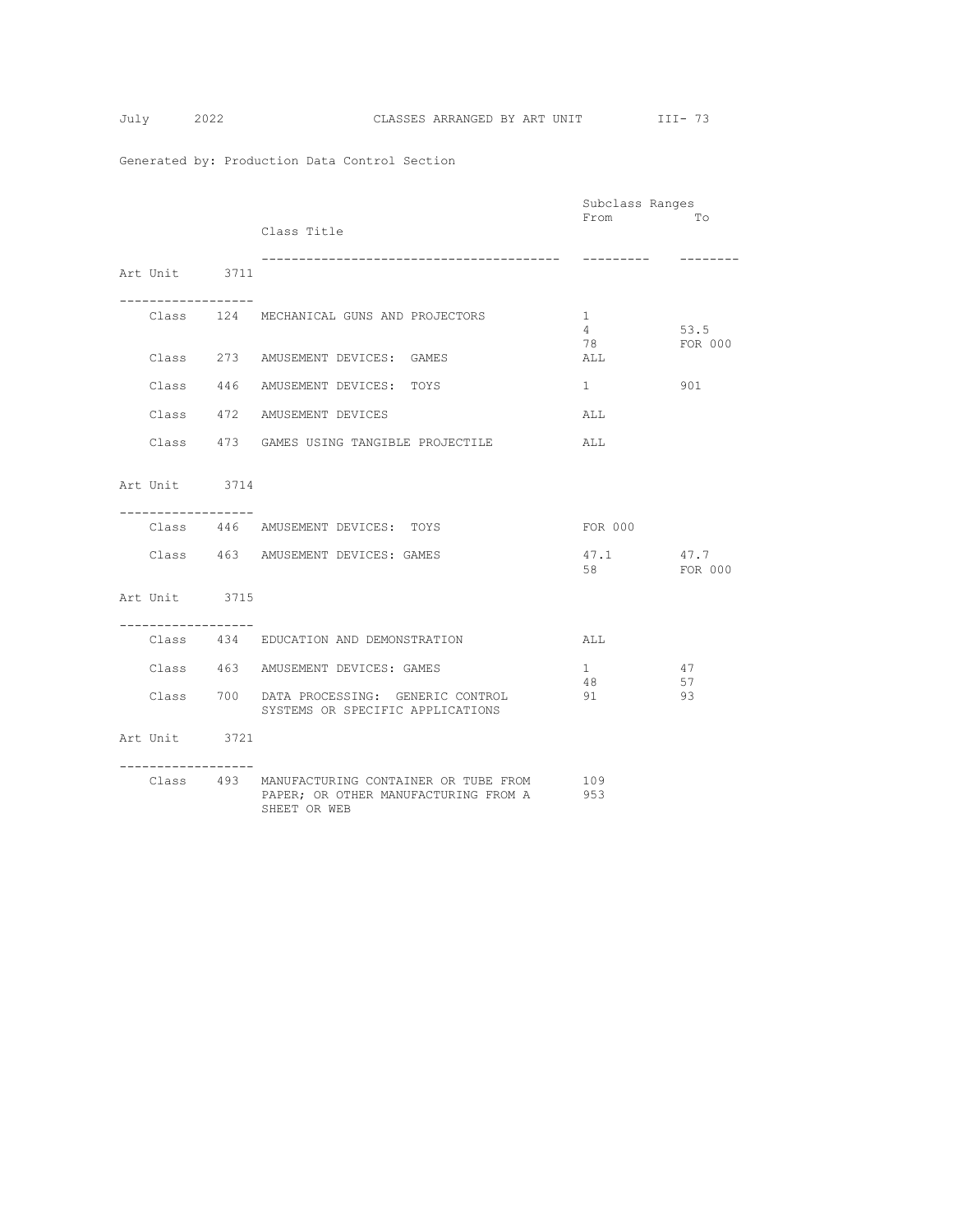$$
July \qquad \qquad 21
$$

|                                     |                                                                                                        | Subclass Ranges                |                 |
|-------------------------------------|--------------------------------------------------------------------------------------------------------|--------------------------------|-----------------|
|                                     | Class Title                                                                                            | From                           | TΟ              |
| Art Unit 3711                       | ---------------------------------                                                                      | ----------                     | $- - - - - - -$ |
| ----------------                    | Class 124 MECHANICAL GUNS AND PROJECTORS                                                               | $\mathbf{1}$<br>$4\phantom{0}$ | 53.5            |
|                                     | Class 273 AMUSEMENT DEVICES: GAMES                                                                     | 78<br>ALL                      | FOR 000         |
|                                     | Class 446 AMUSEMENT DEVICES: TOYS                                                                      | $1 \quad$                      | 901             |
|                                     | Class 472 AMUSEMENT DEVICES                                                                            | ALL                            |                 |
|                                     | Class 473 GAMES USING TANGIBLE PROJECTILE                                                              | ALL                            |                 |
| Art Unit 3714                       |                                                                                                        |                                |                 |
| -----------------                   | Class 446 AMUSEMENT DEVICES: TOYS                                                                      | FOR 000                        |                 |
|                                     | Class 463 AMUSEMENT DEVICES: GAMES                                                                     | 47.1<br>58                     | 47.7<br>FOR 000 |
| Art Unit 3715                       |                                                                                                        |                                |                 |
| . _ _ _ _ _ _ _ _ _ _ _ _ _ _ _ _ _ | Class 434 EDUCATION AND DEMONSTRATION                                                                  | ALL                            |                 |
|                                     | Class 463 AMUSEMENT DEVICES: GAMES                                                                     | $1 \quad$<br>48                | 47<br>57        |
|                                     | Class 700 DATA PROCESSING: GENERIC CONTROL<br>SYSTEMS OR SPECIFIC APPLICATIONS                         | 91                             | 93              |
| Art Unit 3721                       |                                                                                                        |                                |                 |
|                                     | Class 493 MANUFACTURING CONTAINER OR TUBE FROM<br>PAPER; OR OTHER MANUFACTURING FROM A<br>SHEET OR WEB | 109<br>953                     |                 |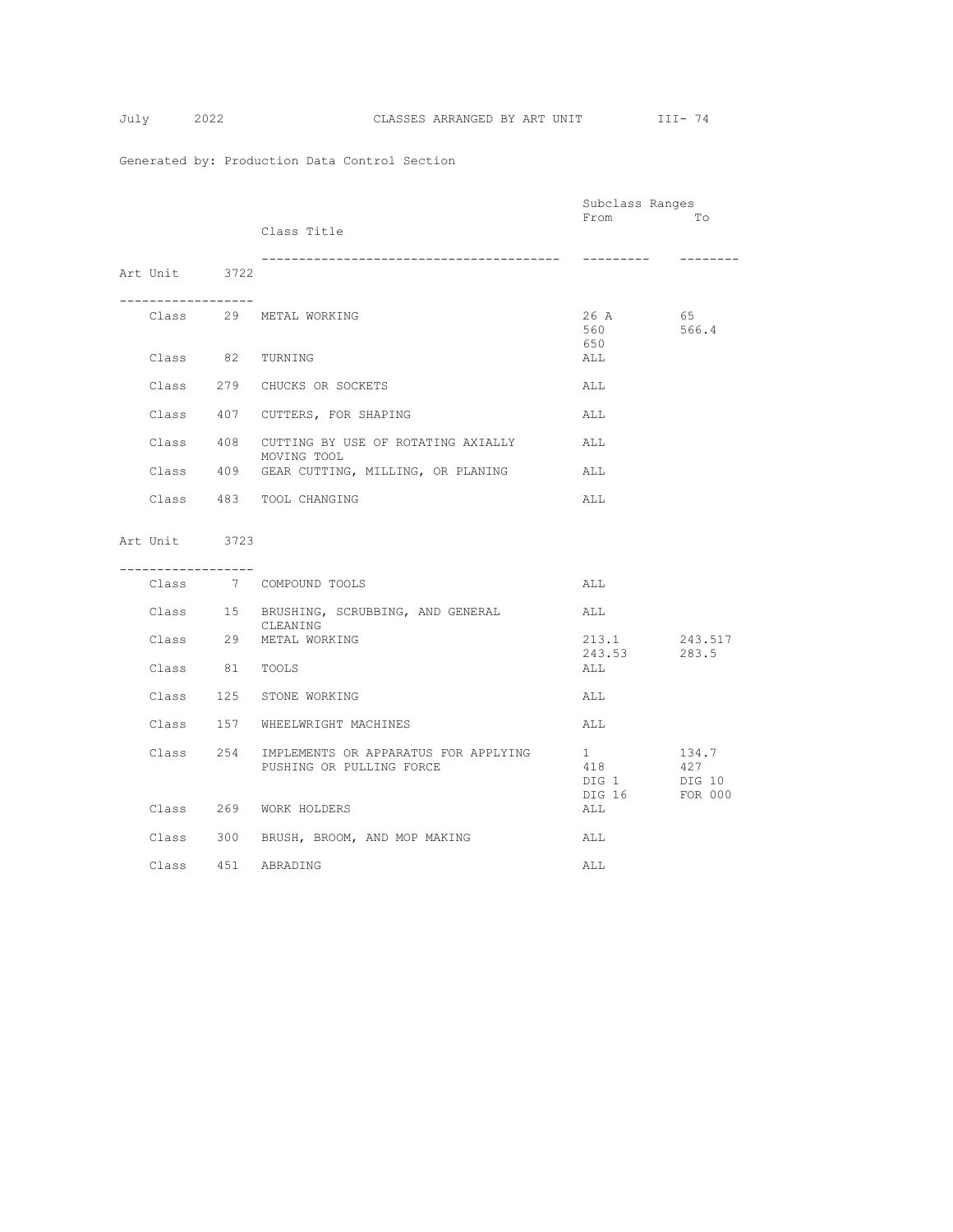|                  |                                                                            | Subclass Ranges                                    |                         |
|------------------|----------------------------------------------------------------------------|----------------------------------------------------|-------------------------|
|                  | Class Title                                                                | From                                               | Tо                      |
|                  |                                                                            |                                                    |                         |
| Art Unit 3722    | --------------------------------                                           |                                                    |                         |
|                  |                                                                            |                                                    |                         |
|                  | Class 29 METAL WORKING                                                     | 26 A<br>560<br>650                                 | 65<br>566.4             |
| Class 82 TURNING |                                                                            | ALL                                                |                         |
|                  | Class 279 CHUCKS OR SOCKETS                                                | ALL                                                |                         |
|                  | Class 407 CUTTERS, FOR SHAPING                                             | ALL                                                |                         |
|                  | Class 408 CUTTING BY USE OF ROTATING AXIALLY<br>MOVING TOOL                | ALL                                                |                         |
|                  | Class 409 GEAR CUTTING, MILLING, OR PLANING                                | ALL                                                |                         |
|                  | Class 483 TOOL CHANGING                                                    | ALL                                                |                         |
| Art Unit 3723    |                                                                            |                                                    |                         |
|                  |                                                                            |                                                    |                         |
| ---------------- |                                                                            |                                                    |                         |
|                  | Class 7 COMPOUND TOOLS                                                     | ALL                                                |                         |
|                  | Class 15 BRUSHING, SCRUBBING, AND GENERAL<br>CLEANING                      | ALL                                                |                         |
|                  | Class 29 METAL WORKING                                                     | 213.1<br>243.53                                    | 243.517                 |
| Class 81 TOOLS   |                                                                            | ALL                                                | 283.5                   |
|                  | Class 125 STONE WORKING                                                    | ALL                                                |                         |
|                  | Class 157 WHEELWRIGHT MACHINES                                             | ALL                                                |                         |
|                  | Class 254 IMPLEMENTS OR APPARATUS FOR APPLYING<br>PUSHING OR PULLING FORCE | $1 \qquad \qquad$<br>418<br>DIG 1 DIG 10<br>DIG 16 | 134.7<br>427<br>FOR 000 |
|                  | Class 269 WORK HOLDERS                                                     | ALL                                                |                         |
|                  | Class 300 BRUSH, BROOM, AND MOP MAKING                                     | ALL                                                |                         |
|                  | Class 451 ABRADING                                                         | ALL                                                |                         |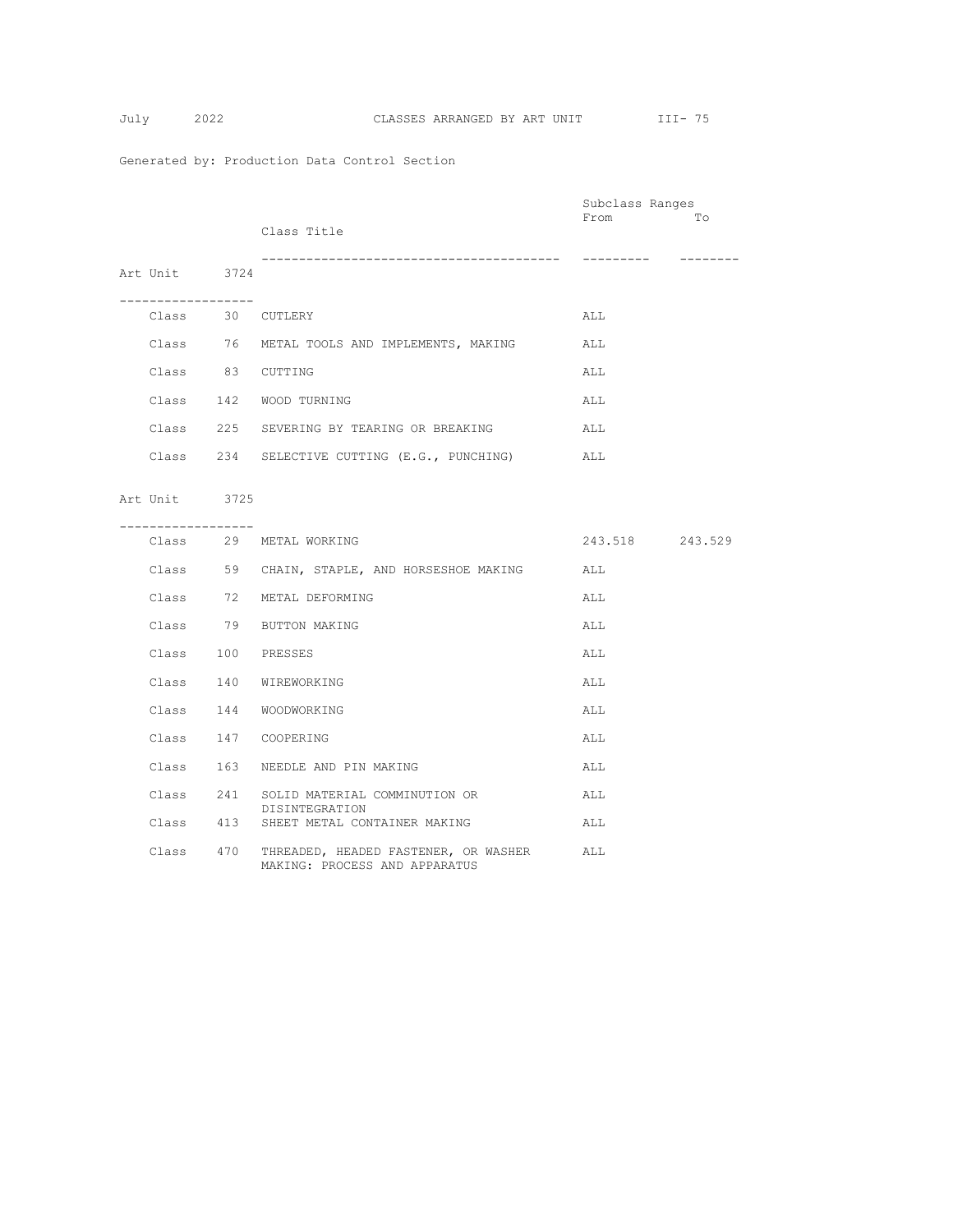$$
Julv 2
$$

|                       |                                                                                 | Subclass Ranges |          |
|-----------------------|---------------------------------------------------------------------------------|-----------------|----------|
|                       | Class Title                                                                     | From            | Tо       |
| Art Unit 3724         | -------------------------------------                                           |                 | -------- |
| .<br>Class 30 CUTLERY |                                                                                 | ALL             |          |
|                       | Class 76 METAL TOOLS AND IMPLEMENTS, MAKING                                     | ALL             |          |
| Class 83 CUTTING      |                                                                                 | ALL             |          |
|                       | Class 142 WOOD TURNING                                                          | ALL             |          |
|                       | Class 225 SEVERING BY TEARING OR BREAKING                                       | ALL             |          |
|                       | Class 234 SELECTIVE CUTTING (E.G., PUNCHING)                                    | ALL             |          |
| Art Unit 3725         |                                                                                 |                 |          |
| -----------------     |                                                                                 |                 |          |
|                       | Class 29 METAL WORKING                                                          | 243.518 243.529 |          |
|                       | Class 59 CHAIN, STAPLE, AND HORSESHOE MAKING                                    | ALL             |          |
|                       | Class 72 METAL DEFORMING                                                        | ALL             |          |
|                       | Class 79 BUTTON MAKING                                                          | ALL             |          |
| Class 100 PRESSES     |                                                                                 | ALL             |          |
|                       | Class 140 WIREWORKING                                                           | ALL             |          |
|                       | Class 144 WOODWORKING                                                           | ALL             |          |
|                       | Class 147 COOPERING                                                             | ALL             |          |
|                       | Class 163 NEEDLE AND PIN MAKING                                                 | ALL             |          |
|                       | Class 241 SOLID MATERIAL COMMINUTION OR                                         | ALL             |          |
|                       | DISINTEGRATION<br>Class 413 SHEET METAL CONTAINER MAKING                        | ALL             |          |
|                       | Class 470 THREADED, HEADED FASTENER, OR WASHER<br>MAKING: PROCESS AND APPARATUS | ALL             |          |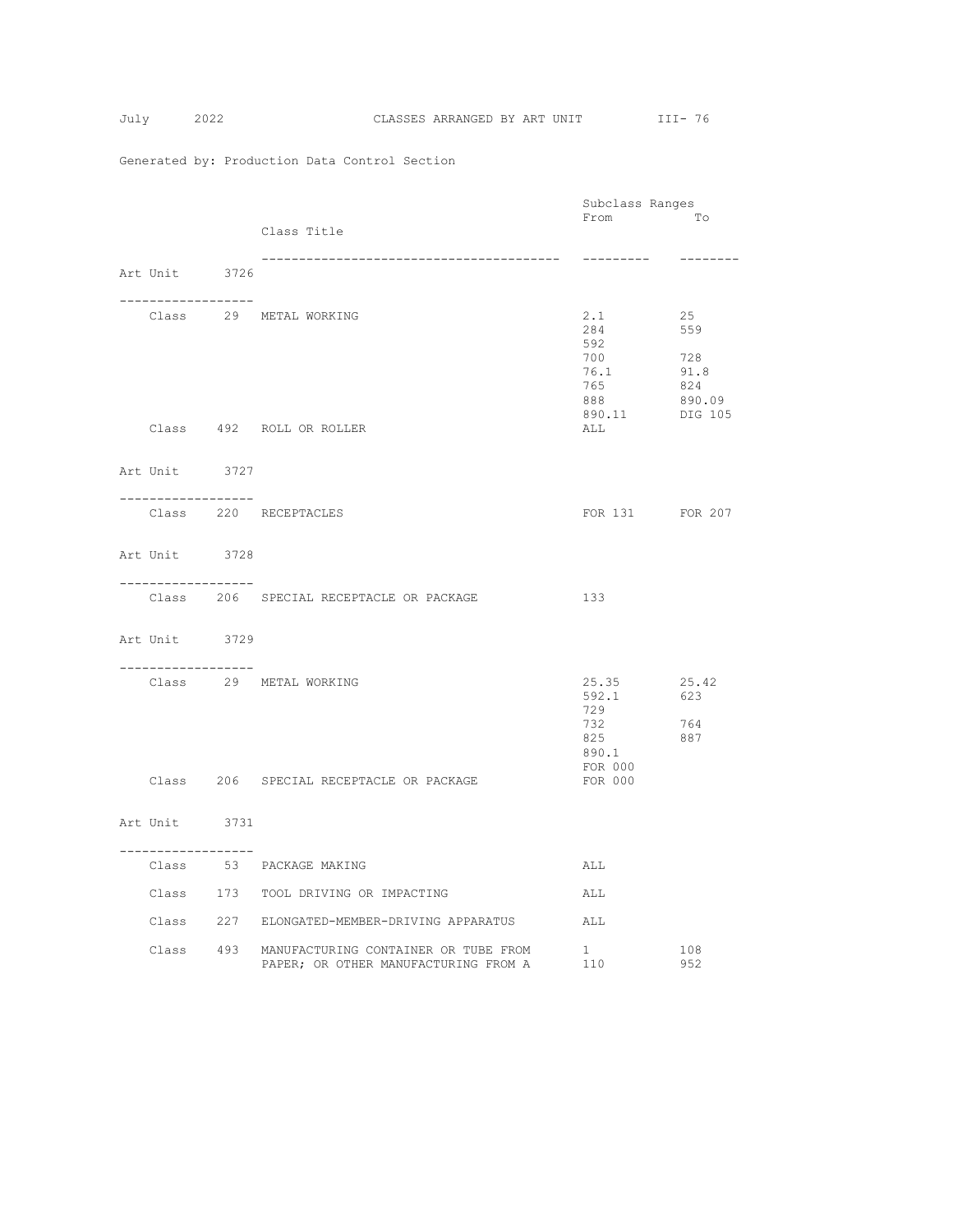|                                     |                                                | Subclass Ranges |               |
|-------------------------------------|------------------------------------------------|-----------------|---------------|
|                                     |                                                | From            | To            |
|                                     | Class Title                                    |                 |               |
|                                     |                                                | ---------       | --------      |
| Art Unit 3726                       |                                                |                 |               |
| ___________________                 |                                                |                 |               |
|                                     | Class 29 METAL WORKING                         | 2.1             | 25            |
|                                     |                                                | 284             | 559           |
|                                     |                                                | 592             |               |
|                                     |                                                | 700             | 728           |
|                                     |                                                | 76.1            | 91.8          |
|                                     |                                                | 765<br>888      | 824<br>890.09 |
|                                     |                                                | 890.11 DIG 105  |               |
|                                     | Class 492 ROLL OR ROLLER                       | ALL             |               |
|                                     |                                                |                 |               |
|                                     |                                                |                 |               |
| Art Unit 3727                       |                                                |                 |               |
| __________________                  |                                                |                 |               |
|                                     | Class 220 RECEPTACLES                          | FOR 131 FOR 207 |               |
|                                     |                                                |                 |               |
| Art Unit 3728                       |                                                |                 |               |
|                                     |                                                |                 |               |
| ------------------                  |                                                |                 |               |
|                                     | Class 206 SPECIAL RECEPTACLE OR PACKAGE        | 133             |               |
|                                     |                                                |                 |               |
| Art Unit 3729                       |                                                |                 |               |
| . _ _ _ _ _ _ _ _ _ _ _ _ _ _ _ _ _ |                                                |                 |               |
|                                     | Class 29 METAL WORKING                         | 25.35           | 25.42         |
|                                     |                                                | 592.1           | 623           |
|                                     |                                                | 729             |               |
|                                     |                                                | 732             | 764           |
|                                     |                                                | 825<br>890.1    | 887           |
|                                     |                                                | FOR 000         |               |
|                                     | Class 206 SPECIAL RECEPTACLE OR PACKAGE        | FOR 000         |               |
|                                     |                                                |                 |               |
| Art Unit 3731                       |                                                |                 |               |
|                                     |                                                |                 |               |
| ------------------                  |                                                |                 |               |
|                                     | Class 53 PACKAGE MAKING                        | ALL             |               |
|                                     | Class 173 TOOL DRIVING OR IMPACTING            | ALL             |               |
|                                     |                                                |                 |               |
|                                     | Class 227 ELONGATED-MEMBER-DRIVING APPARATUS   | ALL             |               |
|                                     | Class 493 MANUFACTURING CONTAINER OR TUBE FROM | 1               | 108           |
|                                     | PAPER; OR OTHER MANUFACTURING FROM A           | 110             | 952           |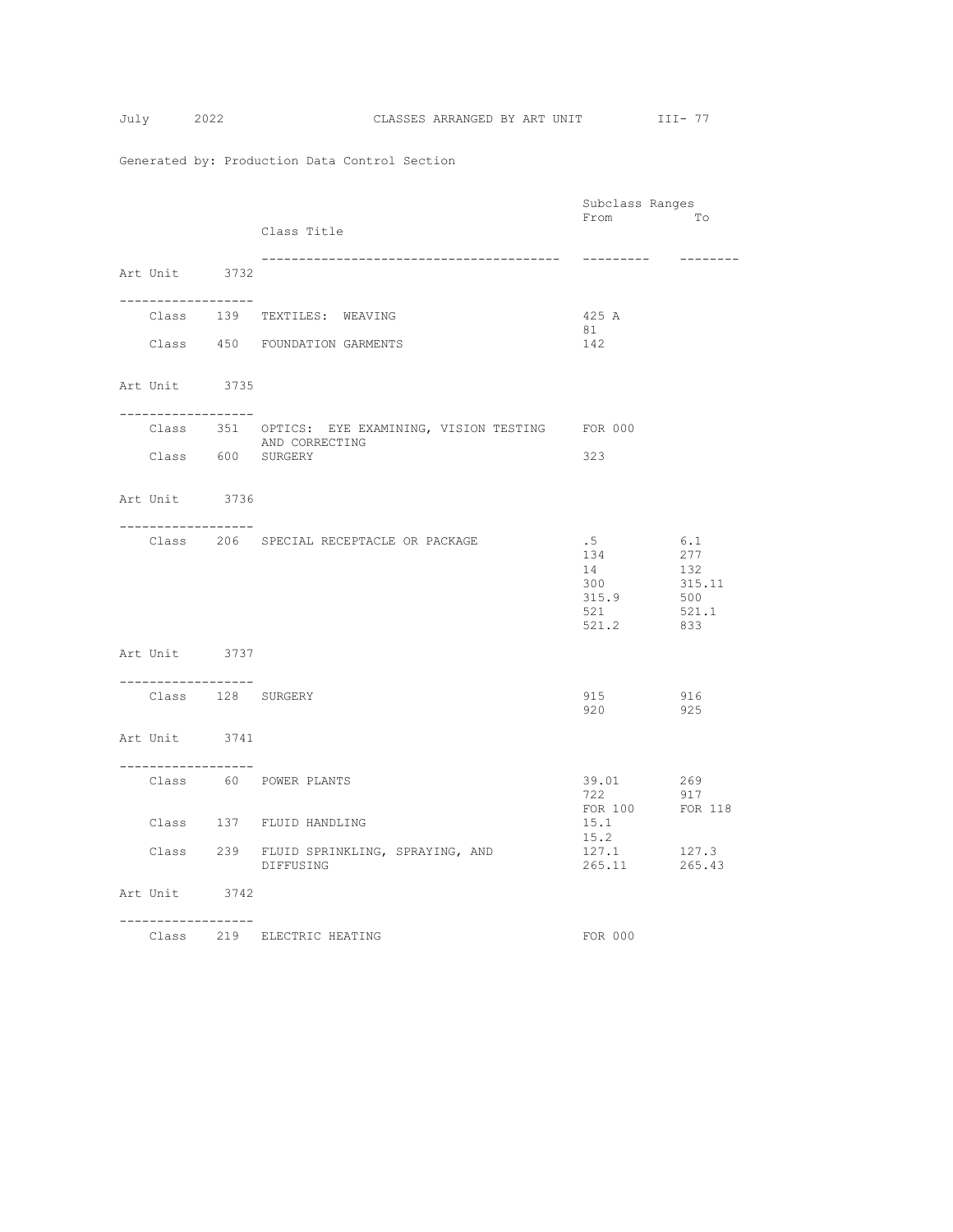|                    |                                                         | Subclass Ranges         |               |
|--------------------|---------------------------------------------------------|-------------------------|---------------|
|                    | Class Title                                             | From                    | To            |
|                    |                                                         |                         |               |
|                    |                                                         |                         | --------      |
| Art Unit 3732      |                                                         |                         |               |
| ------------------ |                                                         |                         |               |
|                    | Class 139 TEXTILES: WEAVING                             | 425 A<br>81             |               |
|                    | Class 450 FOUNDATION GARMENTS                           | 142                     |               |
|                    |                                                         |                         |               |
| Art Unit 3735      |                                                         |                         |               |
|                    |                                                         |                         |               |
| ------------------ | Class 351 OPTICS: EYE EXAMINING, VISION TESTING FOR 000 |                         |               |
|                    | AND CORRECTING                                          |                         |               |
|                    | Class 600 SURGERY                                       | 323                     |               |
|                    |                                                         |                         |               |
| Art Unit 3736      |                                                         |                         |               |
| -----------------  |                                                         |                         |               |
|                    | Class 206 SPECIAL RECEPTACLE OR PACKAGE                 | .5                      | 6.1           |
|                    |                                                         | 134                     | 277           |
|                    |                                                         | 14<br>300               | 132<br>315.11 |
|                    |                                                         | 315.9                   | 500           |
|                    |                                                         | 521                     | 521.1         |
|                    |                                                         | 521.2                   | 833           |
| Art Unit 3737      |                                                         |                         |               |
| ------------------ |                                                         |                         |               |
|                    | Class 128 SURGERY                                       | 915                     | 916           |
|                    |                                                         | 920 925                 |               |
| Art Unit 3741      |                                                         |                         |               |
|                    |                                                         |                         |               |
| -----------------  | Class 60 POWER PLANTS                                   | 39.01 269               |               |
|                    |                                                         | 722                     | 917           |
|                    | Class 137 FLUID HANDLING                                | FOR 100 FOR 118<br>15.1 |               |
|                    |                                                         | 15.2                    |               |
|                    | Class 239 FLUID SPRINKLING, SPRAYING, AND               | 127.1 127.3             |               |
|                    | DIFFUSING                                               | 265.11                  | 265.43        |
| Art Unit 3742      |                                                         |                         |               |
| ------------------ |                                                         |                         |               |
|                    | Class 219 ELECTRIC HEATING                              | FOR 000                 |               |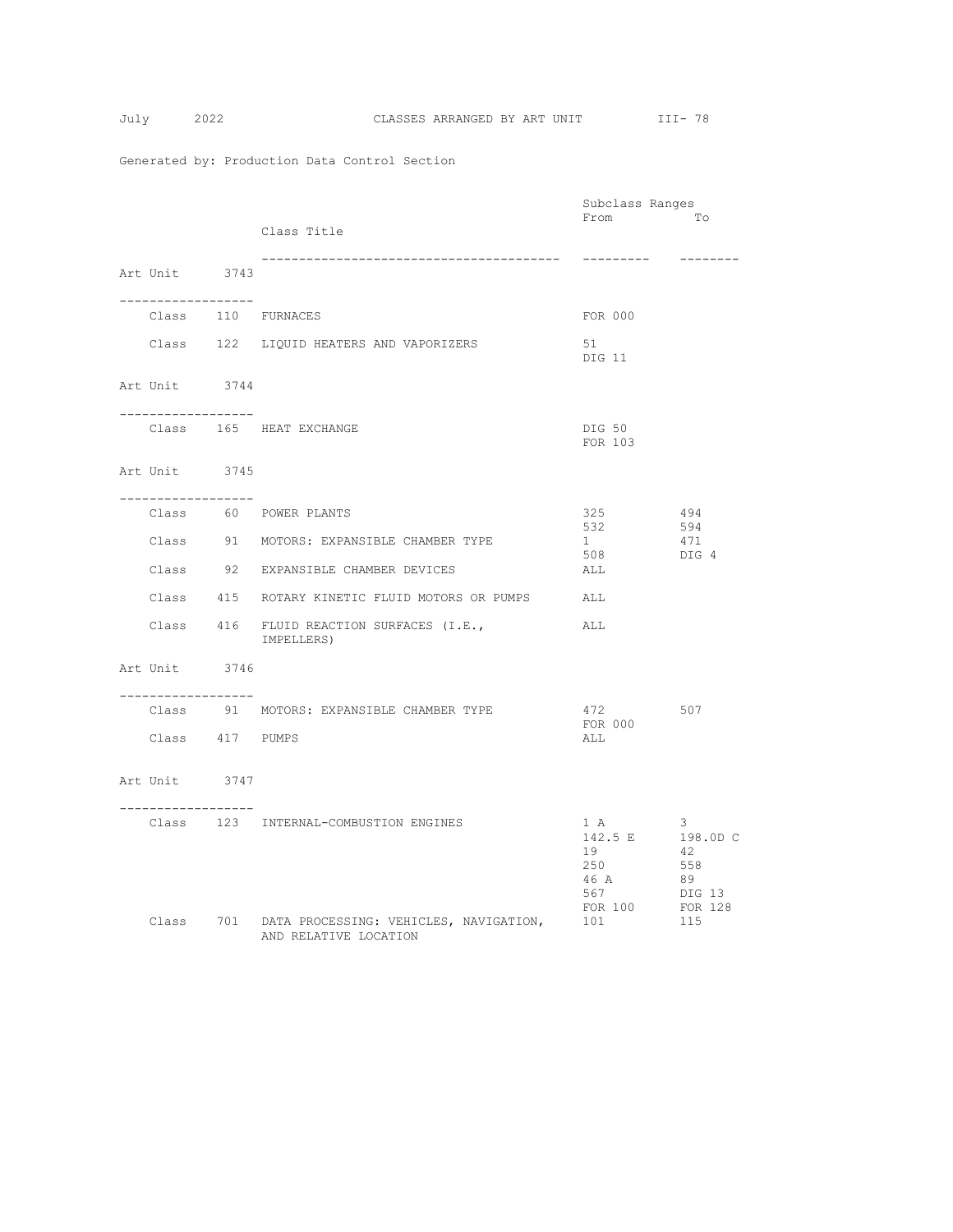$$
July \qquad 2
$$

|                                       |                                                                           | Subclass Ranges                                                |                                             |
|---------------------------------------|---------------------------------------------------------------------------|----------------------------------------------------------------|---------------------------------------------|
|                                       | Class Title                                                               | From                                                           | To                                          |
| Art Unit 3743                         |                                                                           | ---------                                                      | --------                                    |
| . _ _ _ _ _ _ _ _ _ _ _ _ _ _ _ _ _ _ |                                                                           |                                                                |                                             |
|                                       | Class 110 FURNACES                                                        | FOR 000                                                        |                                             |
|                                       | Class 122 LIQUID HEATERS AND VAPORIZERS                                   | 51<br>DIG 11                                                   |                                             |
| Art Unit 3744<br>------------------   |                                                                           |                                                                |                                             |
|                                       | Class 165 HEAT EXCHANGE                                                   | DIG 50<br>FOR 103                                              |                                             |
| Art Unit 3745<br>-------------------  |                                                                           |                                                                |                                             |
|                                       | Class 60 POWER PLANTS                                                     | 325                                                            | 494                                         |
|                                       | Class 91 MOTORS: EXPANSIBLE CHAMBER TYPE                                  | 532<br>$1 \quad \blacksquare$                                  | 594<br>471                                  |
|                                       | Class 92 EXPANSIBLE CHAMBER DEVICES                                       | 508<br>ALL                                                     | DIG 4                                       |
|                                       | Class 415 ROTARY KINETIC FLUID MOTORS OR PUMPS                            | ALL                                                            |                                             |
|                                       | Class 416 FLUID REACTION SURFACES (I.E.,<br>IMPELLERS)                    | ALL                                                            |                                             |
| Art Unit 3746<br>. <u>.</u>           |                                                                           |                                                                |                                             |
|                                       | Class 91 MOTORS: EXPANSIBLE CHAMBER TYPE                                  | 472 507<br>FOR 000                                             |                                             |
| Class 417 PUMPS                       |                                                                           | ALL                                                            |                                             |
| Art Unit 3747                         |                                                                           |                                                                |                                             |
| . _ _ _ _ _ _ _ _ _ _ _ _ _ _ _ _ _   | Class 123 INTERNAL-COMBUSTION ENGINES                                     | 1 A<br>142.5 E 198.0D C<br>19<br>250<br>46 A<br>567<br>FOR 100 | - 3<br>42<br>558<br>89<br>DIG 13<br>FOR 128 |
|                                       | Class 701 DATA PROCESSING: VEHICLES, NAVIGATION,<br>AND RELATIVE LOCATION | 101                                                            | 115                                         |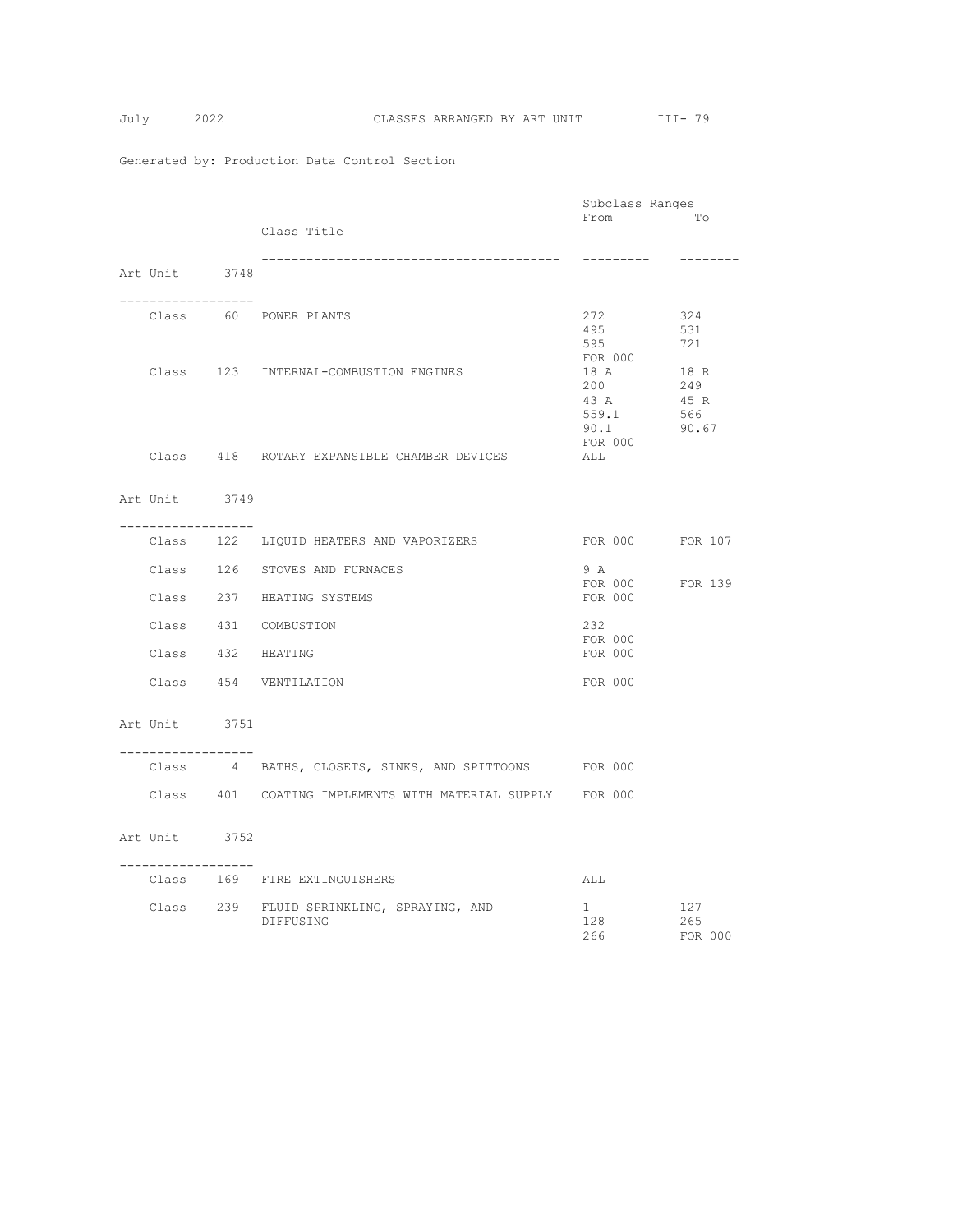|                                     |                                                           | Subclass Ranges        |              |
|-------------------------------------|-----------------------------------------------------------|------------------------|--------------|
|                                     |                                                           | From                   | To           |
|                                     | Class Title                                               |                        |              |
|                                     |                                                           | ----------             | --------     |
| Art Unit 3748                       |                                                           |                        |              |
| . _ _ _ _ _ _ _ _ _ _ _ _ _ _ _ _ _ |                                                           |                        |              |
|                                     | Class 60 POWER PLANTS                                     | 272                    | 324          |
|                                     |                                                           | 495<br>595             | 531<br>721   |
|                                     |                                                           | FOR 000                |              |
|                                     | Class 123 INTERNAL-COMBUSTION ENGINES                     | 18 A                   | 18 R         |
|                                     |                                                           | 200                    | 249          |
|                                     |                                                           | 43 A<br>559.1          | 45 R         |
|                                     |                                                           | 90.1                   | 566<br>90.67 |
|                                     |                                                           | FOR 000                |              |
|                                     | Class 418 ROTARY EXPANSIBLE CHAMBER DEVICES               | ALL                    |              |
|                                     |                                                           |                        |              |
| Art Unit 3749                       |                                                           |                        |              |
| ------------------                  | Class 122 LIQUID HEATERS AND VAPORIZERS                   | FOR 000 FOR 107        |              |
|                                     |                                                           |                        |              |
|                                     | Class 126 STOVES AND FURNACES                             | 9 A<br>FOR 000 FOR 139 |              |
|                                     | Class 237 HEATING SYSTEMS                                 | FOR 000                |              |
|                                     | Class 431 COMBUSTION                                      | 232                    |              |
|                                     |                                                           | FOR 000                |              |
|                                     | Class 432 HEATING                                         | FOR 000                |              |
|                                     | Class 454 VENTILATION                                     | FOR 000                |              |
|                                     |                                                           |                        |              |
| Art Unit 3751                       |                                                           |                        |              |
| ------------------                  | Class 4 BATHS, CLOSETS, SINKS, AND SPITTOONS FOR 000      |                        |              |
|                                     |                                                           |                        |              |
|                                     | Class 401 COATING IMPLEMENTS WITH MATERIAL SUPPLY FOR 000 |                        |              |
| Art Unit 3752                       |                                                           |                        |              |
|                                     |                                                           |                        |              |
| ----------------                    | Class 169 FIRE EXTINGUISHERS                              | ALL                    |              |
|                                     | Class 239 FLUID SPRINKLING, SPRAYING, AND                 | $1 \quad$              | 127          |
|                                     | DIFFUSING                                                 | 128                    | 265          |
|                                     |                                                           | 266                    | FOR 000      |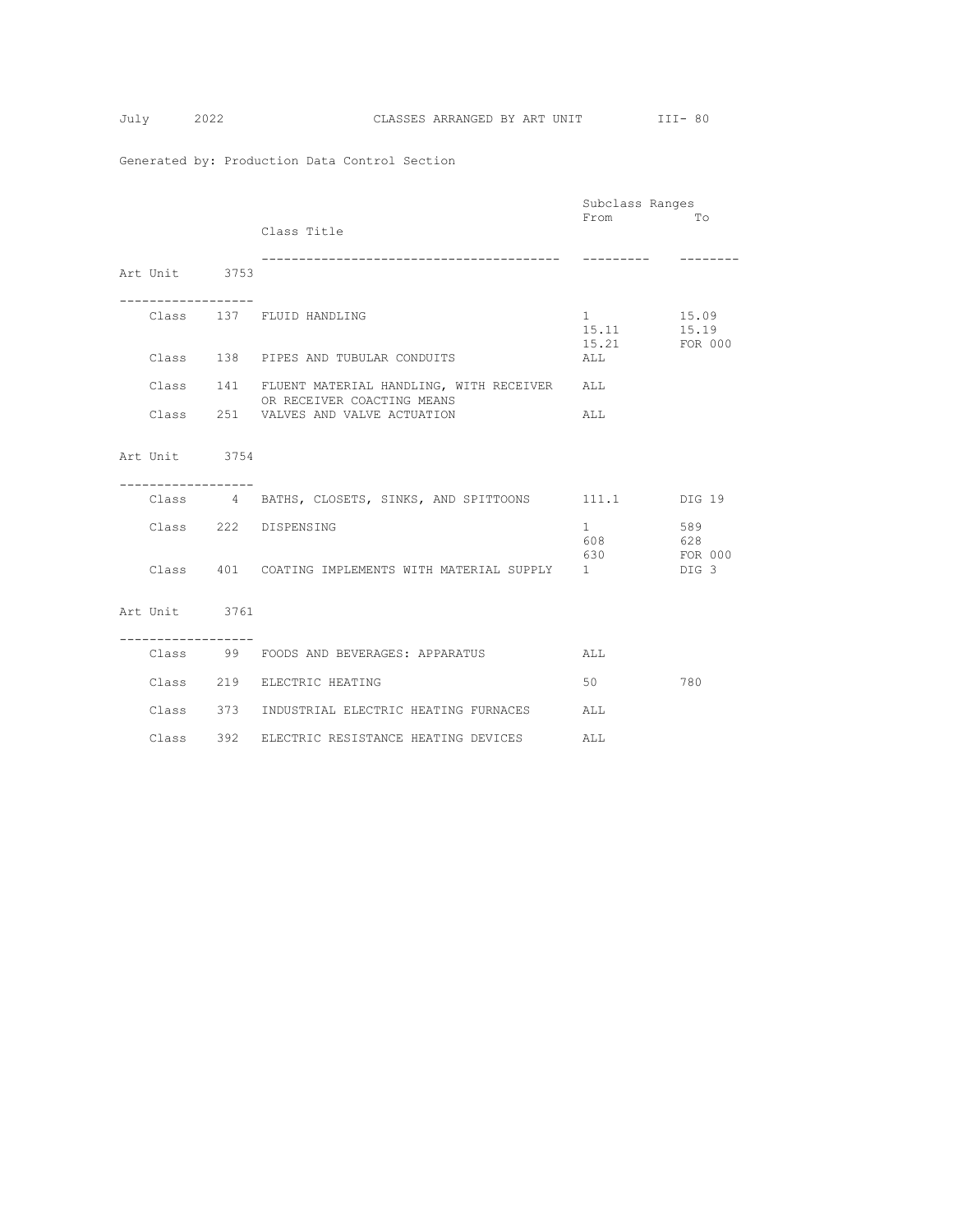$$
Tuly \qquad \qquad 2
$$

|                   |                                                                                 | Subclass Ranges               |                  |
|-------------------|---------------------------------------------------------------------------------|-------------------------------|------------------|
|                   |                                                                                 | From                          | Tо               |
|                   | Class Title                                                                     |                               |                  |
|                   |                                                                                 |                               |                  |
|                   |                                                                                 |                               |                  |
| Art Unit 3753     |                                                                                 |                               |                  |
| ----------------- |                                                                                 |                               |                  |
|                   | Class 137 FLUID HANDLING                                                        | $1 \qquad \qquad$             | 15.09            |
|                   |                                                                                 | 15.11                         | 15.19            |
|                   |                                                                                 | 15.21                         | FOR 000          |
|                   | Class 138 PIPES AND TUBULAR CONDUITS                                            | ALL                           |                  |
|                   |                                                                                 |                               |                  |
|                   | Class 141 FLUENT MATERIAL HANDLING, WITH RECEIVER<br>OR RECEIVER COACTING MEANS | ALL                           |                  |
|                   | Class 251 VALVES AND VALVE ACTUATION                                            | ALL                           |                  |
|                   |                                                                                 |                               |                  |
|                   |                                                                                 |                               |                  |
| Art Unit 3754     |                                                                                 |                               |                  |
|                   |                                                                                 |                               |                  |
|                   |                                                                                 |                               |                  |
|                   | Class 4 BATHS, CLOSETS, SINKS, AND SPITTOONS 111.1 DIG 19                       |                               |                  |
|                   | Class 222 DISPENSING                                                            | $1 \quad \cdots \quad \cdots$ | 589              |
|                   |                                                                                 | 608 628                       |                  |
|                   |                                                                                 | 630                           | FOR 000          |
|                   | Class 401 COATING IMPLEMENTS WITH MATERIAL SUPPLY 1                             |                               | DIG <sub>3</sub> |
|                   |                                                                                 |                               |                  |
|                   |                                                                                 |                               |                  |
| Art Unit 3761     |                                                                                 |                               |                  |
| ----------------- |                                                                                 |                               |                  |
|                   | Class 99 FOODS AND BEVERAGES: APPARATUS                                         | ALL                           |                  |
|                   |                                                                                 |                               |                  |
|                   | Class 219 ELECTRIC HEATING                                                      | 50                            | 780              |
|                   |                                                                                 |                               |                  |
|                   | Class 373 INDUSTRIAL ELECTRIC HEATING FURNACES                                  | ALL                           |                  |
|                   | Class 392 ELECTRIC RESISTANCE HEATING DEVICES                                   |                               |                  |
|                   |                                                                                 | ALL                           |                  |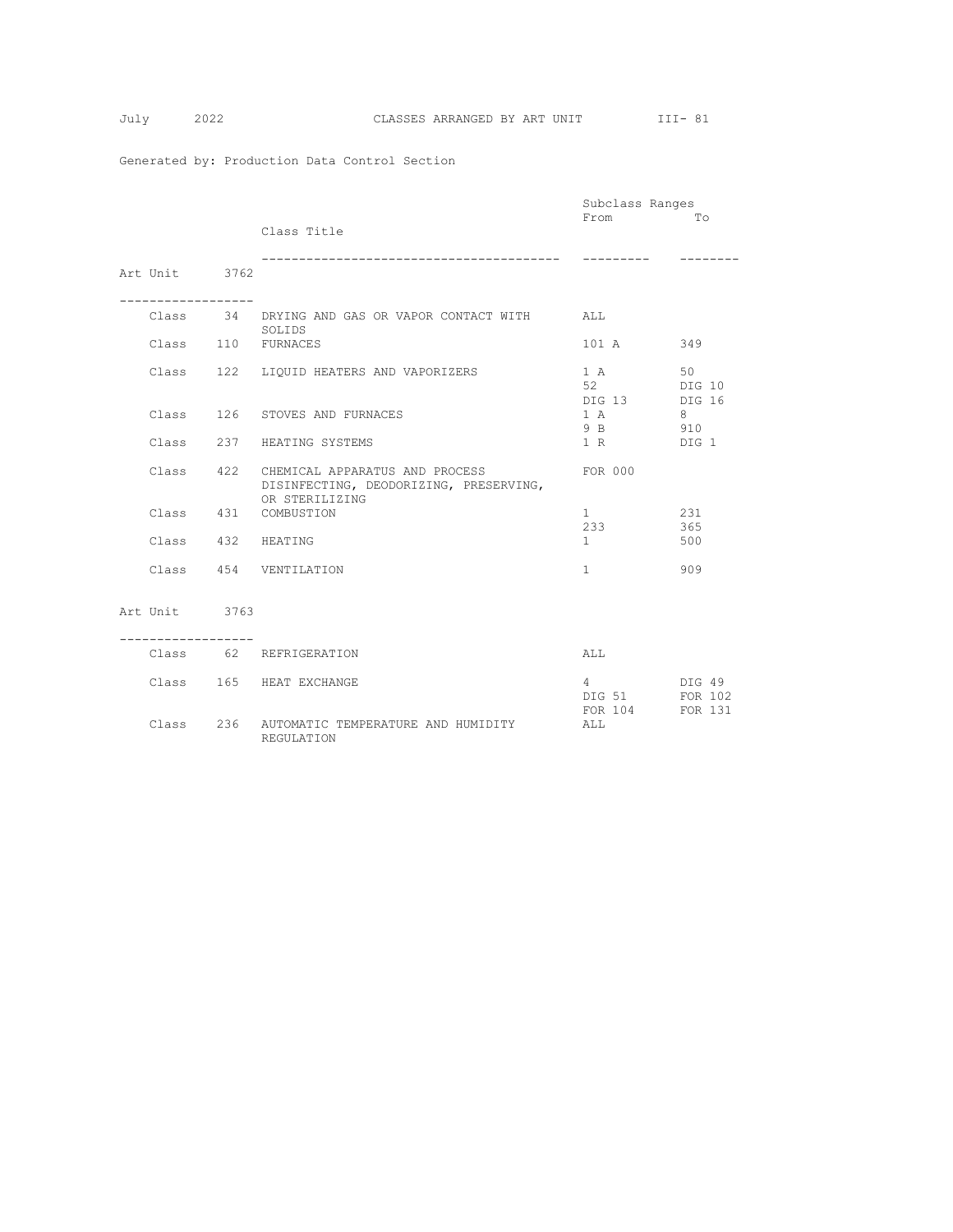|  |                                   |                                                                                                      | Subclass Ranges                         |                   |
|--|-----------------------------------|------------------------------------------------------------------------------------------------------|-----------------------------------------|-------------------|
|  |                                   | Class Title                                                                                          | From                                    | Tо                |
|  | Art Unit 3762                     |                                                                                                      | ---------                               |                   |
|  | . _ _ _ _ _ _ _ _ _ _ _ _ _ _ _ _ | Class 34 DRYING AND GAS OR VAPOR CONTACT WITH ALL<br>SOLIDS                                          |                                         |                   |
|  |                                   | Class 110 FURNACES                                                                                   | 101 A                                   | 349               |
|  |                                   | Class 122 LIQUID HEATERS AND VAPORIZERS                                                              | 1 A<br>52 DIG 10<br>DIG 13 DIG 16       | 50                |
|  |                                   | Class 126 STOVES AND FURNACES                                                                        | 1 A<br>9 B 910                          | 8                 |
|  |                                   | Class 237 HEATING SYSTEMS                                                                            | 1 R DIG 1                               |                   |
|  |                                   | Class 422 CHEMICAL APPARATUS AND PROCESS<br>DISINFECTING, DEODORIZING, PRESERVING,<br>OR STERILIZING | FOR 000                                 |                   |
|  |                                   | Class 431 COMBUSTION                                                                                 | 1<br>233                                | 231<br>365        |
|  | Class 432 HEATING                 |                                                                                                      | 1                                       | 500               |
|  |                                   | Class 454 VENTILATION                                                                                | $1 \quad$                               | 909               |
|  | Art Unit 3763                     |                                                                                                      |                                         |                   |
|  |                                   | Class 62 REFRIGERATION                                                                               | ALL                                     |                   |
|  |                                   | Class 165 HEAT EXCHANGE                                                                              | $4\degree$<br>DIG 51 FOR 102<br>FOR 104 | DIG 49<br>FOR 131 |
|  |                                   | Class 236 AUTOMATIC TEMPERATURE AND HUMIDITY<br>REGULATION                                           | ALL                                     |                   |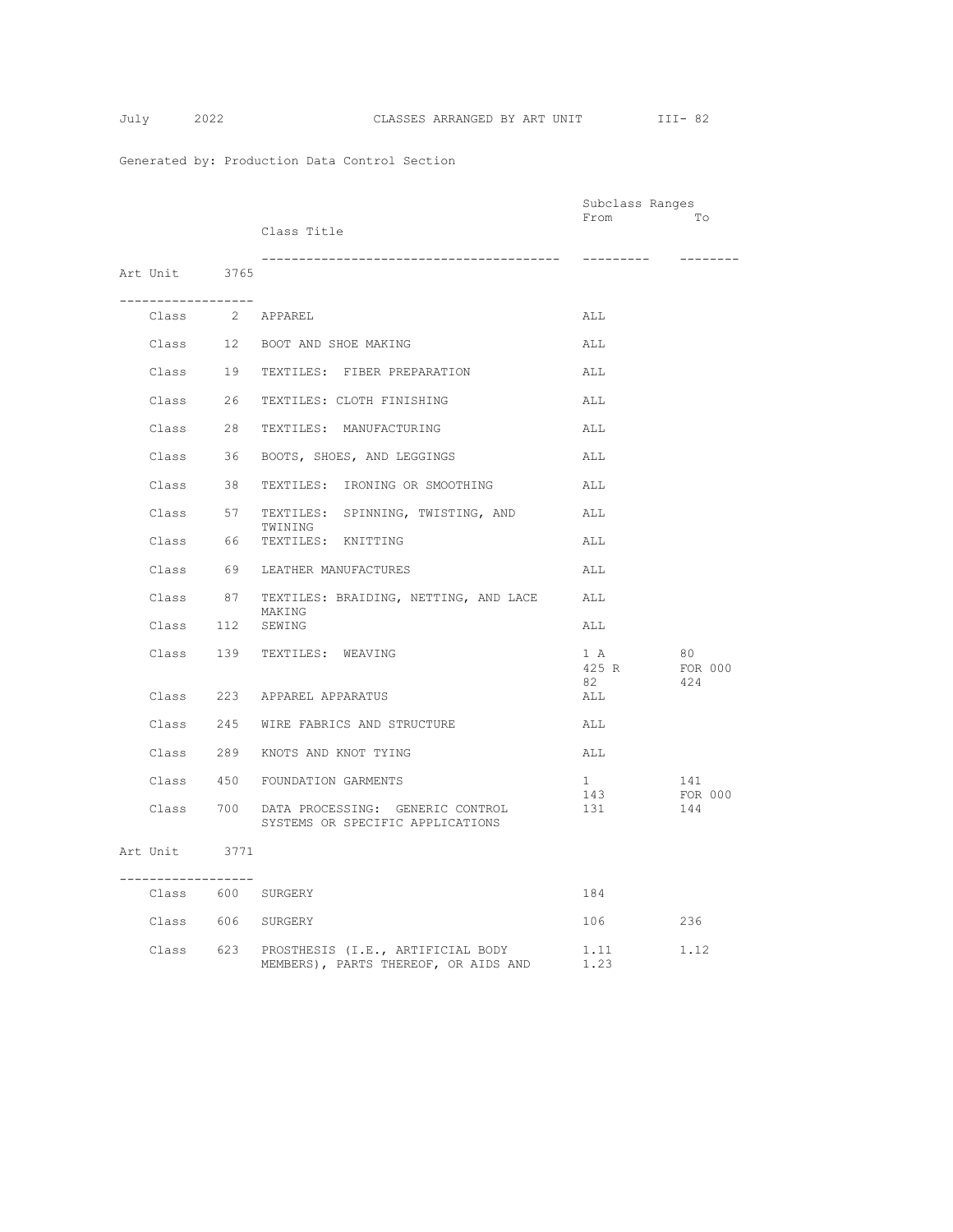$$
July 2
$$

|                                                          |                                                                                     | Subclass Ranges               |                |
|----------------------------------------------------------|-------------------------------------------------------------------------------------|-------------------------------|----------------|
|                                                          | Class Title                                                                         | From                          | Tо             |
|                                                          |                                                                                     |                               |                |
|                                                          |                                                                                     |                               |                |
| Art Unit 3765                                            |                                                                                     |                               |                |
| ___________________                                      |                                                                                     |                               |                |
| $\verb Class  \qquad \verb 2  \qquad \verb APPAREL $     |                                                                                     | ALL                           |                |
|                                                          | Class 12 BOOT AND SHOE MAKING                                                       | ALL                           |                |
|                                                          | Class 19 TEXTILES: FIBER PREPARATION                                                | ALL                           |                |
|                                                          | Class 26 TEXTILES: CLOTH FINISHING                                                  | ALL                           |                |
|                                                          | Class 28 TEXTILES: MANUFACTURING                                                    | ALL                           |                |
|                                                          | Class 36 BOOTS, SHOES, AND LEGGINGS                                                 | ALL                           |                |
|                                                          | Class 38 TEXTILES: IRONING OR SMOOTHING                                             | ALL                           |                |
|                                                          | Class 57 TEXTILES: SPINNING, TWISTING, AND<br>TWINING                               | ALL                           |                |
|                                                          | Class 66 TEXTILES: KNITTING                                                         | ALL                           |                |
|                                                          | Class 69 LEATHER MANUFACTURES                                                       | ALL                           |                |
|                                                          | Class 87 TEXTILES: BRAIDING, NETTING, AND LACE<br>MAKING                            | ALL                           |                |
| Class 112 SEWING                                         |                                                                                     | ALL                           |                |
|                                                          | Class 139 TEXTILES: WEAVING                                                         | 1 A<br>425 R                  | 80<br>FOR 000  |
|                                                          |                                                                                     | 82                            | 424            |
|                                                          | Class 223 APPAREL APPARATUS                                                         | ALL                           |                |
|                                                          | Class 245 WIRE FABRICS AND STRUCTURE                                                | ALL                           |                |
|                                                          | Class 289 KNOTS AND KNOT TYING                                                      | ALL                           |                |
|                                                          | Class 450 FOUNDATION GARMENTS                                                       | $1 \quad \blacksquare$<br>143 | 141<br>FOR 000 |
|                                                          | Class 700 DATA PROCESSING: GENERIC CONTROL<br>SYSTEMS OR SPECIFIC APPLICATIONS      | 131                           | 144            |
| Art Unit 3771                                            |                                                                                     |                               |                |
| . _ _ _ _ _ _ _ _ _ _ _ _ _ _ _ _ _<br>Class 600 SURGERY |                                                                                     | 184                           |                |
| Class 606 SURGERY                                        |                                                                                     | 106                           | 236            |
|                                                          | Class 623 PROSTHESIS (I.E., ARTIFICIAL BODY<br>MEMBERS), PARTS THEREOF, OR AIDS AND | 1.11<br>1.23                  | 1.12           |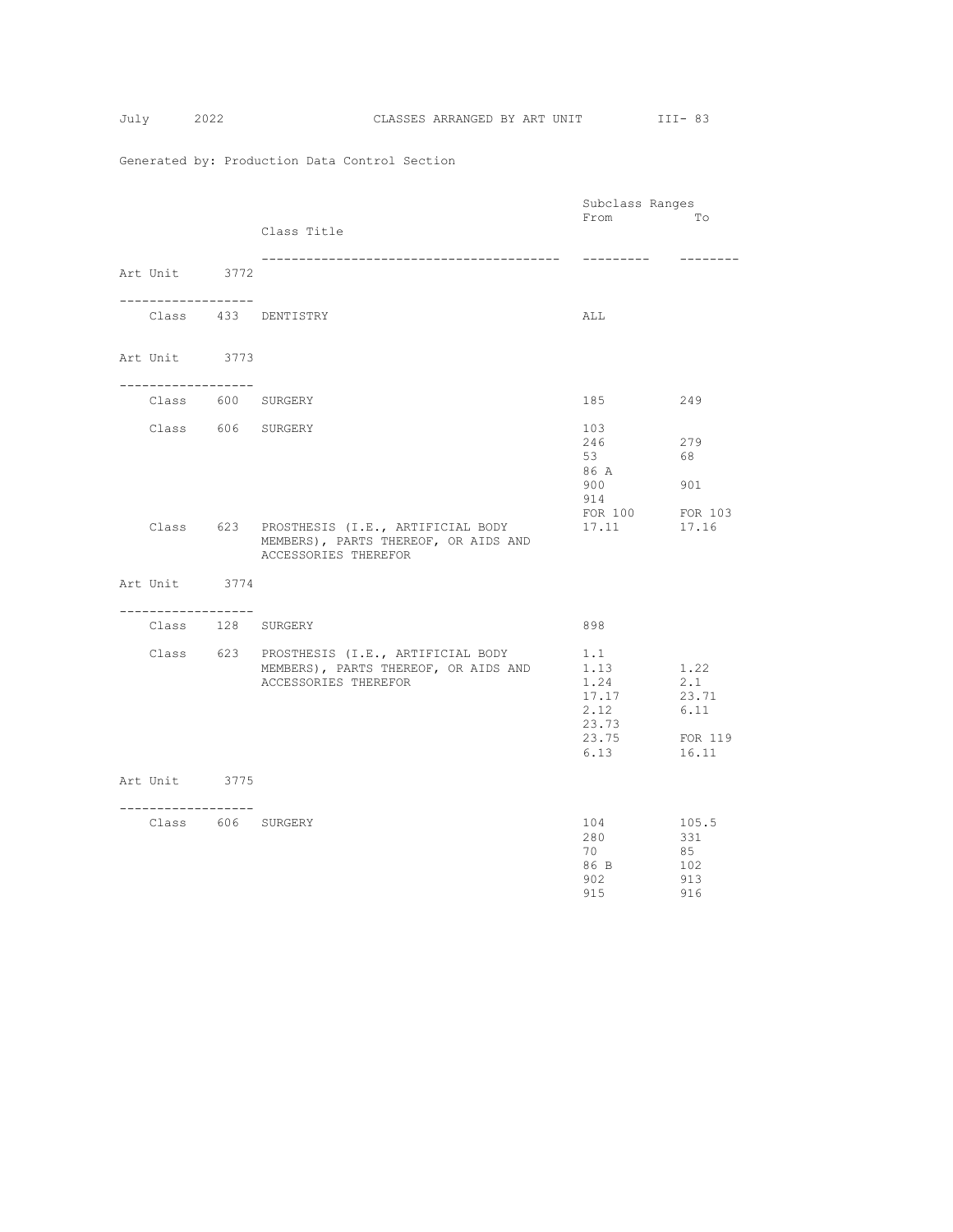$$
July \qquad \qquad 20
$$

|                        |                                                                                                             | Subclass Ranges                                                |                                                  |
|------------------------|-------------------------------------------------------------------------------------------------------------|----------------------------------------------------------------|--------------------------------------------------|
|                        | Class Title                                                                                                 | From                                                           | Tо                                               |
| Art Unit 3772          | -----------------------------------                                                                         |                                                                |                                                  |
|                        | Class 433 DENTISTRY                                                                                         | ALL                                                            |                                                  |
| Art Unit 3773          |                                                                                                             |                                                                |                                                  |
| . <u>.</u>             | Class 600 SURGERY                                                                                           | 185                                                            | 249                                              |
|                        | Class 606 SURGERY                                                                                           | 103<br>246<br>53<br>86 A<br>900<br>914<br>FOR 100              | 279<br>68<br>901<br>FOR 103                      |
|                        | Class 623 PROSTHESIS (I.E., ARTIFICIAL BODY<br>MEMBERS), PARTS THEREOF, OR AIDS AND<br>ACCESSORIES THEREFOR | 17.11                                                          | 17.16                                            |
| Art Unit 3774          |                                                                                                             |                                                                |                                                  |
| .<br>Class 128 SURGERY |                                                                                                             | 898                                                            |                                                  |
|                        | Class 623 PROSTHESIS (I.E., ARTIFICIAL BODY<br>MEMBERS), PARTS THEREOF, OR AIDS AND<br>ACCESSORIES THEREFOR | 1.1<br>1.13<br>1.24<br>17.17<br>2.12<br>23.73<br>23.75<br>6.13 | 1.22<br>2.1<br>23.71<br>6.11<br>FOR 119<br>16.11 |
| Art Unit 3775          |                                                                                                             |                                                                |                                                  |
| ----------------       | Class 606 SURGERY                                                                                           | 104<br>280<br>70<br>86 B<br>902<br>915                         | 105.5<br>331<br>85<br>102<br>913<br>916          |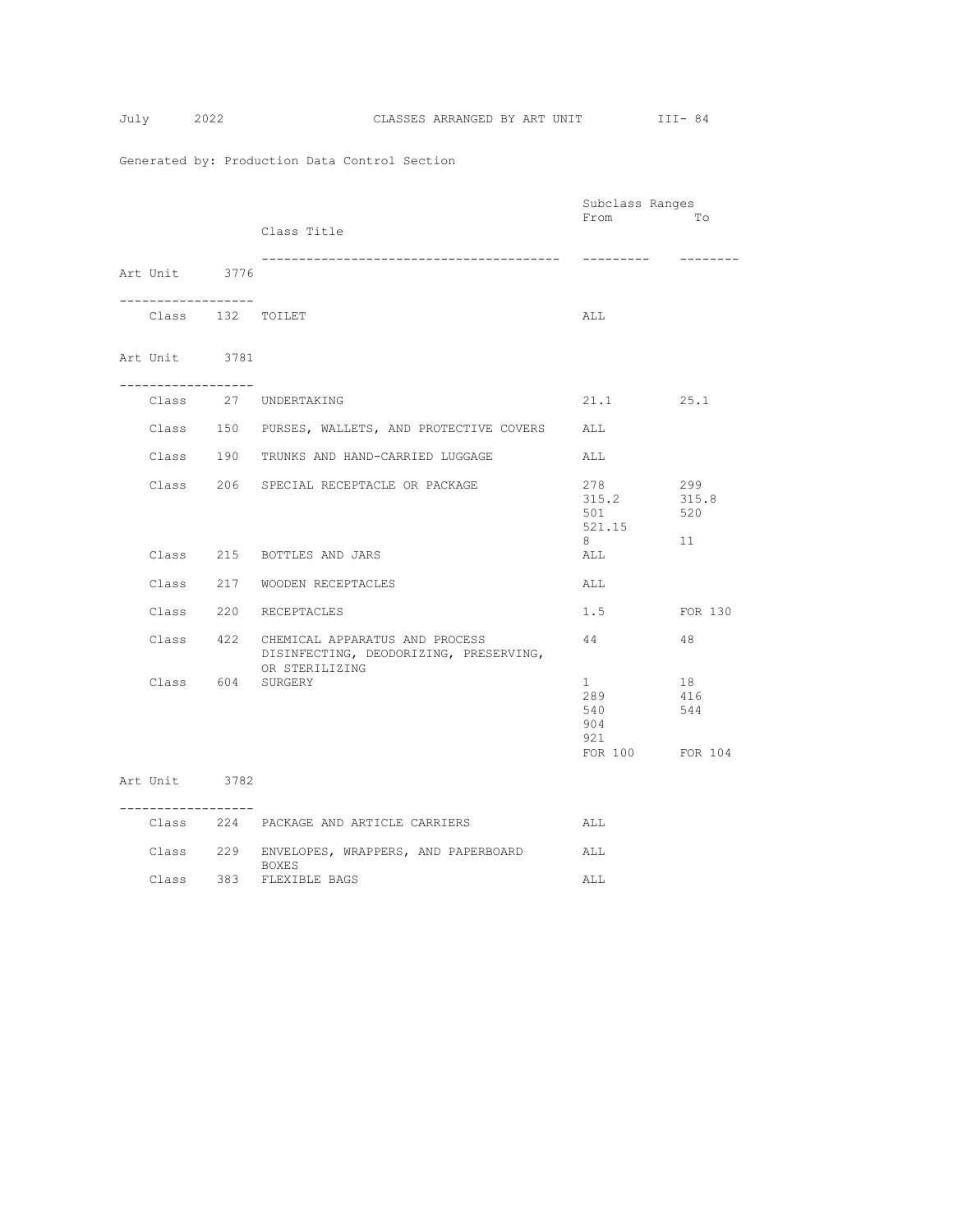$$
July 20
$$

|                                    |                                                                                                      | Subclass Ranges                                          |                           |
|------------------------------------|------------------------------------------------------------------------------------------------------|----------------------------------------------------------|---------------------------|
|                                    | Class Title<br>_________________________________                                                     | From<br>---------                                        | Tо                        |
| Art Unit 3776<br>. <u>.</u>        |                                                                                                      |                                                          |                           |
| Class 132 TOILET                   |                                                                                                      | ALL                                                      |                           |
| Art Unit 3781<br>----------------- |                                                                                                      |                                                          |                           |
|                                    | Class 27 UNDERTAKING                                                                                 | 21.1 25.1                                                |                           |
|                                    | Class 150 PURSES, WALLETS, AND PROTECTIVE COVERS                                                     | ALL                                                      |                           |
|                                    | Class 190 TRUNKS AND HAND-CARRIED LUGGAGE                                                            | ALL                                                      |                           |
|                                    | Class 206 SPECIAL RECEPTACLE OR PACKAGE                                                              | 278<br>315.2<br>501<br>521.15<br>8                       | 299<br>315.8<br>520<br>11 |
|                                    | Class 215 BOTTLES AND JARS                                                                           | ALL                                                      |                           |
|                                    | Class 217 WOODEN RECEPTACLES                                                                         | ALL                                                      |                           |
|                                    | Class 220 RECEPTACLES                                                                                | 1.5                                                      | FOR 130                   |
|                                    | Class 422 CHEMICAL APPARATUS AND PROCESS<br>DISINFECTING, DEODORIZING, PRESERVING,<br>OR STERILIZING | 44                                                       | 48                        |
| Class 604 SURGERY                  |                                                                                                      | $1 \quad$<br>289<br>540<br>904<br>921<br>FOR 100 FOR 104 | 18<br>416<br>544          |
| Art Unit 3782                      |                                                                                                      |                                                          |                           |
|                                    | Class 224 PACKAGE AND ARTICLE CARRIERS                                                               | ALL                                                      |                           |

Class 229 ENVELOPES, WRAPPERS, AND PAPERBOARD ALL

Class 383 FLEXIBLE BAGS ALL

**BOXES**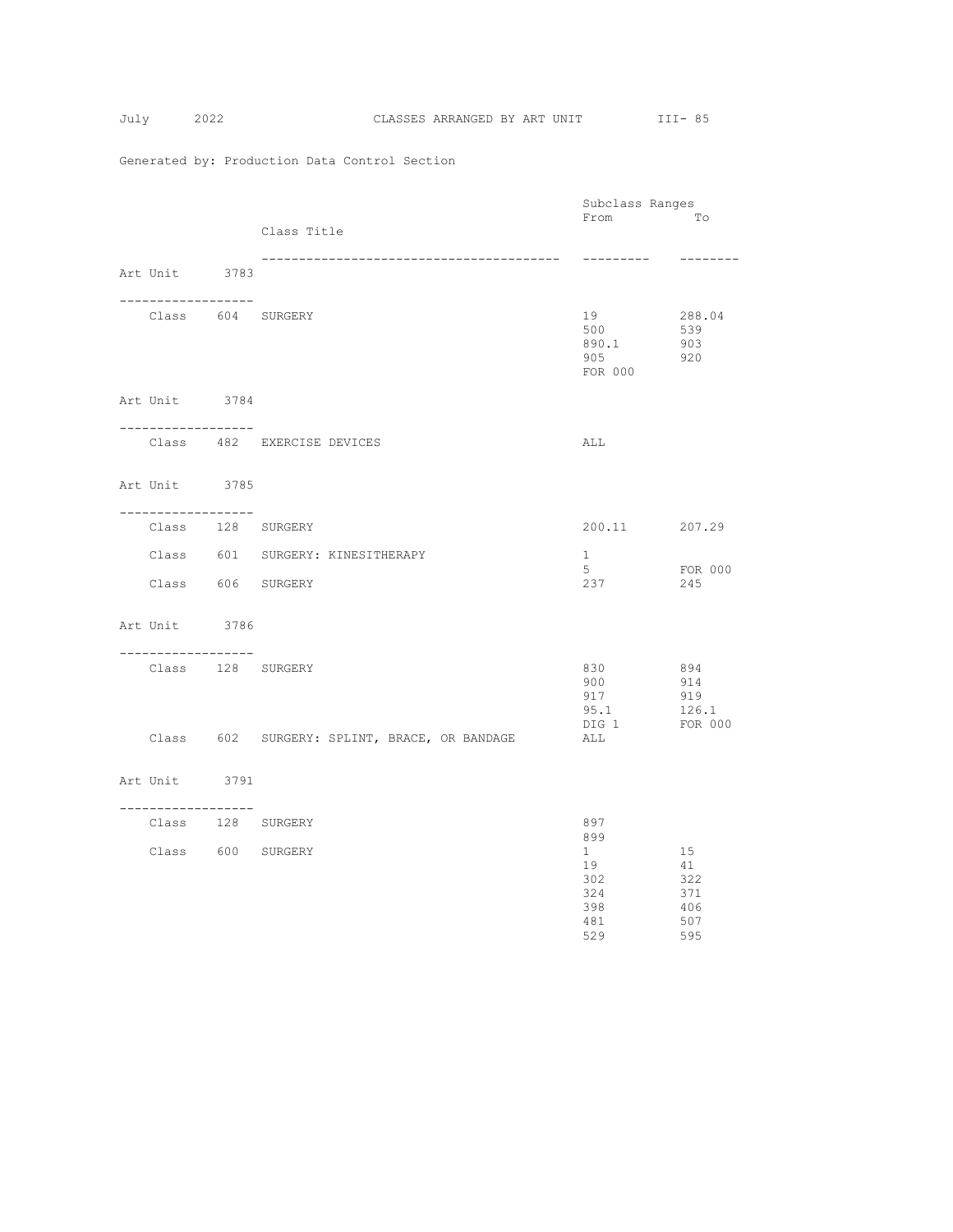|                                        |                                              | Subclass Ranges           |                |
|----------------------------------------|----------------------------------------------|---------------------------|----------------|
|                                        |                                              | From<br><u>rota di To</u> |                |
|                                        | Class Title                                  |                           |                |
|                                        | --------------------------------------       | ----------                | ---------      |
| Art Unit 3783                          |                                              |                           |                |
|                                        |                                              |                           |                |
| -----------------<br>Class 604 SURGERY |                                              | 19                        | 288.04         |
|                                        |                                              | 500                       | 539            |
|                                        |                                              | 890.1                     | 903            |
|                                        |                                              | 905 - 100                 | 920            |
|                                        |                                              | FOR 000                   |                |
| Art Unit 3784                          |                                              |                           |                |
|                                        |                                              |                           |                |
| -------------------                    |                                              |                           |                |
|                                        | Class 482 EXERCISE DEVICES                   | ALL                       |                |
|                                        |                                              |                           |                |
| Art Unit 3785                          |                                              |                           |                |
| ------------------                     |                                              |                           |                |
|                                        | Class 128 SURGERY                            | 200.11 207.29             |                |
|                                        |                                              |                           |                |
|                                        | Class 601 SURGERY: KINESITHERAPY             | 1                         |                |
| Class 606 SURGERY                      |                                              | 5<br>237                  | FOR 000<br>245 |
|                                        |                                              |                           |                |
|                                        |                                              |                           |                |
| Art Unit 3786                          |                                              |                           |                |
| ------------------                     |                                              |                           |                |
| Class 128 SURGERY                      |                                              | 830                       | 894<br>914     |
|                                        |                                              | 900                       |                |
|                                        |                                              | 917<br>95.1               | 919<br>126.1   |
|                                        |                                              | DIG 1                     | FOR 000        |
|                                        | Class 602 SURGERY: SPLINT, BRACE, OR BANDAGE | ALL                       |                |
|                                        |                                              |                           |                |
| Art Unit 3791                          |                                              |                           |                |
|                                        |                                              |                           |                |
| ------------------                     |                                              |                           |                |
| Class 128 SURGERY                      |                                              | 897                       |                |
| Class 600 SURGERY                      |                                              | 899<br>$1 \quad$          | 15             |
|                                        |                                              | 19                        | 41             |
|                                        |                                              | 302                       | 322            |
|                                        |                                              | 324                       | 371            |
|                                        |                                              | 398<br>481                | 406<br>507     |
|                                        |                                              | 529                       | 595            |
|                                        |                                              |                           |                |